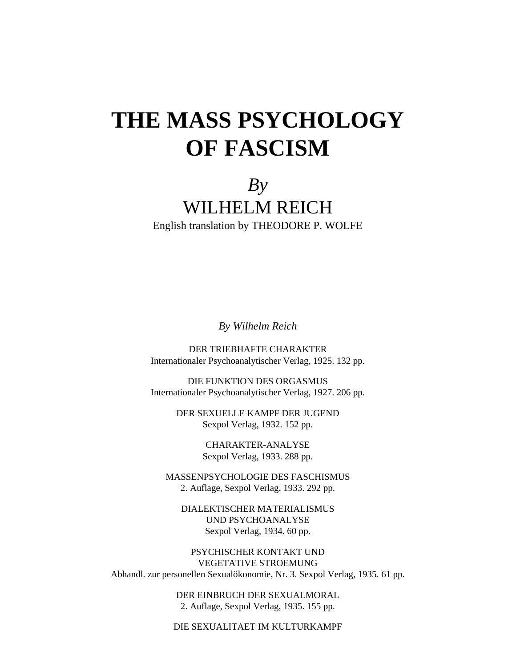# **THE MASS PSYCHOLOGY OF FASCISM**

# *By* WILHELM REICH

English translation by THEODORE P. WOLFE

*By Wilhelm Reich*

DER TRIEBHAFTE CHARAKTER Internationaler Psychoanalytischer Verlag, 1925. 132 pp.

DIE FUNKTION DES ORGASMUS Internationaler Psychoanalytischer Verlag, 1927. 206 pp.

> DER SEXUELLE KAMPF DER JUGEND Sexpol Verlag, 1932. 152 pp.

> > CHARAKTER-ANALYSE Sexpol Verlag, 1933. 288 pp.

MASSENPSYCHOLOGIE DES FASCHISMUS 2. Auflage, Sexpol Verlag, 1933. 292 pp.

DIALEKTISCHER MATERIALISMUS UND PSYCHOANALYSE Sexpol Verlag, 1934. 60 pp.

PSYCHISCHER KONTAKT UND VEGETATIVE STROEMUNG Abhandl. zur personellen Sexualökonomie, Nr. 3. Sexpol Verlag, 1935. 61 pp.

> DER EINBRUCH DER SEXUALMORAL 2. Auflage, Sexpol Verlag, 1935. 155 pp.

DIE SEXUALITAET IM KULTURKAMPF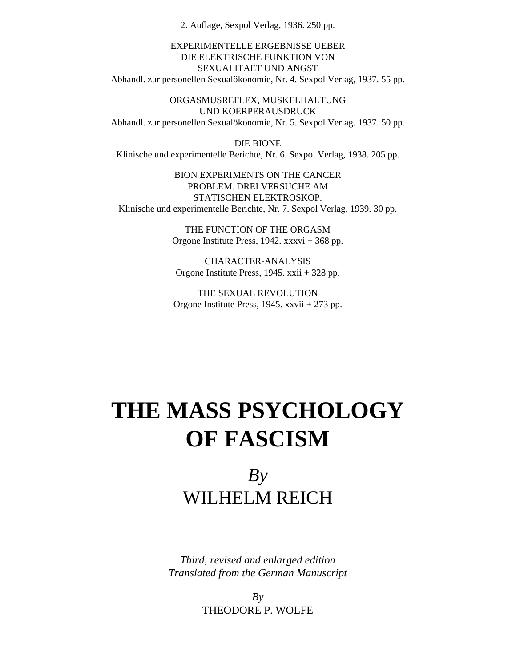2. Auflage, Sexpol Verlag, 1936. 250 pp.

EXPERIMENTELLE ERGEBNISSE UEBER DIE ELEKTRISCHE FUNKTION VON SEXUALITAET UND ANGST Abhandl. zur personellen Sexualökonomie, Nr. 4. Sexpol Verlag, 1937. 55 pp.

ORGASMUSREFLEX, MUSKELHALTUNG UND KOERPERAUSDRUCK Abhandl. zur personellen Sexualökonomie, Nr. 5. Sexpol Verlag. 1937. 50 pp.

DIE BIONE Klinische und experimentelle Berichte, Nr. 6. Sexpol Verlag, 1938. 205 pp.

BION EXPERIMENTS ON THE CANCER PROBLEM. DREI VERSUCHE AM STATISCHEN ELEKTROSKOP. Klinische und experimentelle Berichte, Nr. 7. Sexpol Verlag, 1939. 30 pp.

> THE FUNCTION OF THE ORGASM Orgone Institute Press, 1942. xxxvi + 368 pp.

CHARACTER-ANALYSIS Orgone Institute Press, 1945. xxii + 328 pp.

THE SEXUAL REVOLUTION Orgone Institute Press, 1945. xxvii + 273 pp.

# **THE MASS PSYCHOLOGY OF FASCISM**

# *By* WILHELM REICH

*Third, revised and enlarged edition Translated from the German Manuscript*

> *By* THEODORE P. WOLFE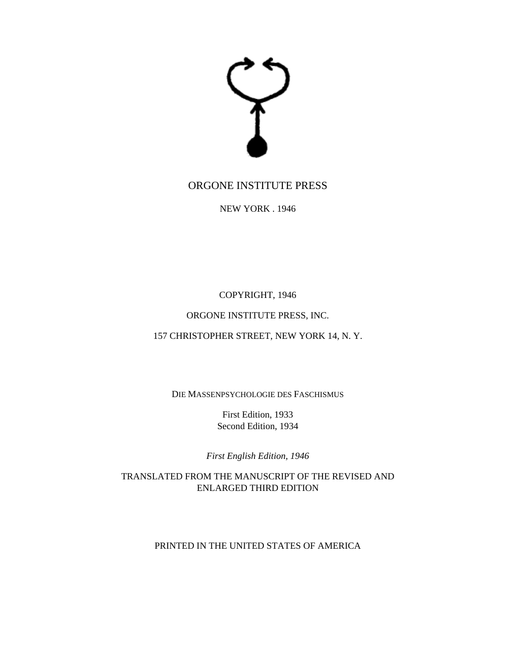

# ORGONE INSTITUTE PRESS

NEW YORK . 1946

COPYRIGHT, 1946

#### ORGONE INSTITUTE PRESS, INC.

157 CHRISTOPHER STREET, NEW YORK 14, N. Y.

DIE MASSENPSYCHOLOGIE DES FASCHISMUS

First Edition, 1933 Second Edition, 1934

*First English Edition, 1946*

TRANSLATED FROM THE MANUSCRIPT OF THE REVISED AND ENLARGED THIRD EDITION

#### PRINTED IN THE UNITED STATES OF AMERICA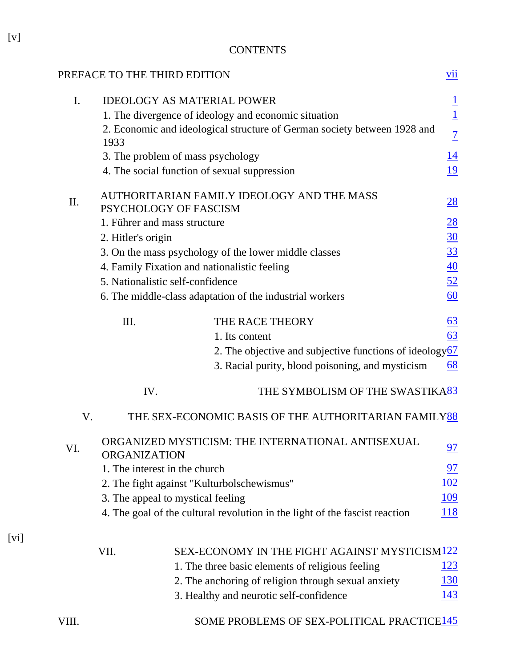# **CONTENTS**

|                | PREFACE TO THE THIRD EDITION                                                                                         |                                                                     | vii              |
|----------------|----------------------------------------------------------------------------------------------------------------------|---------------------------------------------------------------------|------------------|
| $\mathbf{I}$ . | <b>IDEOLOGY AS MATERIAL POWER</b>                                                                                    |                                                                     |                  |
|                | 1. The divergence of ideology and economic situation                                                                 |                                                                     |                  |
|                | $\overline{1}$<br>2. Economic and ideological structure of German society between 1928 and<br>$\overline{1}$<br>1933 |                                                                     |                  |
|                | 3. The problem of mass psychology                                                                                    |                                                                     | <u>14</u>        |
|                | 4. The social function of sexual suppression                                                                         |                                                                     | <u>19</u>        |
| II.            | AUTHORITARIAN FAMILY IDEOLOGY AND THE MASS<br>PSYCHOLOGY OF FASCISM                                                  |                                                                     | $\underline{28}$ |
|                | 1. Führer and mass structure                                                                                         |                                                                     | $\underline{28}$ |
|                | 2. Hitler's origin                                                                                                   |                                                                     | $\frac{30}{5}$   |
|                |                                                                                                                      | 3. On the mass psychology of the lower middle classes               | $\overline{33}$  |
|                | 4. Family Fixation and nationalistic feeling                                                                         |                                                                     | $\overline{40}$  |
|                | 5. Nationalistic self-confidence                                                                                     |                                                                     | 52               |
|                |                                                                                                                      | 6. The middle-class adaptation of the industrial workers            | $\underline{60}$ |
|                | III.                                                                                                                 | THE RACE THEORY                                                     | $\underline{63}$ |
|                |                                                                                                                      | 1. Its content                                                      | 63               |
|                |                                                                                                                      | 2. The objective and subjective functions of ideology <sup>67</sup> |                  |
|                |                                                                                                                      | 3. Racial purity, blood poisoning, and mysticism                    | 68               |
|                | IV.                                                                                                                  | THE SYMBOLISM OF THE SWASTIKA83                                     |                  |
| V.             |                                                                                                                      | THE SEX-ECONOMIC BASIS OF THE AUTHORITARIAN FAMILY88                |                  |
| VI.            | <b>ORGANIZATION</b>                                                                                                  | ORGANIZED MYSTICISM: THE INTERNATIONAL ANTISEXUAL                   | 97               |
|                | 1. The interest in the church                                                                                        |                                                                     | <u>97</u>        |
|                | 2. The fight against "Kulturbolschewismus"                                                                           |                                                                     | 102              |
|                | 3. The appeal to mystical feeling                                                                                    |                                                                     | <u> 109</u>      |
|                | <u>118</u><br>4. The goal of the cultural revolution in the light of the fascist reaction                            |                                                                     |                  |
|                | VII.                                                                                                                 | SEX-ECONOMY IN THE FIGHT AGAINST MYSTICISM122                       |                  |
|                |                                                                                                                      | 1. The three basic elements of religious feeling                    | <u> 123</u>      |
|                |                                                                                                                      | 2. The anchoring of religion through sexual anxiety                 | <u>130</u>       |
|                |                                                                                                                      | 3. Healthy and neurotic self-confidence                             | 143              |
| VIII.          |                                                                                                                      | SOME PROBLEMS OF SEX-POLITICAL PRACTICE145                          |                  |

[vi]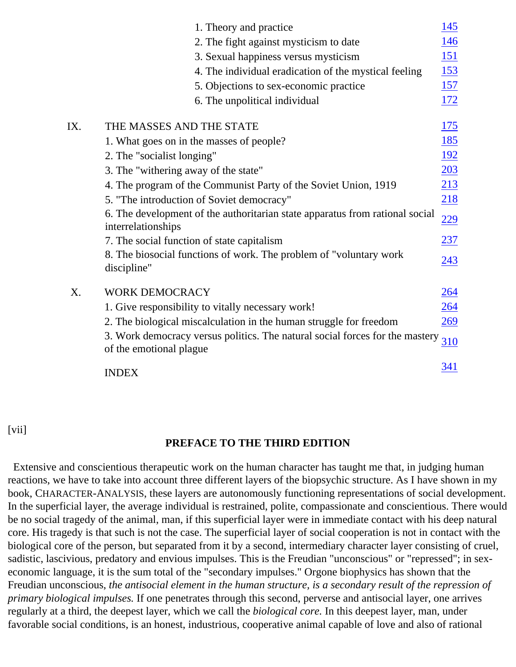|     | 1. Theory and practice                                                                                  | <u>145</u>  |
|-----|---------------------------------------------------------------------------------------------------------|-------------|
|     | 2. The fight against mysticism to date                                                                  | <u>146</u>  |
|     | 3. Sexual happiness versus mysticism                                                                    | 151         |
|     | 4. The individual eradication of the mystical feeling                                                   | <u>153</u>  |
|     | 5. Objections to sex-economic practice                                                                  | 157         |
|     | 6. The unpolitical individual                                                                           | <u> 172</u> |
| IX. | THE MASSES AND THE STATE                                                                                | 175         |
|     | 1. What goes on in the masses of people?                                                                | <u>185</u>  |
|     | 2. The "socialist longing"                                                                              | <u> 192</u> |
|     | 3. The "withering away of the state"                                                                    | 203         |
|     | 4. The program of the Communist Party of the Soviet Union, 1919                                         | 213         |
|     | 5. "The introduction of Soviet democracy"                                                               | 218         |
|     | 6. The development of the authoritarian state apparatus from rational social<br>interrelationships      | 229         |
|     | 7. The social function of state capitalism                                                              | 237         |
|     | 8. The biosocial functions of work. The problem of "voluntary work"<br>discipline"                      | 243         |
| X.  | <b>WORK DEMOCRACY</b>                                                                                   | <u>264</u>  |
|     | 1. Give responsibility to vitally necessary work!                                                       | 264         |
|     | 2. The biological miscalculation in the human struggle for freedom                                      | <u>269</u>  |
|     | 3. Work democracy versus politics. The natural social forces for the mastery<br>of the emotional plague | 310         |
|     | <b>INDEX</b>                                                                                            | 341         |

<span id="page-4-0"></span>[vii]

# **PREFACE TO THE THIRD EDITION**

 Extensive and conscientious therapeutic work on the human character has taught me that, in judging human reactions, we have to take into account three different layers of the biopsychic structure. As I have shown in my book, CHARACTER-ANALYSIS, these layers are autonomously functioning representations of social development. In the superficial layer, the average individual is restrained, polite, compassionate and conscientious. There would be no social tragedy of the animal, man, if this superficial layer were in immediate contact with his deep natural core. His tragedy is that such is not the case. The superficial layer of social cooperation is not in contact with the biological core of the person, but separated from it by a second, intermediary character layer consisting of cruel, sadistic, lascivious, predatory and envious impulses. This is the Freudian "unconscious" or "repressed"; in sexeconomic language, it is the sum total of the "secondary impulses." Orgone biophysics has shown that the Freudian unconscious, *the antisocial element in the human structure, is a secondary result of the repression of primary biological impulses.* If one penetrates through this second, perverse and antisocial layer, one arrives regularly at a third, the deepest layer, which we call the *biological core.* In this deepest layer, man, under favorable social conditions, is an honest, industrious, cooperative animal capable of love and also of rational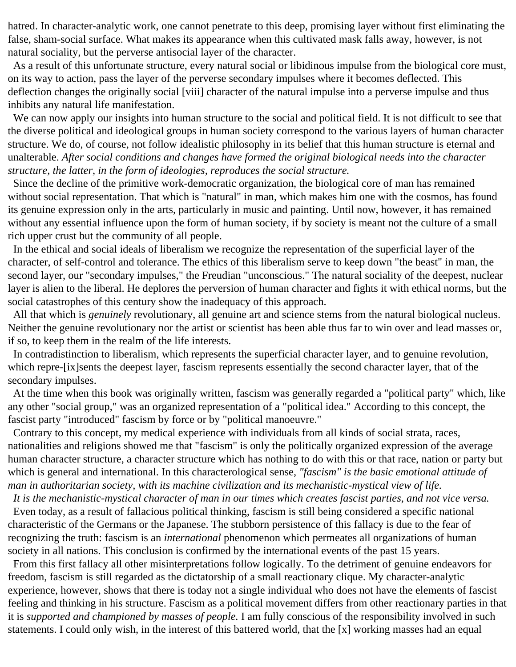hatred. In character-analytic work, one cannot penetrate to this deep, promising layer without first eliminating the false, sham-social surface. What makes its appearance when this cultivated mask falls away, however, is not natural sociality, but the perverse antisocial layer of the character.

 As a result of this unfortunate structure, every natural social or libidinous impulse from the biological core must, on its way to action, pass the layer of the perverse secondary impulses where it becomes deflected. This deflection changes the originally social [viii] character of the natural impulse into a perverse impulse and thus inhibits any natural life manifestation.

We can now apply our insights into human structure to the social and political field. It is not difficult to see that the diverse political and ideological groups in human society correspond to the various layers of human character structure. We do, of course, not follow idealistic philosophy in its belief that this human structure is eternal and unalterable. *After social conditions and changes have formed the original biological needs into the character structure, the latter, in the form of ideologies, reproduces the social structure.*

 Since the decline of the primitive work-democratic organization, the biological core of man has remained without social representation. That which is "natural" in man, which makes him one with the cosmos, has found its genuine expression only in the arts, particularly in music and painting. Until now, however, it has remained without any essential influence upon the form of human society, if by society is meant not the culture of a small rich upper crust but the community of all people.

 In the ethical and social ideals of liberalism we recognize the representation of the superficial layer of the character, of self-control and tolerance. The ethics of this liberalism serve to keep down "the beast" in man, the second layer, our "secondary impulses," the Freudian "unconscious." The natural sociality of the deepest, nuclear layer is alien to the liberal. He deplores the perversion of human character and fights it with ethical norms, but the social catastrophes of this century show the inadequacy of this approach.

 All that which is *genuinely* revolutionary, all genuine art and science stems from the natural biological nucleus. Neither the genuine revolutionary nor the artist or scientist has been able thus far to win over and lead masses or, if so, to keep them in the realm of the life interests.

 In contradistinction to liberalism, which represents the superficial character layer, and to genuine revolution, which repre-[ix]sents the deepest layer, fascism represents essentially the second character layer, that of the secondary impulses.

 At the time when this book was originally written, fascism was generally regarded a "political party" which, like any other "social group," was an organized representation of a "political idea." According to this concept, the fascist party "introduced" fascism by force or by "political manoeuvre."

 Contrary to this concept, my medical experience with individuals from all kinds of social strata, races, nationalities and religions showed me that "fascism" is only the politically organized expression of the average human character structure, a character structure which has nothing to do with this or that race, nation or party but which is general and international. In this characterological sense, *"fascism" is the basic emotional attitude of man in authoritarian society, with its machine civilization and its mechanistic-mystical view of life.*

 *It is the mechanistic-mystical character of man in our times which creates fascist parties, and not vice versa.* Even today, as a result of fallacious political thinking, fascism is still being considered a specific national characteristic of the Germans or the Japanese. The stubborn persistence of this fallacy is due to the fear of recognizing the truth: fascism is an *international* phenomenon which permeates all organizations of human society in all nations. This conclusion is confirmed by the international events of the past 15 years.

 From this first fallacy all other misinterpretations follow logically. To the detriment of genuine endeavors for freedom, fascism is still regarded as the dictatorship of a small reactionary clique. My character-analytic experience, however, shows that there is today not a single individual who does not have the elements of fascist feeling and thinking in his structure. Fascism as a political movement differs from other reactionary parties in that it is *supported and championed by masses of people.* I am fully conscious of the responsibility involved in such statements. I could only wish, in the interest of this battered world, that the [x] working masses had an equal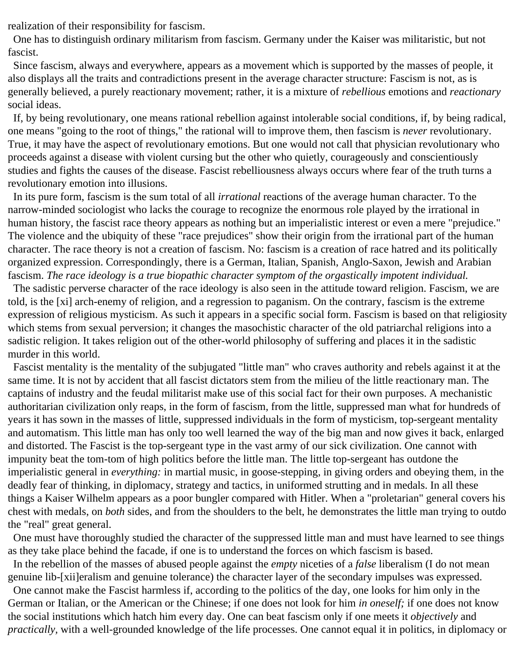realization of their responsibility for fascism.

 One has to distinguish ordinary militarism from fascism. Germany under the Kaiser was militaristic, but not fascist.

 Since fascism, always and everywhere, appears as a movement which is supported by the masses of people, it also displays all the traits and contradictions present in the average character structure: Fascism is not, as is generally believed, a purely reactionary movement; rather, it is a mixture of *rebellious* emotions and *reactionary*  social ideas.

 If, by being revolutionary, one means rational rebellion against intolerable social conditions, if, by being radical, one means "going to the root of things," the rational will to improve them, then fascism is *never* revolutionary. True, it may have the aspect of revolutionary emotions. But one would not call that physician revolutionary who proceeds against a disease with violent cursing but the other who quietly, courageously and conscientiously studies and fights the causes of the disease. Fascist rebelliousness always occurs where fear of the truth turns a revolutionary emotion into illusions.

 In its pure form, fascism is the sum total of all *irrational* reactions of the average human character. To the narrow-minded sociologist who lacks the courage to recognize the enormous role played by the irrational in human history, the fascist race theory appears as nothing but an imperialistic interest or even a mere "prejudice." The violence and the ubiquity of these "race prejudices" show their origin from the irrational part of the human character. The race theory is not a creation of fascism. No: fascism is a creation of race hatred and its politically organized expression. Correspondingly, there is a German, Italian, Spanish, Anglo-Saxon, Jewish and Arabian fascism. *The race ideology is a true biopathic character symptom of the orgastically impotent individual.*

 The sadistic perverse character of the race ideology is also seen in the attitude toward religion. Fascism, we are told, is the [xi] arch-enemy of religion, and a regression to paganism. On the contrary, fascism is the extreme expression of religious mysticism. As such it appears in a specific social form. Fascism is based on that religiosity which stems from sexual perversion; it changes the masochistic character of the old patriarchal religions into a sadistic religion. It takes religion out of the other-world philosophy of suffering and places it in the sadistic murder in this world.

 Fascist mentality is the mentality of the subjugated "little man" who craves authority and rebels against it at the same time. It is not by accident that all fascist dictators stem from the milieu of the little reactionary man. The captains of industry and the feudal militarist make use of this social fact for their own purposes. A mechanistic authoritarian civilization only reaps, in the form of fascism, from the little, suppressed man what for hundreds of years it has sown in the masses of little, suppressed individuals in the form of mysticism, top-sergeant mentality and automatism. This little man has only too well learned the way of the big man and now gives it back, enlarged and distorted. The Fascist is the top-sergeant type in the vast army of our sick civilization. One cannot with impunity beat the tom-tom of high politics before the little man. The little top-sergeant has outdone the imperialistic general in *everything:* in martial music, in goose-stepping, in giving orders and obeying them, in the deadly fear of thinking, in diplomacy, strategy and tactics, in uniformed strutting and in medals. In all these things a Kaiser Wilhelm appears as a poor bungler compared with Hitler. When a "proletarian" general covers his chest with medals, on *both* sides, and from the shoulders to the belt, he demonstrates the little man trying to outdo the "real" great general.

 One must have thoroughly studied the character of the suppressed little man and must have learned to see things as they take place behind the facade, if one is to understand the forces on which fascism is based.

 In the rebellion of the masses of abused people against the *empty* niceties of a *false* liberalism (I do not mean genuine lib-[xii]eralism and genuine tolerance) the character layer of the secondary impulses was expressed.

 One cannot make the Fascist harmless if, according to the politics of the day, one looks for him only in the German or Italian, or the American or the Chinese; if one does not look for him *in oneself;* if one does not know the social institutions which hatch him every day. One can beat fascism only if one meets it *objectively* and *practically,* with a well-grounded knowledge of the life processes. One cannot equal it in politics, in diplomacy or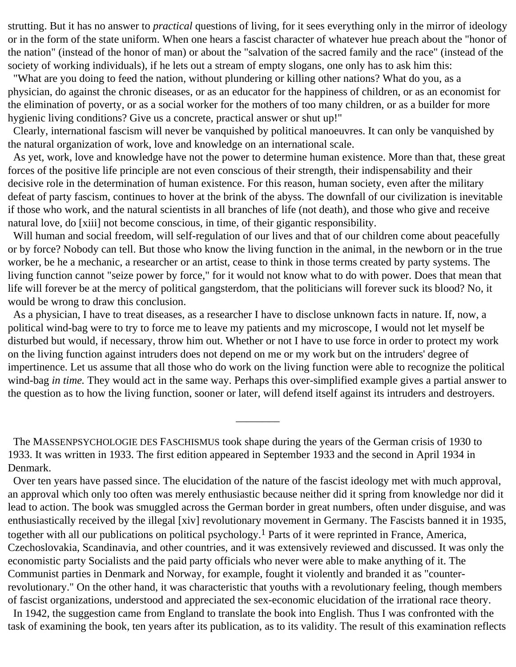strutting. But it has no answer to *practical* questions of living, for it sees everything only in the mirror of ideology or in the form of the state uniform. When one hears a fascist character of whatever hue preach about the "honor of the nation" (instead of the honor of man) or about the "salvation of the sacred family and the race" (instead of the society of working individuals), if he lets out a stream of empty slogans, one only has to ask him this:

 "What are you doing to feed the nation, without plundering or killing other nations? What do you, as a physician, do against the chronic diseases, or as an educator for the happiness of children, or as an economist for the elimination of poverty, or as a social worker for the mothers of too many children, or as a builder for more hygienic living conditions? Give us a concrete, practical answer or shut up!"

 Clearly, international fascism will never be vanquished by political manoeuvres. It can only be vanquished by the natural organization of work, love and knowledge on an international scale.

 As yet, work, love and knowledge have not the power to determine human existence. More than that, these great forces of the positive life principle are not even conscious of their strength, their indispensability and their decisive role in the determination of human existence. For this reason, human society, even after the military defeat of party fascism, continues to hover at the brink of the abyss. The downfall of our civilization is inevitable if those who work, and the natural scientists in all branches of life (not death), and those who give and receive natural love, do [xiii] not become conscious, in time, of their gigantic responsibility.

Will human and social freedom, will self-regulation of our lives and that of our children come about peacefully or by force? Nobody can tell. But those who know the living function in the animal, in the newborn or in the true worker, be he a mechanic, a researcher or an artist, cease to think in those terms created by party systems. The living function cannot "seize power by force," for it would not know what to do with power. Does that mean that life will forever be at the mercy of political gangsterdom, that the politicians will forever suck its blood? No, it would be wrong to draw this conclusion.

 As a physician, I have to treat diseases, as a researcher I have to disclose unknown facts in nature. If, now, a political wind-bag were to try to force me to leave my patients and my microscope, I would not let myself be disturbed but would, if necessary, throw him out. Whether or not I have to use force in order to protect my work on the living function against intruders does not depend on me or my work but on the intruders' degree of impertinence. Let us assume that all those who do work on the living function were able to recognize the political wind-bag *in time.* They would act in the same way. Perhaps this over-simplified example gives a partial answer to the question as to how the living function, sooner or later, will defend itself against its intruders and destroyers.

 $\overline{\phantom{a}}$ 

 The MASSENPSYCHOLOGIE DES FASCHISMUS took shape during the years of the German crisis of 1930 to 1933. It was written in 1933. The first edition appeared in September 1933 and the second in April 1934 in Denmark.

 Over ten years have passed since. The elucidation of the nature of the fascist ideology met with much approval, an approval which only too often was merely enthusiastic because neither did it spring from knowledge nor did it lead to action. The book was smuggled across the German border in great numbers, often under disguise, and was enthusiastically received by the illegal [xiv] revolutionary movement in Germany. The Fascists banned it in 1935, together with all our publications on political psychology.1 Parts of it were reprinted in France, America, Czechoslovakia, Scandinavia, and other countries, and it was extensively reviewed and discussed. It was only the economistic party Socialists and the paid party officials who never were able to make anything of it. The Communist parties in Denmark and Norway, for example, fought it violently and branded it as "counterrevolutionary." On the other hand, it was characteristic that youths with a revolutionary feeling, though members of fascist organizations, understood and appreciated the sex-economic elucidation of the irrational race theory.

 In 1942, the suggestion came from England to translate the book into English. Thus I was confronted with the task of examining the book, ten years after its publication, as to its validity. The result of this examination reflects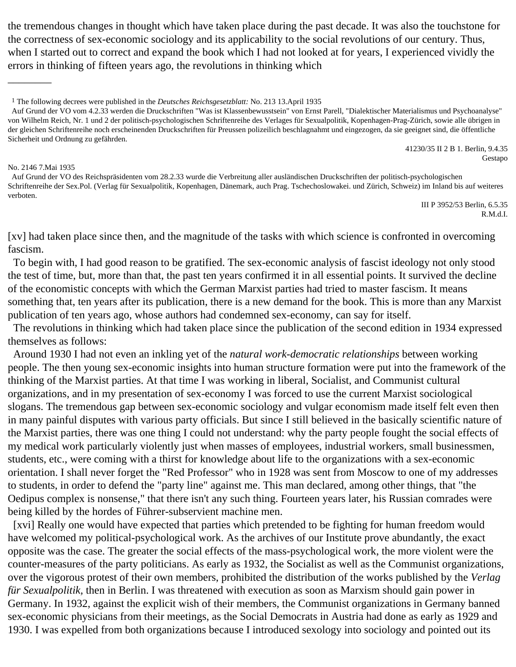the tremendous changes in thought which have taken place during the past decade. It was also the touchstone for the correctness of sex-economic sociology and its applicability to the social revolutions of our century. Thus, when I started out to correct and expand the book which I had not looked at for years, I experienced vividly the errors in thinking of fifteen years ago, the revolutions in thinking which

1 The following decrees were published in the *Deutsches Reichsgesetzblatt:* No. 213 13.April 1935

 Auf Grund der VO vom 4.2.33 werden die Druckschriften "Was ist Klassenbewusstsein" von Ernst Parell, "Dialektischer Materialismus und Psychoanalyse" von Wilhelm Reich, Nr. 1 und 2 der politisch-psychologischen Schriftenreihe des Verlages für Sexualpolitik, Kopenhagen-Prag-Zürich, sowie alle übrigen in der gleichen Schriftenreihe noch erscheinenden Druckschriften für Preussen polizeilich beschlagnahmt und eingezogen, da sie geeignet sind, die öffentliche Sicherheit und Ordnung zu gefährden.

> 41230/35 II 2 B 1. Berlin, 9.4.35 Gestapo

#### No. 2146 7.Mai 1935

\_\_\_\_\_\_\_\_

 Auf Grund der VO des Reichspräsidenten vom 28.2.33 wurde die Verbreitung aller ausländischen Druckschriften der politisch-psychologischen Schriftenreihe der Sex.Pol. (Verlag für Sexualpolitik, Kopenhagen, Dänemark, auch Prag. Tschechoslowakei. und Zürich, Schweiz) im Inland bis auf weiteres verboten.

III P 3952/53 Berlin, 6.5.35 R.M.d.I.

[xv] had taken place since then, and the magnitude of the tasks with which science is confronted in overcoming fascism.

 To begin with, I had good reason to be gratified. The sex-economic analysis of fascist ideology not only stood the test of time, but, more than that, the past ten years confirmed it in all essential points. It survived the decline of the economistic concepts with which the German Marxist parties had tried to master fascism. It means something that, ten years after its publication, there is a new demand for the book. This is more than any Marxist publication of ten years ago, whose authors had condemned sex-economy, can say for itself.

 The revolutions in thinking which had taken place since the publication of the second edition in 1934 expressed themselves as follows:

 Around 1930 I had not even an inkling yet of the *natural work-democratic relationships* between working people. The then young sex-economic insights into human structure formation were put into the framework of the thinking of the Marxist parties. At that time I was working in liberal, Socialist, and Communist cultural organizations, and in my presentation of sex-economy I was forced to use the current Marxist sociological slogans. The tremendous gap between sex-economic sociology and vulgar economism made itself felt even then in many painful disputes with various party officials. But since I still believed in the basically scientific nature of the Marxist parties, there was one thing I could not understand: why the party people fought the social effects of my medical work particularly violently just when masses of employees, industrial workers, small businessmen, students, etc., were coming with a thirst for knowledge about life to the organizations with a sex-economic orientation. I shall never forget the "Red Professor" who in 1928 was sent from Moscow to one of my addresses to students, in order to defend the "party line" against me. This man declared, among other things, that "the Oedipus complex is nonsense," that there isn't any such thing. Fourteen years later, his Russian comrades were being killed by the hordes of Führer-subservient machine men.

 [xvi] Really one would have expected that parties which pretended to be fighting for human freedom would have welcomed my political-psychological work. As the archives of our Institute prove abundantly, the exact opposite was the case. The greater the social effects of the mass-psychological work, the more violent were the counter-measures of the party politicians. As early as 1932, the Socialist as well as the Communist organizations, over the vigorous protest of their own members, prohibited the distribution of the works published by the *Verlag für Sexualpolitik,* then in Berlin. I was threatened with execution as soon as Marxism should gain power in Germany. In 1932, against the explicit wish of their members, the Communist organizations in Germany banned sex-economic physicians from their meetings, as the Social Democrats in Austria had done as early as 1929 and 1930. I was expelled from both organizations because I introduced sexology into sociology and pointed out its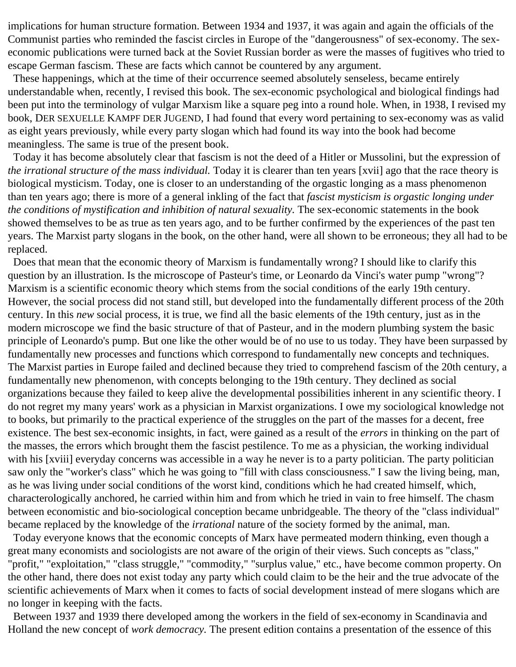implications for human structure formation. Between 1934 and 1937, it was again and again the officials of the Communist parties who reminded the fascist circles in Europe of the "dangerousness" of sex-economy. The sexeconomic publications were turned back at the Soviet Russian border as were the masses of fugitives who tried to escape German fascism. These are facts which cannot be countered by any argument.

 These happenings, which at the time of their occurrence seemed absolutely senseless, became entirely understandable when, recently, I revised this book. The sex-economic psychological and biological findings had been put into the terminology of vulgar Marxism like a square peg into a round hole. When, in 1938, I revised my book, DER SEXUELLE KAMPF DER JUGEND, I had found that every word pertaining to sex-economy was as valid as eight years previously, while every party slogan which had found its way into the book had become meaningless. The same is true of the present book.

 Today it has become absolutely clear that fascism is not the deed of a Hitler or Mussolini, but the expression of *the irrational structure of the mass individual.* Today it is clearer than ten years [xvii] ago that the race theory is biological mysticism. Today, one is closer to an understanding of the orgastic longing as a mass phenomenon than ten years ago; there is more of a general inkling of the fact that *fascist mysticism is orgastic longing under the conditions of mystification and inhibition of natural sexuality.* The sex-economic statements in the book showed themselves to be as true as ten years ago, and to be further confirmed by the experiences of the past ten years. The Marxist party slogans in the book, on the other hand, were all shown to be erroneous; they all had to be replaced.

 Does that mean that the economic theory of Marxism is fundamentally wrong? I should like to clarify this question by an illustration. Is the microscope of Pasteur's time, or Leonardo da Vinci's water pump "wrong"? Marxism is a scientific economic theory which stems from the social conditions of the early 19th century. However, the social process did not stand still, but developed into the fundamentally different process of the 20th century. In this *new* social process, it is true, we find all the basic elements of the 19th century, just as in the modern microscope we find the basic structure of that of Pasteur, and in the modern plumbing system the basic principle of Leonardo's pump. But one like the other would be of no use to us today. They have been surpassed by fundamentally new processes and functions which correspond to fundamentally new concepts and techniques. The Marxist parties in Europe failed and declined because they tried to comprehend fascism of the 20th century, a fundamentally new phenomenon, with concepts belonging to the 19th century. They declined as social organizations because they failed to keep alive the developmental possibilities inherent in any scientific theory. I do not regret my many years' work as a physician in Marxist organizations. I owe my sociological knowledge not to books, but primarily to the practical experience of the struggles on the part of the masses for a decent, free existence. The best sex-economic insights, in fact, were gained as a result of the *errors* in thinking on the part of the masses, the errors which brought them the fascist pestilence. To me as a physician, the working individual with his [xviii] everyday concerns was accessible in a way he never is to a party politician. The party politician saw only the "worker's class" which he was going to "fill with class consciousness." I saw the living being, man, as he was living under social conditions of the worst kind, conditions which he had created himself, which, characterologically anchored, he carried within him and from which he tried in vain to free himself. The chasm between economistic and bio-sociological conception became unbridgeable. The theory of the "class individual" became replaced by the knowledge of the *irrational* nature of the society formed by the animal, man.

 Today everyone knows that the economic concepts of Marx have permeated modern thinking, even though a great many economists and sociologists are not aware of the origin of their views. Such concepts as "class," "profit," "exploitation," "class struggle," "commodity," "surplus value," etc., have become common property. On the other hand, there does not exist today any party which could claim to be the heir and the true advocate of the scientific achievements of Marx when it comes to facts of social development instead of mere slogans which are no longer in keeping with the facts.

 Between 1937 and 1939 there developed among the workers in the field of sex-economy in Scandinavia and Holland the new concept of *work democracy.* The present edition contains a presentation of the essence of this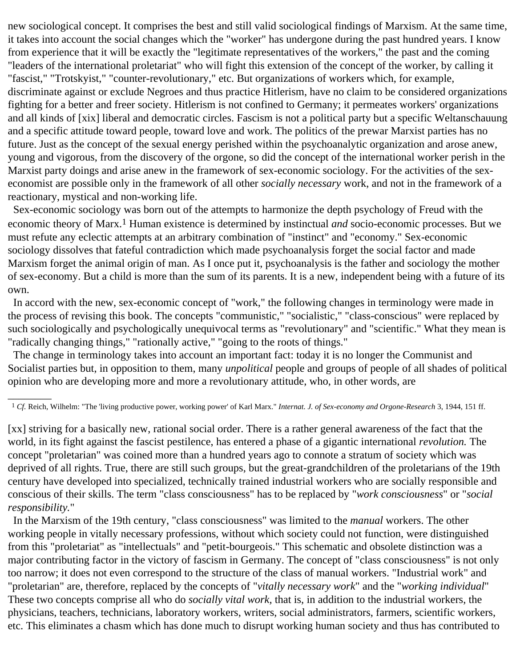new sociological concept. It comprises the best and still valid sociological findings of Marxism. At the same time, it takes into account the social changes which the "worker" has undergone during the past hundred years. I know from experience that it will be exactly the "legitimate representatives of the workers," the past and the coming "leaders of the international proletariat" who will fight this extension of the concept of the worker, by calling it "fascist," "Trotskyist," "counter-revolutionary," etc. But organizations of workers which, for example, discriminate against or exclude Negroes and thus practice Hitlerism, have no claim to be considered organizations fighting for a better and freer society. Hitlerism is not confined to Germany; it permeates workers' organizations and all kinds of [xix] liberal and democratic circles. Fascism is not a political party but a specific Weltanschauung and a specific attitude toward people, toward love and work. The politics of the prewar Marxist parties has no future. Just as the concept of the sexual energy perished within the psychoanalytic organization and arose anew, young and vigorous, from the discovery of the orgone, so did the concept of the international worker perish in the Marxist party doings and arise anew in the framework of sex-economic sociology. For the activities of the sexeconomist are possible only in the framework of all other *socially necessary* work, and not in the framework of a reactionary, mystical and non-working life.

 Sex-economic sociology was born out of the attempts to harmonize the depth psychology of Freud with the economic theory of Marx.1 Human existence is determined by instinctual *and* socio-economic processes. But we must refute any eclectic attempts at an arbitrary combination of "instinct" and "economy." Sex-economic sociology dissolves that fateful contradiction which made psychoanalysis forget the social factor and made Marxism forget the animal origin of man. As I once put it, psychoanalysis is the father and sociology the mother of sex-economy. But a child is more than the sum of its parents. It is a new, independent being with a future of its own.

 In accord with the new, sex-economic concept of "work," the following changes in terminology were made in the process of revising this book. The concepts "communistic," "socialistic," "class-conscious" were replaced by such sociologically and psychologically unequivocal terms as "revolutionary" and "scientific." What they mean is "radically changing things," "rationally active," "going to the roots of things."

 The change in terminology takes into account an important fact: today it is no longer the Communist and Socialist parties but, in opposition to them, many *unpolitical* people and groups of people of all shades of political opinion who are developing more and more a revolutionary attitude, who, in other words, are

1 *Cf.* Reich, Wilhelm: "The 'living productive power, working power' of Karl Marx." *Internat. J. of Sex-economy and Orgone-Research* 3, 1944, 151 ff.

 $\overline{\phantom{a}}$ 

[xx] striving for a basically new, rational social order. There is a rather general awareness of the fact that the world, in its fight against the fascist pestilence, has entered a phase of a gigantic international *revolution.* The concept "proletarian" was coined more than a hundred years ago to connote a stratum of society which was deprived of all rights. True, there are still such groups, but the great-grandchildren of the proletarians of the 19th century have developed into specialized, technically trained industrial workers who are socially responsible and conscious of their skills. The term "class consciousness" has to be replaced by "*work consciousness*" or "*social responsibility.*"

 In the Marxism of the 19th century, "class consciousness" was limited to the *manual* workers. The other working people in vitally necessary professions, without which society could not function, were distinguished from this "proletariat" as "intellectuals" and "petit-bourgeois." This schematic and obsolete distinction was a major contributing factor in the victory of fascism in Germany. The concept of "class consciousness" is not only too narrow; it does not even correspond to the structure of the class of manual workers. "Industrial work" and "proletarian" are, therefore, replaced by the concepts of "*vitally necessary work*" and the "*working individual*" These two concepts comprise all who do *socially vital work,* that is, in addition to the industrial workers, the physicians, teachers, technicians, laboratory workers, writers, social administrators, farmers, scientific workers, etc. This eliminates a chasm which has done much to disrupt working human society and thus has contributed to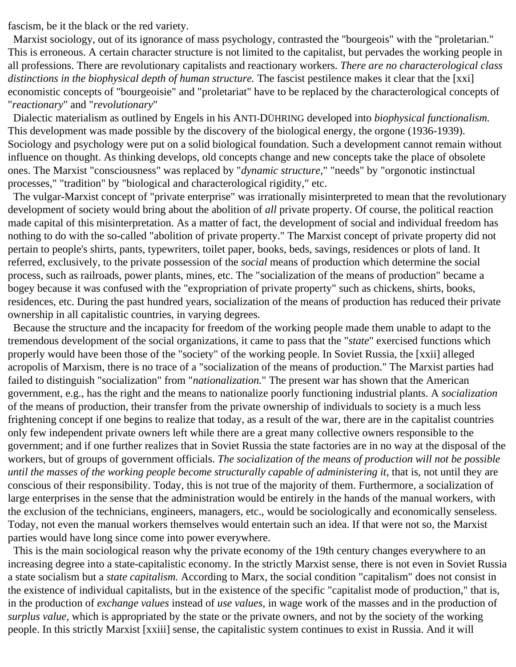fascism, be it the black or the red variety.

 Marxist sociology, out of its ignorance of mass psychology, contrasted the "bourgeois" with the "proletarian." This is erroneous. A certain character structure is not limited to the capitalist, but pervades the working people in all professions. There are revolutionary capitalists and reactionary workers. *There are no characterological class distinctions in the biophysical depth of human structure.* The fascist pestilence makes it clear that the [xxi] economistic concepts of "bourgeoisie" and "proletariat" have to be replaced by the characterological concepts of "*reactionary*" and "*revolutionary*"

 Dialectic materialism as outlined by Engels in his ANTI-DÜHRING developed into *biophysical functionalism.*  This development was made possible by the discovery of the biological energy, the orgone (1936-1939). Sociology and psychology were put on a solid biological foundation. Such a development cannot remain without influence on thought. As thinking develops, old concepts change and new concepts take the place of obsolete ones. The Marxist "consciousness" was replaced by "*dynamic structure,*" "needs" by "orgonotic instinctual processes," "tradition" by "biological and characterological rigidity," etc.

 The vulgar-Marxist concept of "private enterprise" was irrationally misinterpreted to mean that the revolutionary development of society would bring about the abolition of *all* private property. Of course, the political reaction made capital of this misinterpretation. As a matter of fact, the development of social and individual freedom has nothing to do with the so-called "abolition of private property." The Marxist concept of private property did not pertain to people's shirts, pants, typewriters, toilet paper, books, beds, savings, residences or plots of land. It referred, exclusively, to the private possession of the *social* means of production which determine the social process, such as railroads, power plants, mines, etc. The "socialization of the means of production" became a bogey because it was confused with the "expropriation of private property" such as chickens, shirts, books, residences, etc. During the past hundred years, socialization of the means of production has reduced their private ownership in all capitalistic countries, in varying degrees.

 Because the structure and the incapacity for freedom of the working people made them unable to adapt to the tremendous development of the social organizations, it came to pass that the "*state*" exercised functions which properly would have been those of the "society" of the working people. In Soviet Russia, the [xxii] alleged acropolis of Marxism, there is no trace of a "socialization of the means of production." The Marxist parties had failed to distinguish "socialization" from "*nationalization.*" The present war has shown that the American government, e.g., has the right and the means to nationalize poorly functioning industrial plants. A *socialization*  of the means of production, their transfer from the private ownership of individuals to society is a much less frightening concept if one begins to realize that today, as a result of the war, there are in the capitalist countries only few independent private owners left while there are a great many collective owners responsible to the government; and if one further realizes that in Soviet Russia the state factories are in no way at the disposal of the workers, but of groups of government officials. *The socialization of the means of production will not be possible until the masses of the working people become structurally capable of administering it,* that is, not until they are conscious of their responsibility. Today, this is not true of the majority of them. Furthermore, a socialization of large enterprises in the sense that the administration would be entirely in the hands of the manual workers, with the exclusion of the technicians, engineers, managers, etc., would be sociologically and economically senseless. Today, not even the manual workers themselves would entertain such an idea. If that were not so, the Marxist parties would have long since come into power everywhere.

 This is the main sociological reason why the private economy of the 19th century changes everywhere to an increasing degree into a state-capitalistic economy. In the strictly Marxist sense, there is not even in Soviet Russia a state socialism but a *state capitalism.* According to Marx, the social condition "capitalism" does not consist in the existence of individual capitalists, but in the existence of the specific "capitalist mode of production," that is, in the production of *exchange values* instead of *use values,* in wage work of the masses and in the production of *surplus value,* which is appropriated by the state or the private owners, and not by the society of the working people. In this strictly Marxist [xxiii] sense, the capitalistic system continues to exist in Russia. And it will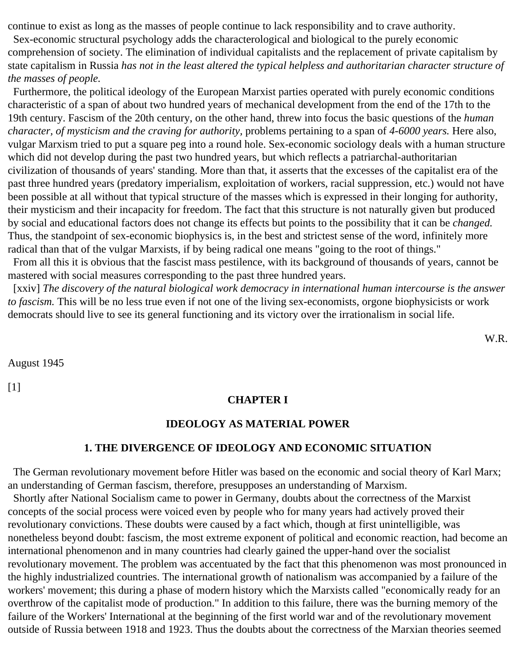continue to exist as long as the masses of people continue to lack responsibility and to crave authority.

 Sex-economic structural psychology adds the characterological and biological to the purely economic comprehension of society. The elimination of individual capitalists and the replacement of private capitalism by state capitalism in Russia *has not in the least altered the typical helpless and authoritarian character structure of the masses of people.*

 Furthermore, the political ideology of the European Marxist parties operated with purely economic conditions characteristic of a span of about two hundred years of mechanical development from the end of the 17th to the 19th century. Fascism of the 20th century, on the other hand, threw into focus the basic questions of the *human character, of mysticism and the craving for authority,* problems pertaining to a span of *4-6000 years.* Here also, vulgar Marxism tried to put a square peg into a round hole. Sex-economic sociology deals with a human structure which did not develop during the past two hundred years, but which reflects a patriarchal-authoritarian civilization of thousands of years' standing. More than that, it asserts that the excesses of the capitalist era of the past three hundred years (predatory imperialism, exploitation of workers, racial suppression, etc.) would not have been possible at all without that typical structure of the masses which is expressed in their longing for authority, their mysticism and their incapacity for freedom. The fact that this structure is not naturally given but produced by social and educational factors does not change its effects but points to the possibility that it can be *changed.*  Thus, the standpoint of sex-economic biophysics is, in the best and strictest sense of the word, infinitely more radical than that of the vulgar Marxists, if by being radical one means "going to the root of things."

 From all this it is obvious that the fascist mass pestilence, with its background of thousands of years, cannot be mastered with social measures corresponding to the past three hundred years.

 [xxiv] *The discovery of the natural biological work democracy in international human intercourse is the answer to fascism.* This will be no less true even if not one of the living sex-economists, orgone biophysicists or work democrats should live to see its general functioning and its victory over the irrationalism in social life.

August 1945

<span id="page-12-0"></span>[1]

# **CHAPTER I**

#### **IDEOLOGY AS MATERIAL POWER**

#### **1. THE DIVERGENCE OF IDEOLOGY AND ECONOMIC SITUATION**

 The German revolutionary movement before Hitler was based on the economic and social theory of Karl Marx; an understanding of German fascism, therefore, presupposes an understanding of Marxism.

 Shortly after National Socialism came to power in Germany, doubts about the correctness of the Marxist concepts of the social process were voiced even by people who for many years had actively proved their revolutionary convictions. These doubts were caused by a fact which, though at first unintelligible, was nonetheless beyond doubt: fascism, the most extreme exponent of political and economic reaction, had become an international phenomenon and in many countries had clearly gained the upper-hand over the socialist revolutionary movement. The problem was accentuated by the fact that this phenomenon was most pronounced in the highly industrialized countries. The international growth of nationalism was accompanied by a failure of the workers' movement; this during a phase of modern history which the Marxists called "economically ready for an overthrow of the capitalist mode of production." In addition to this failure, there was the burning memory of the failure of the Workers' International at the beginning of the first world war and of the revolutionary movement outside of Russia between 1918 and 1923. Thus the doubts about the correctness of the Marxian theories seemed

W.R.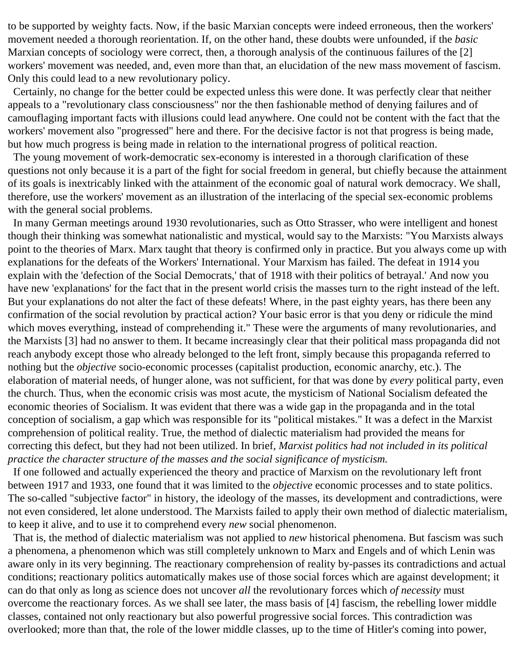to be supported by weighty facts. Now, if the basic Marxian concepts were indeed erroneous, then the workers' movement needed a thorough reorientation. If, on the other hand, these doubts were unfounded, if the *basic*  Marxian concepts of sociology were correct, then, a thorough analysis of the continuous failures of the [2] workers' movement was needed, and, even more than that, an elucidation of the new mass movement of fascism. Only this could lead to a new revolutionary policy.

 Certainly, no change for the better could be expected unless this were done. It was perfectly clear that neither appeals to a "revolutionary class consciousness" nor the then fashionable method of denying failures and of camouflaging important facts with illusions could lead anywhere. One could not be content with the fact that the workers' movement also "progressed" here and there. For the decisive factor is not that progress is being made, but how much progress is being made in relation to the international progress of political reaction.

 The young movement of work-democratic sex-economy is interested in a thorough clarification of these questions not only because it is a part of the fight for social freedom in general, but chiefly because the attainment of its goals is inextricably linked with the attainment of the economic goal of natural work democracy. We shall, therefore, use the workers' movement as an illustration of the interlacing of the special sex-economic problems with the general social problems.

 In many German meetings around 1930 revolutionaries, such as Otto Strasser, who were intelligent and honest though their thinking was somewhat nationalistic and mystical, would say to the Marxists: "You Marxists always point to the theories of Marx. Marx taught that theory is confirmed only in practice. But you always come up with explanations for the defeats of the Workers' International. Your Marxism has failed. The defeat in 1914 you explain with the 'defection of the Social Democrats,' that of 1918 with their politics of betrayal.' And now you have new 'explanations' for the fact that in the present world crisis the masses turn to the right instead of the left. But your explanations do not alter the fact of these defeats! Where, in the past eighty years, has there been any confirmation of the social revolution by practical action? Your basic error is that you deny or ridicule the mind which moves everything, instead of comprehending it." These were the arguments of many revolutionaries, and the Marxists [3] had no answer to them. It became increasingly clear that their political mass propaganda did not reach anybody except those who already belonged to the left front, simply because this propaganda referred to nothing but the *objective* socio-economic processes (capitalist production, economic anarchy, etc.). The elaboration of material needs, of hunger alone, was not sufficient, for that was done by *every* political party, even the church. Thus, when the economic crisis was most acute, the mysticism of National Socialism defeated the economic theories of Socialism. It was evident that there was a wide gap in the propaganda and in the total conception of socialism, a gap which was responsible for its "political mistakes." It was a defect in the Marxist comprehension of political reality. True, the method of dialectic materialism had provided the means for correcting this defect, but they had not been utilized. In brief, *Marxist politics had not included in its political practice the character structure of the masses and the social significance of mysticism.*

 If one followed and actually experienced the theory and practice of Marxism on the revolutionary left front between 1917 and 1933, one found that it was limited to the *objective* economic processes and to state politics. The so-called "subjective factor" in history, the ideology of the masses, its development and contradictions, were not even considered, let alone understood. The Marxists failed to apply their own method of dialectic materialism, to keep it alive, and to use it to comprehend every *new* social phenomenon.

 That is, the method of dialectic materialism was not applied to *new* historical phenomena. But fascism was such a phenomena, a phenomenon which was still completely unknown to Marx and Engels and of which Lenin was aware only in its very beginning. The reactionary comprehension of reality by-passes its contradictions and actual conditions; reactionary politics automatically makes use of those social forces which are against development; it can do that only as long as science does not uncover *all* the revolutionary forces which *of necessity* must overcome the reactionary forces. As we shall see later, the mass basis of [4] fascism, the rebelling lower middle classes, contained not only reactionary but also powerful progressive social forces. This contradiction was overlooked; more than that, the role of the lower middle classes, up to the time of Hitler's coming into power,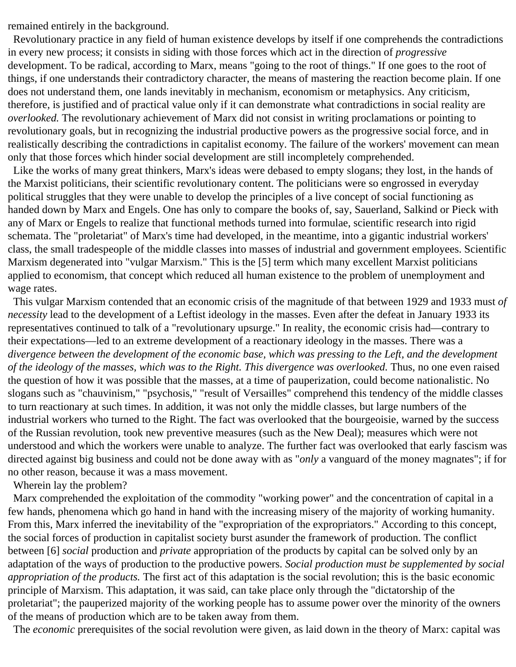remained entirely in the background.

 Revolutionary practice in any field of human existence develops by itself if one comprehends the contradictions in every new process; it consists in siding with those forces which act in the direction of *progressive*  development. To be radical, according to Marx, means "going to the root of things." If one goes to the root of things, if one understands their contradictory character, the means of mastering the reaction become plain. If one does not understand them, one lands inevitably in mechanism, economism or metaphysics. Any criticism, therefore, is justified and of practical value only if it can demonstrate what contradictions in social reality are *overlooked.* The revolutionary achievement of Marx did not consist in writing proclamations or pointing to revolutionary goals, but in recognizing the industrial productive powers as the progressive social force, and in realistically describing the contradictions in capitalist economy. The failure of the workers' movement can mean only that those forces which hinder social development are still incompletely comprehended.

 Like the works of many great thinkers, Marx's ideas were debased to empty slogans; they lost, in the hands of the Marxist politicians, their scientific revolutionary content. The politicians were so engrossed in everyday political struggles that they were unable to develop the principles of a live concept of social functioning as handed down by Marx and Engels. One has only to compare the books of, say, Sauerland, Salkind or Pieck with any of Marx or Engels to realize that functional methods turned into formulae, scientific research into rigid schemata. The "proletariat" of Marx's time had developed, in the meantime, into a gigantic industrial workers' class, the small tradespeople of the middle classes into masses of industrial and government employees. Scientific Marxism degenerated into "vulgar Marxism." This is the [5] term which many excellent Marxist politicians applied to economism, that concept which reduced all human existence to the problem of unemployment and wage rates.

 This vulgar Marxism contended that an economic crisis of the magnitude of that between 1929 and 1933 must *of necessity* lead to the development of a Leftist ideology in the masses. Even after the defeat in January 1933 its representatives continued to talk of a "revolutionary upsurge." In reality, the economic crisis had—contrary to their expectations—led to an extreme development of a reactionary ideology in the masses. There was a *divergence between the development of the economic base, which was pressing to the Left, and the development of the ideology of the masses, which was to the Right. This divergence was overlooked.* Thus, no one even raised the question of how it was possible that the masses, at a time of pauperization, could become nationalistic. No slogans such as "chauvinism," "psychosis," "result of Versailles" comprehend this tendency of the middle classes to turn reactionary at such times. In addition, it was not only the middle classes, but large numbers of the industrial workers who turned to the Right. The fact was overlooked that the bourgeoisie, warned by the success of the Russian revolution, took new preventive measures (such as the New Deal); measures which were not understood and which the workers were unable to analyze. The further fact was overlooked that early fascism was directed against big business and could not be done away with as "*only* a vanguard of the money magnates"; if for no other reason, because it was a mass movement.

Wherein lay the problem?

 Marx comprehended the exploitation of the commodity "working power" and the concentration of capital in a few hands, phenomena which go hand in hand with the increasing misery of the majority of working humanity. From this, Marx inferred the inevitability of the "expropriation of the expropriators." According to this concept, the social forces of production in capitalist society burst asunder the framework of production. The conflict between [6] *social* production and *private* appropriation of the products by capital can be solved only by an adaptation of the ways of production to the productive powers. *Social production must be supplemented by social appropriation of the products.* The first act of this adaptation is the social revolution; this is the basic economic principle of Marxism. This adaptation, it was said, can take place only through the "dictatorship of the proletariat"; the pauperized majority of the working people has to assume power over the minority of the owners of the means of production which are to be taken away from them.

The *economic* prerequisites of the social revolution were given, as laid down in the theory of Marx: capital was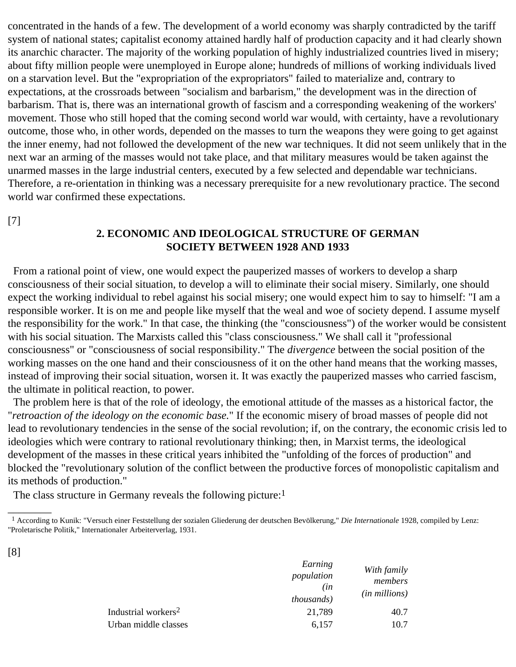concentrated in the hands of a few. The development of a world economy was sharply contradicted by the tariff system of national states; capitalist economy attained hardly half of production capacity and it had clearly shown its anarchic character. The majority of the working population of highly industrialized countries lived in misery; about fifty million people were unemployed in Europe alone; hundreds of millions of working individuals lived on a starvation level. But the "expropriation of the expropriators" failed to materialize and, contrary to expectations, at the crossroads between "socialism and barbarism," the development was in the direction of barbarism. That is, there was an international growth of fascism and a corresponding weakening of the workers' movement. Those who still hoped that the coming second world war would, with certainty, have a revolutionary outcome, those who, in other words, depended on the masses to turn the weapons they were going to get against the inner enemy, had not followed the development of the new war techniques. It did not seem unlikely that in the next war an arming of the masses would not take place, and that military measures would be taken against the unarmed masses in the large industrial centers, executed by a few selected and dependable war technicians. Therefore, a re-orientation in thinking was a necessary prerequisite for a new revolutionary practice. The second world war confirmed these expectations.

<span id="page-15-0"></span>[7]

# **2. ECONOMIC AND IDEOLOGICAL STRUCTURE OF GERMAN SOCIETY BETWEEN 1928 AND 1933**

 From a rational point of view, one would expect the pauperized masses of workers to develop a sharp consciousness of their social situation, to develop a will to eliminate their social misery. Similarly, one should expect the working individual to rebel against his social misery; one would expect him to say to himself: "I am a responsible worker. It is on me and people like myself that the weal and woe of society depend. I assume myself the responsibility for the work." In that case, the thinking (the "consciousness") of the worker would be consistent with his social situation. The Marxists called this "class consciousness." We shall call it "professional consciousness" or "consciousness of social responsibility." The *divergence* between the social position of the working masses on the one hand and their consciousness of it on the other hand means that the working masses, instead of improving their social situation, worsen it. It was exactly the pauperized masses who carried fascism, the ultimate in political reaction, to power.

 The problem here is that of the role of ideology, the emotional attitude of the masses as a historical factor, the "*retroaction of the ideology on the economic base.*" If the economic misery of broad masses of people did not lead to revolutionary tendencies in the sense of the social revolution; if, on the contrary, the economic crisis led to ideologies which were contrary to rational revolutionary thinking; then, in Marxist terms, the ideological development of the masses in these critical years inhibited the "unfolding of the forces of production" and blocked the "revolutionary solution of the conflict between the productive forces of monopolistic capitalism and its methods of production."

The class structure in Germany reveals the following picture:<sup>1</sup>

[8]

 $\overline{\phantom{a}}$ 

| Earning<br>population<br>(in | With family<br>members<br>( <i>in millions</i> ) |
|------------------------------|--------------------------------------------------|
|                              | 40.7                                             |
| 6,157                        | 10.7                                             |
|                              | <i>thousands</i> )<br>21,789                     |

1 According to Kunik: "Versuch einer Feststellung der sozialen Gliederung der deutschen Bevölkerung," *Die Internationale* 1928, compiled by Lenz: "Proletarische Politik," Internationaler Arbeiterverlag, 1931.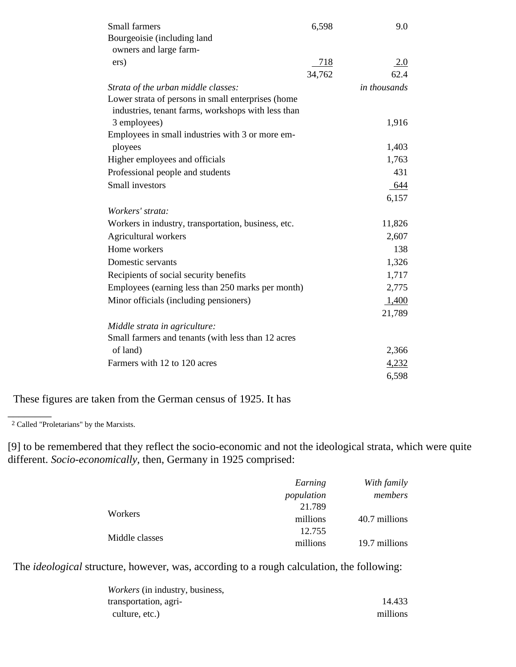| Small farmers                                       | 6,598  | 9.0          |
|-----------------------------------------------------|--------|--------------|
| Bourgeoisie (including land                         |        |              |
| owners and large farm-                              |        |              |
| ers)                                                | 718    | 2.0          |
|                                                     | 34,762 | 62.4         |
| Strata of the urban middle classes:                 |        | in thousands |
| Lower strata of persons in small enterprises (home  |        |              |
| industries, tenant farms, workshops with less than  |        |              |
| 3 employees)                                        |        | 1,916        |
| Employees in small industries with 3 or more em-    |        |              |
| ployees                                             |        | 1,403        |
| Higher employees and officials                      |        | 1,763        |
| Professional people and students                    |        | 431          |
| Small investors                                     |        | 644          |
|                                                     |        | 6,157        |
| Workers' strata:                                    |        |              |
| Workers in industry, transportation, business, etc. |        | 11,826       |
| Agricultural workers                                |        | 2,607        |
| Home workers                                        |        | 138          |
| Domestic servants                                   |        | 1,326        |
| Recipients of social security benefits              |        | 1,717        |
| Employees (earning less than 250 marks per month)   |        | 2,775        |
| Minor officials (including pensioners)              |        | 1,400        |
|                                                     |        | 21,789       |
| Middle strata in agriculture:                       |        |              |
| Small farmers and tenants (with less than 12 acres  |        |              |
| of land)                                            |        | 2,366        |
| Farmers with 12 to 120 acres                        |        | 4,232        |
|                                                     |        | 6,598        |

These figures are taken from the German census of 1925. It has

2 Called "Proletarians" by the Marxists.

 $\overline{\phantom{a}}$ 

[9] to be remembered that they reflect the socio-economic and not the ideological strata, which were quite different. *Socio-economically,* then, Germany in 1925 comprised:

|                | Earning    | With family   |
|----------------|------------|---------------|
|                | population | members       |
|                | 21.789     |               |
| <b>Workers</b> | millions   | 40.7 millions |
|                | 12.755     |               |
| Middle classes | millions   | 19.7 millions |

The *ideological* structure, however, was, according to a rough calculation, the following:

| <i>Workers</i> (in industry, business, |          |
|----------------------------------------|----------|
| transportation, agri-                  | 14.433   |
| culture, etc.)                         | millions |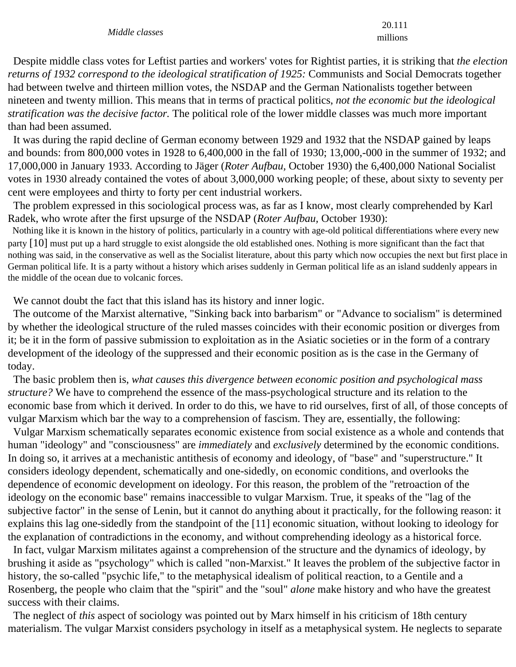*Middle classes*

 Despite middle class votes for Leftist parties and workers' votes for Rightist parties, it is striking that *the election returns of 1932 correspond to the ideological stratification of 1925:* Communists and Social Democrats together had between twelve and thirteen million votes, the NSDAP and the German Nationalists together between nineteen and twenty million. This means that in terms of practical politics, *not the economic but the ideological stratification was the decisive factor.* The political role of the lower middle classes was much more important than had been assumed.

 It was during the rapid decline of German economy between 1929 and 1932 that the NSDAP gained by leaps and bounds: from 800,000 votes in 1928 to 6,400,000 in the fall of 1930; 13,000,-000 in the summer of 1932; and 17,000,000 in January 1933. According to Jäger (*Roter Aufbau,* October 1930) the 6,400,000 National Socialist votes in 1930 already contained the votes of about 3,000,000 working people; of these, about sixty to seventy per cent were employees and thirty to forty per cent industrial workers.

 The problem expressed in this sociological process was, as far as I know, most clearly comprehended by Karl Radek, who wrote after the first upsurge of the NSDAP (*Roter Aufbau,* October 1930):

 Nothing like it is known in the history of politics, particularly in a country with age-old political differentiations where every new party [10] must put up a hard struggle to exist alongside the old established ones. Nothing is more significant than the fact that nothing was said, in the conservative as well as the Socialist literature, about this party which now occupies the next but first place in German political life. It is a party without a history which arises suddenly in German political life as an island suddenly appears in the middle of the ocean due to volcanic forces.

We cannot doubt the fact that this island has its history and inner logic.

 The outcome of the Marxist alternative, "Sinking back into barbarism" or "Advance to socialism" is determined by whether the ideological structure of the ruled masses coincides with their economic position or diverges from it; be it in the form of passive submission to exploitation as in the Asiatic societies or in the form of a contrary development of the ideology of the suppressed and their economic position as is the case in the Germany of today.

 The basic problem then is, *what causes this divergence between economic position and psychological mass structure?* We have to comprehend the essence of the mass-psychological structure and its relation to the economic base from which it derived. In order to do this, we have to rid ourselves, first of all, of those concepts of vulgar Marxism which bar the way to a comprehension of fascism. They are, essentially, the following:

 Vulgar Marxism schematically separates economic existence from social existence as a whole and contends that human "ideology" and "consciousness" are *immediately* and *exclusively* determined by the economic conditions. In doing so, it arrives at a mechanistic antithesis of economy and ideology, of "base" and "superstructure." It considers ideology dependent, schematically and one-sidedly, on economic conditions, and overlooks the dependence of economic development on ideology. For this reason, the problem of the "retroaction of the ideology on the economic base" remains inaccessible to vulgar Marxism. True, it speaks of the "lag of the subjective factor" in the sense of Lenin, but it cannot do anything about it practically, for the following reason: it explains this lag one-sidedly from the standpoint of the [11] economic situation, without looking to ideology for the explanation of contradictions in the economy, and without comprehending ideology as a historical force.

 In fact, vulgar Marxism militates against a comprehension of the structure and the dynamics of ideology, by brushing it aside as "psychology" which is called "non-Marxist." It leaves the problem of the subjective factor in history, the so-called "psychic life," to the metaphysical idealism of political reaction, to a Gentile and a Rosenberg, the people who claim that the "spirit" and the "soul" *alone* make history and who have the greatest success with their claims.

 The neglect of *this* aspect of sociology was pointed out by Marx himself in his criticism of 18th century materialism. The vulgar Marxist considers psychology in itself as a metaphysical system. He neglects to separate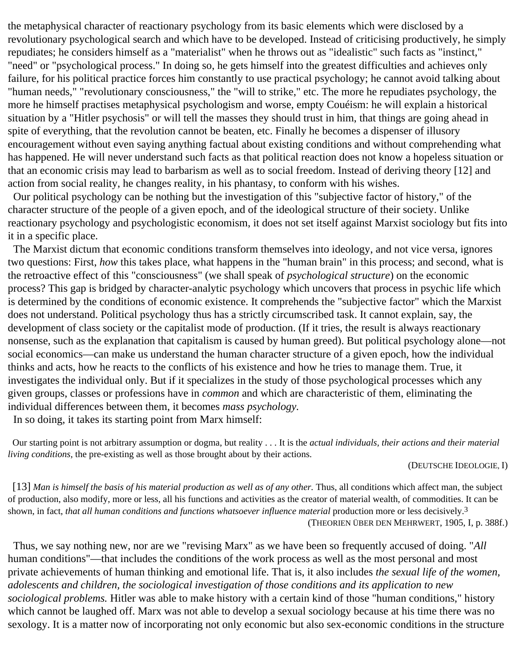the metaphysical character of reactionary psychology from its basic elements which were disclosed by a revolutionary psychological search and which have to be developed. Instead of criticising productively, he simply repudiates; he considers himself as a "materialist" when he throws out as "idealistic" such facts as "instinct," "need" or "psychological process." In doing so, he gets himself into the greatest difficulties and achieves only failure, for his political practice forces him constantly to use practical psychology; he cannot avoid talking about "human needs," "revolutionary consciousness," the "will to strike," etc. The more he repudiates psychology, the more he himself practises metaphysical psychologism and worse, empty Couéism: he will explain a historical situation by a "Hitler psychosis" or will tell the masses they should trust in him, that things are going ahead in spite of everything, that the revolution cannot be beaten, etc. Finally he becomes a dispenser of illusory encouragement without even saying anything factual about existing conditions and without comprehending what has happened. He will never understand such facts as that political reaction does not know a hopeless situation or that an economic crisis may lead to barbarism as well as to social freedom. Instead of deriving theory [12] and action from social reality, he changes reality, in his phantasy, to conform with his wishes.

 Our political psychology can be nothing but the investigation of this "subjective factor of history," of the character structure of the people of a given epoch, and of the ideological structure of their society. Unlike reactionary psychology and psychologistic economism, it does not set itself against Marxist sociology but fits into it in a specific place.

 The Marxist dictum that economic conditions transform themselves into ideology, and not vice versa, ignores two questions: First, *how* this takes place, what happens in the "human brain" in this process; and second, what is the retroactive effect of this "consciousness" (we shall speak of *psychological structure*) on the economic process? This gap is bridged by character-analytic psychology which uncovers that process in psychic life which is determined by the conditions of economic existence. It comprehends the "subjective factor" which the Marxist does not understand. Political psychology thus has a strictly circumscribed task. It cannot explain, say, the development of class society or the capitalist mode of production. (If it tries, the result is always reactionary nonsense, such as the explanation that capitalism is caused by human greed). But political psychology alone—not social economics—can make us understand the human character structure of a given epoch, how the individual thinks and acts, how he reacts to the conflicts of his existence and how he tries to manage them. True, it investigates the individual only. But if it specializes in the study of those psychological processes which any given groups, classes or professions have in *common* and which are characteristic of them, eliminating the individual differences between them, it becomes *mass psychology.*

In so doing, it takes its starting point from Marx himself:

 Our starting point is not arbitrary assumption or dogma, but reality . . . It is the *actual individuals, their actions and their material living conditions,* the pre-existing as well as those brought about by their actions.

(DEUTSCHE IDEOLOGIE, I)

[13] *Man is himself the basis of his material production as well as of any other.* Thus, all conditions which affect man, the subject of production, also modify, more or less, all his functions and activities as the creator of material wealth, of commodities. It can be shown, in fact, *that all human conditions and functions whatsoever influence material* production more or less decisively.<sup>3</sup> (THEORIEN ÜBER DEN MEHRWERT, 1905, I, p. 388f.)

 Thus, we say nothing new, nor are we "revising Marx" as we have been so frequently accused of doing. "*All*  human conditions"—that includes the conditions of the work process as well as the most personal and most private achievements of human thinking and emotional life. That is, it also includes *the sexual life of the women, adolescents and children, the sociological investigation of those conditions and its application to new sociological problems.* Hitler was able to make history with a certain kind of those "human conditions," history which cannot be laughed off. Marx was not able to develop a sexual sociology because at his time there was no sexology. It is a matter now of incorporating not only economic but also sex-economic conditions in the structure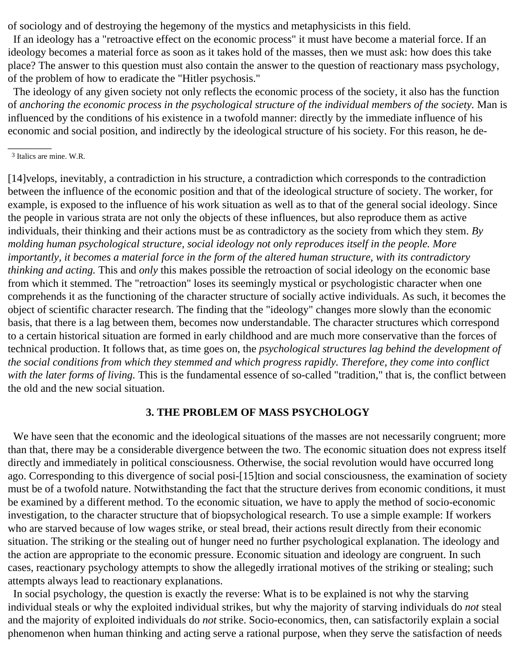of sociology and of destroying the hegemony of the mystics and metaphysicists in this field.

 If an ideology has a "retroactive effect on the economic process" it must have become a material force. If an ideology becomes a material force as soon as it takes hold of the masses, then we must ask: how does this take place? The answer to this question must also contain the answer to the question of reactionary mass psychology, of the problem of how to eradicate the "Hitler psychosis."

 The ideology of any given society not only reflects the economic process of the society, it also has the function of *anchoring the economic process in the psychological structure of the individual members of the society.* Man is influenced by the conditions of his existence in a twofold manner: directly by the immediate influence of his economic and social position, and indirectly by the ideological structure of his society. For this reason, he de-

 $\overline{\phantom{a}}$ 

<span id="page-19-0"></span>[14]velops, inevitably, a contradiction in his structure, a contradiction which corresponds to the contradiction between the influence of the economic position and that of the ideological structure of society. The worker, for example, is exposed to the influence of his work situation as well as to that of the general social ideology. Since the people in various strata are not only the objects of these influences, but also reproduce them as active individuals, their thinking and their actions must be as contradictory as the society from which they stem. *By molding human psychological structure, social ideology not only reproduces itself in the people. More importantly, it becomes a material force in the form of the altered human structure, with its contradictory thinking and acting.* This and *only* this makes possible the retroaction of social ideology on the economic base from which it stemmed. The "retroaction" loses its seemingly mystical or psychologistic character when one comprehends it as the functioning of the character structure of socially active individuals. As such, it becomes the object of scientific character research. The finding that the "ideology" changes more slowly than the economic basis, that there is a lag between them, becomes now understandable. The character structures which correspond to a certain historical situation are formed in early childhood and are much more conservative than the forces of technical production. It follows that, as time goes on, the *psychological structures lag behind the development of the social conditions from which they stemmed and which progress rapidly. Therefore, they come into conflict with the later forms of living.* This is the fundamental essence of so-called "tradition," that is, the conflict between the old and the new social situation.

#### **3. THE PROBLEM OF MASS PSYCHOLOGY**

We have seen that the economic and the ideological situations of the masses are not necessarily congruent; more than that, there may be a considerable divergence between the two. The economic situation does not express itself directly and immediately in political consciousness. Otherwise, the social revolution would have occurred long ago. Corresponding to this divergence of social posi-[15]tion and social consciousness, the examination of society must be of a twofold nature. Notwithstanding the fact that the structure derives from economic conditions, it must be examined by a different method. To the economic situation, we have to apply the method of socio-economic investigation, to the character structure that of biopsychological research. To use a simple example: If workers who are starved because of low wages strike, or steal bread, their actions result directly from their economic situation. The striking or the stealing out of hunger need no further psychological explanation. The ideology and the action are appropriate to the economic pressure. Economic situation and ideology are congruent. In such cases, reactionary psychology attempts to show the allegedly irrational motives of the striking or stealing; such attempts always lead to reactionary explanations.

 In social psychology, the question is exactly the reverse: What is to be explained is not why the starving individual steals or why the exploited individual strikes, but why the majority of starving individuals do *not* steal and the majority of exploited individuals do *not* strike. Socio-economics, then, can satisfactorily explain a social phenomenon when human thinking and acting serve a rational purpose, when they serve the satisfaction of needs

3 Italics are mine. W.R.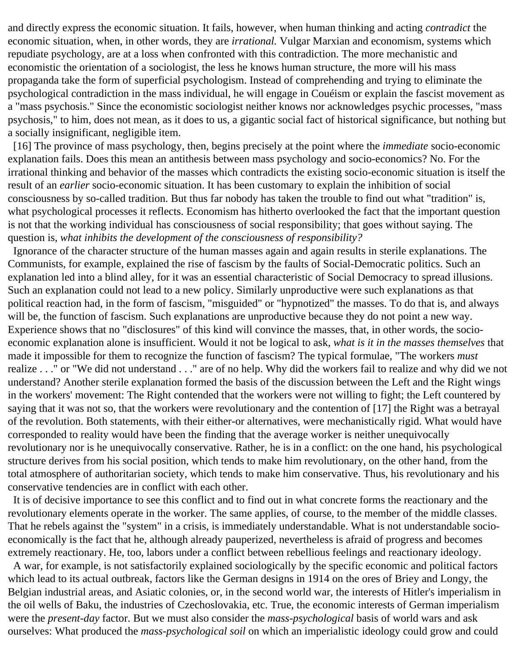and directly express the economic situation. It fails, however, when human thinking and acting *contradict* the economic situation, when, in other words, they are *irrational.* Vulgar Marxian and economism, systems which repudiate psychology, are at a loss when confronted with this contradiction. The more mechanistic and economistic the orientation of a sociologist, the less he knows human structure, the more will his mass propaganda take the form of superficial psychologism. Instead of comprehending and trying to eliminate the psychological contradiction in the mass individual, he will engage in Couéism or explain the fascist movement as a "mass psychosis." Since the economistic sociologist neither knows nor acknowledges psychic processes, "mass psychosis," to him, does not mean, as it does to us, a gigantic social fact of historical significance, but nothing but a socially insignificant, negligible item.

 [16] The province of mass psychology, then, begins precisely at the point where the *immediate* socio-economic explanation fails. Does this mean an antithesis between mass psychology and socio-economics? No. For the irrational thinking and behavior of the masses which contradicts the existing socio-economic situation is itself the result of an *earlier* socio-economic situation. It has been customary to explain the inhibition of social consciousness by so-called tradition. But thus far nobody has taken the trouble to find out what "tradition" is, what psychological processes it reflects. Economism has hitherto overlooked the fact that the important question is not that the working individual has consciousness of social responsibility; that goes without saying. The question is, *what inhibits the development of the consciousness of responsibility?*

 Ignorance of the character structure of the human masses again and again results in sterile explanations. The Communists, for example, explained the rise of fascism by the faults of Social-Democratic politics. Such an explanation led into a blind alley, for it was an essential characteristic of Social Democracy to spread illusions. Such an explanation could not lead to a new policy. Similarly unproductive were such explanations as that political reaction had, in the form of fascism, "misguided" or "hypnotized" the masses. To do that is, and always will be, the function of fascism. Such explanations are unproductive because they do not point a new way. Experience shows that no "disclosures" of this kind will convince the masses, that, in other words, the socioeconomic explanation alone is insufficient. Would it not be logical to ask, *what is it in the masses themselves* that made it impossible for them to recognize the function of fascism? The typical formulae, "The workers *must*  realize . . ." or "We did not understand . . ." are of no help. Why did the workers fail to realize and why did we not understand? Another sterile explanation formed the basis of the discussion between the Left and the Right wings in the workers' movement: The Right contended that the workers were not willing to fight; the Left countered by saying that it was not so, that the workers were revolutionary and the contention of [17] the Right was a betrayal of the revolution. Both statements, with their either-or alternatives, were mechanistically rigid. What would have corresponded to reality would have been the finding that the average worker is neither unequivocally revolutionary nor is he unequivocally conservative. Rather, he is in a conflict: on the one hand, his psychological structure derives from his social position, which tends to make him revolutionary, on the other hand, from the total atmosphere of authoritarian society, which tends to make him conservative. Thus, his revolutionary and his conservative tendencies are in conflict with each other.

 It is of decisive importance to see this conflict and to find out in what concrete forms the reactionary and the revolutionary elements operate in the worker. The same applies, of course, to the member of the middle classes. That he rebels against the "system" in a crisis, is immediately understandable. What is not understandable socioeconomically is the fact that he, although already pauperized, nevertheless is afraid of progress and becomes extremely reactionary. He, too, labors under a conflict between rebellious feelings and reactionary ideology.

 A war, for example, is not satisfactorily explained sociologically by the specific economic and political factors which lead to its actual outbreak, factors like the German designs in 1914 on the ores of Briey and Longy, the Belgian industrial areas, and Asiatic colonies, or, in the second world war, the interests of Hitler's imperialism in the oil wells of Baku, the industries of Czechoslovakia, etc. True, the economic interests of German imperialism were the *present-day* factor. But we must also consider the *mass-psychological* basis of world wars and ask ourselves: What produced the *mass-psychological soil* on which an imperialistic ideology could grow and could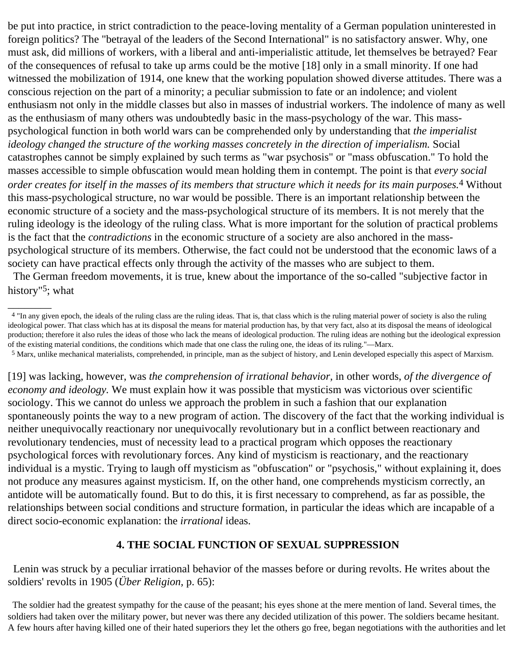be put into practice, in strict contradiction to the peace-loving mentality of a German population uninterested in foreign politics? The "betrayal of the leaders of the Second International" is no satisfactory answer. Why, one must ask, did millions of workers, with a liberal and anti-imperialistic attitude, let themselves be betrayed? Fear of the consequences of refusal to take up arms could be the motive [18] only in a small minority. If one had witnessed the mobilization of 1914, one knew that the working population showed diverse attitudes. There was a conscious rejection on the part of a minority; a peculiar submission to fate or an indolence; and violent enthusiasm not only in the middle classes but also in masses of industrial workers. The indolence of many as well as the enthusiasm of many others was undoubtedly basic in the mass-psychology of the war. This masspsychological function in both world wars can be comprehended only by understanding that *the imperialist ideology changed the structure of the working masses concretely in the direction of imperialism.* Social catastrophes cannot be simply explained by such terms as "war psychosis" or "mass obfuscation." To hold the masses accessible to simple obfuscation would mean holding them in contempt. The point is that *every social order creates for itself in the masses of its members that structure which it needs for its main purposes.*4 Without this mass-psychological structure, no war would be possible. There is an important relationship between the economic structure of a society and the mass-psychological structure of its members. It is not merely that the ruling ideology is the ideology of the ruling class. What is more important for the solution of practical problems is the fact that the *contradictions* in the economic structure of a society are also anchored in the masspsychological structure of its members. Otherwise, the fact could not be understood that the economic laws of a society can have practical effects only through the activity of the masses who are subject to them.

 The German freedom movements, it is true, knew about the importance of the so-called "subjective factor in history"5; what

 $\overline{\phantom{a}}$ 

5 Marx, unlike mechanical materialists, comprehended, in principle, man as the subject of history, and Lenin developed especially this aspect of Marxism.

<span id="page-21-0"></span>[19] was lacking, however, was *the comprehension of irrational behavior,* in other words, *of the divergence of economy and ideology.* We must explain how it was possible that mysticism was victorious over scientific sociology. This we cannot do unless we approach the problem in such a fashion that our explanation spontaneously points the way to a new program of action. The discovery of the fact that the working individual is neither unequivocally reactionary nor unequivocally revolutionary but in a conflict between reactionary and revolutionary tendencies, must of necessity lead to a practical program which opposes the reactionary psychological forces with revolutionary forces. Any kind of mysticism is reactionary, and the reactionary individual is a mystic. Trying to laugh off mysticism as "obfuscation" or "psychosis," without explaining it, does not produce any measures against mysticism. If, on the other hand, one comprehends mysticism correctly, an antidote will be automatically found. But to do this, it is first necessary to comprehend, as far as possible, the relationships between social conditions and structure formation, in particular the ideas which are incapable of a direct socio-economic explanation: the *irrational* ideas.

#### **4. THE SOCIAL FUNCTION OF SEXUAL SUPPRESSION**

 Lenin was struck by a peculiar irrational behavior of the masses before or during revolts. He writes about the soldiers' revolts in 1905 (*Über Religion,* p. 65):

 The soldier had the greatest sympathy for the cause of the peasant; his eyes shone at the mere mention of land. Several times, the soldiers had taken over the military power, but never was there any decided utilization of this power. The soldiers became hesitant. A few hours after having killed one of their hated superiors they let the others go free, began negotiations with the authorities and let

<sup>&</sup>lt;sup>4</sup> "In any given epoch, the ideals of the ruling class are the ruling ideas. That is, that class which is the ruling material power of society is also the ruling ideological power. That class which has at its disposal the means for material production has, by that very fact, also at its disposal the means of ideological production; therefore it also rules the ideas of those who lack the means of ideological production. The ruling ideas are nothing but the ideological expression of the existing material conditions, the conditions which made that one class the ruling one, the ideas of its ruling."—Marx.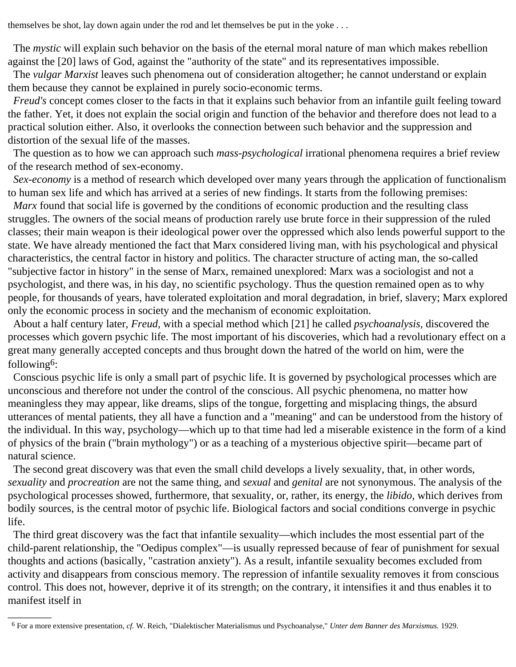themselves be shot, lay down again under the rod and let themselves be put in the yoke . . .

 The *mystic* will explain such behavior on the basis of the eternal moral nature of man which makes rebellion against the [20] laws of God, against the "authority of the state" and its representatives impossible.

The *vulgar Marxist* leaves such phenomena out of consideration altogether; he cannot understand or explain them because they cannot be explained in purely socio-economic terms.

 *Freud's* concept comes closer to the facts in that it explains such behavior from an infantile guilt feeling toward the father. Yet, it does not explain the social origin and function of the behavior and therefore does not lead to a practical solution either. Also, it overlooks the connection between such behavior and the suppression and distortion of the sexual life of the masses.

 The question as to how we can approach such *mass-psychological* irrational phenomena requires a brief review of the research method of sex-economy.

 *Sex-economy* is a method of research which developed over many years through the application of functionalism to human sex life and which has arrived at a series of new findings. It starts from the following premises:

*Marx* found that social life is governed by the conditions of economic production and the resulting class struggles. The owners of the social means of production rarely use brute force in their suppression of the ruled classes; their main weapon is their ideological power over the oppressed which also lends powerful support to the state. We have already mentioned the fact that Marx considered living man, with his psychological and physical characteristics, the central factor in history and politics. The character structure of acting man, the so-called "subjective factor in history" in the sense of Marx, remained unexplored: Marx was a sociologist and not a psychologist, and there was, in his day, no scientific psychology. Thus the question remained open as to why people, for thousands of years, have tolerated exploitation and moral degradation, in brief, slavery; Marx explored only the economic process in society and the mechanism of economic exploitation.

 About a half century later, *Freud,* with a special method which [21] he called *psychoanalysis,* discovered the processes which govern psychic life. The most important of his discoveries, which had a revolutionary effect on a great many generally accepted concepts and thus brought down the hatred of the world on him, were the following6:

 Conscious psychic life is only a small part of psychic life. It is governed by psychological processes which are unconscious and therefore not under the control of the conscious. All psychic phenomena, no matter how meaningless they may appear, like dreams, slips of the tongue, forgetting and misplacing things, the absurd utterances of mental patients, they all have a function and a "meaning" and can be understood from the history of the individual. In this way, psychology—which up to that time had led a miserable existence in the form of a kind of physics of the brain ("brain mythology") or as a teaching of a mysterious objective spirit—became part of natural science.

 The second great discovery was that even the small child develops a lively sexuality, that, in other words, *sexuality* and *procreation* are not the same thing, and *sexual* and *genital* are not synonymous. The analysis of the psychological processes showed, furthermore, that sexuality, or, rather, its energy, the *libido,* which derives from bodily sources, is the central motor of psychic life. Biological factors and social conditions converge in psychic life.

 The third great discovery was the fact that infantile sexuality—which includes the most essential part of the child-parent relationship, the "Oedipus complex"—is usually repressed because of fear of punishment for sexual thoughts and actions (basically, "castration anxiety"). As a result, infantile sexuality becomes excluded from activity and disappears from conscious memory. The repression of infantile sexuality removes it from conscious control. This does not, however, deprive it of its strength; on the contrary, it intensifies it and thus enables it to manifest itself in

\_\_\_\_\_\_\_\_

6 For a more extensive presentation, *cf.* W. Reich, "Dialektischer Materialismus und Psychoanalyse," *Unter dem Banner des Marxismus.* 1929.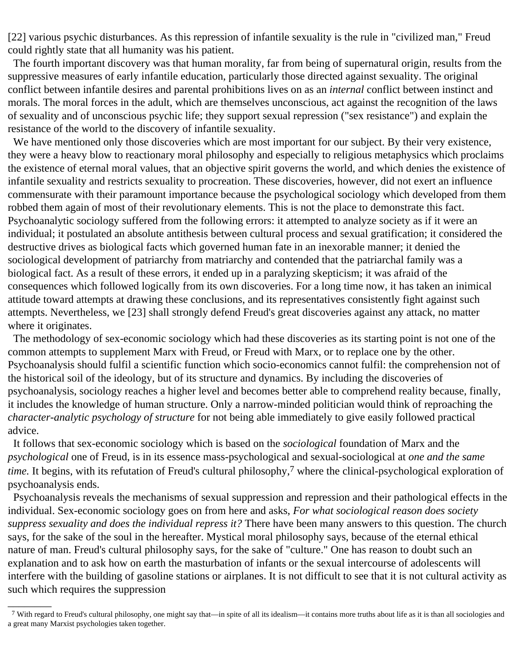[22] various psychic disturbances. As this repression of infantile sexuality is the rule in "civilized man," Freud could rightly state that all humanity was his patient.

 The fourth important discovery was that human morality, far from being of supernatural origin, results from the suppressive measures of early infantile education, particularly those directed against sexuality. The original conflict between infantile desires and parental prohibitions lives on as an *internal* conflict between instinct and morals. The moral forces in the adult, which are themselves unconscious, act against the recognition of the laws of sexuality and of unconscious psychic life; they support sexual repression ("sex resistance") and explain the resistance of the world to the discovery of infantile sexuality.

We have mentioned only those discoveries which are most important for our subject. By their very existence, they were a heavy blow to reactionary moral philosophy and especially to religious metaphysics which proclaims the existence of eternal moral values, that an objective spirit governs the world, and which denies the existence of infantile sexuality and restricts sexuality to procreation. These discoveries, however, did not exert an influence commensurate with their paramount importance because the psychological sociology which developed from them robbed them again of most of their revolutionary elements. This is not the place to demonstrate this fact. Psychoanalytic sociology suffered from the following errors: it attempted to analyze society as if it were an individual; it postulated an absolute antithesis between cultural process and sexual gratification; it considered the destructive drives as biological facts which governed human fate in an inexorable manner; it denied the sociological development of patriarchy from matriarchy and contended that the patriarchal family was a biological fact. As a result of these errors, it ended up in a paralyzing skepticism; it was afraid of the consequences which followed logically from its own discoveries. For a long time now, it has taken an inimical attitude toward attempts at drawing these conclusions, and its representatives consistently fight against such attempts. Nevertheless, we [23] shall strongly defend Freud's great discoveries against any attack, no matter where it originates.

 The methodology of sex-economic sociology which had these discoveries as its starting point is not one of the common attempts to supplement Marx with Freud, or Freud with Marx, or to replace one by the other. Psychoanalysis should fulfil a scientific function which socio-economics cannot fulfil: the comprehension not of the historical soil of the ideology, but of its structure and dynamics. By including the discoveries of psychoanalysis, sociology reaches a higher level and becomes better able to comprehend reality because, finally, it includes the knowledge of human structure. Only a narrow-minded politician would think of reproaching the *character-analytic psychology of structure* for not being able immediately to give easily followed practical advice.

 It follows that sex-economic sociology which is based on the *sociological* foundation of Marx and the *psychological* one of Freud, is in its essence mass-psychological and sexual-sociological at *one and the same time*. It begins, with its refutation of Freud's cultural philosophy,<sup>7</sup> where the clinical-psychological exploration of psychoanalysis ends.

 Psychoanalysis reveals the mechanisms of sexual suppression and repression and their pathological effects in the individual. Sex-economic sociology goes on from here and asks, *For what sociological reason does society suppress sexuality and does the individual repress it?* There have been many answers to this question. The church says, for the sake of the soul in the hereafter. Mystical moral philosophy says, because of the eternal ethical nature of man. Freud's cultural philosophy says, for the sake of "culture." One has reason to doubt such an explanation and to ask how on earth the masturbation of infants or the sexual intercourse of adolescents will interfere with the building of gasoline stations or airplanes. It is not difficult to see that it is not cultural activity as such which requires the suppression

 $\overline{\phantom{a}}$ 

7 With regard to Freud's cultural philosophy, one might say that—in spite of all its idealism—it contains more truths about life as it is than all sociologies and a great many Marxist psychologies taken together.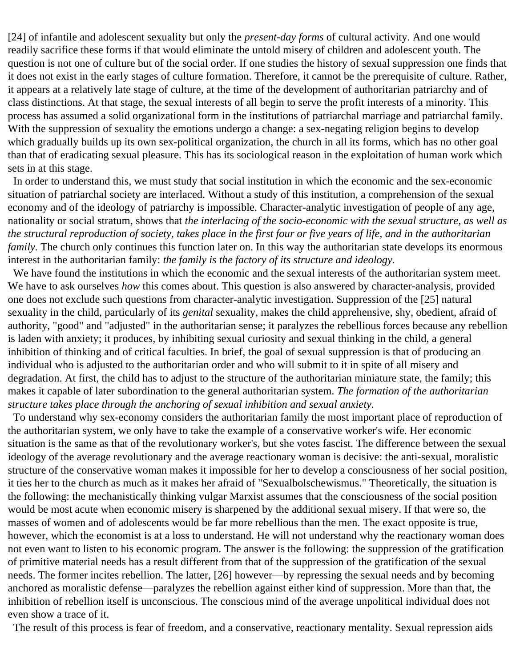[24] of infantile and adolescent sexuality but only the *present-day forms* of cultural activity. And one would readily sacrifice these forms if that would eliminate the untold misery of children and adolescent youth. The question is not one of culture but of the social order. If one studies the history of sexual suppression one finds that it does not exist in the early stages of culture formation. Therefore, it cannot be the prerequisite of culture. Rather, it appears at a relatively late stage of culture, at the time of the development of authoritarian patriarchy and of class distinctions. At that stage, the sexual interests of all begin to serve the profit interests of a minority. This process has assumed a solid organizational form in the institutions of patriarchal marriage and patriarchal family. With the suppression of sexuality the emotions undergo a change: a sex-negating religion begins to develop which gradually builds up its own sex-political organization, the church in all its forms, which has no other goal than that of eradicating sexual pleasure. This has its sociological reason in the exploitation of human work which sets in at this stage.

 In order to understand this, we must study that social institution in which the economic and the sex-economic situation of patriarchal society are interlaced. Without a study of this institution, a comprehension of the sexual economy and of the ideology of patriarchy is impossible. Character-analytic investigation of people of any age, nationality or social stratum, shows that *the interlacing of the socio-economic with the sexual structure, as well as the structural reproduction of society, takes place in the first four or five years of life, and in the authoritarian family*. The church only continues this function later on. In this way the authoritarian state develops its enormous interest in the authoritarian family: *the family is the factory of its structure and ideology.*

 We have found the institutions in which the economic and the sexual interests of the authoritarian system meet. We have to ask ourselves *how* this comes about. This question is also answered by character-analysis, provided one does not exclude such questions from character-analytic investigation. Suppression of the [25] natural sexuality in the child, particularly of its *genital* sexuality, makes the child apprehensive, shy, obedient, afraid of authority, "good" and "adjusted" in the authoritarian sense; it paralyzes the rebellious forces because any rebellion is laden with anxiety; it produces, by inhibiting sexual curiosity and sexual thinking in the child, a general inhibition of thinking and of critical faculties. In brief, the goal of sexual suppression is that of producing an individual who is adjusted to the authoritarian order and who will submit to it in spite of all misery and degradation. At first, the child has to adjust to the structure of the authoritarian miniature state, the family; this makes it capable of later subordination to the general authoritarian system. *The formation of the authoritarian structure takes place through the anchoring of sexual inhibition and sexual anxiety.*

 To understand why sex-economy considers the authoritarian family the most important place of reproduction of the authoritarian system, we only have to take the example of a conservative worker's wife. Her economic situation is the same as that of the revolutionary worker's, but she votes fascist. The difference between the sexual ideology of the average revolutionary and the average reactionary woman is decisive: the anti-sexual, moralistic structure of the conservative woman makes it impossible for her to develop a consciousness of her social position, it ties her to the church as much as it makes her afraid of "Sexualbolschewismus." Theoretically, the situation is the following: the mechanistically thinking vulgar Marxist assumes that the consciousness of the social position would be most acute when economic misery is sharpened by the additional sexual misery. If that were so, the masses of women and of adolescents would be far more rebellious than the men. The exact opposite is true, however, which the economist is at a loss to understand. He will not understand why the reactionary woman does not even want to listen to his economic program. The answer is the following: the suppression of the gratification of primitive material needs has a result different from that of the suppression of the gratification of the sexual needs. The former incites rebellion. The latter, [26] however—by repressing the sexual needs and by becoming anchored as moralistic defense—paralyzes the rebellion against either kind of suppression. More than that, the inhibition of rebellion itself is unconscious. The conscious mind of the average unpolitical individual does not even show a trace of it.

The result of this process is fear of freedom, and a conservative, reactionary mentality. Sexual repression aids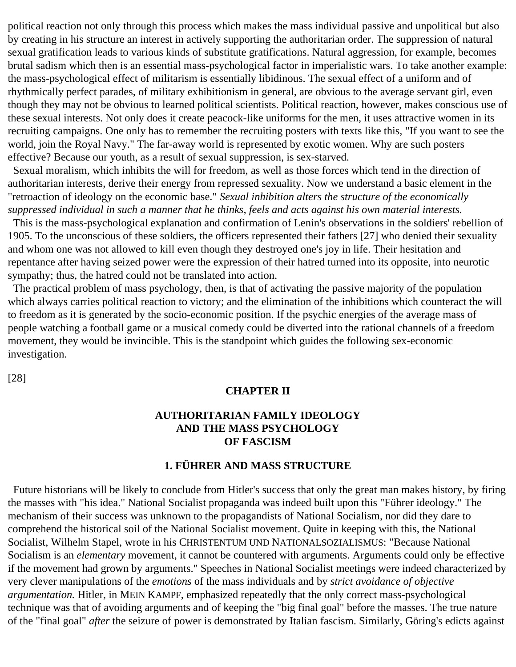political reaction not only through this process which makes the mass individual passive and unpolitical but also by creating in his structure an interest in actively supporting the authoritarian order. The suppression of natural sexual gratification leads to various kinds of substitute gratifications. Natural aggression, for example, becomes brutal sadism which then is an essential mass-psychological factor in imperialistic wars. To take another example: the mass-psychological effect of militarism is essentially libidinous. The sexual effect of a uniform and of rhythmically perfect parades, of military exhibitionism in general, are obvious to the average servant girl, even though they may not be obvious to learned political scientists. Political reaction, however, makes conscious use of these sexual interests. Not only does it create peacock-like uniforms for the men, it uses attractive women in its recruiting campaigns. One only has to remember the recruiting posters with texts like this, "If you want to see the world, join the Royal Navy." The far-away world is represented by exotic women. Why are such posters effective? Because our youth, as a result of sexual suppression, is sex-starved.

 Sexual moralism, which inhibits the will for freedom, as well as those forces which tend in the direction of authoritarian interests, derive their energy from repressed sexuality. Now we understand a basic element in the "retroaction of ideology on the economic base." *Sexual inhibition alters the structure of the economically suppressed individual in such a manner that he thinks, feels and acts against his own material interests.*

 This is the mass-psychological explanation and confirmation of Lenin's observations in the soldiers' rebellion of 1905. To the unconscious of these soldiers, the officers represented their fathers [27] who denied their sexuality and whom one was not allowed to kill even though they destroyed one's joy in life. Their hesitation and repentance after having seized power were the expression of their hatred turned into its opposite, into neurotic sympathy; thus, the hatred could not be translated into action.

 The practical problem of mass psychology, then, is that of activating the passive majority of the population which always carries political reaction to victory; and the elimination of the inhibitions which counteract the will to freedom as it is generated by the socio-economic position. If the psychic energies of the average mass of people watching a football game or a musical comedy could be diverted into the rational channels of a freedom movement, they would be invincible. This is the standpoint which guides the following sex-economic investigation.

<span id="page-25-0"></span>[28]

## **CHAPTER II**

# **AUTHORITARIAN FAMILY IDEOLOGY AND THE MASS PSYCHOLOGY OF FASCISM**

## **1. FÜHRER AND MASS STRUCTURE**

 Future historians will be likely to conclude from Hitler's success that only the great man makes history, by firing the masses with "his idea." National Socialist propaganda was indeed built upon this "Führer ideology." The mechanism of their success was unknown to the propagandists of National Socialism, nor did they dare to comprehend the historical soil of the National Socialist movement. Quite in keeping with this, the National Socialist, Wilhelm Stapel, wrote in his CHRISTENTUM UND NATIONALSOZIALISMUS: "Because National Socialism is an *elementary* movement, it cannot be countered with arguments. Arguments could only be effective if the movement had grown by arguments." Speeches in National Socialist meetings were indeed characterized by very clever manipulations of the *emotions* of the mass individuals and by *strict avoidance of objective argumentation.* Hitler, in MEIN KAMPF, emphasized repeatedly that the only correct mass-psychological technique was that of avoiding arguments and of keeping the "big final goal" before the masses. The true nature of the "final goal" *after* the seizure of power is demonstrated by Italian fascism. Similarly, Göring's edicts against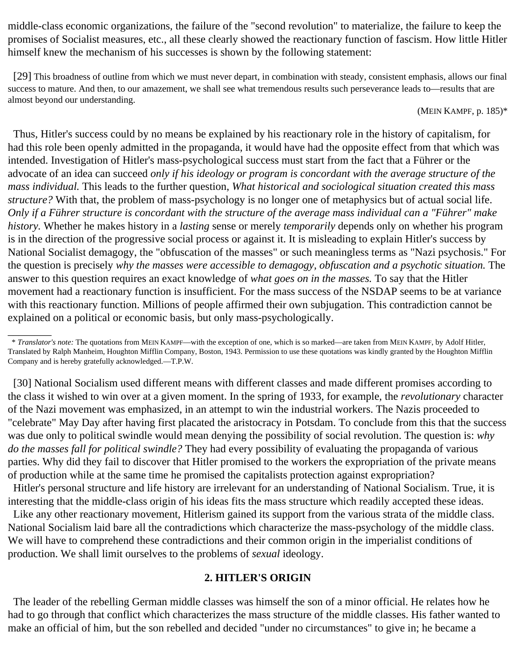middle-class economic organizations, the failure of the "second revolution" to materialize, the failure to keep the promises of Socialist measures, etc., all these clearly showed the reactionary function of fascism. How little Hitler himself knew the mechanism of his successes is shown by the following statement:

 [29] This broadness of outline from which we must never depart, in combination with steady, consistent emphasis, allows our final success to mature. And then, to our amazement, we shall see what tremendous results such perseverance leads to—results that are almost beyond our understanding.

#### (MEIN KAMPF, p. 185)\*

 Thus, Hitler's success could by no means be explained by his reactionary role in the history of capitalism, for had this role been openly admitted in the propaganda, it would have had the opposite effect from that which was intended. Investigation of Hitler's mass-psychological success must start from the fact that a Führer or the advocate of an idea can succeed *only if his ideology or program is concordant with the average structure of the mass individual.* This leads to the further question, *What historical and sociological situation created this mass structure?* With that, the problem of mass-psychology is no longer one of metaphysics but of actual social life. *Only if a Führer structure is concordant with the structure of the average mass individual can a "Führer" make history.* Whether he makes history in a *lasting* sense or merely *temporarily* depends only on whether his program is in the direction of the progressive social process or against it. It is misleading to explain Hitler's success by National Socialist demagogy, the "obfuscation of the masses" or such meaningless terms as "Nazi psychosis." For the question is precisely *why the masses were accessible to demagogy, obfuscation and a psychotic situation.* The answer to this question requires an exact knowledge of *what goes on in the masses.* To say that the Hitler movement had a reactionary function is insufficient. For the mass success of the NSDAP seems to be at variance with this reactionary function. Millions of people affirmed their own subjugation. This contradiction cannot be explained on a political or economic basis, but only mass-psychologically.

 $\overline{\phantom{a}}$ 

<span id="page-26-0"></span> [30] National Socialism used different means with different classes and made different promises according to the class it wished to win over at a given moment. In the spring of 1933, for example, the *revolutionary* character of the Nazi movement was emphasized, in an attempt to win the industrial workers. The Nazis proceeded to "celebrate" May Day after having first placated the aristocracy in Potsdam. To conclude from this that the success was due only to political swindle would mean denying the possibility of social revolution. The question is: *why do the masses fall for political swindle?* They had every possibility of evaluating the propaganda of various parties. Why did they fail to discover that Hitler promised to the workers the expropriation of the private means of production while at the same time he promised the capitalists protection against expropriation?

 Hitler's personal structure and life history are irrelevant for an understanding of National Socialism. True, it is interesting that the middle-class origin of his ideas fits the mass structure which readily accepted these ideas.

 Like any other reactionary movement, Hitlerism gained its support from the various strata of the middle class. National Socialism laid bare all the contradictions which characterize the mass-psychology of the middle class. We will have to comprehend these contradictions and their common origin in the imperialist conditions of production. We shall limit ourselves to the problems of *sexual* ideology.

#### **2. HITLER'S ORIGIN**

 The leader of the rebelling German middle classes was himself the son of a minor official. He relates how he had to go through that conflict which characterizes the mass structure of the middle classes. His father wanted to make an official of him, but the son rebelled and decided "under no circumstances" to give in; he became a

 <sup>\*</sup> *Translator's note:* The quotations from MEIN KAMPF—with the exception of one, which is so marked—are taken from MEIN KAMPF, by Adolf Hitler, Translated by Ralph Manheim, Houghton Mifflin Company, Boston, 1943. Permission to use these quotations was kindly granted by the Houghton Mifflin Company and is hereby gratefully acknowledged.—T.P.W.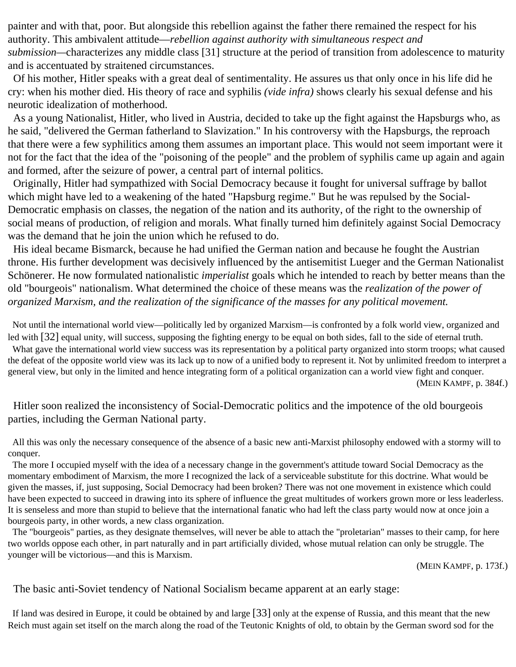painter and with that, poor. But alongside this rebellion against the father there remained the respect for his authority. This ambivalent attitude—*rebellion against authority with simultaneous respect and submission—*characterizes any middle class [31] structure at the period of transition from adolescence to maturity and is accentuated by straitened circumstances.

 Of his mother, Hitler speaks with a great deal of sentimentality. He assures us that only once in his life did he cry: when his mother died. His theory of race and syphilis *(vide infra)* shows clearly his sexual defense and his neurotic idealization of motherhood.

 As a young Nationalist, Hitler, who lived in Austria, decided to take up the fight against the Hapsburgs who, as he said, "delivered the German fatherland to Slavization." In his controversy with the Hapsburgs, the reproach that there were a few syphilitics among them assumes an important place. This would not seem important were it not for the fact that the idea of the "poisoning of the people" and the problem of syphilis came up again and again and formed, after the seizure of power, a central part of internal politics.

 Originally, Hitler had sympathized with Social Democracy because it fought for universal suffrage by ballot which might have led to a weakening of the hated "Hapsburg regime." But he was repulsed by the Social-Democratic emphasis on classes, the negation of the nation and its authority, of the right to the ownership of social means of production, of religion and morals. What finally turned him definitely against Social Democracy was the demand that he join the union which he refused to do.

 His ideal became Bismarck, because he had unified the German nation and because he fought the Austrian throne. His further development was decisively influenced by the antisemitist Lueger and the German Nationalist Schönerer. He now formulated nationalistic *imperialist* goals which he intended to reach by better means than the old "bourgeois" nationalism. What determined the choice of these means was the *realization of the power of organized Marxism, and the realization of the significance of the masses for any political movement.*

 Not until the international world view—politically led by organized Marxism—is confronted by a folk world view, organized and led with [32] equal unity, will success, supposing the fighting energy to be equal on both sides, fall to the side of eternal truth.

 What gave the international world view success was its representation by a political party organized into storm troops; what caused the defeat of the opposite world view was its lack up to now of a unified body to represent it. Not by unlimited freedom to interpret a general view, but only in the limited and hence integrating form of a political organization can a world view fight and conquer. (MEIN KAMPF, p. 384f.)

 Hitler soon realized the inconsistency of Social-Democratic politics and the impotence of the old bourgeois parties, including the German National party.

 All this was only the necessary consequence of the absence of a basic new anti-Marxist philosophy endowed with a stormy will to conquer.

 The more I occupied myself with the idea of a necessary change in the government's attitude toward Social Democracy as the momentary embodiment of Marxism, the more I recognized the lack of a serviceable substitute for this doctrine. What would be given the masses, if, just supposing, Social Democracy had been broken? There was not one movement in existence which could have been expected to succeed in drawing into its sphere of influence the great multitudes of workers grown more or less leaderless. It is senseless and more than stupid to believe that the international fanatic who had left the class party would now at once join a bourgeois party, in other words, a new class organization.

 The "bourgeois" parties, as they designate themselves, will never be able to attach the "proletarian" masses to their camp, for here two worlds oppose each other, in part naturally and in part artificially divided, whose mutual relation can only be struggle. The younger will be victorious—and this is Marxism.

(MEIN KAMPF, p. 173f.)

The basic anti-Soviet tendency of National Socialism became apparent at an early stage:

<span id="page-27-0"></span> If land was desired in Europe, it could be obtained by and large [33] only at the expense of Russia, and this meant that the new Reich must again set itself on the march along the road of the Teutonic Knights of old, to obtain by the German sword sod for the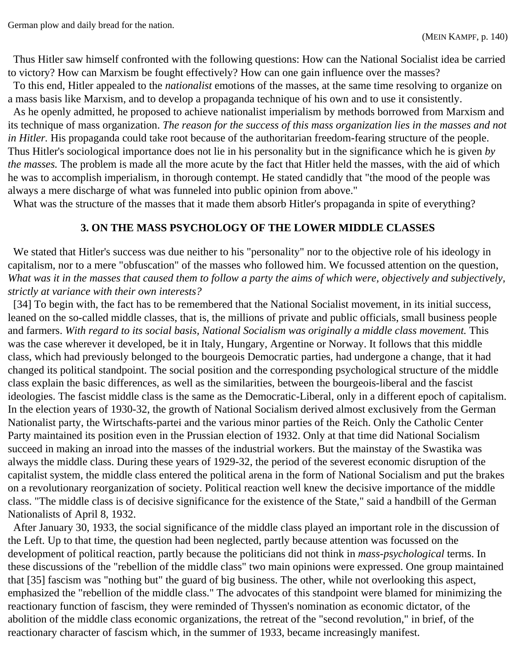Thus Hitler saw himself confronted with the following questions: How can the National Socialist idea be carried to victory? How can Marxism be fought effectively? How can one gain influence over the masses?

 To this end, Hitler appealed to the *nationalist* emotions of the masses, at the same time resolving to organize on a mass basis like Marxism, and to develop a propaganda technique of his own and to use it consistently.

 As he openly admitted, he proposed to achieve nationalist imperialism by methods borrowed from Marxism and its technique of mass organization. *The reason for the success of this mass organization lies in the masses and not in Hitler*. His propaganda could take root because of the authoritarian freedom-fearing structure of the people. Thus Hitler's sociological importance does not lie in his personality but in the significance which he is given *by the masses.* The problem is made all the more acute by the fact that Hitler held the masses, with the aid of which he was to accomplish imperialism, in thorough contempt. He stated candidly that "the mood of the people was always a mere discharge of what was funneled into public opinion from above."

What was the structure of the masses that it made them absorb Hitler's propaganda in spite of everything?

## **3. ON THE MASS PSYCHOLOGY OF THE LOWER MIDDLE CLASSES**

 We stated that Hitler's success was due neither to his "personality" nor to the objective role of his ideology in capitalism, nor to a mere "obfuscation" of the masses who followed him. We focussed attention on the question, *What was it in the masses that caused them to follow a party the aims of which were, objectively and subjectively, strictly at variance with their own interests?*

 [34] To begin with, the fact has to be remembered that the National Socialist movement, in its initial success, leaned on the so-called middle classes, that is, the millions of private and public officials, small business people and farmers. *With regard to its social basis, National Socialism was originally a middle class movement.* This was the case wherever it developed, be it in Italy, Hungary, Argentine or Norway. It follows that this middle class, which had previously belonged to the bourgeois Democratic parties, had undergone a change, that it had changed its political standpoint. The social position and the corresponding psychological structure of the middle class explain the basic differences, as well as the similarities, between the bourgeois-liberal and the fascist ideologies. The fascist middle class is the same as the Democratic-Liberal, only in a different epoch of capitalism. In the election years of 1930-32, the growth of National Socialism derived almost exclusively from the German Nationalist party, the Wirtschafts-partei and the various minor parties of the Reich. Only the Catholic Center Party maintained its position even in the Prussian election of 1932. Only at that time did National Socialism succeed in making an inroad into the masses of the industrial workers. But the mainstay of the Swastika was always the middle class. During these years of 1929-32, the period of the severest economic disruption of the capitalist system, the middle class entered the political arena in the form of National Socialism and put the brakes on a revolutionary reorganization of society. Political reaction well knew the decisive importance of the middle class. "The middle class is of decisive significance for the existence of the State," said a handbill of the German Nationalists of April 8, 1932.

 After January 30, 1933, the social significance of the middle class played an important role in the discussion of the Left. Up to that time, the question had been neglected, partly because attention was focussed on the development of political reaction, partly because the politicians did not think in *mass-psychological* terms. In these discussions of the "rebellion of the middle class" two main opinions were expressed. One group maintained that [35] fascism was "nothing but" the guard of big business. The other, while not overlooking this aspect, emphasized the "rebellion of the middle class." The advocates of this standpoint were blamed for minimizing the reactionary function of fascism, they were reminded of Thyssen's nomination as economic dictator, of the abolition of the middle class economic organizations, the retreat of the "second revolution," in brief, of the reactionary character of fascism which, in the summer of 1933, became increasingly manifest.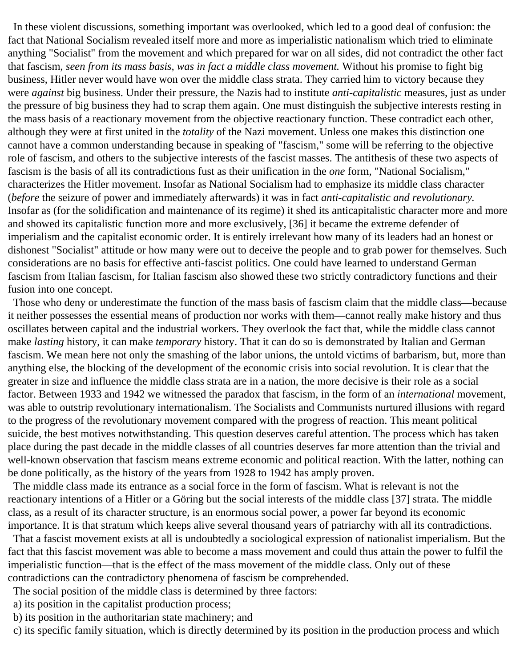In these violent discussions, something important was overlooked, which led to a good deal of confusion: the fact that National Socialism revealed itself more and more as imperialistic nationalism which tried to eliminate anything "Socialist" from the movement and which prepared for war on all sides, did not contradict the other fact that fascism, *seen from its mass basis, was in fact a middle class movement.* Without his promise to fight big business, Hitler never would have won over the middle class strata. They carried him to victory because they were *against* big business. Under their pressure, the Nazis had to institute *anti-capitalistic* measures, just as under the pressure of big business they had to scrap them again. One must distinguish the subjective interests resting in the mass basis of a reactionary movement from the objective reactionary function. These contradict each other, although they were at first united in the *totality* of the Nazi movement. Unless one makes this distinction one cannot have a common understanding because in speaking of "fascism," some will be referring to the objective role of fascism, and others to the subjective interests of the fascist masses. The antithesis of these two aspects of fascism is the basis of all its contradictions fust as their unification in the *one* form, "National Socialism," characterizes the Hitler movement. Insofar as National Socialism had to emphasize its middle class character (*before* the seizure of power and immediately afterwards) it was in fact *anti-capitalistic and revolutionary.*  Insofar as (for the solidification and maintenance of its regime) it shed its anticapitalistic character more and more and showed its capitalistic function more and more exclusively, [36] it became the extreme defender of imperialism and the capitalist economic order. It is entirely irrelevant how many of its leaders had an honest or dishonest "Socialist" attitude or how many were out to deceive the people and to grab power for themselves. Such considerations are no basis for effective anti-fascist politics. One could have learned to understand German fascism from Italian fascism, for Italian fascism also showed these two strictly contradictory functions and their fusion into one concept.

 Those who deny or underestimate the function of the mass basis of fascism claim that the middle class—because it neither possesses the essential means of production nor works with them—cannot really make history and thus oscillates between capital and the industrial workers. They overlook the fact that, while the middle class cannot make *lasting* history, it can make *temporary* history. That it can do so is demonstrated by Italian and German fascism. We mean here not only the smashing of the labor unions, the untold victims of barbarism, but, more than anything else, the blocking of the development of the economic crisis into social revolution. It is clear that the greater in size and influence the middle class strata are in a nation, the more decisive is their role as a social factor. Between 1933 and 1942 we witnessed the paradox that fascism, in the form of an *international* movement, was able to outstrip revolutionary internationalism. The Socialists and Communists nurtured illusions with regard to the progress of the revolutionary movement compared with the progress of reaction. This meant political suicide, the best motives notwithstanding. This question deserves careful attention. The process which has taken place during the past decade in the middle classes of all countries deserves far more attention than the trivial and well-known observation that fascism means extreme economic and political reaction. With the latter, nothing can be done politically, as the history of the years from 1928 to 1942 has amply proven.

 The middle class made its entrance as a social force in the form of fascism. What is relevant is not the reactionary intentions of a Hitler or a Göring but the social interests of the middle class [37] strata. The middle class, as a result of its character structure, is an enormous social power, a power far beyond its economic importance. It is that stratum which keeps alive several thousand years of patriarchy with all its contradictions.

 That a fascist movement exists at all is undoubtedly a sociological expression of nationalist imperialism. But the fact that this fascist movement was able to become a mass movement and could thus attain the power to fulfil the imperialistic function—that is the effect of the mass movement of the middle class. Only out of these contradictions can the contradictory phenomena of fascism be comprehended.

The social position of the middle class is determined by three factors:

- a) its position in the capitalist production process;
- b) its position in the authoritarian state machinery; and

c) its specific family situation, which is directly determined by its position in the production process and which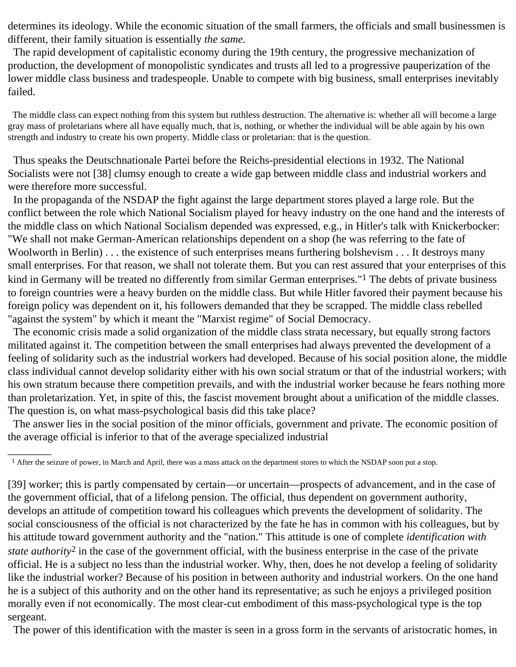determines its ideology. While the economic situation of the small farmers, the officials and small businessmen is different, their family situation is essentially *the same.*

 The rapid development of capitalistic economy during the 19th century, the progressive mechanization of production, the development of monopolistic syndicates and trusts all led to a progressive pauperization of the lower middle class business and tradespeople. Unable to compete with big business, small enterprises inevitably failed.

 The middle class can expect nothing from this system but ruthless destruction. The alternative is: whether all will become a large gray mass of proletarians where all have equally much, that is, nothing, or whether the individual will be able again by his own strength and industry to create his own property. Middle class or proletarian: that is the question.

 Thus speaks the Deutschnationale Partei before the Reichs-presidential elections in 1932. The National Socialists were not [38] clumsy enough to create a wide gap between middle class and industrial workers and were therefore more successful.

 In the propaganda of the NSDAP the fight against the large department stores played a large role. But the conflict between the role which National Socialism played for heavy industry on the one hand and the interests of the middle class on which National Socialism depended was expressed, e.g., in Hitler's talk with Knickerbocker: "We shall not make German-American relationships dependent on a shop (he was referring to the fate of Woolworth in Berlin) . . . the existence of such enterprises means furthering bolshevism . . . It destroys many small enterprises. For that reason, we shall not tolerate them. But you can rest assured that your enterprises of this kind in Germany will be treated no differently from similar German enterprises."1 The debts of private business to foreign countries were a heavy burden on the middle class. But while Hitler favored their payment because his foreign policy was dependent on it, his followers demanded that they be scrapped. The middle class rebelled "against the system" by which it meant the "Marxist regime" of Social Democracy.

 The economic crisis made a solid organization of the middle class strata necessary, but equally strong factors militated against it. The competition between the small enterprises had always prevented the development of a feeling of solidarity such as the industrial workers had developed. Because of his social position alone, the middle class individual cannot develop solidarity either with his own social stratum or that of the industrial workers; with his own stratum because there competition prevails, and with the industrial worker because he fears nothing more than proletarization. Yet, in spite of this, the fascist movement brought about a unification of the middle classes. The question is, on what mass-psychological basis did this take place?

 The answer lies in the social position of the minor officials, government and private. The economic position of the average official is inferior to that of the average specialized industrial

<sup>1</sup> After the seizure of power, in March and April, there was a mass attack on the department stores to which the NSDAP soon put a stop.

 $\overline{\phantom{a}}$ 

[39] worker; this is partly compensated by certain—or uncertain—prospects of advancement, and in the case of the government official, that of a lifelong pension. The official, thus dependent on government authority, develops an attitude of competition toward his colleagues which prevents the development of solidarity. The social consciousness of the official is not characterized by the fate he has in common with his colleagues, but by his attitude toward government authority and the "nation." This attitude is one of complete *identification with state authority*2 in the case of the government official, with the business enterprise in the case of the private official. He is a subject no less than the industrial worker. Why, then, does he not develop a feeling of solidarity like the industrial worker? Because of his position in between authority and industrial workers. On the one hand he is a subject of this authority and on the other hand its representative; as such he enjoys a privileged position morally even if not economically. The most clear-cut embodiment of this mass-psychological type is the top sergeant.

The power of this identification with the master is seen in a gross form in the servants of aristocratic homes, in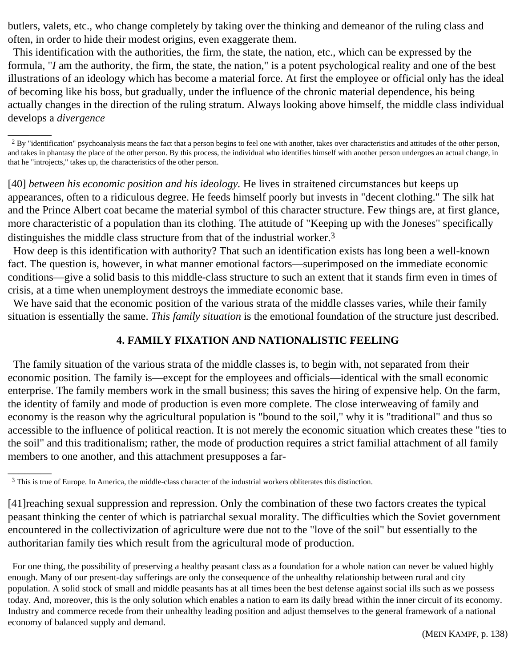butlers, valets, etc., who change completely by taking over the thinking and demeanor of the ruling class and often, in order to hide their modest origins, even exaggerate them.

 This identification with the authorities, the firm, the state, the nation, etc., which can be expressed by the formula, "*I* am the authority, the firm, the state, the nation," is a potent psychological reality and one of the best illustrations of an ideology which has become a material force. At first the employee or official only has the ideal of becoming like his boss, but gradually, under the influence of the chronic material dependence, his being actually changes in the direction of the ruling stratum. Always looking above himself, the middle class individual develops a *divergence*

*\_\_\_\_\_\_\_\_*

 $\overline{\phantom{a}}$ 

<span id="page-31-0"></span>[40] *between his economic position and his ideology.* He lives in straitened circumstances but keeps up appearances, often to a ridiculous degree. He feeds himself poorly but invests in "decent clothing." The silk hat and the Prince Albert coat became the material symbol of this character structure. Few things are, at first glance, more characteristic of a population than its clothing. The attitude of "Keeping up with the Joneses" specifically distinguishes the middle class structure from that of the industrial worker.3

 How deep is this identification with authority? That such an identification exists has long been a well-known fact. The question is, however, in what manner emotional factors—superimposed on the immediate economic conditions—give a solid basis to this middle-class structure to such an extent that it stands firm even in times of crisis, at a time when unemployment destroys the immediate economic base.

 We have said that the economic position of the various strata of the middle classes varies, while their family situation is essentially the same. *This family situation* is the emotional foundation of the structure just described.

## **4. FAMILY FIXATION AND NATIONALISTIC FEELING**

 The family situation of the various strata of the middle classes is, to begin with, not separated from their economic position. The family is—except for the employees and officials—identical with the small economic enterprise. The family members work in the small business; this saves the hiring of expensive help. On the farm, the identity of family and mode of production is even more complete. The close interweaving of family and economy is the reason why the agricultural population is "bound to the soil," why it is "traditional" and thus so accessible to the influence of political reaction. It is not merely the economic situation which creates these "ties to the soil" and this traditionalism; rather, the mode of production requires a strict familial attachment of all family members to one another, and this attachment presupposes a far-

3 This is true of Europe. In America, the middle-class character of the industrial workers obliterates this distinction.

[41]reaching sexual suppression and repression. Only the combination of these two factors creates the typical peasant thinking the center of which is patriarchal sexual morality. The difficulties which the Soviet government encountered in the collectivization of agriculture were due not to the "love of the soil" but essentially to the authoritarian family ties which result from the agricultural mode of production.

 For one thing, the possibility of preserving a healthy peasant class as a foundation for a whole nation can never be valued highly enough. Many of our present-day sufferings are only the consequence of the unhealthy relationship between rural and city population. A solid stock of small and middle peasants has at all times been the best defense against social ills such as we possess today. And, moreover, this is the only solution which enables a nation to earn its daily bread within the inner circuit of its economy. Industry and commerce recede from their unhealthy leading position and adjust themselves to the general framework of a national economy of balanced supply and demand.

<sup>&</sup>lt;sup>2</sup> By "identification" psychoanalysis means the fact that a person begins to feel one with another, takes over characteristics and attitudes of the other person, and takes in phantasy the place of the other person. By this process, the individual who identifies himself with another person undergoes an actual change, in that he "introjects," takes up, the characteristics of the other person.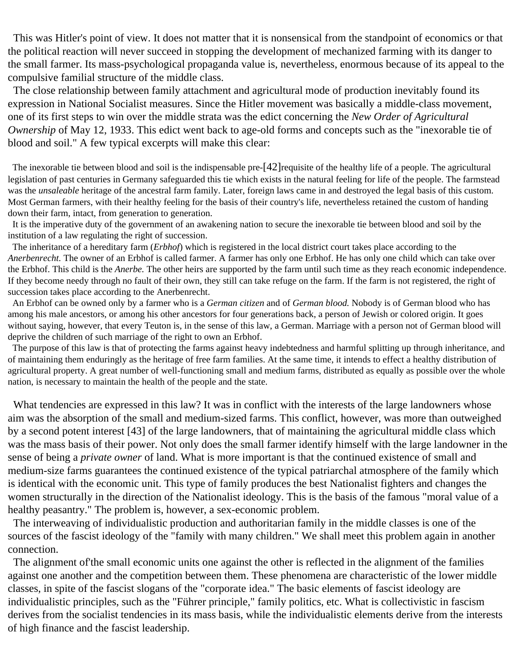This was Hitler's point of view. It does not matter that it is nonsensical from the standpoint of economics or that the political reaction will never succeed in stopping the development of mechanized farming with its danger to the small farmer. Its mass-psychological propaganda value is, nevertheless, enormous because of its appeal to the compulsive familial structure of the middle class.

 The close relationship between family attachment and agricultural mode of production inevitably found its expression in National Socialist measures. Since the Hitler movement was basically a middle-class movement, one of its first steps to win over the middle strata was the edict concerning the *New Order of Agricultural Ownership* of May 12, 1933. This edict went back to age-old forms and concepts such as the "inexorable tie of blood and soil." A few typical excerpts will make this clear:

The inexorable tie between blood and soil is the indispensable pre-[42] requisite of the healthy life of a people. The agricultural legislation of past centuries in Germany safeguarded this tie which exists in the natural feeling for life of the people. The farmstead was the *unsaleable* heritage of the ancestral farm family. Later, foreign laws came in and destroyed the legal basis of this custom. Most German farmers, with their healthy feeling for the basis of their country's life, nevertheless retained the custom of handing down their farm, intact, from generation to generation.

 It is the imperative duty of the government of an awakening nation to secure the inexorable tie between blood and soil by the institution of a law regulating the right of succession.

 The inheritance of a hereditary farm (*Erbhof*) which is registered in the local district court takes place according to the *Anerbenrecht.* The owner of an Erbhof is called farmer. A farmer has only one Erbhof. He has only one child which can take over the Erbhof. This child is the *Anerbe.* The other heirs are supported by the farm until such time as they reach economic independence. If they become needy through no fault of their own, they still can take refuge on the farm. If the farm is not registered, the right of succession takes place according to the Anerbenrecht.

 An Erbhof can be owned only by a farmer who is a *German citizen* and of *German blood.* Nobody is of German blood who has among his male ancestors, or among his other ancestors for four generations back, a person of Jewish or colored origin. It goes without saying, however, that every Teuton is, in the sense of this law, a German. Marriage with a person not of German blood will deprive the children of such marriage of the right to own an Erbhof.

 The purpose of this law is that of protecting the farms against heavy indebtedness and harmful splitting up through inheritance, and of maintaining them enduringly as the heritage of free farm families. At the same time, it intends to effect a healthy distribution of agricultural property. A great number of well-functioning small and medium farms, distributed as equally as possible over the whole nation, is necessary to maintain the health of the people and the state.

What tendencies are expressed in this law? It was in conflict with the interests of the large landowners whose aim was the absorption of the small and medium-sized farms. This conflict, however, was more than outweighed by a second potent interest [43] of the large landowners, that of maintaining the agricultural middle class which was the mass basis of their power. Not only does the small farmer identify himself with the large landowner in the sense of being a *private owner* of land. What is more important is that the continued existence of small and medium-size farms guarantees the continued existence of the typical patriarchal atmosphere of the family which is identical with the economic unit. This type of family produces the best Nationalist fighters and changes the women structurally in the direction of the Nationalist ideology. This is the basis of the famous "moral value of a healthy peasantry." The problem is, however, a sex-economic problem.

 The interweaving of individualistic production and authoritarian family in the middle classes is one of the sources of the fascist ideology of the "family with many children." We shall meet this problem again in another connection.

 The alignment of'the small economic units one against the other is reflected in the alignment of the families against one another and the competition between them. These phenomena are characteristic of the lower middle classes, in spite of the fascist slogans of the "corporate idea." The basic elements of fascist ideology are individualistic principles, such as the "Führer principle," family politics, etc. What is collectivistic in fascism derives from the socialist tendencies in its mass basis, while the individualistic elements derive from the interests of high finance and the fascist leadership.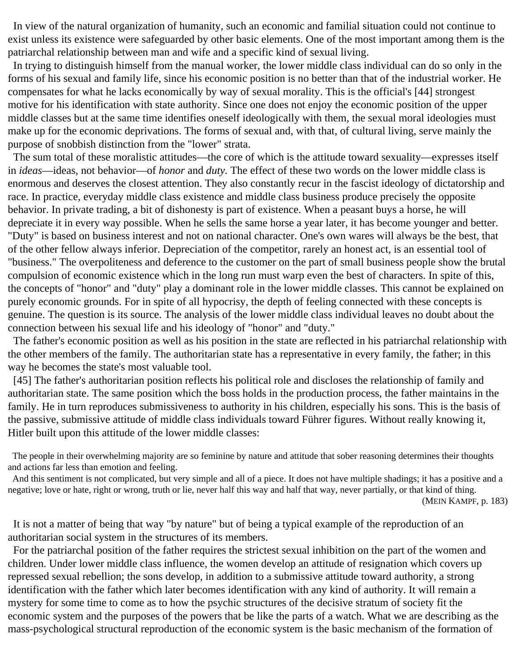In view of the natural organization of humanity, such an economic and familial situation could not continue to exist unless its existence were safeguarded by other basic elements. One of the most important among them is the patriarchal relationship between man and wife and a specific kind of sexual living.

 In trying to distinguish himself from the manual worker, the lower middle class individual can do so only in the forms of his sexual and family life, since his economic position is no better than that of the industrial worker. He compensates for what he lacks economically by way of sexual morality. This is the official's [44] strongest motive for his identification with state authority. Since one does not enjoy the economic position of the upper middle classes but at the same time identifies oneself ideologically with them, the sexual moral ideologies must make up for the economic deprivations. The forms of sexual and, with that, of cultural living, serve mainly the purpose of snobbish distinction from the "lower" strata.

 The sum total of these moralistic attitudes—the core of which is the attitude toward sexuality—expresses itself in *ideas*—ideas, not behavior—of *honor* and *duty.* The effect of these two words on the lower middle class is enormous and deserves the closest attention. They also constantly recur in the fascist ideology of dictatorship and race. In practice, everyday middle class existence and middle class business produce precisely the opposite behavior. In private trading, a bit of dishonesty is part of existence. When a peasant buys a horse, he will depreciate it in every way possible. When he sells the same horse a year later, it has become younger and better. "Duty" is based on business interest and not on national character. One's own wares will always be the best, that of the other fellow always inferior. Depreciation of the competitor, rarely an honest act, is an essential tool of "business." The overpoliteness and deference to the customer on the part of small business people show the brutal compulsion of economic existence which in the long run must warp even the best of characters. In spite of this, the concepts of "honor" and "duty" play a dominant role in the lower middle classes. This cannot be explained on purely economic grounds. For in spite of all hypocrisy, the depth of feeling connected with these concepts is genuine. The question is its source. The analysis of the lower middle class individual leaves no doubt about the connection between his sexual life and his ideology of "honor" and "duty."

 The father's economic position as well as his position in the state are reflected in his patriarchal relationship with the other members of the family. The authoritarian state has a representative in every family, the father; in this way he becomes the state's most valuable tool.

 [45] The father's authoritarian position reflects his political role and discloses the relationship of family and authoritarian state. The same position which the boss holds in the production process, the father maintains in the family. He in turn reproduces submissiveness to authority in his children, especially his sons. This is the basis of the passive, submissive attitude of middle class individuals toward Führer figures. Without really knowing it, Hitler built upon this attitude of the lower middle classes:

 The people in their overwhelming majority are so feminine by nature and attitude that sober reasoning determines their thoughts and actions far less than emotion and feeling.

 And this sentiment is not complicated, but very simple and all of a piece. It does not have multiple shadings; it has a positive and a negative; love or hate, right or wrong, truth or lie, never half this way and half that way, never partially, or that kind of thing.

(MEIN KAMPF, p. 183)

 It is not a matter of being that way "by nature" but of being a typical example of the reproduction of an authoritarian social system in the structures of its members.

 For the patriarchal position of the father requires the strictest sexual inhibition on the part of the women and children. Under lower middle class influence, the women develop an attitude of resignation which covers up repressed sexual rebellion; the sons develop, in addition to a submissive attitude toward authority, a strong identification with the father which later becomes identification with any kind of authority. It will remain a mystery for some time to come as to how the psychic structures of the decisive stratum of society fit the economic system and the purposes of the powers that be like the parts of a watch. What we are describing as the mass-psychological structural reproduction of the economic system is the basic mechanism of the formation of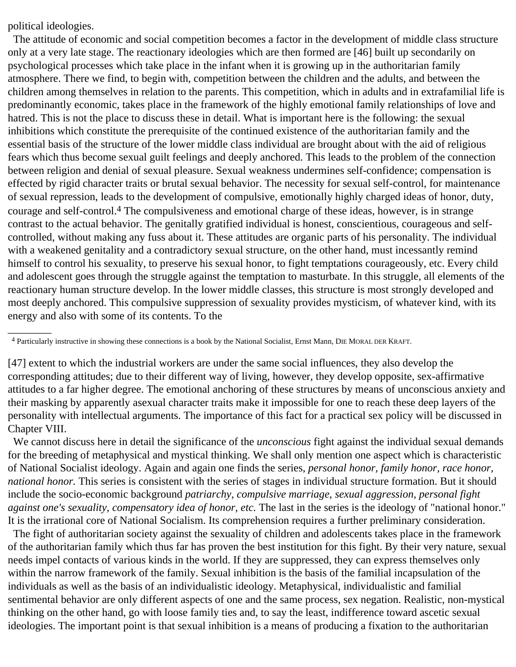political ideologies.

\_\_\_\_\_\_\_\_

 The attitude of economic and social competition becomes a factor in the development of middle class structure only at a very late stage. The reactionary ideologies which are then formed are [46] built up secondarily on psychological processes which take place in the infant when it is growing up in the authoritarian family atmosphere. There we find, to begin with, competition between the children and the adults, and between the children among themselves in relation to the parents. This competition, which in adults and in extrafamilial life is predominantly economic, takes place in the framework of the highly emotional family relationships of love and hatred. This is not the place to discuss these in detail. What is important here is the following: the sexual inhibitions which constitute the prerequisite of the continued existence of the authoritarian family and the essential basis of the structure of the lower middle class individual are brought about with the aid of religious fears which thus become sexual guilt feelings and deeply anchored. This leads to the problem of the connection between religion and denial of sexual pleasure. Sexual weakness undermines self-confidence; compensation is effected by rigid character traits or brutal sexual behavior. The necessity for sexual self-control, for maintenance of sexual repression, leads to the development of compulsive, emotionally highly charged ideas of honor, duty, courage and self-control.4 The compulsiveness and emotional charge of these ideas, however, is in strange contrast to the actual behavior. The genitally gratified individual is honest, conscientious, courageous and selfcontrolled, without making any fuss about it. These attitudes are organic parts of his personality. The individual with a weakened genitality and a contradictory sexual structure, on the other hand, must incessantly remind himself to control his sexuality, to preserve his sexual honor, to fight temptations courageously, etc. Every child and adolescent goes through the struggle against the temptation to masturbate. In this struggle, all elements of the reactionary human structure develop. In the lower middle classes, this structure is most strongly developed and most deeply anchored. This compulsive suppression of sexuality provides mysticism, of whatever kind, with its energy and also with some of its contents. To the

4 Particularly instructive in showing these connections is a book by the National Socialist, Ernst Mann, DIE MORAL DER KRAFT.

[47] extent to which the industrial workers are under the same social influences, they also develop the corresponding attitudes; due to their different way of living, however, they develop opposite, sex-affirmative attitudes to a far higher degree. The emotional anchoring of these structures by means of unconscious anxiety and their masking by apparently asexual character traits make it impossible for one to reach these deep layers of the personality with intellectual arguments. The importance of this fact for a practical sex policy will be discussed in Chapter VIII.

 We cannot discuss here in detail the significance of the *unconscious* fight against the individual sexual demands for the breeding of metaphysical and mystical thinking. We shall only mention one aspect which is characteristic of National Socialist ideology. Again and again one finds the series, *personal honor, family honor, race honor, national honor.* This series is consistent with the series of stages in individual structure formation. But it should include the socio-economic background *patriarchy, compulsive marriage, sexual aggression, personal fight against one's sexuality, compensatory idea of honor, etc.* The last in the series is the ideology of "national honor." It is the irrational core of National Socialism. Its comprehension requires a further preliminary consideration.

 The fight of authoritarian society against the sexuality of children and adolescents takes place in the framework of the authoritarian family which thus far has proven the best institution for this fight. By their very nature, sexual needs impel contacts of various kinds in the world. If they are suppressed, they can express themselves only within the narrow framework of the family. Sexual inhibition is the basis of the familial incapsulation of the individuals as well as the basis of an individualistic ideology. Metaphysical, individualistic and familial sentimental behavior are only different aspects of one and the same process, sex negation. Realistic, non-mystical thinking on the other hand, go with loose family ties and, to say the least, indifference toward ascetic sexual ideologies. The important point is that sexual inhibition is a means of producing a fixation to the authoritarian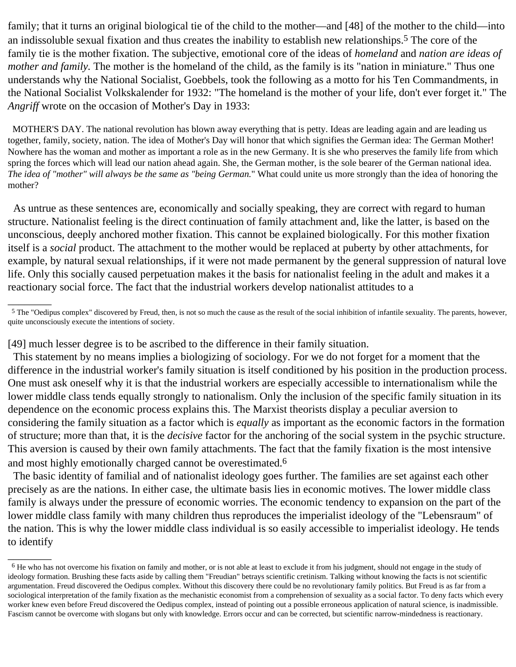family; that it turns an original biological tie of the child to the mother—and [48] of the mother to the child—into an indissoluble sexual fixation and thus creates the inability to establish new relationships.<sup>5</sup> The core of the family tie is the mother fixation. The subjective, emotional core of the ideas of *homeland* and *nation are ideas of mother and family*. The mother is the homeland of the child, as the family is its "nation in miniature." Thus one understands why the National Socialist, Goebbels, took the following as a motto for his Ten Commandments, in the National Socialist Volkskalender for 1932: "The homeland is the mother of your life, don't ever forget it." The *Angriff* wrote on the occasion of Mother's Day in 1933:

 MOTHER'S DAY. The national revolution has blown away everything that is petty. Ideas are leading again and are leading us together, family, society, nation. The idea of Mother's Day will honor that which signifies the German idea: The German Mother! Nowhere has the woman and mother as important a role as in the new Germany. It is she who preserves the family life from which spring the forces which will lead our nation ahead again. She, the German mother, is the sole bearer of the German national idea. *The idea of "mother" will always be the same as "being German.*" What could unite us more strongly than the idea of honoring the mother?

 As untrue as these sentences are, economically and socially speaking, they are correct with regard to human structure. Nationalist feeling is the direct continuation of family attachment and, like the latter, is based on the unconscious, deeply anchored mother fixation. This cannot be explained biologically. For this mother fixation itself is a *social* product. The attachment to the mother would be replaced at puberty by other attachments, for example, by natural sexual relationships, if it were not made permanent by the general suppression of natural love life. Only this socially caused perpetuation makes it the basis for nationalist feeling in the adult and makes it a reactionary social force. The fact that the industrial workers develop nationalist attitudes to a

[49] much lesser degree is to be ascribed to the difference in their family situation.

\_\_\_\_\_\_\_\_

 $\overline{\phantom{a}}$ 

 This statement by no means implies a biologizing of sociology. For we do not forget for a moment that the difference in the industrial worker's family situation is itself conditioned by his position in the production process. One must ask oneself why it is that the industrial workers are especially accessible to internationalism while the lower middle class tends equally strongly to nationalism. Only the inclusion of the specific family situation in its dependence on the economic process explains this. The Marxist theorists display a peculiar aversion to considering the family situation as a factor which is *equally* as important as the economic factors in the formation of structure; more than that, it is the *decisive* factor for the anchoring of the social system in the psychic structure. This aversion is caused by their own family attachments. The fact that the family fixation is the most intensive and most highly emotionally charged cannot be overestimated.6

 The basic identity of familial and of nationalist ideology goes further. The families are set against each other precisely as are the nations. In either case, the ultimate basis lies in economic motives. The lower middle class family is always under the pressure of economic worries. The economic tendency to expansion on the part of the lower middle class family with many children thus reproduces the imperialist ideology of the "Lebensraum" of the nation. This is why the lower middle class individual is so easily accessible to imperialist ideology. He tends to identify

5 The "Oedipus complex" discovered by Freud, then, is not so much the cause as the result of the social inhibition of infantile sexuality. The parents, however, quite unconsciously execute the intentions of society.

<sup>&</sup>lt;sup>6</sup> He who has not overcome his fixation on family and mother, or is not able at least to exclude it from his judgment, should not engage in the study of ideology formation. Brushing these facts aside by calling them "Freudian" betrays scientific cretinism. Talking without knowing the facts is not scientific argumentation. Freud discovered the Oedipus complex. Without this discovery there could be no revolutionary family politics. But Freud is as far from a sociological interpretation of the family fixation as the mechanistic economist from a comprehension of sexuality as a social factor. To deny facts which every worker knew even before Freud discovered the Oedipus complex, instead of pointing out a possible erroneous application of natural science, is inadmissible. Fascism cannot be overcome with slogans but only with knowledge. Errors occur and can be corrected, but scientific narrow-mindedness is reactionary.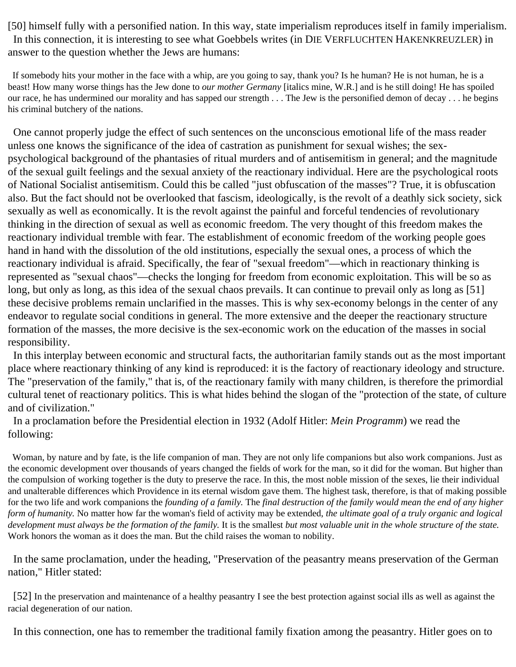[50] himself fully with a personified nation. In this way, state imperialism reproduces itself in family imperialism. In this connection, it is interesting to see what Goebbels writes (in DIE VERFLUCHTEN HAKENKREUZLER) in answer to the question whether the Jews are humans:

 If somebody hits your mother in the face with a whip, are you going to say, thank you? Is he human? He is not human, he is a beast! How many worse things has the Jew done to *our mother Germany* [italics mine, W.R.] and is he still doing! He has spoiled our race, he has undermined our morality and has sapped our strength . . . The Jew is the personified demon of decay . . . he begins his criminal butchery of the nations.

 One cannot properly judge the effect of such sentences on the unconscious emotional life of the mass reader unless one knows the significance of the idea of castration as punishment for sexual wishes; the sexpsychological background of the phantasies of ritual murders and of antisemitism in general; and the magnitude of the sexual guilt feelings and the sexual anxiety of the reactionary individual. Here are the psychological roots of National Socialist antisemitism. Could this be called "just obfuscation of the masses"? True, it is obfuscation also. But the fact should not be overlooked that fascism, ideologically, is the revolt of a deathly sick society, sick sexually as well as economically. It is the revolt against the painful and forceful tendencies of revolutionary thinking in the direction of sexual as well as economic freedom. The very thought of this freedom makes the reactionary individual tremble with fear. The establishment of economic freedom of the working people goes hand in hand with the dissolution of the old institutions, especially the sexual ones, a process of which the reactionary individual is afraid. Specifically, the fear of "sexual freedom"—which in reactionary thinking is represented as "sexual chaos"—checks the longing for freedom from economic exploitation. This will be so as long, but only as long, as this idea of the sexual chaos prevails. It can continue to prevail only as long as [51] these decisive problems remain unclarified in the masses. This is why sex-economy belongs in the center of any endeavor to regulate social conditions in general. The more extensive and the deeper the reactionary structure formation of the masses, the more decisive is the sex-economic work on the education of the masses in social responsibility.

 In this interplay between economic and structural facts, the authoritarian family stands out as the most important place where reactionary thinking of any kind is reproduced: it is the factory of reactionary ideology and structure. The "preservation of the family," that is, of the reactionary family with many children, is therefore the primordial cultural tenet of reactionary politics. This is what hides behind the slogan of the "protection of the state, of culture and of civilization."

 In a proclamation before the Presidential election in 1932 (Adolf Hitler: *Mein Programm*) we read the following:

 Woman, by nature and by fate, is the life companion of man. They are not only life companions but also work companions. Just as the economic development over thousands of years changed the fields of work for the man, so it did for the woman. But higher than the compulsion of working together is the duty to preserve the race. In this, the most noble mission of the sexes, lie their individual and unalterable differences which Providence in its eternal wisdom gave them. The highest task, therefore, is that of making possible for the two life and work companions the *founding of a family.* The *final destruction of the family would mean the end of any higher form of humanity.* No matter how far the woman's field of activity may be extended, *the ultimate goal of a truly organic and logical development must always be the formation of the family.* It is the smallest *but most valuable unit in the whole structure of the state.*  Work honors the woman as it does the man. But the child raises the woman to nobility.

 In the same proclamation, under the heading, "Preservation of the peasantry means preservation of the German nation," Hitler stated:

 [52] In the preservation and maintenance of a healthy peasantry I see the best protection against social ills as well as against the racial degeneration of our nation.

In this connection, one has to remember the traditional family fixation among the peasantry. Hitler goes on to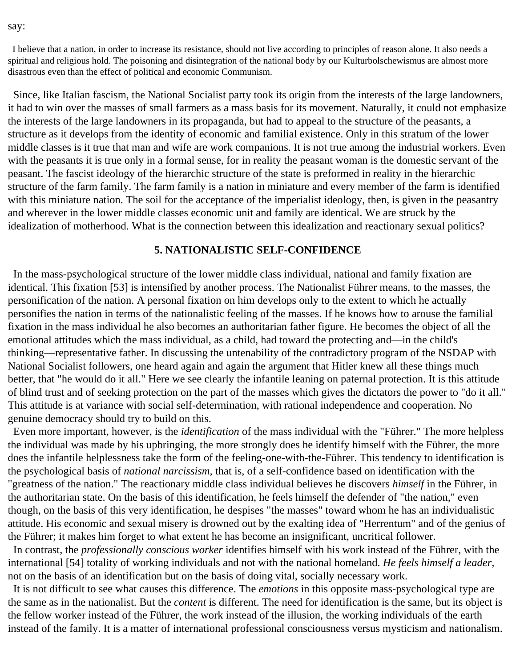say:

 I believe that a nation, in order to increase its resistance, should not live according to principles of reason alone. It also needs a spiritual and religious hold. The poisoning and disintegration of the national body by our Kulturbolschewismus are almost more disastrous even than the effect of political and economic Communism.

 Since, like Italian fascism, the National Socialist party took its origin from the interests of the large landowners, it had to win over the masses of small farmers as a mass basis for its movement. Naturally, it could not emphasize the interests of the large landowners in its propaganda, but had to appeal to the structure of the peasants, a structure as it develops from the identity of economic and familial existence. Only in this stratum of the lower middle classes is it true that man and wife are work companions. It is not true among the industrial workers. Even with the peasants it is true only in a formal sense, for in reality the peasant woman is the domestic servant of the peasant. The fascist ideology of the hierarchic structure of the state is preformed in reality in the hierarchic structure of the farm family. The farm family is a nation in miniature and every member of the farm is identified with this miniature nation. The soil for the acceptance of the imperialist ideology, then, is given in the peasantry and wherever in the lower middle classes economic unit and family are identical. We are struck by the idealization of motherhood. What is the connection between this idealization and reactionary sexual politics?

## **5. NATIONALISTIC SELF-CONFIDENCE**

 In the mass-psychological structure of the lower middle class individual, national and family fixation are identical. This fixation [53] is intensified by another process. The Nationalist Führer means, to the masses, the personification of the nation. A personal fixation on him develops only to the extent to which he actually personifies the nation in terms of the nationalistic feeling of the masses. If he knows how to arouse the familial fixation in the mass individual he also becomes an authoritarian father figure. He becomes the object of all the emotional attitudes which the mass individual, as a child, had toward the protecting and—in the child's thinking—representative father. In discussing the untenability of the contradictory program of the NSDAP with National Socialist followers, one heard again and again the argument that Hitler knew all these things much better, that "he would do it all." Here we see clearly the infantile leaning on paternal protection. It is this attitude of blind trust and of seeking protection on the part of the masses which gives the dictators the power to "do it all." This attitude is at variance with social self-determination, with rational independence and cooperation. No genuine democracy should try to build on this.

 Even more important, however, is the *identification* of the mass individual with the "Führer." The more helpless the individual was made by his upbringing, the more strongly does he identify himself with the Führer, the more does the infantile helplessness take the form of the feeling-one-with-the-Führer. This tendency to identification is the psychological basis of *national narcissism,* that is, of a self-confidence based on identification with the "greatness of the nation." The reactionary middle class individual believes he discovers *himself* in the Führer, in the authoritarian state. On the basis of this identification, he feels himself the defender of "the nation," even though, on the basis of this very identification, he despises "the masses" toward whom he has an individualistic attitude. His economic and sexual misery is drowned out by the exalting idea of "Herrentum" and of the genius of the Führer; it makes him forget to what extent he has become an insignificant, uncritical follower.

 In contrast, the *professionally conscious worker* identifies himself with his work instead of the Führer, with the international [54] totality of working individuals and not with the national homeland. *He feels himself a leader,*  not on the basis of an identification but on the basis of doing vital, socially necessary work.

 It is not difficult to see what causes this difference. The *emotions* in this opposite mass-psychological type are the same as in the nationalist. But the *content* is different. The need for identification is the same, but its object is the fellow worker instead of the Führer, the work instead of the illusion, the working individuals of the earth instead of the family. It is a matter of international professional consciousness versus mysticism and nationalism.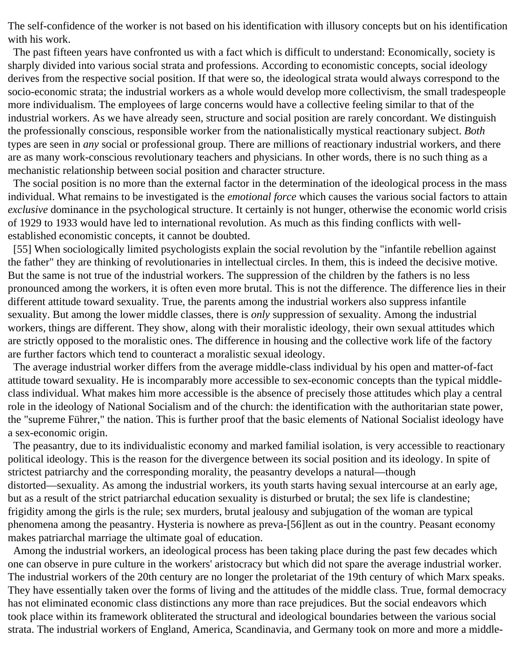The self-confidence of the worker is not based on his identification with illusory concepts but on his identification with his work.

 The past fifteen years have confronted us with a fact which is difficult to understand: Economically, society is sharply divided into various social strata and professions. According to economistic concepts, social ideology derives from the respective social position. If that were so, the ideological strata would always correspond to the socio-economic strata; the industrial workers as a whole would develop more collectivism, the small tradespeople more individualism. The employees of large concerns would have a collective feeling similar to that of the industrial workers. As we have already seen, structure and social position are rarely concordant. We distinguish the professionally conscious, responsible worker from the nationalistically mystical reactionary subject. *Both*  types are seen in *any* social or professional group. There are millions of reactionary industrial workers, and there are as many work-conscious revolutionary teachers and physicians. In other words, there is no such thing as a mechanistic relationship between social position and character structure.

 The social position is no more than the external factor in the determination of the ideological process in the mass individual. What remains to be investigated is the *emotional force* which causes the various social factors to attain *exclusive* dominance in the psychological structure. It certainly is not hunger, otherwise the economic world crisis of 1929 to 1933 would have led to international revolution. As much as this finding conflicts with wellestablished economistic concepts, it cannot be doubted.

 [55] When sociologically limited psychologists explain the social revolution by the "infantile rebellion against the father" they are thinking of revolutionaries in intellectual circles. In them, this is indeed the decisive motive. But the same is not true of the industrial workers. The suppression of the children by the fathers is no less pronounced among the workers, it is often even more brutal. This is not the difference. The difference lies in their different attitude toward sexuality. True, the parents among the industrial workers also suppress infantile sexuality. But among the lower middle classes, there is *only* suppression of sexuality. Among the industrial workers, things are different. They show, along with their moralistic ideology, their own sexual attitudes which are strictly opposed to the moralistic ones. The difference in housing and the collective work life of the factory are further factors which tend to counteract a moralistic sexual ideology.

 The average industrial worker differs from the average middle-class individual by his open and matter-of-fact attitude toward sexuality. He is incomparably more accessible to sex-economic concepts than the typical middleclass individual. What makes him more accessible is the absence of precisely those attitudes which play a central role in the ideology of National Socialism and of the church: the identification with the authoritarian state power, the "supreme Führer," the nation. This is further proof that the basic elements of National Socialist ideology have a sex-economic origin.

 The peasantry, due to its individualistic economy and marked familial isolation, is very accessible to reactionary political ideology. This is the reason for the divergence between its social position and its ideology. In spite of strictest patriarchy and the corresponding morality, the peasantry develops a natural—though distorted—sexuality. As among the industrial workers, its youth starts having sexual intercourse at an early age, but as a result of the strict patriarchal education sexuality is disturbed or brutal; the sex life is clandestine; frigidity among the girls is the rule; sex murders, brutal jealousy and subjugation of the woman are typical phenomena among the peasantry. Hysteria is nowhere as preva-[56]lent as out in the country. Peasant economy makes patriarchal marriage the ultimate goal of education.

 Among the industrial workers, an ideological process has been taking place during the past few decades which one can observe in pure culture in the workers' aristocracy but which did not spare the average industrial worker. The industrial workers of the 20th century are no longer the proletariat of the 19th century of which Marx speaks. They have essentially taken over the forms of living and the attitudes of the middle class. True, formal democracy has not eliminated economic class distinctions any more than race prejudices. But the social endeavors which took place within its framework obliterated the structural and ideological boundaries between the various social strata. The industrial workers of England, America, Scandinavia, and Germany took on more and more a middle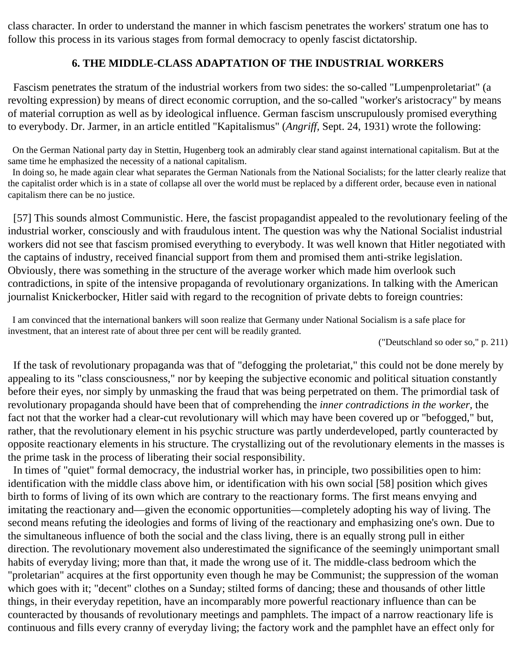class character. In order to understand the manner in which fascism penetrates the workers' stratum one has to follow this process in its various stages from formal democracy to openly fascist dictatorship.

# **6. THE MIDDLE-CLASS ADAPTATION OF THE INDUSTRIAL WORKERS**

 Fascism penetrates the stratum of the industrial workers from two sides: the so-called "Lumpenproletariat" (a revolting expression) by means of direct economic corruption, and the so-called "worker's aristocracy" by means of material corruption as well as by ideological influence. German fascism unscrupulously promised everything to everybody. Dr. Jarmer, in an article entitled "Kapitalismus" (*Angriff,* Sept. 24, 1931) wrote the following:

 On the German National party day in Stettin, Hugenberg took an admirably clear stand against international capitalism. But at the same time he emphasized the necessity of a national capitalism.

 In doing so, he made again clear what separates the German Nationals from the National Socialists; for the latter clearly realize that the capitalist order which is in a state of collapse all over the world must be replaced by a different order, because even in national capitalism there can be no justice.

 [57] This sounds almost Communistic. Here, the fascist propagandist appealed to the revolutionary feeling of the industrial worker, consciously and with fraudulous intent. The question was why the National Socialist industrial workers did not see that fascism promised everything to everybody. It was well known that Hitler negotiated with the captains of industry, received financial support from them and promised them anti-strike legislation. Obviously, there was something in the structure of the average worker which made him overlook such contradictions, in spite of the intensive propaganda of revolutionary organizations. In talking with the American journalist Knickerbocker, Hitler said with regard to the recognition of private debts to foreign countries:

 I am convinced that the international bankers will soon realize that Germany under National Socialism is a safe place for investment, that an interest rate of about three per cent will be readily granted.

("Deutschland so oder so," p. 211)

 If the task of revolutionary propaganda was that of "defogging the proletariat," this could not be done merely by appealing to its "class consciousness," nor by keeping the subjective economic and political situation constantly before their eyes, nor simply by unmasking the fraud that was being perpetrated on them. The primordial task of revolutionary propaganda should have been that of comprehending the *inner contradictions in the worker,* the fact not that the worker had a clear-cut revolutionary will which may have been covered up or "befogged," but, rather, that the revolutionary element in his psychic structure was partly underdeveloped, partly counteracted by opposite reactionary elements in his structure. The crystallizing out of the revolutionary elements in the masses is the prime task in the process of liberating their social responsibility.

 In times of "quiet" formal democracy, the industrial worker has, in principle, two possibilities open to him: identification with the middle class above him, or identification with his own social [58] position which gives birth to forms of living of its own which are contrary to the reactionary forms. The first means envying and imitating the reactionary and—given the economic opportunities—completely adopting his way of living. The second means refuting the ideologies and forms of living of the reactionary and emphasizing one's own. Due to the simultaneous influence of both the social and the class living, there is an equally strong pull in either direction. The revolutionary movement also underestimated the significance of the seemingly unimportant small habits of everyday living; more than that, it made the wrong use of it. The middle-class bedroom which the "proletarian" acquires at the first opportunity even though he may be Communist; the suppression of the woman which goes with it; "decent" clothes on a Sunday; stilted forms of dancing; these and thousands of other little things, in their everyday repetition, have an incomparably more powerful reactionary influence than can be counteracted by thousands of revolutionary meetings and pamphlets. The impact of a narrow reactionary life is continuous and fills every cranny of everyday living; the factory work and the pamphlet have an effect only for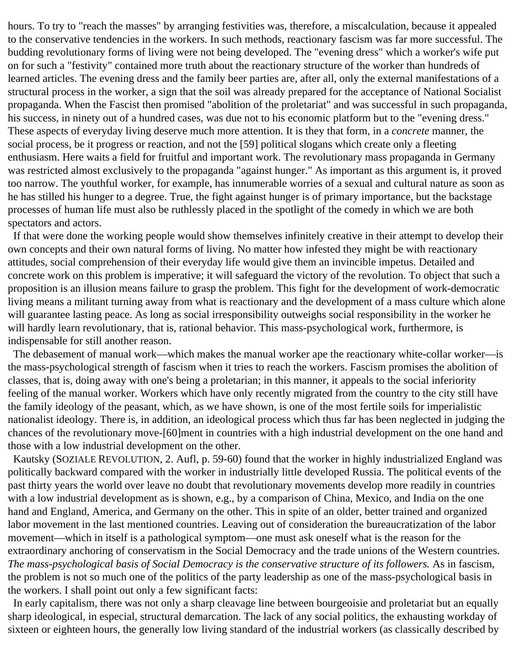hours. To try to "reach the masses" by arranging festivities was, therefore, a miscalculation, because it appealed to the conservative tendencies in the workers. In such methods, reactionary fascism was far more successful. The budding revolutionary forms of living were not being developed. The "evening dress" which a worker's wife put on for such a "festivity" contained more truth about the reactionary structure of the worker than hundreds of learned articles. The evening dress and the family beer parties are, after all, only the external manifestations of a structural process in the worker, a sign that the soil was already prepared for the acceptance of National Socialist propaganda. When the Fascist then promised "abolition of the proletariat" and was successful in such propaganda, his success, in ninety out of a hundred cases, was due not to his economic platform but to the "evening dress." These aspects of everyday living deserve much more attention. It is they that form, in a *concrete* manner, the social process, be it progress or reaction, and not the [59] political slogans which create only a fleeting enthusiasm. Here waits a field for fruitful and important work. The revolutionary mass propaganda in Germany was restricted almost exclusively to the propaganda "against hunger." As important as this argument is, it proved too narrow. The youthful worker, for example, has innumerable worries of a sexual and cultural nature as soon as he has stilled his hunger to a degree. True, the fight against hunger is of primary importance, but the backstage processes of human life must also be ruthlessly placed in the spotlight of the comedy in which we are both spectators and actors.

 If that were done the working people would show themselves infinitely creative in their attempt to develop their own concepts and their own natural forms of living. No matter how infested they might be with reactionary attitudes, social comprehension of their everyday life would give them an invincible impetus. Detailed and concrete work on this problem is imperative; it will safeguard the victory of the revolution. To object that such a proposition is an illusion means failure to grasp the problem. This fight for the development of work-democratic living means a militant turning away from what is reactionary and the development of a mass culture which alone will guarantee lasting peace. As long as social irresponsibility outweighs social responsibility in the worker he will hardly learn revolutionary, that is, rational behavior. This mass-psychological work, furthermore, is indispensable for still another reason.

 The debasement of manual work—which makes the manual worker ape the reactionary white-collar worker—is the mass-psychological strength of fascism when it tries to reach the workers. Fascism promises the abolition of classes, that is, doing away with one's being a proletarian; in this manner, it appeals to the social inferiority feeling of the manual worker. Workers which have only recently migrated from the country to the city still have the family ideology of the peasant, which, as we have shown, is one of the most fertile soils for imperialistic nationalist ideology. There is, in addition, an ideological process which thus far has been neglected in judging the chances of the revolutionary move-[60]ment in countries with a high industrial development on the one hand and those with a low industrial development on the other.

 Kautsky (SOZIALE REVOLUTION, 2. Aufl, p. 59-60) found that the worker in highly industrialized England was politically backward compared with the worker in industrially little developed Russia. The political events of the past thirty years the world over leave no doubt that revolutionary movements develop more readily in countries with a low industrial development as is shown, e.g., by a comparison of China, Mexico, and India on the one hand and England, America, and Germany on the other. This in spite of an older, better trained and organized labor movement in the last mentioned countries. Leaving out of consideration the bureaucratization of the labor movement—which in itself is a pathological symptom—one must ask oneself what is the reason for the extraordinary anchoring of conservatism in the Social Democracy and the trade unions of the Western countries. *The mass-psychological basis of Social Democracy is the conservative structure of its followers.* As in fascism, the problem is not so much one of the politics of the party leadership as one of the mass-psychological basis in the workers. I shall point out only a few significant facts:

 In early capitalism, there was not only a sharp cleavage line between bourgeoisie and proletariat but an equally sharp ideological, in especial, structural demarcation. The lack of any social politics, the exhausting workday of sixteen or eighteen hours, the generally low living standard of the industrial workers (as classically described by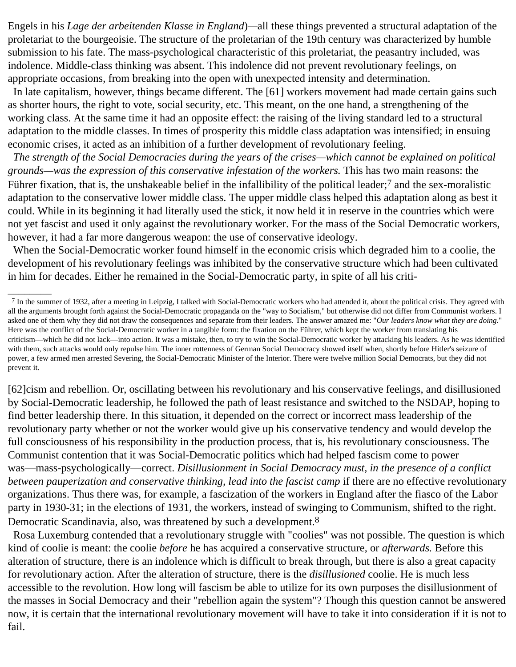Engels in his *Lage der arbeitenden Klasse in England*)*—*all these things prevented a structural adaptation of the proletariat to the bourgeoisie. The structure of the proletarian of the 19th century was characterized by humble submission to his fate. The mass-psychological characteristic of this proletariat, the peasantry included, was indolence. Middle-class thinking was absent. This indolence did not prevent revolutionary feelings, on appropriate occasions, from breaking into the open with unexpected intensity and determination.

In late capitalism, however, things became different. The [61] workers movement had made certain gains such as shorter hours, the right to vote, social security, etc. This meant, on the one hand, a strengthening of the working class. At the same time it had an opposite effect: the raising of the living standard led to a structural adaptation to the middle classes. In times of prosperity this middle class adaptation was intensified; in ensuing economic crises, it acted as an inhibition of a further development of revolutionary feeling.

 *The strength of the Social Democracies during the years of the crises—which cannot be explained on political grounds—was the expression of this conservative infestation of the workers.* This has two main reasons: the Führer fixation, that is, the unshakeable belief in the infallibility of the political leader;<sup>7</sup> and the sex-moralistic adaptation to the conservative lower middle class. The upper middle class helped this adaptation along as best it could. While in its beginning it had literally used the stick, it now held it in reserve in the countries which were not yet fascist and used it only against the revolutionary worker. For the mass of the Social Democratic workers, however, it had a far more dangerous weapon: the use of conservative ideology.

 When the Social-Democratic worker found himself in the economic crisis which degraded him to a coolie, the development of his revolutionary feelings was inhibited by the conservative structure which had been cultivated in him for decades. Either he remained in the Social-Democratic party, in spite of all his criti-

 $\overline{\phantom{a}}$ 

[62]cism and rebellion. Or, oscillating between his revolutionary and his conservative feelings, and disillusioned by Social-Democratic leadership, he followed the path of least resistance and switched to the NSDAP, hoping to find better leadership there. In this situation, it depended on the correct or incorrect mass leadership of the revolutionary party whether or not the worker would give up his conservative tendency and would develop the full consciousness of his responsibility in the production process, that is, his revolutionary consciousness. The Communist contention that it was Social-Democratic politics which had helped fascism come to power was—mass-psychologically—correct. *Disillusionment in Social Democracy must, in the presence of a conflict between pauperization and conservative thinking, lead into the fascist camp* if there are no effective revolutionary organizations. Thus there was, for example, a fascization of the workers in England after the fiasco of the Labor party in 1930-31; in the elections of 1931, the workers, instead of swinging to Communism, shifted to the right. Democratic Scandinavia, also, was threatened by such a development.<sup>8</sup>

 Rosa Luxemburg contended that a revolutionary struggle with "coolies" was not possible. The question is which kind of coolie is meant: the coolie *before* he has acquired a conservative structure, or *afterwards.* Before this alteration of structure, there is an indolence which is difficult to break through, but there is also a great capacity for revolutionary action. After the alteration of structure, there is the *disillusioned* coolie. He is much less accessible to the revolution. How long will fascism be able to utilize for its own purposes the disillusionment of the masses in Social Democracy and their "rebellion again the system"? Though this question cannot be answered now, it is certain that the international revolutionary movement will have to take it into consideration if it is not to fail.

7 In the summer of 1932, after a meeting in Leipzig, I talked with Social-Democratic workers who had attended it, about the political crisis. They agreed with all the arguments brought forth against the Social-Democratic propaganda on the "way to Socialism," but otherwise did not differ from Communist workers. I asked one of them why they did not draw the consequences and separate from their leaders. The answer amazed me: "*Our leaders know what they are doing.*" Here was the conflict of the Social-Democratic worker in a tangible form: the fixation on the Führer, which kept the worker from translating his criticism—which he did not lack—into action. It was a mistake, then, to try to win the Social-Democratic worker by attacking his leaders. As he was identified with them, such attacks would only repulse him. The inner rottenness of German Social Democracy showed itself when, shortly before Hitler's seizure of power, a few armed men arrested Severing, the Social-Democratic Minister of the Interior. There were twelve million Social Democrats, but they did not prevent it.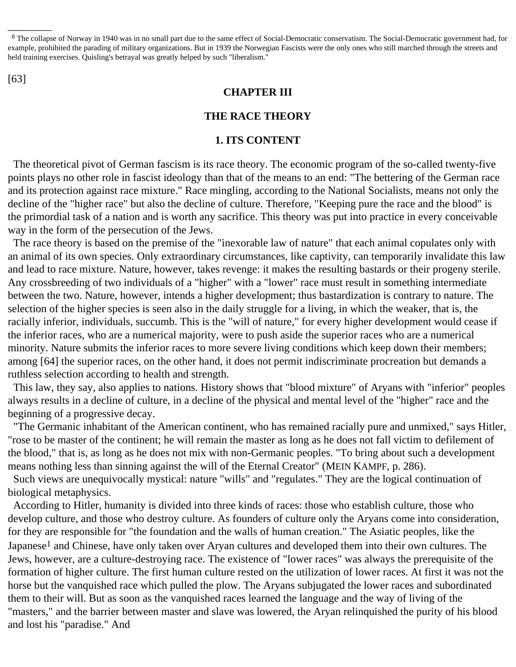8 The collapse of Norway in 1940 was in no small part due to the same effect of Social-Democratic conservatism. The Social-Democratic government had, for example, prohibited the parading of military organizations. But in 1939 the Norwegian Fascists were the only ones who still marched through the streets and held training exercises. Quisling's betrayal was greatly helped by such "liberalism."

[63]

\_\_\_\_\_\_\_\_

#### **CHAPTER III**

#### **THE RACE THEORY**

### **1. ITS CONTENT**

 The theoretical pivot of German fascism is its race theory. The economic program of the so-called twenty-five points plays no other role in fascist ideology than that of the means to an end: "The bettering of the German race and its protection against race mixture." Race mingling, according to the National Socialists, means not only the decline of the "higher race" but also the decline of culture. Therefore, "Keeping pure the race and the blood" is the primordial task of a nation and is worth any sacrifice. This theory was put into practice in every conceivable way in the form of the persecution of the Jews.

 The race theory is based on the premise of the "inexorable law of nature" that each animal copulates only with an animal of its own species. Only extraordinary circumstances, like captivity, can temporarily invalidate this law and lead to race mixture. Nature, however, takes revenge: it makes the resulting bastards or their progeny sterile. Any crossbreeding of two individuals of a "higher" with a "lower" race must result in something intermediate between the two. Nature, however, intends a higher development; thus bastardization is contrary to nature. The selection of the higher species is seen also in the daily struggle for a living, in which the weaker, that is, the racially inferior, individuals, succumb. This is the "will of nature," for every higher development would cease if the inferior races, who are a numerical majority, were to push aside the superior races who are a numerical minority. Nature submits the inferior races to more severe living conditions which keep down their members; among [64] the superior races, on the other hand, it does not permit indiscriminate procreation but demands a ruthless selection according to health and strength.

 This law, they say, also applies to nations. History shows that "blood mixture" of Aryans with "inferior" peoples always results in a decline of culture, in a decline of the physical and mental level of the "higher" race and the beginning of a progressive decay.

 "The Germanic inhabitant of the American continent, who has remained racially pure and unmixed," says Hitler, "rose to be master of the continent; he will remain the master as long as he does not fall victim to defilement of the blood," that is, as long as he does not mix with non-Germanic peoples. "To bring about such a development means nothing less than sinning against the will of the Eternal Creator" (MEIN KAMPF, p. 286).

 Such views are unequivocally mystical: nature "wills" and "regulates." They are the logical continuation of biological metaphysics.

 According to Hitler, humanity is divided into three kinds of races: those who establish culture, those who develop culture, and those who destroy culture. As founders of culture only the Aryans come into consideration, for they are responsible for "the foundation and the walls of human creation." The Asiatic peoples, like the Japanese<sup>1</sup> and Chinese, have only taken over Aryan cultures and developed them into their own cultures. The Jews, however, are a culture-destroying race. The existence of "lower races" was always the prerequisite of the formation of higher culture. The first human culture rested on the utilization of lower races. At first it was not the horse but the vanquished race which pulled the plow. The Aryans subjugated the lower races and subordinated them to their will. But as soon as the vanquished races learned the language and the way of living of the "masters," and the barrier between master and slave was lowered, the Aryan relinquished the purity of his blood and lost his "paradise." And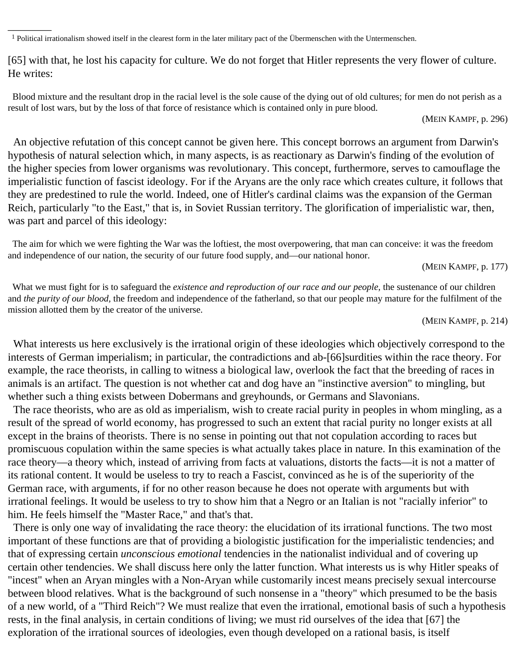$<sup>1</sup>$  Political irrationalism showed itself in the clearest form in the later military pact of the Übermenschen with the Untermenschen.</sup>

\_\_\_\_\_\_\_\_

[65] with that, he lost his capacity for culture. We do not forget that Hitler represents the very flower of culture. He writes:

 Blood mixture and the resultant drop in the racial level is the sole cause of the dying out of old cultures; for men do not perish as a result of lost wars, but by the loss of that force of resistance which is contained only in pure blood.

#### (MEIN KAMPF, p. 296)

 An objective refutation of this concept cannot be given here. This concept borrows an argument from Darwin's hypothesis of natural selection which, in many aspects, is as reactionary as Darwin's finding of the evolution of the higher species from lower organisms was revolutionary. This concept, furthermore, serves to camouflage the imperialistic function of fascist ideology. For if the Aryans are the only race which creates culture, it follows that they are predestined to rule the world. Indeed, one of Hitler's cardinal claims was the expansion of the German Reich, particularly "to the East," that is, in Soviet Russian territory. The glorification of imperialistic war, then, was part and parcel of this ideology:

 The aim for which we were fighting the War was the loftiest, the most overpowering, that man can conceive: it was the freedom and independence of our nation, the security of our future food supply, and—our national honor.

(MEIN KAMPF, p. 177)

What we must fight for is to safeguard the *existence and reproduction of our race and our people*, the sustenance of our children and *the purity of our blood,* the freedom and independence of the fatherland, so that our people may mature for the fulfilment of the mission allotted them by the creator of the universe.

(MEIN KAMPF, p. 214)

 What interests us here exclusively is the irrational origin of these ideologies which objectively correspond to the interests of German imperialism; in particular, the contradictions and ab-[66]surdities within the race theory. For example, the race theorists, in calling to witness a biological law, overlook the fact that the breeding of races in animals is an artifact. The question is not whether cat and dog have an "instinctive aversion" to mingling, but whether such a thing exists between Dobermans and greyhounds, or Germans and Slavonians.

 The race theorists, who are as old as imperialism, wish to create racial purity in peoples in whom mingling, as a result of the spread of world economy, has progressed to such an extent that racial purity no longer exists at all except in the brains of theorists. There is no sense in pointing out that not copulation according to races but promiscuous copulation within the same species is what actually takes place in nature. In this examination of the race theory—a theory which, instead of arriving from facts at valuations, distorts the facts—it is not a matter of its rational content. It would be useless to try to reach a Fascist, convinced as he is of the superiority of the German race, with arguments, if for no other reason because he does not operate with arguments but with irrational feelings. It would be useless to try to show him that a Negro or an Italian is not "racially inferior" to him. He feels himself the "Master Race," and that's that.

 There is only one way of invalidating the race theory: the elucidation of its irrational functions. The two most important of these functions are that of providing a biologistic justification for the imperialistic tendencies; and that of expressing certain *unconscious emotional* tendencies in the nationalist individual and of covering up certain other tendencies. We shall discuss here only the latter function. What interests us is why Hitler speaks of "incest" when an Aryan mingles with a Non-Aryan while customarily incest means precisely sexual intercourse between blood relatives. What is the background of such nonsense in a "theory" which presumed to be the basis of a new world, of a "Third Reich"? We must realize that even the irrational, emotional basis of such a hypothesis rests, in the final analysis, in certain conditions of living; we must rid ourselves of the idea that [67] the exploration of the irrational sources of ideologies, even though developed on a rational basis, is itself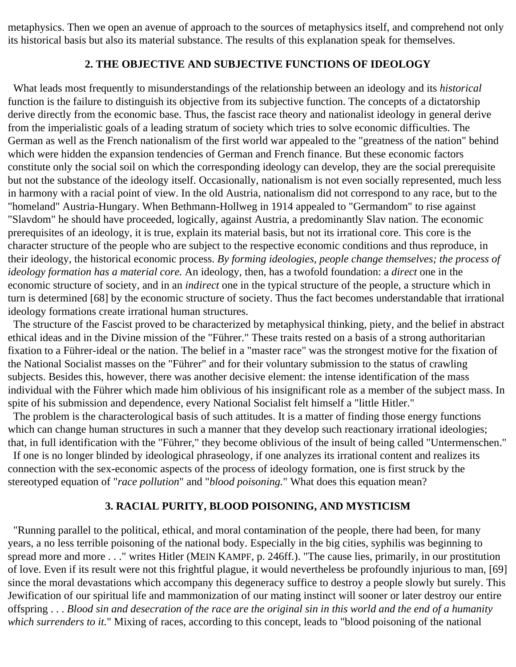metaphysics. Then we open an avenue of approach to the sources of metaphysics itself, and comprehend not only its historical basis but also its material substance. The results of this explanation speak for themselves.

#### **2. THE OBJECTIVE AND SUBJECTIVE FUNCTIONS OF IDEOLOGY**

 What leads most frequently to misunderstandings of the relationship between an ideology and its *historical*  function is the failure to distinguish its objective from its subjective function. The concepts of a dictatorship derive directly from the economic base. Thus, the fascist race theory and nationalist ideology in general derive from the imperialistic goals of a leading stratum of society which tries to solve economic difficulties. The German as well as the French nationalism of the first world war appealed to the "greatness of the nation" behind which were hidden the expansion tendencies of German and French finance. But these economic factors constitute only the social soil on which the corresponding ideology can develop, they are the social prerequisite but not the substance of the ideology itself. Occasionally, nationalism is not even socially represented, much less in harmony with a racial point of view. In the old Austria, nationalism did not correspond to any race, but to the "homeland" Austria-Hungary. When Bethmann-Hollweg in 1914 appealed to "Germandom" to rise against "Slavdom" he should have proceeded, logically, against Austria, a predominantly Slav nation. The economic prerequisites of an ideology, it is true, explain its material basis, but not its irrational core. This core is the character structure of the people who are subject to the respective economic conditions and thus reproduce, in their ideology, the historical economic process. *By forming ideologies, people change themselves; the process of ideology formation has a material core.* An ideology, then, has a twofold foundation: a *direct* one in the economic structure of society, and in an *indirect* one in the typical structure of the people, a structure which in turn is determined [68] by the economic structure of society. Thus the fact becomes understandable that irrational ideology formations create irrational human structures.

 The structure of the Fascist proved to be characterized by metaphysical thinking, piety, and the belief in abstract ethical ideas and in the Divine mission of the "Führer." These traits rested on a basis of a strong authoritarian fixation to a Führer-ideal or the nation. The belief in a "master race" was the strongest motive for the fixation of the National Socialist masses on the "Führer" and for their voluntary submission to the status of crawling subjects. Besides this, however, there was another decisive element: the intense identification of the mass individual with the Führer which made him oblivious of his insignificant role as a member of the subject mass. In spite of his submission and dependence, every National Socialist felt himself a "little Hitler."

 The problem is the characterological basis of such attitudes. It is a matter of finding those energy functions which can change human structures in such a manner that they develop such reactionary irrational ideologies; that, in full identification with the "Führer," they become oblivious of the insult of being called "Untermenschen."

 If one is no longer blinded by ideological phraseology, if one analyzes its irrational content and realizes its connection with the sex-economic aspects of the process of ideology formation, one is first struck by the stereotyped equation of "*race pollution*" and "*blood poisoning.*" What does this equation mean?

### **3. RACIAL PURITY, BLOOD POISONING, AND MYSTICISM**

 "Running parallel to the political, ethical, and moral contamination of the people, there had been, for many years, a no less terrible poisoning of the national body. Especially in the big cities, syphilis was beginning to spread more and more . . ." writes Hitler (MEIN KAMPF, p. 246ff.). "The cause lies, primarily, in our prostitution of love. Even if its result were not this frightful plague, it would nevertheless be profoundly injurious to man, [69] since the moral devastations which accompany this degeneracy suffice to destroy a people slowly but surely. This Jewification of our spiritual life and mammonization of our mating instinct will sooner or later destroy our entire offspring . . . *Blood sin and desecration of the race are the original sin in this world and the end of a humanity which surrenders to it.*" Mixing of races, according to this concept, leads to "blood poisoning of the national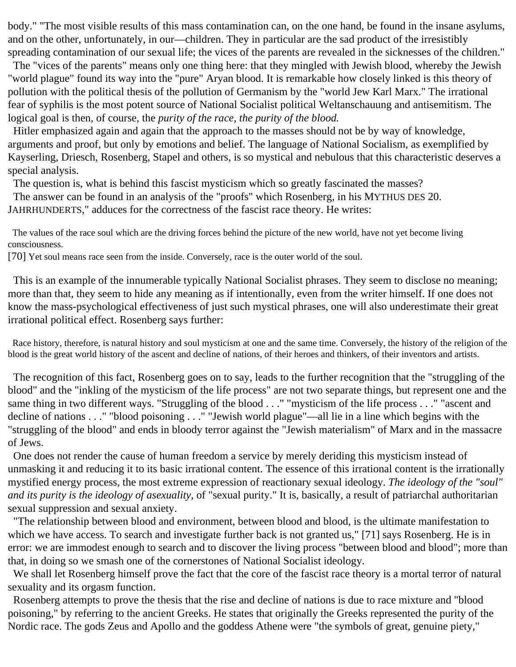body." "The most visible results of this mass contamination can, on the one hand, be found in the insane asylums, and on the other, unfortunately, in our—children. They in particular are the sad product of the irresistibly spreading contamination of our sexual life; the vices of the parents are revealed in the sicknesses of the children."

 The "vices of the parents" means only one thing here: that they mingled with Jewish blood, whereby the Jewish "world plague" found its way into the "pure" Aryan blood. It is remarkable how closely linked is this theory of pollution with the political thesis of the pollution of Germanism by the "world Jew Karl Marx." The irrational fear of syphilis is the most potent source of National Socialist political Weltanschauung and antisemitism. The logical goal is then, of course, the *purity of the race, the purity of the blood.*

 Hitler emphasized again and again that the approach to the masses should not be by way of knowledge, arguments and proof, but only by emotions and belief. The language of National Socialism, as exemplified by Kayserling, Driesch, Rosenberg, Stapel and others, is so mystical and nebulous that this characteristic deserves a special analysis.

The question is, what is behind this fascist mysticism which so greatly fascinated the masses?

The answer can be found in an analysis of the "proofs" which Rosenberg, in his MYTHUS DES 20.

JAHRHUNDERTS," adduces for the correctness of the fascist race theory. He writes:

 The values of the race soul which are the driving forces behind the picture of the new world, have not yet become living consciousness.

[70] Yet soul means race seen from the inside. Conversely, race is the outer world of the soul.

 This is an example of the innumerable typically National Socialist phrases. They seem to disclose no meaning; more than that, they seem to hide any meaning as if intentionally, even from the writer himself. If one does not know the mass-psychological effectiveness of just such mystical phrases, one will also underestimate their great irrational political effect. Rosenberg says further:

 Race history, therefore, is natural history and soul mysticism at one and the same time. Conversely, the history of the religion of the blood is the great world history of the ascent and decline of nations, of their heroes and thinkers, of their inventors and artists.

 The recognition of this fact, Rosenberg goes on to say, leads to the further recognition that the "struggling of the blood" and the "inkling of the mysticism of the life process" are not two separate things, but represent one and the same thing in two different ways. "Struggling of the blood . . ." "mysticism of the life process . . ." "ascent and decline of nations . . ." "blood poisoning . . ." "Jewish world plague"—all lie in a line which begins with the "struggling of the blood" and ends in bloody terror against the "Jewish materialism" of Marx and in the massacre of Jews.

 One does not render the cause of human freedom a service by merely deriding this mysticism instead of unmasking it and reducing it to its basic irrational content. The essence of this irrational content is the irrationally mystified energy process, the most extreme expression of reactionary sexual ideology. *The ideology of the "soul" and its purity is the ideology of asexuality,* of "sexual purity." It is, basically, a result of patriarchal authoritarian sexual suppression and sexual anxiety.

 "The relationship between blood and environment, between blood and blood, is the ultimate manifestation to which we have access. To search and investigate further back is not granted us," [71] says Rosenberg. He is in error: we are immodest enough to search and to discover the living process "between blood and blood"; more than that, in doing so we smash one of the cornerstones of National Socialist ideology.

 We shall let Rosenberg himself prove the fact that the core of the fascist race theory is a mortal terror of natural sexuality and its orgasm function.

 Rosenberg attempts to prove the thesis that the rise and decline of nations is due to race mixture and "blood poisoning," by referring to the ancient Greeks. He states that originally the Greeks represented the purity of the Nordic race. The gods Zeus and Apollo and the goddess Athene were "the symbols of great, genuine piety,"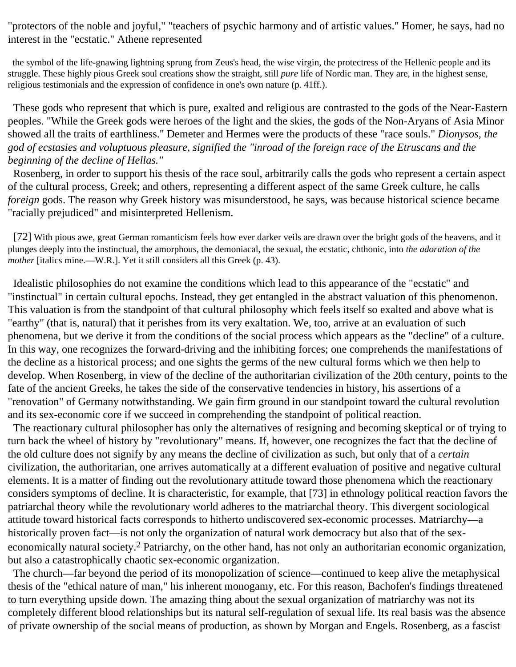"protectors of the noble and joyful," "teachers of psychic harmony and of artistic values." Homer, he says, had no interest in the "ecstatic." Athene represented

 the symbol of the life-gnawing lightning sprung from Zeus's head, the wise virgin, the protectress of the Hellenic people and its struggle. These highly pious Greek soul creations show the straight, still *pure* life of Nordic man. They are, in the highest sense, religious testimonials and the expression of confidence in one's own nature (p. 41ff.).

 These gods who represent that which is pure, exalted and religious are contrasted to the gods of the Near-Eastern peoples. "While the Greek gods were heroes of the light and the skies, the gods of the Non-Aryans of Asia Minor showed all the traits of earthliness." Demeter and Hermes were the products of these "race souls." *Dionysos, the god of ecstasies and voluptuous pleasure, signified the "inroad of the foreign race of the Etruscans and the beginning of the decline of Hellas."*

 Rosenberg, in order to support his thesis of the race soul, arbitrarily calls the gods who represent a certain aspect of the cultural process, Greek; and others, representing a different aspect of the same Greek culture, he calls *foreign* gods. The reason why Greek history was misunderstood, he says, was because historical science became "racially prejudiced" and misinterpreted Hellenism.

 [72] With pious awe, great German romanticism feels how ever darker veils are drawn over the bright gods of the heavens, and it plunges deeply into the instinctual, the amorphous, the demoniacal, the sexual, the ecstatic, chthonic, into *the adoration of the mother* [italics mine.—W.R.]. Yet it still considers all this Greek (p. 43).

 Idealistic philosophies do not examine the conditions which lead to this appearance of the "ecstatic" and "instinctual" in certain cultural epochs. Instead, they get entangled in the abstract valuation of this phenomenon. This valuation is from the standpoint of that cultural philosophy which feels itself so exalted and above what is "earthy" (that is, natural) that it perishes from its very exaltation. We, too, arrive at an evaluation of such phenomena, but we derive it from the conditions of the social process which appears as the "decline" of a culture. In this way, one recognizes the forward-driving and the inhibiting forces; one comprehends the manifestations of the decline as a historical process; and one sights the germs of the new cultural forms which we then help to develop. When Rosenberg, in view of the decline of the authoritarian civilization of the 20th century, points to the fate of the ancient Greeks, he takes the side of the conservative tendencies in history, his assertions of a "renovation" of Germany notwithstanding. We gain firm ground in our standpoint toward the cultural revolution and its sex-economic core if we succeed in comprehending the standpoint of political reaction.

 The reactionary cultural philosopher has only the alternatives of resigning and becoming skeptical or of trying to turn back the wheel of history by "revolutionary" means. If, however, one recognizes the fact that the decline of the old culture does not signify by any means the decline of civilization as such, but only that of a *certain*  civilization, the authoritarian, one arrives automatically at a different evaluation of positive and negative cultural elements. It is a matter of finding out the revolutionary attitude toward those phenomena which the reactionary considers symptoms of decline. It is characteristic, for example, that [73] in ethnology political reaction favors the patriarchal theory while the revolutionary world adheres to the matriarchal theory. This divergent sociological attitude toward historical facts corresponds to hitherto undiscovered sex-economic processes. Matriarchy—a historically proven fact—is not only the organization of natural work democracy but also that of the sexeconomically natural society.2 Patriarchy, on the other hand, has not only an authoritarian economic organization, but also a catastrophically chaotic sex-economic organization.

 The church—far beyond the period of its monopolization of science—continued to keep alive the metaphysical thesis of the "ethical nature of man," his inherent monogamy, etc. For this reason, Bachofen's findings threatened to turn everything upside down. The amazing thing about the sexual organization of matriarchy was not its completely different blood relationships but its natural self-regulation of sexual life. Its real basis was the absence of private ownership of the social means of production, as shown by Morgan and Engels. Rosenberg, as a fascist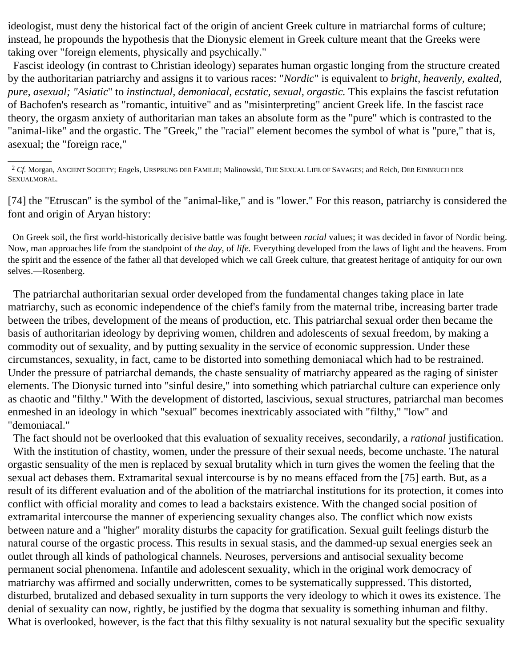ideologist, must deny the historical fact of the origin of ancient Greek culture in matriarchal forms of culture; instead, he propounds the hypothesis that the Dionysic element in Greek culture meant that the Greeks were taking over "foreign elements, physically and psychically."

 Fascist ideology (in contrast to Christian ideology) separates human orgastic longing from the structure created by the authoritarian patriarchy and assigns it to various races: "*Nordic*" is equivalent to *bright, heavenly, exalted, pure, asexual; "Asiatic*" to *instinctual, demoniacal, ecstatic, sexual, orgastic.* This explains the fascist refutation of Bachofen's research as "romantic, intuitive" and as "misinterpreting" ancient Greek life. In the fascist race theory, the orgasm anxiety of authoritarian man takes an absolute form as the "pure" which is contrasted to the "animal-like" and the orgastic. The "Greek," the "racial" element becomes the symbol of what is "pure," that is, asexual; the "foreign race,"

 2 *Cf.* Morgan, ANCIENT SOCIETY; Engels, URSPRUNG DER FAMILIE; Malinowski, THE SEXUAL LIFE OF SAVAGES; and Reich, DER EINBRUCH DER SEXUALMORAL.

 $\overline{\phantom{a}}$ 

[74] the "Etruscan" is the symbol of the "animal-like," and is "lower." For this reason, patriarchy is considered the font and origin of Aryan history:

 On Greek soil, the first world-historically decisive battle was fought between *racial* values; it was decided in favor of Nordic being. Now, man approaches life from the standpoint of *the day,* of *life.* Everything developed from the laws of light and the heavens. From the spirit and the essence of the father all that developed which we call Greek culture, that greatest heritage of antiquity for our own selves.—Rosenberg.

 The patriarchal authoritarian sexual order developed from the fundamental changes taking place in late matriarchy, such as economic independence of the chief's family from the maternal tribe, increasing barter trade between the tribes, development of the means of production, etc. This patriarchal sexual order then became the basis of authoritarian ideology by depriving women, children and adolescents of sexual freedom, by making a commodity out of sexuality, and by putting sexuality in the service of economic suppression. Under these circumstances, sexuality, in fact, came to be distorted into something demoniacal which had to be restrained. Under the pressure of patriarchal demands, the chaste sensuality of matriarchy appeared as the raging of sinister elements. The Dionysic turned into "sinful desire," into something which patriarchal culture can experience only as chaotic and "filthy." With the development of distorted, lascivious, sexual structures, patriarchal man becomes enmeshed in an ideology in which "sexual" becomes inextricably associated with "filthy," "low" and "demoniacal."

 The fact should not be overlooked that this evaluation of sexuality receives, secondarily, a *rational* justification. With the institution of chastity, women, under the pressure of their sexual needs, become unchaste. The natural orgastic sensuality of the men is replaced by sexual brutality which in turn gives the women the feeling that the sexual act debases them. Extramarital sexual intercourse is by no means effaced from the [75] earth. But, as a result of its different evaluation and of the abolition of the matriarchal institutions for its protection, it comes into conflict with official morality and comes to lead a backstairs existence. With the changed social position of extramarital intercourse the manner of experiencing sexuality changes also. The conflict which now exists between nature and a "higher" morality disturbs the capacity for gratification. Sexual guilt feelings disturb the natural course of the orgastic process. This results in sexual stasis, and the dammed-up sexual energies seek an outlet through all kinds of pathological channels. Neuroses, perversions and antisocial sexuality become permanent social phenomena. Infantile and adolescent sexuality, which in the original work democracy of matriarchy was affirmed and socially underwritten, comes to be systematically suppressed. This distorted, disturbed, brutalized and debased sexuality in turn supports the very ideology to which it owes its existence. The denial of sexuality can now, rightly, be justified by the dogma that sexuality is something inhuman and filthy. What is overlooked, however, is the fact that this filthy sexuality is not natural sexuality but the specific sexuality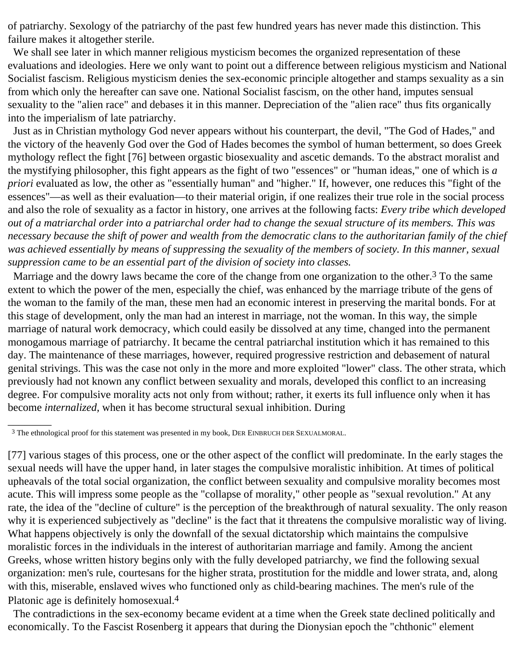of patriarchy. Sexology of the patriarchy of the past few hundred years has never made this distinction. This failure makes it altogether sterile.

We shall see later in which manner religious mysticism becomes the organized representation of these evaluations and ideologies. Here we only want to point out a difference between religious mysticism and National Socialist fascism. Religious mysticism denies the sex-economic principle altogether and stamps sexuality as a sin from which only the hereafter can save one. National Socialist fascism, on the other hand, imputes sensual sexuality to the "alien race" and debases it in this manner. Depreciation of the "alien race" thus fits organically into the imperialism of late patriarchy.

 Just as in Christian mythology God never appears without his counterpart, the devil, "The God of Hades," and the victory of the heavenly God over the God of Hades becomes the symbol of human betterment, so does Greek mythology reflect the fight [76] between orgastic biosexuality and ascetic demands. To the abstract moralist and the mystifying philosopher, this fight appears as the fight of two "essences" or "human ideas," one of which is *a priori* evaluated as low, the other as "essentially human" and "higher." If, however, one reduces this "fight of the essences"—as well as their evaluation—to their material origin, if one realizes their true role in the social process and also the role of sexuality as a factor in history, one arrives at the following facts: *Every tribe which developed out of a matriarchal order into a patriarchal order had to change the sexual structure of its members. This was necessary because the shift of power and wealth from the democratic clans to the authoritarian family of the chief was achieved essentially by means of suppressing the sexuality of the members of society. In this manner, sexual suppression came to be an essential part of the division of society into classes.*

Marriage and the dowry laws became the core of the change from one organization to the other.<sup>3</sup> To the same extent to which the power of the men, especially the chief, was enhanced by the marriage tribute of the gens of the woman to the family of the man, these men had an economic interest in preserving the marital bonds. For at this stage of development, only the man had an interest in marriage, not the woman. In this way, the simple marriage of natural work democracy, which could easily be dissolved at any time, changed into the permanent monogamous marriage of patriarchy. It became the central patriarchal institution which it has remained to this day. The maintenance of these marriages, however, required progressive restriction and debasement of natural genital strivings. This was the case not only in the more and more exploited "lower" class. The other strata, which previously had not known any conflict between sexuality and morals, developed this conflict to an increasing degree. For compulsive morality acts not only from without; rather, it exerts its full influence only when it has become *internalized,* when it has become structural sexual inhibition. During

\_\_\_\_\_\_\_\_

[77] various stages of this process, one or the other aspect of the conflict will predominate. In the early stages the sexual needs will have the upper hand, in later stages the compulsive moralistic inhibition. At times of political upheavals of the total social organization, the conflict between sexuality and compulsive morality becomes most acute. This will impress some people as the "collapse of morality," other people as "sexual revolution." At any rate, the idea of the "decline of culture" is the perception of the breakthrough of natural sexuality. The only reason why it is experienced subjectively as "decline" is the fact that it threatens the compulsive moralistic way of living. What happens objectively is only the downfall of the sexual dictatorship which maintains the compulsive moralistic forces in the individuals in the interest of authoritarian marriage and family. Among the ancient Greeks, whose written history begins only with the fully developed patriarchy, we find the following sexual organization: men's rule, courtesans for the higher strata, prostitution for the middle and lower strata, and, along with this, miserable, enslaved wives who functioned only as child-bearing machines. The men's rule of the Platonic age is definitely homosexual.4

 The contradictions in the sex-economy became evident at a time when the Greek state declined politically and economically. To the Fascist Rosenberg it appears that during the Dionysian epoch the "chthonic" element

3 The ethnological proof for this statement was presented in my book, DER EINBRUCH DER SEXUALMORAL.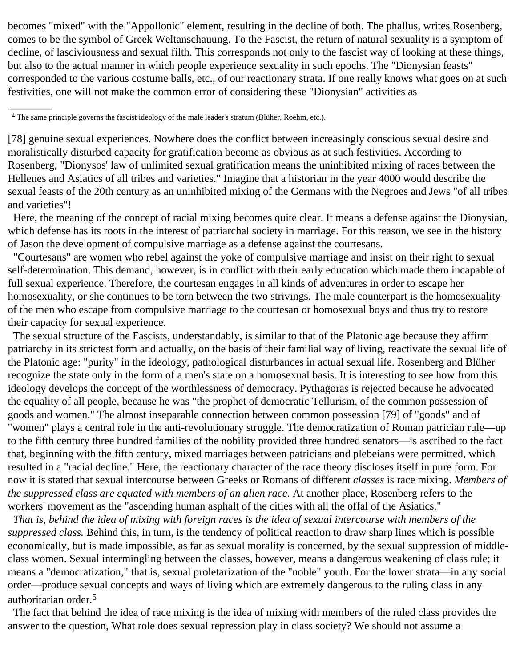becomes "mixed" with the "Appollonic" element, resulting in the decline of both. The phallus, writes Rosenberg, comes to be the symbol of Greek Weltanschauung. To the Fascist, the return of natural sexuality is a symptom of decline, of lasciviousness and sexual filth. This corresponds not only to the fascist way of looking at these things, but also to the actual manner in which people experience sexuality in such epochs. The "Dionysian feasts" corresponded to the various costume balls, etc., of our reactionary strata. If one really knows what goes on at such festivities, one will not make the common error of considering these "Dionysian" activities as

4 The same principle governs the fascist ideology of the male leader's stratum (Blüher, Roehm, etc.).

\_\_\_\_\_\_\_\_

[78] genuine sexual experiences. Nowhere does the conflict between increasingly conscious sexual desire and moralistically disturbed capacity for gratification become as obvious as at such festivities. According to Rosenberg, "Dionysos' law of unlimited sexual gratification means the uninhibited mixing of races between the Hellenes and Asiatics of all tribes and varieties." Imagine that a historian in the year 4000 would describe the sexual feasts of the 20th century as an uninhibited mixing of the Germans with the Negroes and Jews "of all tribes and varieties"!

 Here, the meaning of the concept of racial mixing becomes quite clear. It means a defense against the Dionysian, which defense has its roots in the interest of patriarchal society in marriage. For this reason, we see in the history of Jason the development of compulsive marriage as a defense against the courtesans.

 "Courtesans" are women who rebel against the yoke of compulsive marriage and insist on their right to sexual self-determination. This demand, however, is in conflict with their early education which made them incapable of full sexual experience. Therefore, the courtesan engages in all kinds of adventures in order to escape her homosexuality, or she continues to be torn between the two strivings. The male counterpart is the homosexuality of the men who escape from compulsive marriage to the courtesan or homosexual boys and thus try to restore their capacity for sexual experience.

 The sexual structure of the Fascists, understandably, is similar to that of the Platonic age because they affirm patriarchy in its strictest form and actually, on the basis of their familial way of living, reactivate the sexual life of the Platonic age: "purity" in the ideology, pathological disturbances in actual sexual life. Rosenberg and Blüher recognize the state only in the form of a men's state on a homosexual basis. It is interesting to see how from this ideology develops the concept of the worthlessness of democracy. Pythagoras is rejected because he advocated the equality of all people, because he was "the prophet of democratic Tellurism, of the common possession of goods and women." The almost inseparable connection between common possession [79] of "goods" and of "women" plays a central role in the anti-revolutionary struggle. The democratization of Roman patrician rule—up to the fifth century three hundred families of the nobility provided three hundred senators—is ascribed to the fact that, beginning with the fifth century, mixed marriages between patricians and plebeians were permitted, which resulted in a "racial decline." Here, the reactionary character of the race theory discloses itself in pure form. For now it is stated that sexual intercourse between Greeks or Romans of different *classes* is race mixing. *Members of the suppressed class are equated with members of an alien race.* At another place, Rosenberg refers to the workers' movement as the "ascending human asphalt of the cities with all the offal of the Asiatics."

 *That is, behind the idea of mixing with foreign races is the idea of sexual intercourse with members of the suppressed class.* Behind this, in turn, is the tendency of political reaction to draw sharp lines which is possible economically, but is made impossible, as far as sexual morality is concerned, by the sexual suppression of middleclass women. Sexual intermingling between the classes, however, means a dangerous weakening of class rule; it means a "democratization," that is, sexual proletarization of the "noble" youth. For the lower strata—in any social order—produce sexual concepts and ways of living which are extremely dangerous to the ruling class in any authoritarian order.5

 The fact that behind the idea of race mixing is the idea of mixing with members of the ruled class provides the answer to the question, What role does sexual repression play in class society? We should not assume a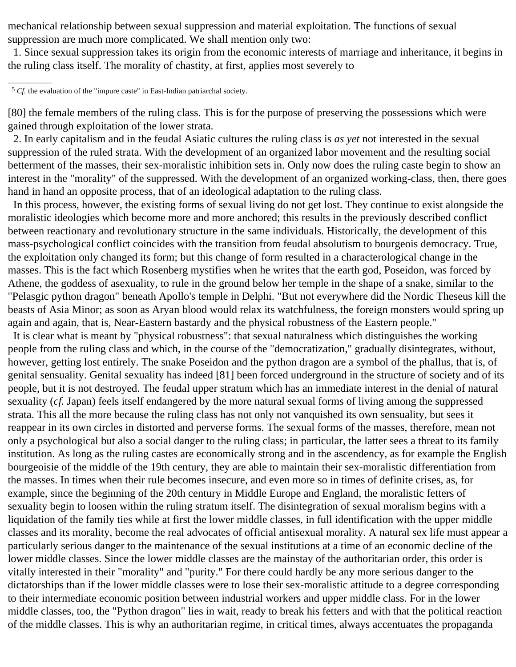mechanical relationship between sexual suppression and material exploitation. The functions of sexual suppression are much more complicated. We shall mention only two:

 1. Since sexual suppression takes its origin from the economic interests of marriage and inheritance, it begins in the ruling class itself. The morality of chastity, at first, applies most severely to

5 *Cf.* the evaluation of the "impure caste" in East-Indian patriarchal society.

\_\_\_\_\_\_\_\_

[80] the female members of the ruling class. This is for the purpose of preserving the possessions which were gained through exploitation of the lower strata.

 2. In early capitalism and in the feudal Asiatic cultures the ruling class is *as yet* not interested in the sexual suppression of the ruled strata. With the development of an organized labor movement and the resulting social betterment of the masses, their sex-moralistic inhibition sets in. Only now does the ruling caste begin to show an interest in the "morality" of the suppressed. With the development of an organized working-class, then, there goes hand in hand an opposite process, that of an ideological adaptation to the ruling class.

 In this process, however, the existing forms of sexual living do not get lost. They continue to exist alongside the moralistic ideologies which become more and more anchored; this results in the previously described conflict between reactionary and revolutionary structure in the same individuals. Historically, the development of this mass-psychological conflict coincides with the transition from feudal absolutism to bourgeois democracy. True, the exploitation only changed its form; but this change of form resulted in a characterological change in the masses. This is the fact which Rosenberg mystifies when he writes that the earth god, Poseidon, was forced by Athene, the goddess of asexuality, to rule in the ground below her temple in the shape of a snake, similar to the "Pelasgic python dragon" beneath Apollo's temple in Delphi. "But not everywhere did the Nordic Theseus kill the beasts of Asia Minor; as soon as Aryan blood would relax its watchfulness, the foreign monsters would spring up again and again, that is, Near-Eastern bastardy and the physical robustness of the Eastern people."

 It is clear what is meant by "physical robustness": that sexual naturalness which distinguishes the working people from the ruling class and which, in the course of the "democratization," gradually disintegrates, without, however, getting lost entirely. The snake Poseidon and the python dragon are a symbol of the phallus, that is, of genital sensuality. Genital sexuality has indeed [81] been forced underground in the structure of society and of its people, but it is not destroyed. The feudal upper stratum which has an immediate interest in the denial of natural sexuality (*cf.* Japan) feels itself endangered by the more natural sexual forms of living among the suppressed strata. This all the more because the ruling class has not only not vanquished its own sensuality, but sees it reappear in its own circles in distorted and perverse forms. The sexual forms of the masses, therefore, mean not only a psychological but also a social danger to the ruling class; in particular, the latter sees a threat to its family institution. As long as the ruling castes are economically strong and in the ascendency, as for example the English bourgeoisie of the middle of the 19th century, they are able to maintain their sex-moralistic differentiation from the masses. In times when their rule becomes insecure, and even more so in times of definite crises, as, for example, since the beginning of the 20th century in Middle Europe and England, the moralistic fetters of sexuality begin to loosen within the ruling stratum itself. The disintegration of sexual moralism begins with a liquidation of the family ties while at first the lower middle classes, in full identification with the upper middle classes and its morality, become the real advocates of official antisexual morality. A natural sex life must appear a particularly serious danger to the maintenance of the sexual institutions at a time of an economic decline of the lower middle classes. Since the lower middle classes are the mainstay of the authoritarian order, this order is vitally interested in their "morality" and "purity." For there could hardly be any more serious danger to the dictatorships than if the lower middle classes were to lose their sex-moralistic attitude to a degree corresponding to their intermediate economic position between industrial workers and upper middle class. For in the lower middle classes, too, the "Python dragon" lies in wait, ready to break his fetters and with that the political reaction of the middle classes. This is why an authoritarian regime, in critical times, always accentuates the propaganda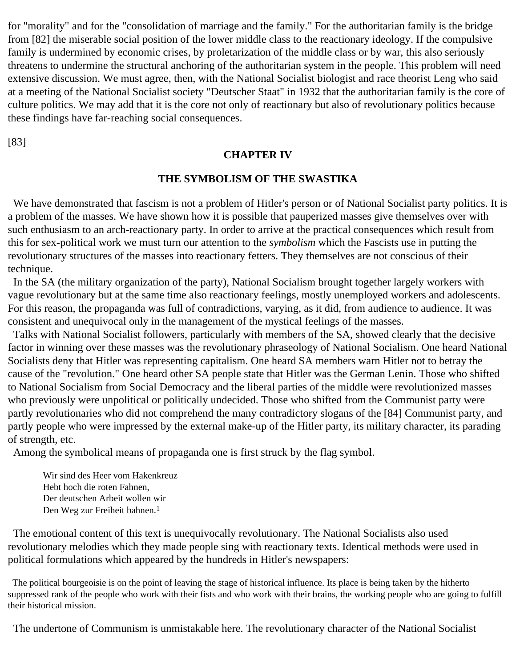for "morality" and for the "consolidation of marriage and the family." For the authoritarian family is the bridge from [82] the miserable social position of the lower middle class to the reactionary ideology. If the compulsive family is undermined by economic crises, by proletarization of the middle class or by war, this also seriously threatens to undermine the structural anchoring of the authoritarian system in the people. This problem will need extensive discussion. We must agree, then, with the National Socialist biologist and race theorist Leng who said at a meeting of the National Socialist society "Deutscher Staat" in 1932 that the authoritarian family is the core of culture politics. We may add that it is the core not only of reactionary but also of revolutionary politics because these findings have far-reaching social consequences.

[83]

# **CHAPTER IV**

## **THE SYMBOLISM OF THE SWASTIKA**

 We have demonstrated that fascism is not a problem of Hitler's person or of National Socialist party politics. It is a problem of the masses. We have shown how it is possible that pauperized masses give themselves over with such enthusiasm to an arch-reactionary party. In order to arrive at the practical consequences which result from this for sex-political work we must turn our attention to the *symbolism* which the Fascists use in putting the revolutionary structures of the masses into reactionary fetters. They themselves are not conscious of their technique.

 In the SA (the military organization of the party), National Socialism brought together largely workers with vague revolutionary but at the same time also reactionary feelings, mostly unemployed workers and adolescents. For this reason, the propaganda was full of contradictions, varying, as it did, from audience to audience. It was consistent and unequivocal only in the management of the mystical feelings of the masses.

 Talks with National Socialist followers, particularly with members of the SA, showed clearly that the decisive factor in winning over these masses was the revolutionary phraseology of National Socialism. One heard National Socialists deny that Hitler was representing capitalism. One heard SA members warn Hitler not to betray the cause of the "revolution." One heard other SA people state that Hitler was the German Lenin. Those who shifted to National Socialism from Social Democracy and the liberal parties of the middle were revolutionized masses who previously were unpolitical or politically undecided. Those who shifted from the Communist party were partly revolutionaries who did not comprehend the many contradictory slogans of the [84] Communist party, and partly people who were impressed by the external make-up of the Hitler party, its military character, its parading of strength, etc.

Among the symbolical means of propaganda one is first struck by the flag symbol.

 Wir sind des Heer vom Hakenkreuz Hebt hoch die roten Fahnen, Der deutschen Arbeit wollen wir Den Weg zur Freiheit bahnen.<sup>1</sup>

 The emotional content of this text is unequivocally revolutionary. The National Socialists also used revolutionary melodies which they made people sing with reactionary texts. Identical methods were used in political formulations which appeared by the hundreds in Hitler's newspapers:

 The political bourgeoisie is on the point of leaving the stage of historical influence. Its place is being taken by the hitherto suppressed rank of the people who work with their fists and who work with their brains, the working people who are going to fulfill their historical mission.

The undertone of Communism is unmistakable here. The revolutionary character of the National Socialist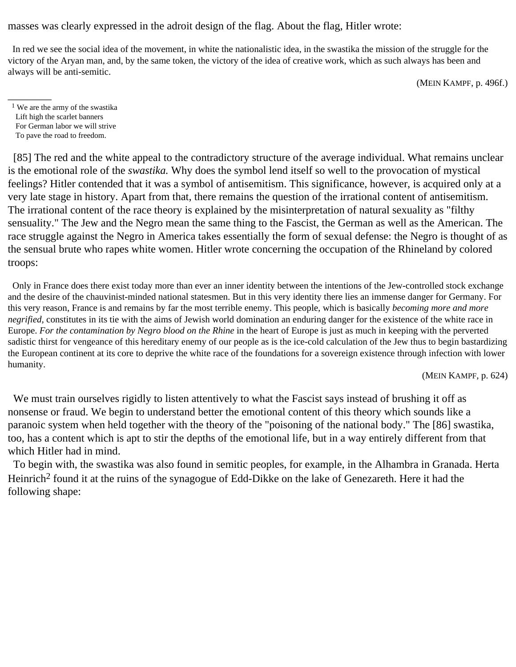masses was clearly expressed in the adroit design of the flag. About the flag, Hitler wrote:

 In red we see the social idea of the movement, in white the nationalistic idea, in the swastika the mission of the struggle for the victory of the Aryan man, and, by the same token, the victory of the idea of creative work, which as such always has been and always will be anti-semitic.

(MEIN KAMPF, p. 496f.)

 1 We are the army of the swastika Lift high the scarlet banners For German labor we will strive To pave the road to freedom.

\_\_\_\_\_\_\_\_

 [85] The red and the white appeal to the contradictory structure of the average individual. What remains unclear is the emotional role of the *swastika.* Why does the symbol lend itself so well to the provocation of mystical feelings? Hitler contended that it was a symbol of antisemitism. This significance, however, is acquired only at a very late stage in history. Apart from that, there remains the question of the irrational content of antisemitism. The irrational content of the race theory is explained by the misinterpretation of natural sexuality as "filthy sensuality." The Jew and the Negro mean the same thing to the Fascist, the German as well as the American. The race struggle against the Negro in America takes essentially the form of sexual defense: the Negro is thought of as the sensual brute who rapes white women. Hitler wrote concerning the occupation of the Rhineland by colored troops:

 Only in France does there exist today more than ever an inner identity between the intentions of the Jew-controlled stock exchange and the desire of the chauvinist-minded national statesmen. But in this very identity there lies an immense danger for Germany. For this very reason, France is and remains by far the most terrible enemy. This people, which is basically *becoming more and more negrified,* constitutes in its tie with the aims of Jewish world domination an enduring danger for the existence of the white race in Europe. For the contamination by Negro blood on the Rhine in the heart of Europe is just as much in keeping with the perverted sadistic thirst for vengeance of this hereditary enemy of our people as is the ice-cold calculation of the Jew thus to begin bastardizing the European continent at its core to deprive the white race of the foundations for a sovereign existence through infection with lower humanity.

(MEIN KAMPF, p. 624)

 We must train ourselves rigidly to listen attentively to what the Fascist says instead of brushing it off as nonsense or fraud. We begin to understand better the emotional content of this theory which sounds like a paranoic system when held together with the theory of the "poisoning of the national body." The [86] swastika, too, has a content which is apt to stir the depths of the emotional life, but in a way entirely different from that which Hitler had in mind.

 To begin with, the swastika was also found in semitic peoples, for example, in the Alhambra in Granada. Herta Heinrich2 found it at the ruins of the synagogue of Edd-Dikke on the lake of Genezareth. Here it had the following shape: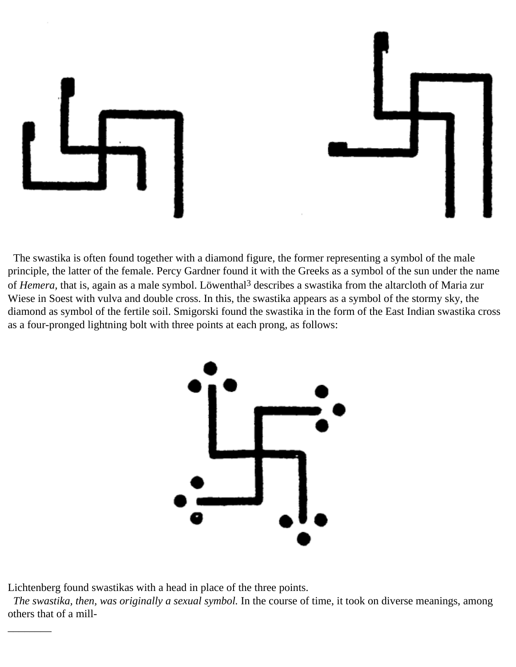

 The swastika is often found together with a diamond figure, the former representing a symbol of the male principle, the latter of the female. Percy Gardner found it with the Greeks as a symbol of the sun under the name of *Hemera,* that is, again as a male symbol. Löwenthal3 describes a swastika from the altarcloth of Maria zur Wiese in Soest with vulva and double cross. In this, the swastika appears as a symbol of the stormy sky, the diamond as symbol of the fertile soil. Smigorski found the swastika in the form of the East Indian swastika cross as a four-pronged lightning bolt with three points at each prong, as follows:



Lichtenberg found swastikas with a head in place of the three points.

\_\_\_\_\_\_\_\_

 *The swastika, then, was originally a sexual symbol.* In the course of time, it took on diverse meanings, among others that of a mill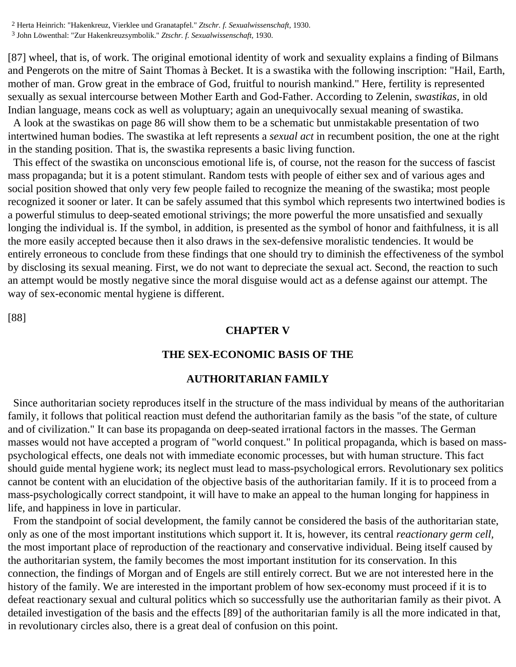2 Herta Heinrich: "Hakenkreuz, Vierklee und Granatapfel." *Ztschr. f. Sexualwissenschaft,* 1930.

3 John Löwenthal: "Zur Hakenkreuzsymbolik." *Ztschr. f. Sexualwissenschaft,* 1930.

[87] wheel, that is, of work. The original emotional identity of work and sexuality explains a finding of Bilmans and Pengerots on the mitre of Saint Thomas à Becket. It is a swastika with the following inscription: "Hail, Earth, mother of man. Grow great in the embrace of God, fruitful to nourish mankind." Here, fertility is represented sexually as sexual intercourse between Mother Earth and God-Father. According to Zelenin, *swastikas,* in old Indian language, means cock as well as voluptuary; again an unequivocally sexual meaning of swastika.

 A look at the swastikas on page 86 will show them to be a schematic but unmistakable presentation of two intertwined human bodies. The swastika at left represents a *sexual act* in recumbent position, the one at the right in the standing position. That is, the swastika represents a basic living function.

 This effect of the swastika on unconscious emotional life is, of course, not the reason for the success of fascist mass propaganda; but it is a potent stimulant. Random tests with people of either sex and of various ages and social position showed that only very few people failed to recognize the meaning of the swastika; most people recognized it sooner or later. It can be safely assumed that this symbol which represents two intertwined bodies is a powerful stimulus to deep-seated emotional strivings; the more powerful the more unsatisfied and sexually longing the individual is. If the symbol, in addition, is presented as the symbol of honor and faithfulness, it is all the more easily accepted because then it also draws in the sex-defensive moralistic tendencies. It would be entirely erroneous to conclude from these findings that one should try to diminish the effectiveness of the symbol by disclosing its sexual meaning. First, we do not want to depreciate the sexual act. Second, the reaction to such an attempt would be mostly negative since the moral disguise would act as a defense against our attempt. The way of sex-economic mental hygiene is different.

[88]

#### **CHAPTER V**

### **THE SEX-ECONOMIC BASIS OF THE**

### **AUTHORITARIAN FAMILY**

 Since authoritarian society reproduces itself in the structure of the mass individual by means of the authoritarian family, it follows that political reaction must defend the authoritarian family as the basis "of the state, of culture and of civilization." It can base its propaganda on deep-seated irrational factors in the masses. The German masses would not have accepted a program of "world conquest." In political propaganda, which is based on masspsychological effects, one deals not with immediate economic processes, but with human structure. This fact should guide mental hygiene work; its neglect must lead to mass-psychological errors. Revolutionary sex politics cannot be content with an elucidation of the objective basis of the authoritarian family. If it is to proceed from a mass-psychologically correct standpoint, it will have to make an appeal to the human longing for happiness in life, and happiness in love in particular.

 From the standpoint of social development, the family cannot be considered the basis of the authoritarian state, only as one of the most important institutions which support it. It is, however, its central *reactionary germ cell,*  the most important place of reproduction of the reactionary and conservative individual. Being itself caused by the authoritarian system, the family becomes the most important institution for its conservation. In this connection, the findings of Morgan and of Engels are still entirely correct. But we are not interested here in the history of the family. We are interested in the important problem of how sex-economy must proceed if it is to defeat reactionary sexual and cultural politics which so successfully use the authoritarian family as their pivot. A detailed investigation of the basis and the effects [89] of the authoritarian family is all the more indicated in that, in revolutionary circles also, there is a great deal of confusion on this point.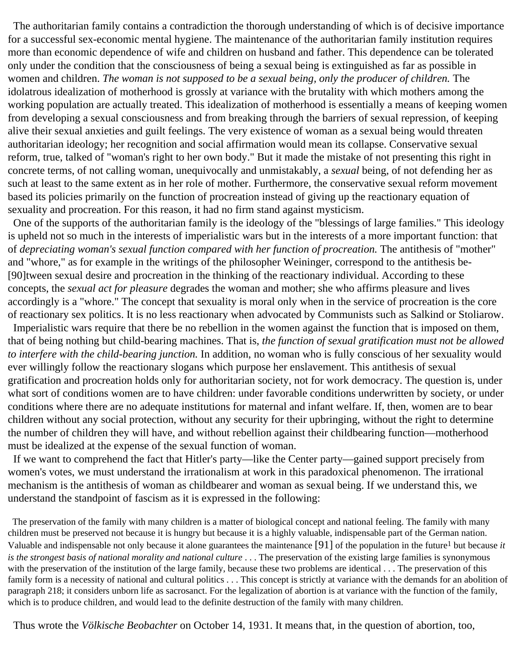The authoritarian family contains a contradiction the thorough understanding of which is of decisive importance for a successful sex-economic mental hygiene. The maintenance of the authoritarian family institution requires more than economic dependence of wife and children on husband and father. This dependence can be tolerated only under the condition that the consciousness of being a sexual being is extinguished as far as possible in women and children. *The woman is not supposed to be a sexual being, only the producer of children*. The idolatrous idealization of motherhood is grossly at variance with the brutality with which mothers among the working population are actually treated. This idealization of motherhood is essentially a means of keeping women from developing a sexual consciousness and from breaking through the barriers of sexual repression, of keeping alive their sexual anxieties and guilt feelings. The very existence of woman as a sexual being would threaten authoritarian ideology; her recognition and social affirmation would mean its collapse. Conservative sexual reform, true, talked of "woman's right to her own body." But it made the mistake of not presenting this right in concrete terms, of not calling woman, unequivocally and unmistakably, a *sexual* being, of not defending her as such at least to the same extent as in her role of mother. Furthermore, the conservative sexual reform movement based its policies primarily on the function of procreation instead of giving up the reactionary equation of sexuality and procreation. For this reason, it had no firm stand against mysticism.

 One of the supports of the authoritarian family is the ideology of the "blessings of large families." This ideology is upheld not so much in the interests of imperialistic wars but in the interests of a more important function: that of *depreciating woman's sexual function compared with her function of procreation.* The antithesis of "mother" and "whore," as for example in the writings of the philosopher Weininger, correspond to the antithesis be- [90]tween sexual desire and procreation in the thinking of the reactionary individual. According to these concepts, the *sexual act for pleasure* degrades the woman and mother; she who affirms pleasure and lives accordingly is a "whore." The concept that sexuality is moral only when in the service of procreation is the core of reactionary sex politics. It is no less reactionary when advocated by Communists such as Salkind or Stoliarow.

 Imperialistic wars require that there be no rebellion in the women against the function that is imposed on them, that of being nothing but child-bearing machines. That is, *the function of sexual gratification must not be allowed to interfere with the child-bearing junction.* In addition, no woman who is fully conscious of her sexuality would ever willingly follow the reactionary slogans which purpose her enslavement. This antithesis of sexual gratification and procreation holds only for authoritarian society, not for work democracy. The question is, under what sort of conditions women are to have children: under favorable conditions underwritten by society, or under conditions where there are no adequate institutions for maternal and infant welfare. If, then, women are to bear children without any social protection, without any security for their upbringing, without the right to determine the number of children they will have, and without rebellion against their childbearing function—motherhood must be idealized at the expense of the sexual function of woman.

 If we want to comprehend the fact that Hitler's party—like the Center party—gained support precisely from women's votes, we must understand the irrationalism at work in this paradoxical phenomenon. The irrational mechanism is the antithesis of woman as childbearer and woman as sexual being. If we understand this, we understand the standpoint of fascism as it is expressed in the following:

 The preservation of the family with many children is a matter of biological concept and national feeling. The family with many children must be preserved not because it is hungry but because it is a highly valuable, indispensable part of the German nation. Valuable and indispensable not only because it alone guarantees the maintenance  $[91]$  of the population in the future<sup>1</sup> but because *it is the strongest basis of national morality and national culture* . . . The preservation of the existing large families is synonymous with the preservation of the institution of the large family, because these two problems are identical . . . The preservation of this family form is a necessity of national and cultural politics ... This concept is strictly at variance with the demands for an abolition of paragraph 218; it considers unborn life as sacrosanct. For the legalization of abortion is at variance with the function of the family, which is to produce children, and would lead to the definite destruction of the family with many children.

Thus wrote the *Völkische Beobachter* on October 14, 1931. It means that, in the question of abortion, too,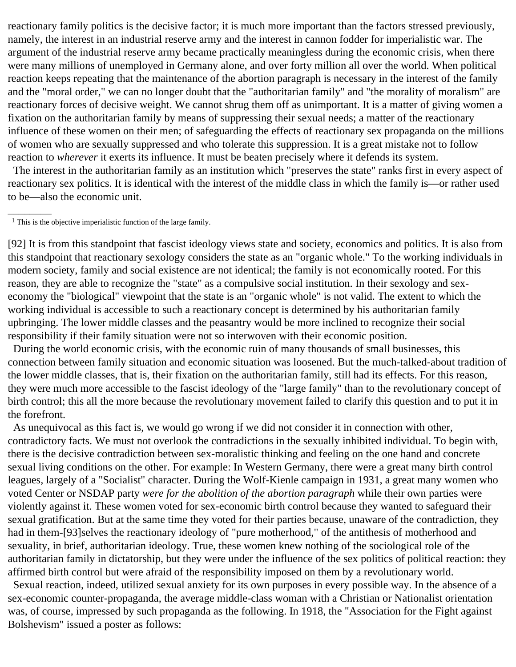reactionary family politics is the decisive factor; it is much more important than the factors stressed previously, namely, the interest in an industrial reserve army and the interest in cannon fodder for imperialistic war. The argument of the industrial reserve army became practically meaningless during the economic crisis, when there were many millions of unemployed in Germany alone, and over forty million all over the world. When political reaction keeps repeating that the maintenance of the abortion paragraph is necessary in the interest of the family and the "moral order," we can no longer doubt that the "authoritarian family" and "the morality of moralism" are reactionary forces of decisive weight. We cannot shrug them off as unimportant. It is a matter of giving women a fixation on the authoritarian family by means of suppressing their sexual needs; a matter of the reactionary influence of these women on their men; of safeguarding the effects of reactionary sex propaganda on the millions of women who are sexually suppressed and who tolerate this suppression. It is a great mistake not to follow reaction to *wherever* it exerts its influence. It must be beaten precisely where it defends its system.

 The interest in the authoritarian family as an institution which "preserves the state" ranks first in every aspect of reactionary sex politics. It is identical with the interest of the middle class in which the family is—or rather used to be—also the economic unit.

1 This is the objective imperialistic function of the large family.

\_\_\_\_\_\_\_\_

[92] It is from this standpoint that fascist ideology views state and society, economics and politics. It is also from this standpoint that reactionary sexology considers the state as an "organic whole." To the working individuals in modern society, family and social existence are not identical; the family is not economically rooted. For this reason, they are able to recognize the "state" as a compulsive social institution. In their sexology and sexeconomy the "biological" viewpoint that the state is an "organic whole" is not valid. The extent to which the working individual is accessible to such a reactionary concept is determined by his authoritarian family upbringing. The lower middle classes and the peasantry would be more inclined to recognize their social responsibility if their family situation were not so interwoven with their economic position.

 During the world economic crisis, with the economic ruin of many thousands of small businesses, this connection between family situation and economic situation was loosened. But the much-talked-about tradition of the lower middle classes, that is, their fixation on the authoritarian family, still had its effects. For this reason, they were much more accessible to the fascist ideology of the "large family" than to the revolutionary concept of birth control; this all the more because the revolutionary movement failed to clarify this question and to put it in the forefront.

 As unequivocal as this fact is, we would go wrong if we did not consider it in connection with other, contradictory facts. We must not overlook the contradictions in the sexually inhibited individual. To begin with, there is the decisive contradiction between sex-moralistic thinking and feeling on the one hand and concrete sexual living conditions on the other. For example: In Western Germany, there were a great many birth control leagues, largely of a "Socialist" character. During the Wolf-Kienle campaign in 1931, a great many women who voted Center or NSDAP party *were for the abolition of the abortion paragraph* while their own parties were violently against it. These women voted for sex-economic birth control because they wanted to safeguard their sexual gratification. But at the same time they voted for their parties because, unaware of the contradiction, they had in them-[93]selves the reactionary ideology of "pure motherhood," of the antithesis of motherhood and sexuality, in brief, authoritarian ideology. True, these women knew nothing of the sociological role of the authoritarian family in dictatorship, but they were under the influence of the sex politics of political reaction: they affirmed birth control but were afraid of the responsibility imposed on them by a revolutionary world.

 Sexual reaction, indeed, utilized sexual anxiety for its own purposes in every possible way. In the absence of a sex-economic counter-propaganda, the average middle-class woman with a Christian or Nationalist orientation was, of course, impressed by such propaganda as the following. In 1918, the "Association for the Fight against Bolshevism" issued a poster as follows: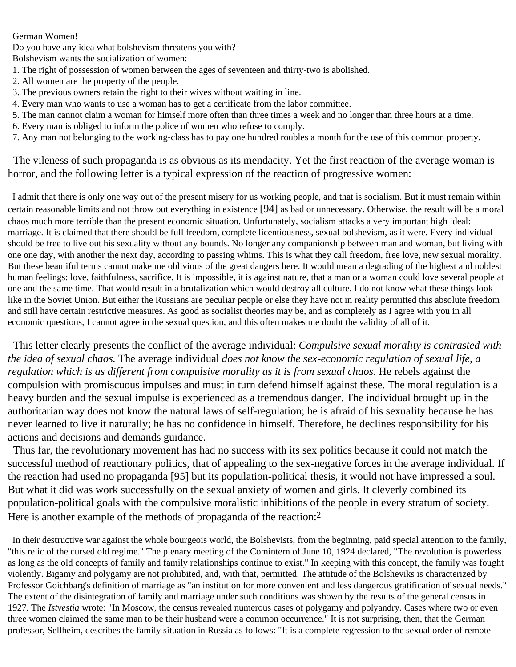German Women!

Do you have any idea what bolshevism threatens you with?

Bolshevism wants the socialization of women:

- 1. The right of possession of women between the ages of seventeen and thirty-two is abolished.
- 2. All women are the property of the people.
- 3. The previous owners retain the right to their wives without waiting in line.
- 4. Every man who wants to use a woman has to get a certificate from the labor committee.
- 5. The man cannot claim a woman for himself more often than three times a week and no longer than three hours at a time.
- 6. Every man is obliged to inform the police of women who refuse to comply.

7. Any man not belonging to the working-class has to pay one hundred roubles a month for the use of this common property.

 The vileness of such propaganda is as obvious as its mendacity. Yet the first reaction of the average woman is horror, and the following letter is a typical expression of the reaction of progressive women:

 I admit that there is only one way out of the present misery for us working people, and that is socialism. But it must remain within certain reasonable limits and not throw out everything in existence [94] as bad or unnecessary. Otherwise, the result will be a moral chaos much more terrible than the present economic situation. Unfortunately, socialism attacks a very important high ideal: marriage. It is claimed that there should be full freedom, complete licentiousness, sexual bolshevism, as it were. Every individual should be free to live out his sexuality without any bounds. No longer any companionship between man and woman, but living with one one day, with another the next day, according to passing whims. This is what they call freedom, free love, new sexual morality. But these beautiful terms cannot make me oblivious of the great dangers here. It would mean a degrading of the highest and noblest human feelings: love, faithfulness, sacrifice. It is impossible, it is against nature, that a man or a woman could love several people at one and the same time. That would result in a brutalization which would destroy all culture. I do not know what these things look like in the Soviet Union. But either the Russians are peculiar people or else they have not in reality permitted this absolute freedom and still have certain restrictive measures. As good as socialist theories may be, and as completely as I agree with you in all economic questions, I cannot agree in the sexual question, and this often makes me doubt the validity of all of it.

 This letter clearly presents the conflict of the average individual: *Compulsive sexual morality is contrasted with the idea of sexual chaos.* The average individual *does not know the sex-economic regulation of sexual life, a*  regulation which is as different from compulsive morality as it is from sexual chaos. He rebels against the compulsion with promiscuous impulses and must in turn defend himself against these. The moral regulation is a heavy burden and the sexual impulse is experienced as a tremendous danger. The individual brought up in the authoritarian way does not know the natural laws of self-regulation; he is afraid of his sexuality because he has never learned to live it naturally; he has no confidence in himself. Therefore, he declines responsibility for his actions and decisions and demands guidance.

 Thus far, the revolutionary movement has had no success with its sex politics because it could not match the successful method of reactionary politics, that of appealing to the sex-negative forces in the average individual. If the reaction had used no propaganda [95] but its population-political thesis, it would not have impressed a soul. But what it did was work successfully on the sexual anxiety of women and girls. It cleverly combined its population-political goals with the compulsive moralistic inhibitions of the people in every stratum of society. Here is another example of the methods of propaganda of the reaction:<sup>2</sup>

 In their destructive war against the whole bourgeois world, the Bolshevists, from the beginning, paid special attention to the family, "this relic of the cursed old regime." The plenary meeting of the Comintern of June 10, 1924 declared, "The revolution is powerless as long as the old concepts of family and family relationships continue to exist." In keeping with this concept, the family was fought violently. Bigamy and polygamy are not prohibited, and, with that, permitted. The attitude of the Bolsheviks is characterized by Professor Goichbarg's definition of marriage as "an institution for more convenient and less dangerous gratification of sexual needs." The extent of the disintegration of family and marriage under such conditions was shown by the results of the general census in 1927. The *Istvestia* wrote: "In Moscow, the census revealed numerous cases of polygamy and polyandry. Cases where two or even three women claimed the same man to be their husband were a common occurrence." It is not surprising, then, that the German professor, Sellheim, describes the family situation in Russia as follows: "It is a complete regression to the sexual order of remote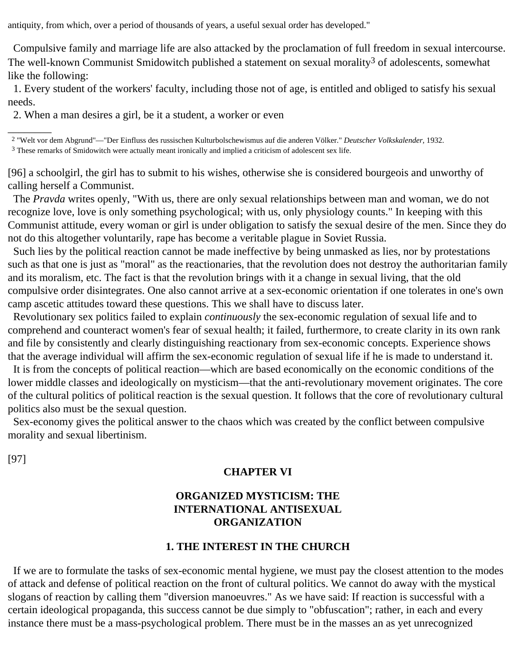antiquity, from which, over a period of thousands of years, a useful sexual order has developed."

 Compulsive family and marriage life are also attacked by the proclamation of full freedom in sexual intercourse. The well-known Communist Smidowitch published a statement on sexual morality<sup>3</sup> of adolescents, somewhat like the following:

 1. Every student of the workers' faculty, including those not of age, is entitled and obliged to satisfy his sexual needs.

2. When a man desires a girl, be it a student, a worker or even

 2 "Welt vor dem Abgrund"—"Der Einfluss des russischen Kulturbolschewismus auf die anderen Völker." *Deutscher Volkskalender,* 1932. 3 These remarks of Smidowitch were actually meant ironically and implied a criticism of adolescent sex life.

[96] a schoolgirl, the girl has to submit to his wishes, otherwise she is considered bourgeois and unworthy of calling herself a Communist.

 The *Pravda* writes openly, "With us, there are only sexual relationships between man and woman, we do not recognize love, love is only something psychological; with us, only physiology counts." In keeping with this Communist attitude, every woman or girl is under obligation to satisfy the sexual desire of the men. Since they do not do this altogether voluntarily, rape has become a veritable plague in Soviet Russia.

 Such lies by the political reaction cannot be made ineffective by being unmasked as lies, nor by protestations such as that one is just as "moral" as the reactionaries, that the revolution does not destroy the authoritarian family and its moralism, etc. The fact is that the revolution brings with it a change in sexual living, that the old compulsive order disintegrates. One also cannot arrive at a sex-economic orientation if one tolerates in one's own camp ascetic attitudes toward these questions. This we shall have to discuss later.

 Revolutionary sex politics failed to explain *continuously* the sex-economic regulation of sexual life and to comprehend and counteract women's fear of sexual health; it failed, furthermore, to create clarity in its own rank and file by consistently and clearly distinguishing reactionary from sex-economic concepts. Experience shows that the average individual will affirm the sex-economic regulation of sexual life if he is made to understand it.

 It is from the concepts of political reaction—which are based economically on the economic conditions of the lower middle classes and ideologically on mysticism—that the anti-revolutionary movement originates. The core of the cultural politics of political reaction is the sexual question. It follows that the core of revolutionary cultural politics also must be the sexual question.

 Sex-economy gives the political answer to the chaos which was created by the conflict between compulsive morality and sexual libertinism.

[97]

\_\_\_\_\_\_\_\_

# **CHAPTER VI**

# **ORGANIZED MYSTICISM: THE INTERNATIONAL ANTISEXUAL ORGANIZATION**

### **1. THE INTEREST IN THE CHURCH**

 If we are to formulate the tasks of sex-economic mental hygiene, we must pay the closest attention to the modes of attack and defense of political reaction on the front of cultural politics. We cannot do away with the mystical slogans of reaction by calling them "diversion manoeuvres." As we have said: If reaction is successful with a certain ideological propaganda, this success cannot be due simply to "obfuscation"; rather, in each and every instance there must be a mass-psychological problem. There must be in the masses an as yet unrecognized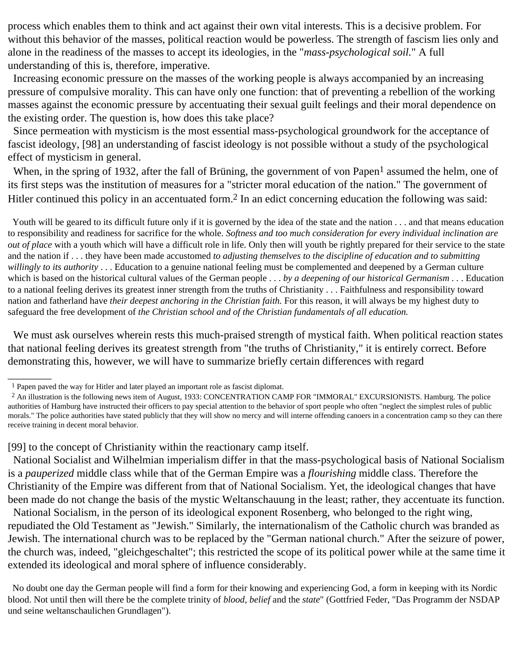process which enables them to think and act against their own vital interests. This is a decisive problem. For without this behavior of the masses, political reaction would be powerless. The strength of fascism lies only and alone in the readiness of the masses to accept its ideologies, in the "*mass-psychological soil.*" A full understanding of this is, therefore, imperative.

 Increasing economic pressure on the masses of the working people is always accompanied by an increasing pressure of compulsive morality. This can have only one function: that of preventing a rebellion of the working masses against the economic pressure by accentuating their sexual guilt feelings and their moral dependence on the existing order. The question is, how does this take place?

 Since permeation with mysticism is the most essential mass-psychological groundwork for the acceptance of fascist ideology, [98] an understanding of fascist ideology is not possible without a study of the psychological effect of mysticism in general.

When, in the spring of 1932, after the fall of Brüning, the government of von Papen<sup>1</sup> assumed the helm, one of its first steps was the institution of measures for a "stricter moral education of the nation." The government of Hitler continued this policy in an accentuated form.<sup>2</sup> In an edict concerning education the following was said:

Youth will be geared to its difficult future only if it is governed by the idea of the state and the nation . . . and that means education to responsibility and readiness for sacrifice for the whole. *Softness and too much consideration for every individual inclination are out of place* with a youth which will have a difficult role in life. Only then will youth be rightly prepared for their service to the state and the nation if . . . they have been made accustomed *to adjusting themselves to the discipline of education and to submitting willingly to its authority* . . . Education to a genuine national feeling must be complemented and deepened by a German culture which is based on the historical cultural values of the German people . . . *by a deepening of our historical Germanism* . . . Education to a national feeling derives its greatest inner strength from the truths of Christianity . . . Faithfulness and responsibility toward nation and fatherland have *their deepest anchoring in the Christian faith.* For this reason, it will always be my highest duty to safeguard the free development of *the Christian school and of the Christian fundamentals of all education.*

We must ask ourselves wherein rests this much-praised strength of mystical faith. When political reaction states that national feeling derives its greatest strength from "the truths of Christianity," it is entirely correct. Before demonstrating this, however, we will have to summarize briefly certain differences with regard

\_\_\_\_\_\_\_\_

[99] to the concept of Christianity within the reactionary camp itself.

 National Socialist and Wilhelmian imperialism differ in that the mass-psychological basis of National Socialism is a *pauperized* middle class while that of the German Empire was a *flourishing* middle class. Therefore the Christianity of the Empire was different from that of National Socialism. Yet, the ideological changes that have been made do not change the basis of the mystic Weltanschauung in the least; rather, they accentuate its function.

 National Socialism, in the person of its ideological exponent Rosenberg, who belonged to the right wing, repudiated the Old Testament as "Jewish." Similarly, the internationalism of the Catholic church was branded as Jewish. The international church was to be replaced by the "German national church." After the seizure of power, the church was, indeed, "gleichgeschaltet"; this restricted the scope of its political power while at the same time it extended its ideological and moral sphere of influence considerably.

 No doubt one day the German people will find a form for their knowing and experiencing God, a form in keeping with its Nordic blood. Not until then will there be the complete trinity of *blood, belief* and the *state*" (Gottfried Feder, "Das Programm der NSDAP und seine weltanschaulichen Grundlagen").

1 Papen paved the way for Hitler and later played an important role as fascist diplomat.

<sup>&</sup>lt;sup>2</sup> An illustration is the following news item of August, 1933: CONCENTRATION CAMP FOR "IMMORAL" EXCURSIONISTS. Hamburg. The police authorities of Hamburg have instructed their officers to pay special attention to the behavior of sport people who often "neglect the simplest rules of public morals." The police authorities have stated publicly that they will show no mercy and will interne offending canoers in a concentration camp so they can there receive training in decent moral behavior.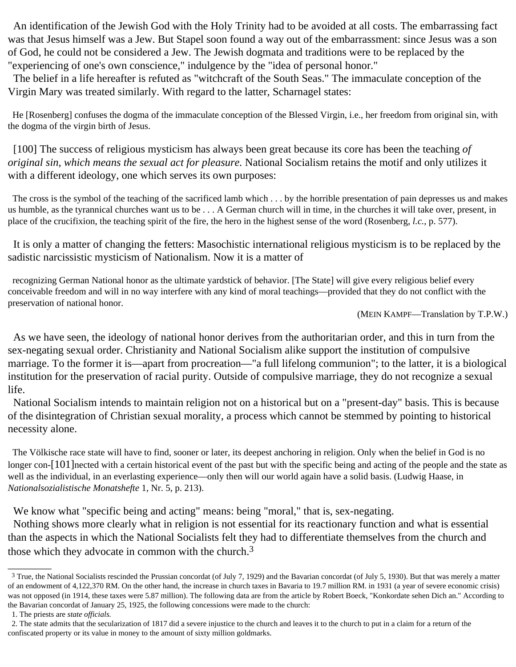An identification of the Jewish God with the Holy Trinity had to be avoided at all costs. The embarrassing fact was that Jesus himself was a Jew. But Stapel soon found a way out of the embarrassment: since Jesus was a son of God, he could not be considered a Jew. The Jewish dogmata and traditions were to be replaced by the "experiencing of one's own conscience," indulgence by the "idea of personal honor."

 The belief in a life hereafter is refuted as "witchcraft of the South Seas." The immaculate conception of the Virgin Mary was treated similarly. With regard to the latter, Scharnagel states:

 He [Rosenberg] confuses the dogma of the immaculate conception of the Blessed Virgin, i.e., her freedom from original sin, with the dogma of the virgin birth of Jesus.

 [100] The success of religious mysticism has always been great because its core has been the teaching *of original sin, which means the sexual act for pleasure.* National Socialism retains the motif and only utilizes it with a different ideology, one which serves its own purposes:

 The cross is the symbol of the teaching of the sacrificed lamb which . . . by the horrible presentation of pain depresses us and makes us humble, as the tyrannical churches want us to be . . . A German church will in time, in the churches it will take over, present, in place of the crucifixion, the teaching spirit of the fire, the hero in the highest sense of the word (Rosenberg, *l.c.*, p. 577).

 It is only a matter of changing the fetters: Masochistic international religious mysticism is to be replaced by the sadistic narcissistic mysticism of Nationalism. Now it is a matter of

 recognizing German National honor as the ultimate yardstick of behavior. [The State] will give every religious belief every conceivable freedom and will in no way interfere with any kind of moral teachings—provided that they do not conflict with the preservation of national honor.

(MEIN KAMPF—Translation by T.P.W.)

 As we have seen, the ideology of national honor derives from the authoritarian order, and this in turn from the sex-negating sexual order. Christianity and National Socialism alike support the institution of compulsive marriage. To the former it is—apart from procreation—"a full lifelong communion"; to the latter, it is a biological institution for the preservation of racial purity. Outside of compulsive marriage, they do not recognize a sexual life.

 National Socialism intends to maintain religion not on a historical but on a "present-day" basis. This is because of the disintegration of Christian sexual morality, a process which cannot be stemmed by pointing to historical necessity alone.

 The Völkische race state will have to find, sooner or later, its deepest anchoring in religion. Only when the belief in God is no longer con-[101] nected with a certain historical event of the past but with the specific being and acting of the people and the state as well as the individual, in an everlasting experience—only then will our world again have a solid basis. (Ludwig Haase, in *Nationalsozialistische Monatshefte* 1, Nr. 5, p. 213).

We know what "specific being and acting" means: being "moral," that is, sex-negating.

 Nothing shows more clearly what in religion is not essential for its reactionary function and what is essential than the aspects in which the National Socialists felt they had to differentiate themselves from the church and those which they advocate in common with the church.<sup>3</sup>

\_\_\_\_\_\_\_\_

 $3$  True, the National Socialists rescinded the Prussian concordat (of July 7, 1929) and the Bavarian concordat (of July 5, 1930). But that was merely a matter of an endowment of 4,122,370 RM. On the other hand, the increase in church taxes in Bavaria to 19.7 million RM. in 1931 (a year of severe economic crisis) was not opposed (in 1914, these taxes were 5.87 million). The following data are from the article by Robert Boeck, "Konkordate sehen Dich an." According to the Bavarian concordat of January 25, 1925, the following concessions were made to the church:

 <sup>1.</sup> The priests are *state officials.*

 <sup>2.</sup> The state admits that the secularization of 1817 did a severe injustice to the church and leaves it to the church to put in a claim for a return of the confiscated property or its value in money to the amount of sixty million goldmarks.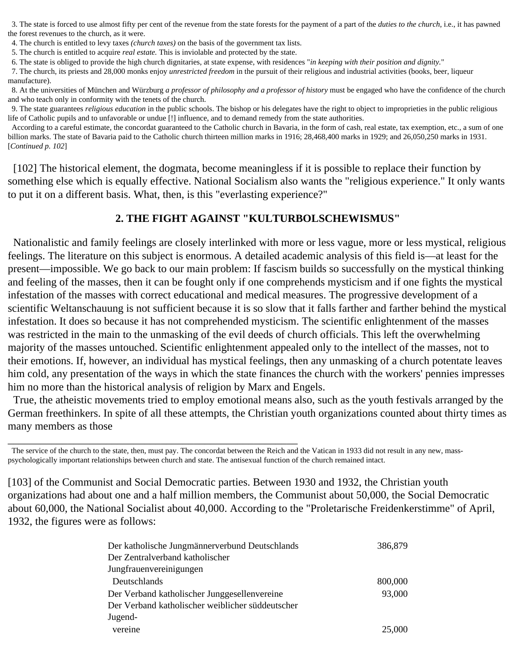3. The state is forced to use almost fifty per cent of the revenue from the state forests for the payment of a part of the *duties to the church,* i.e., it has pawned the forest revenues to the church, as it were.

4. The church is entitled to levy taxes *(church taxes)* on the basis of the government tax lists.

5. The church is entitled to acquire *real estate.* This is inviolable and protected by the state.

\_\_\_\_\_\_\_\_\_\_\_\_\_\_\_\_\_\_\_\_\_\_\_\_\_\_\_\_\_\_\_\_\_\_\_\_\_\_\_\_\_\_\_\_\_\_\_\_\_\_\_\_\_

6. The state is obliged to provide the high church dignitaries, at state expense, with residences "*in keeping with their position and dignity.*"

 7. The church, its priests and 28,000 monks enjoy *unrestricted freedom* in the pursuit of their religious and industrial activities (books, beer, liqueur manufacture).

8. At the universities of München and Würzburg *a professor of philosophy and a professor of history* must be engaged who have the confidence of the church and who teach only in conformity with the tenets of the church.

 9. The state guarantees *religious education* in the public schools. The bishop or his delegates have the right to object to improprieties in the public religious life of Catholic pupils and to unfavorable or undue [!] influence, and to demand remedy from the state authorities.

 According to a careful estimate, the concordat guaranteed to the Catholic church in Bavaria, in the form of cash, real estate, tax exemption, etc., a sum of one billion marks. The state of Bavaria paid to the Catholic church thirteen million marks in 1916; 28,468,400 marks in 1929; and 26,050,250 marks in 1931. [*Continued p. 102*]

[102] The historical element, the dogmata, become meaningless if it is possible to replace their function by something else which is equally effective. National Socialism also wants the "religious experience." It only wants to put it on a different basis. What, then, is this "everlasting experience?"

## **2. THE FIGHT AGAINST "KULTURBOLSCHEWISMUS"**

 Nationalistic and family feelings are closely interlinked with more or less vague, more or less mystical, religious feelings. The literature on this subject is enormous. A detailed academic analysis of this field is—at least for the present—impossible. We go back to our main problem: If fascism builds so successfully on the mystical thinking and feeling of the masses, then it can be fought only if one comprehends mysticism and if one fights the mystical infestation of the masses with correct educational and medical measures. The progressive development of a scientific Weltanschauung is not sufficient because it is so slow that it falls farther and farther behind the mystical infestation. It does so because it has not comprehended mysticism. The scientific enlightenment of the masses was restricted in the main to the unmasking of the evil deeds of church officials. This left the overwhelming majority of the masses untouched. Scientific enlightenment appealed only to the intellect of the masses, not to their emotions. If, however, an individual has mystical feelings, then any unmasking of a church potentate leaves him cold, any presentation of the ways in which the state finances the church with the workers' pennies impresses him no more than the historical analysis of religion by Marx and Engels.

 True, the atheistic movements tried to employ emotional means also, such as the youth festivals arranged by the German freethinkers. In spite of all these attempts, the Christian youth organizations counted about thirty times as many members as those

[103] of the Communist and Social Democratic parties. Between 1930 and 1932, the Christian youth organizations had about one and a half million members, the Communist about 50,000, the Social Democratic about 60,000, the National Socialist about 40,000. According to the "Proletarische Freidenkerstimme" of April, 1932, the figures were as follows:

| Der katholische Jungmännerverbund Deutschlands   | 386,879 |
|--------------------------------------------------|---------|
| Der Zentralverband katholischer                  |         |
| Jungfrauenvereinigungen                          |         |
| Deutschlands                                     | 800,000 |
| Der Verband katholischer Junggesellenvereine     | 93,000  |
| Der Verband katholischer weiblicher süddeutscher |         |
| Jugend-                                          |         |
| vereine                                          | 25,000  |

The service of the church to the state, then, must pay. The concordat between the Reich and the Vatican in 1933 did not result in any new, masspsychologically important relationships between church and state. The antisexual function of the church remained intact.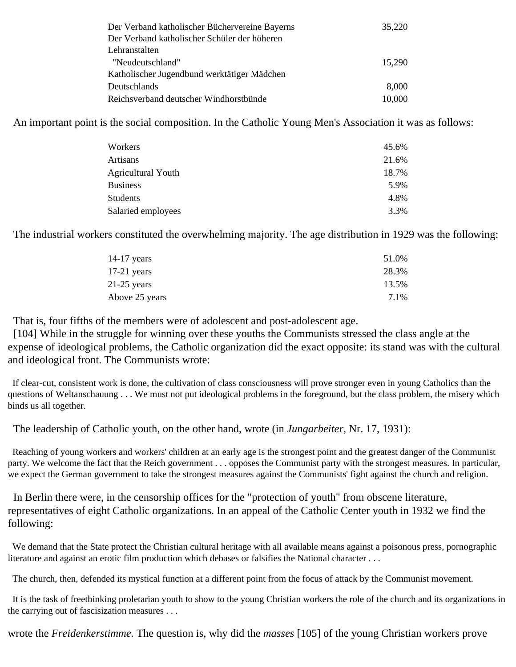| 35,220 |
|--------|
|        |
|        |
| 15,290 |
|        |
| 8,000  |
| 10,000 |
|        |

An important point is the social composition. In the Catholic Young Men's Association it was as follows:

| Workers                   | 45.6% |
|---------------------------|-------|
| Artisans                  | 21.6% |
| <b>Agricultural Youth</b> | 18.7% |
| <b>Business</b>           | 5.9%  |
| <b>Students</b>           | 4.8%  |
| Salaried employees        | 3.3%  |

The industrial workers constituted the overwhelming majority. The age distribution in 1929 was the following:

| $14-17$ years  | 51.0% |
|----------------|-------|
| $17-21$ years  | 28.3% |
| $21-25$ years  | 13.5% |
| Above 25 years | 7.1%  |

That is, four fifths of the members were of adolescent and post-adolescent age.

[104] While in the struggle for winning over these youths the Communists stressed the class angle at the expense of ideological problems, the Catholic organization did the exact opposite: its stand was with the cultural and ideological front. The Communists wrote:

 If clear-cut, consistent work is done, the cultivation of class consciousness will prove stronger even in young Catholics than the questions of Weltanschauung . . . We must not put ideological problems in the foreground, but the class problem, the misery which binds us all together.

The leadership of Catholic youth, on the other hand, wrote (in *Jungarbeiter,* Nr. 17, 1931):

 Reaching of young workers and workers' children at an early age is the strongest point and the greatest danger of the Communist party. We welcome the fact that the Reich government . . . opposes the Communist party with the strongest measures. In particular, we expect the German government to take the strongest measures against the Communists' fight against the church and religion.

 In Berlin there were, in the censorship offices for the "protection of youth" from obscene literature, representatives of eight Catholic organizations. In an appeal of the Catholic Center youth in 1932 we find the following:

 We demand that the State protect the Christian cultural heritage with all available means against a poisonous press, pornographic literature and against an erotic film production which debases or falsifies the National character . . .

The church, then, defended its mystical function at a different point from the focus of attack by the Communist movement.

 It is the task of freethinking proletarian youth to show to the young Christian workers the role of the church and its organizations in the carrying out of fascisization measures . . .

wrote the *Freidenkerstimme.* The question is, why did the *masses* [105] of the young Christian workers prove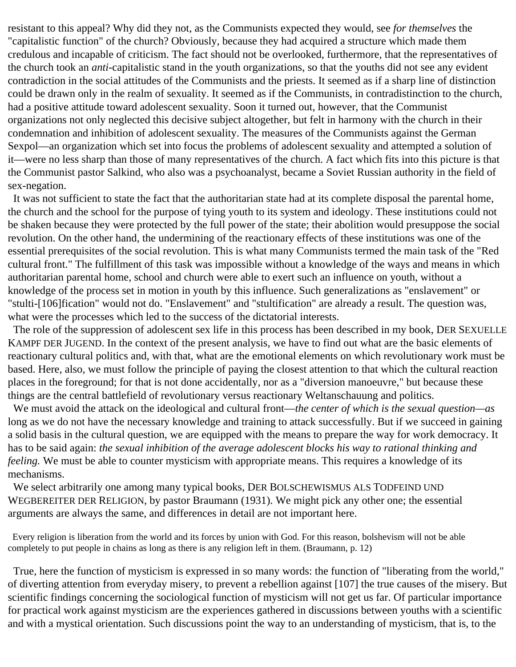resistant to this appeal? Why did they not, as the Communists expected they would, see *for themselves* the "capitalistic function" of the church? Obviously, because they had acquired a structure which made them credulous and incapable of criticism. The fact should not be overlooked, furthermore, that the representatives of the church took an *anti*-capitalistic stand in the youth organizations, so that the youths did not see any evident contradiction in the social attitudes of the Communists and the priests. It seemed as if a sharp line of distinction could be drawn only in the realm of sexuality. It seemed as if the Communists, in contradistinction to the church, had a positive attitude toward adolescent sexuality. Soon it turned out, however, that the Communist organizations not only neglected this decisive subject altogether, but felt in harmony with the church in their condemnation and inhibition of adolescent sexuality. The measures of the Communists against the German Sexpol—an organization which set into focus the problems of adolescent sexuality and attempted a solution of it—were no less sharp than those of many representatives of the church. A fact which fits into this picture is that the Communist pastor Salkind, who also was a psychoanalyst, became a Soviet Russian authority in the field of sex-negation.

 It was not sufficient to state the fact that the authoritarian state had at its complete disposal the parental home, the church and the school for the purpose of tying youth to its system and ideology. These institutions could not be shaken because they were protected by the full power of the state; their abolition would presuppose the social revolution. On the other hand, the undermining of the reactionary effects of these institutions was one of the essential prerequisites of the social revolution. This is what many Communists termed the main task of the "Red cultural front." The fulfillment of this task was impossible without a knowledge of the ways and means in which authoritarian parental home, school and church were able to exert such an influence on youth, without a knowledge of the process set in motion in youth by this influence. Such generalizations as "enslavement" or "stulti-[106]fication" would not do. "Enslavement" and "stultification" are already a result. The question was, what were the processes which led to the success of the dictatorial interests.

 The role of the suppression of adolescent sex life in this process has been described in my book, DER SEXUELLE KAMPF DER JUGEND. In the context of the present analysis, we have to find out what are the basic elements of reactionary cultural politics and, with that, what are the emotional elements on which revolutionary work must be based. Here, also, we must follow the principle of paying the closest attention to that which the cultural reaction places in the foreground; for that is not done accidentally, nor as a "diversion manoeuvre," but because these things are the central battlefield of revolutionary versus reactionary Weltanschauung and politics.

 We must avoid the attack on the ideological and cultural front—*the center of which is the sexual question—as*  long as we do not have the necessary knowledge and training to attack successfully. But if we succeed in gaining a solid basis in the cultural question, we are equipped with the means to prepare the way for work democracy. It has to be said again: *the sexual inhibition of the average adolescent blocks his way to rational thinking and feeling.* We must be able to counter mysticism with appropriate means. This requires a knowledge of its mechanisms.

 We select arbitrarily one among many typical books, DER BOLSCHEWISMUS ALS TODFEIND UND WEGBEREITER DER RELIGION, by pastor Braumann (1931). We might pick any other one; the essential arguments are always the same, and differences in detail are not important here.

 Every religion is liberation from the world and its forces by union with God. For this reason, bolshevism will not be able completely to put people in chains as long as there is any religion left in them. (Braumann, p. 12)

 True, here the function of mysticism is expressed in so many words: the function of "liberating from the world," of diverting attention from everyday misery, to prevent a rebellion against [107] the true causes of the misery. But scientific findings concerning the sociological function of mysticism will not get us far. Of particular importance for practical work against mysticism are the experiences gathered in discussions between youths with a scientific and with a mystical orientation. Such discussions point the way to an understanding of mysticism, that is, to the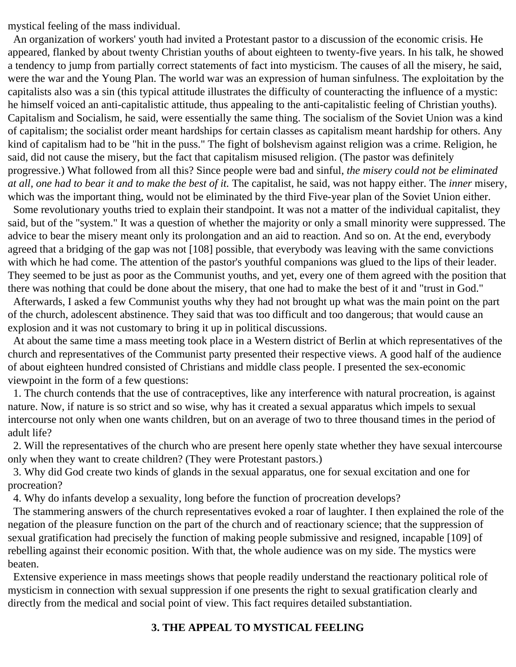mystical feeling of the mass individual.

 An organization of workers' youth had invited a Protestant pastor to a discussion of the economic crisis. He appeared, flanked by about twenty Christian youths of about eighteen to twenty-five years. In his talk, he showed a tendency to jump from partially correct statements of fact into mysticism. The causes of all the misery, he said, were the war and the Young Plan. The world war was an expression of human sinfulness. The exploitation by the capitalists also was a sin (this typical attitude illustrates the difficulty of counteracting the influence of a mystic: he himself voiced an anti-capitalistic attitude, thus appealing to the anti-capitalistic feeling of Christian youths). Capitalism and Socialism, he said, were essentially the same thing. The socialism of the Soviet Union was a kind of capitalism; the socialist order meant hardships for certain classes as capitalism meant hardship for others. Any kind of capitalism had to be "hit in the puss." The fight of bolshevism against religion was a crime. Religion, he said, did not cause the misery, but the fact that capitalism misused religion. (The pastor was definitely progressive.) What followed from all this? Since people were bad and sinful, *the misery could not be eliminated at all, one had to bear it and to make the best of it.* The capitalist, he said, was not happy either. The *inner* misery, which was the important thing, would not be eliminated by the third Five-year plan of the Soviet Union either.

 Some revolutionary youths tried to explain their standpoint. It was not a matter of the individual capitalist, they said, but of the "system." It was a question of whether the majority or only a small minority were suppressed. The advice to bear the misery meant only its prolongation and an aid to reaction. And so on. At the end, everybody agreed that a bridging of the gap was not [108] possible, that everybody was leaving with the same convictions with which he had come. The attention of the pastor's youthful companions was glued to the lips of their leader. They seemed to be just as poor as the Communist youths, and yet, every one of them agreed with the position that there was nothing that could be done about the misery, that one had to make the best of it and "trust in God."

 Afterwards, I asked a few Communist youths why they had not brought up what was the main point on the part of the church, adolescent abstinence. They said that was too difficult and too dangerous; that would cause an explosion and it was not customary to bring it up in political discussions.

 At about the same time a mass meeting took place in a Western district of Berlin at which representatives of the church and representatives of the Communist party presented their respective views. A good half of the audience of about eighteen hundred consisted of Christians and middle class people. I presented the sex-economic viewpoint in the form of a few questions:

 1. The church contends that the use of contraceptives, like any interference with natural procreation, is against nature. Now, if nature is so strict and so wise, why has it created a sexual apparatus which impels to sexual intercourse not only when one wants children, but on an average of two to three thousand times in the period of adult life?

 2. Will the representatives of the church who are present here openly state whether they have sexual intercourse only when they want to create children? (They were Protestant pastors.)

 3. Why did God create two kinds of glands in the sexual apparatus, one for sexual excitation and one for procreation?

4. Why do infants develop a sexuality, long before the function of procreation develops?

 The stammering answers of the church representatives evoked a roar of laughter. I then explained the role of the negation of the pleasure function on the part of the church and of reactionary science; that the suppression of sexual gratification had precisely the function of making people submissive and resigned, incapable [109] of rebelling against their economic position. With that, the whole audience was on my side. The mystics were beaten.

 Extensive experience in mass meetings shows that people readily understand the reactionary political role of mysticism in connection with sexual suppression if one presents the right to sexual gratification clearly and directly from the medical and social point of view. This fact requires detailed substantiation.

# **3. THE APPEAL TO MYSTICAL FEELING**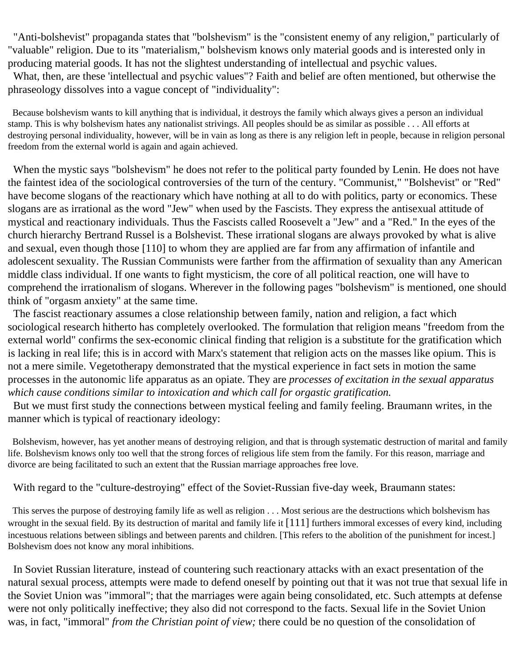"Anti-bolshevist" propaganda states that "bolshevism" is the "consistent enemy of any religion," particularly of "valuable" religion. Due to its "materialism," bolshevism knows only material goods and is interested only in producing material goods. It has not the slightest understanding of intellectual and psychic values.

 What, then, are these 'intellectual and psychic values"? Faith and belief are often mentioned, but otherwise the phraseology dissolves into a vague concept of "individuality":

 Because bolshevism wants to kill anything that is individual, it destroys the family which always gives a person an individual stamp. This is why bolshevism hates any nationalist strivings. All peoples should be as similar as possible . . . All efforts at destroying personal individuality, however, will be in vain as long as there is any religion left in people, because in religion personal freedom from the external world is again and again achieved.

When the mystic says "bolshevism" he does not refer to the political party founded by Lenin. He does not have the faintest idea of the sociological controversies of the turn of the century. "Communist," "Bolshevist" or "Red" have become slogans of the reactionary which have nothing at all to do with politics, party or economics. These slogans are as irrational as the word "Jew" when used by the Fascists. They express the antisexual attitude of mystical and reactionary individuals. Thus the Fascists called Roosevelt a "Jew" and a "Red." In the eyes of the church hierarchy Bertrand Russel is a Bolshevist. These irrational slogans are always provoked by what is alive and sexual, even though those [110] to whom they are applied are far from any affirmation of infantile and adolescent sexuality. The Russian Communists were farther from the affirmation of sexuality than any American middle class individual. If one wants to fight mysticism, the core of all political reaction, one will have to comprehend the irrationalism of slogans. Wherever in the following pages "bolshevism" is mentioned, one should think of "orgasm anxiety" at the same time.

 The fascist reactionary assumes a close relationship between family, nation and religion, a fact which sociological research hitherto has completely overlooked. The formulation that religion means "freedom from the external world" confirms the sex-economic clinical finding that religion is a substitute for the gratification which is lacking in real life; this is in accord with Marx's statement that religion acts on the masses like opium. This is not a mere simile. Vegetotherapy demonstrated that the mystical experience in fact sets in motion the same processes in the autonomic life apparatus as an opiate. They are *processes of excitation in the sexual apparatus which cause conditions similar to intoxication and which call for orgastic gratification.*

 But we must first study the connections between mystical feeling and family feeling. Braumann writes, in the manner which is typical of reactionary ideology:

 Bolshevism, however, has yet another means of destroying religion, and that is through systematic destruction of marital and family life. Bolshevism knows only too well that the strong forces of religious life stem from the family. For this reason, marriage and divorce are being facilitated to such an extent that the Russian marriage approaches free love.

With regard to the "culture-destroying" effect of the Soviet-Russian five-day week, Braumann states:

 This serves the purpose of destroying family life as well as religion . . . Most serious are the destructions which bolshevism has wrought in the sexual field. By its destruction of marital and family life it [111] furthers immoral excesses of every kind, including incestuous relations between siblings and between parents and children. [This refers to the abolition of the punishment for incest.] Bolshevism does not know any moral inhibitions.

 In Soviet Russian literature, instead of countering such reactionary attacks with an exact presentation of the natural sexual process, attempts were made to defend oneself by pointing out that it was not true that sexual life in the Soviet Union was "immoral"; that the marriages were again being consolidated, etc. Such attempts at defense were not only politically ineffective; they also did not correspond to the facts. Sexual life in the Soviet Union was, in fact, "immoral" *from the Christian point of view;* there could be no question of the consolidation of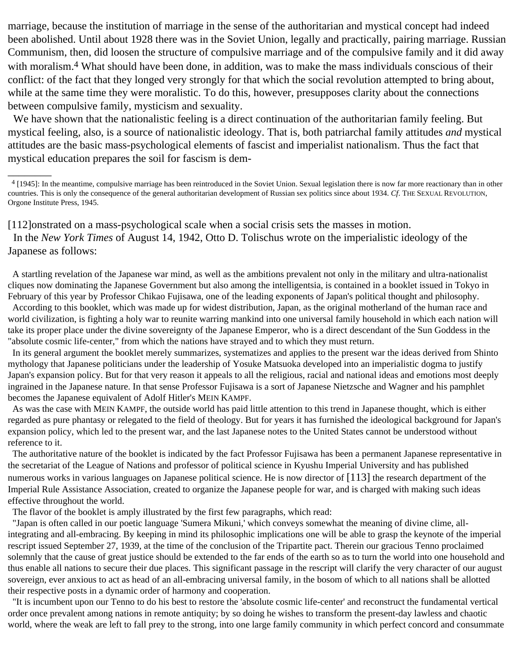marriage, because the institution of marriage in the sense of the authoritarian and mystical concept had indeed been abolished. Until about 1928 there was in the Soviet Union, legally and practically, pairing marriage. Russian Communism, then, did loosen the structure of compulsive marriage and of the compulsive family and it did away with moralism.<sup>4</sup> What should have been done, in addition, was to make the mass individuals conscious of their conflict: of the fact that they longed very strongly for that which the social revolution attempted to bring about, while at the same time they were moralistic. To do this, however, presupposes clarity about the connections between compulsive family, mysticism and sexuality.

 We have shown that the nationalistic feeling is a direct continuation of the authoritarian family feeling. But mystical feeling, also, is a source of nationalistic ideology. That is, both patriarchal family attitudes *and* mystical attitudes are the basic mass-psychological elements of fascist and imperialist nationalism. Thus the fact that mystical education prepares the soil for fascism is dem-

[112]onstrated on a mass-psychological scale when a social crisis sets the masses in motion. In the *New York Times* of August 14, 1942, Otto D. Tolischus wrote on the imperialistic ideology of the Japanese as follows:

 A startling revelation of the Japanese war mind, as well as the ambitions prevalent not only in the military and ultra-nationalist cliques now dominating the Japanese Government but also among the intelligentsia, is contained in a booklet issued in Tokyo in February of this year by Professor Chikao Fujisawa, one of the leading exponents of Japan's political thought and philosophy.

 According to this booklet, which was made up for widest distribution, Japan, as the original motherland of the human race and world civilization, is fighting a holy war to reunite warring mankind into one universal family household in which each nation will take its proper place under the divine sovereignty of the Japanese Emperor, who is a direct descendant of the Sun Goddess in the "absolute cosmic life-center," from which the nations have strayed and to which they must return.

 In its general argument the booklet merely summarizes, systematizes and applies to the present war the ideas derived from Shinto mythology that Japanese politicians under the leadership of Yosuke Matsuoka developed into an imperialistic dogma to justify Japan's expansion policy. But for that very reason it appeals to all the religious, racial and national ideas and emotions most deeply ingrained in the Japanese nature. In that sense Professor Fujisawa is a sort of Japanese Nietzsche and Wagner and his pamphlet becomes the Japanese equivalent of Adolf Hitler's MEIN KAMPF.

 As was the case with MEIN KAMPF, the outside world has paid little attention to this trend in Japanese thought, which is either regarded as pure phantasy or relegated to the field of theology. But for years it has furnished the ideological background for Japan's expansion policy, which led to the present war, and the last Japanese notes to the United States cannot be understood without reference to it.

 The authoritative nature of the booklet is indicated by the fact Professor Fujisawa has been a permanent Japanese representative in the secretariat of the League of Nations and professor of political science in Kyushu Imperial University and has published numerous works in various languages on Japanese political science. He is now director of  $[113]$  the research department of the Imperial Rule Assistance Association, created to organize the Japanese people for war, and is charged with making such ideas effective throughout the world.

The flavor of the booklet is amply illustrated by the first few paragraphs, which read:

\_\_\_\_\_\_\_\_

 "Japan is often called in our poetic language 'Sumera Mikuni,' which conveys somewhat the meaning of divine clime, allintegrating and all-embracing. By keeping in mind its philosophic implications one will be able to grasp the keynote of the imperial rescript issued September 27, 1939, at the time of the conclusion of the Tripartite pact. Therein our gracious Tenno proclaimed solemnly that the cause of great justice should be extended to the far ends of the earth so as to turn the world into one household and thus enable all nations to secure their due places. This significant passage in the rescript will clarify the very character of our august sovereign, ever anxious to act as head of an all-embracing universal family, in the bosom of which to all nations shall be allotted their respective posts in a dynamic order of harmony and cooperation.

 "It is incumbent upon our Tenno to do his best to restore the 'absolute cosmic life-center' and reconstruct the fundamental vertical order once prevalent among nations in remote antiquity; by so doing he wishes to transform the present-day lawless and chaotic world, where the weak are left to fall prey to the strong, into one large family community in which perfect concord and consummate

4 [1945]: In the meantime, compulsive marriage has been reintroduced in the Soviet Union. Sexual legislation there is now far more reactionary than in other countries. This is only the consequence of the general authoritarian development of Russian sex politics since about 1934. *Cf*. THE SEXUAL REVOLUTION, Orgone Institute Press, 1945.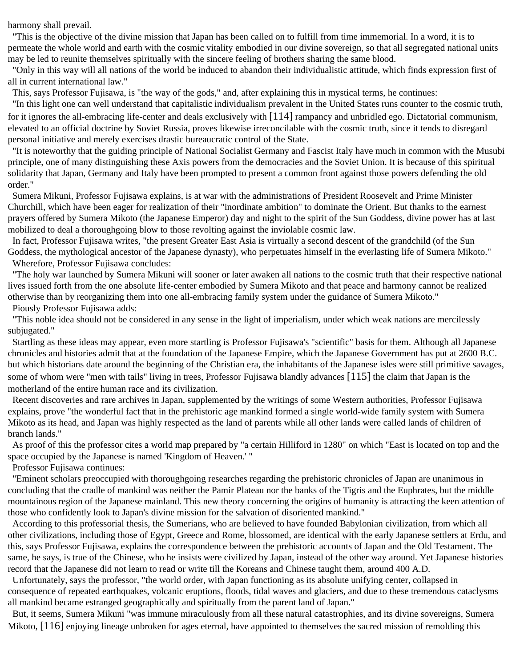harmony shall prevail.

 "This is the objective of the divine mission that Japan has been called on to fulfill from time immemorial. In a word, it is to permeate the whole world and earth with the cosmic vitality embodied in our divine sovereign, so that all segregated national units may be led to reunite themselves spiritually with the sincere feeling of brothers sharing the same blood.

 "Only in this way will all nations of the world be induced to abandon their individualistic attitude, which finds expression first of all in current international law."

This, says Professor Fujisawa, is "the way of the gods," and, after explaining this in mystical terms, he continues:

 "In this light one can well understand that capitalistic individualism prevalent in the United States runs counter to the cosmic truth, for it ignores the all-embracing life-center and deals exclusively with [114] rampancy and unbridled ego. Dictatorial communism, elevated to an official doctrine by Soviet Russia, proves likewise irreconcilable with the cosmic truth, since it tends to disregard personal initiative and merely exercises drastic bureaucratic control of the State.

 "It is noteworthy that the guiding principle of National Socialist Germany and Fascist Italy have much in common with the Musubi principle, one of many distinguishing these Axis powers from the democracies and the Soviet Union. It is because of this spiritual solidarity that Japan, Germany and Italy have been prompted to present a common front against those powers defending the old order."

 Sumera Mikuni, Professor Fujisawa explains, is at war with the administrations of President Roosevelt and Prime Minister Churchill, which have been eager for realization of their "inordinate ambition" to dominate the Orient. But thanks to the earnest prayers offered by Sumera Mikoto (the Japanese Emperor) day and night to the spirit of the Sun Goddess, divine power has at last mobilized to deal a thoroughgoing blow to those revolting against the inviolable cosmic law.

 In fact, Professor Fujisawa writes, "the present Greater East Asia is virtually a second descent of the grandchild (of the Sun Goddess, the mythological ancestor of the Japanese dynasty), who perpetuates himself in the everlasting life of Sumera Mikoto." Wherefore, Professor Fujisawa concludes:

 "The holy war launched by Sumera Mikuni will sooner or later awaken all nations to the cosmic truth that their respective national lives issued forth from the one absolute life-center embodied by Sumera Mikoto and that peace and harmony cannot be realized otherwise than by reorganizing them into one all-embracing family system under the guidance of Sumera Mikoto."

Piously Professor Fujisawa adds:

 "This noble idea should not be considered in any sense in the light of imperialism, under which weak nations are mercilessly subjugated."

 Startling as these ideas may appear, even more startling is Professor Fujisawa's "scientific" basis for them. Although all Japanese chronicles and histories admit that at the foundation of the Japanese Empire, which the Japanese Government has put at 2600 B.C. but which historians date around the beginning of the Christian era, the inhabitants of the Japanese isles were still primitive savages, some of whom were "men with tails" living in trees, Professor Fujisawa blandly advances [115] the claim that Japan is the motherland of the entire human race and its civilization.

 Recent discoveries and rare archives in Japan, supplemented by the writings of some Western authorities, Professor Fujisawa explains, prove "the wonderful fact that in the prehistoric age mankind formed a single world-wide family system with Sumera Mikoto as its head, and Japan was highly respected as the land of parents while all other lands were called lands of children of branch lands."

 As proof of this the professor cites a world map prepared by "a certain Hilliford in 1280" on which "East is located on top and the space occupied by the Japanese is named 'Kingdom of Heaven.' "

Professor Fujisawa continues:

 "Eminent scholars preoccupied with thoroughgoing researches regarding the prehistoric chronicles of Japan are unanimous in concluding that the cradle of mankind was neither the Pamir Plateau nor the banks of the Tigris and the Euphrates, but the middle mountainous region of the Japanese mainland. This new theory concerning the origins of humanity is attracting the keen attention of those who confidently look to Japan's divine mission for the salvation of disoriented mankind."

 According to this professorial thesis, the Sumerians, who are believed to have founded Babylonian civilization, from which all other civilizations, including those of Egypt, Greece and Rome, blossomed, are identical with the early Japanese settlers at Erdu, and this, says Professor Fujisawa, explains the correspondence between the prehistoric accounts of Japan and the Old Testament. The same, he says, is true of the Chinese, who he insists were civilized by Japan, instead of the other way around. Yet Japanese histories record that the Japanese did not learn to read or write till the Koreans and Chinese taught them, around 400 A.D.

 Unfortunately, says the professor, "the world order, with Japan functioning as its absolute unifying center, collapsed in consequence of repeated earthquakes, volcanic eruptions, floods, tidal waves and glaciers, and due to these tremendous cataclysms all mankind became estranged geographically and spiritually from the parent land of Japan."

 But, it seems, Sumera Mikuni "was immune miraculously from all these natural catastrophies, and its divine sovereigns, Sumera Mikoto, [116] enjoying lineage unbroken for ages eternal, have appointed to themselves the sacred mission of remolding this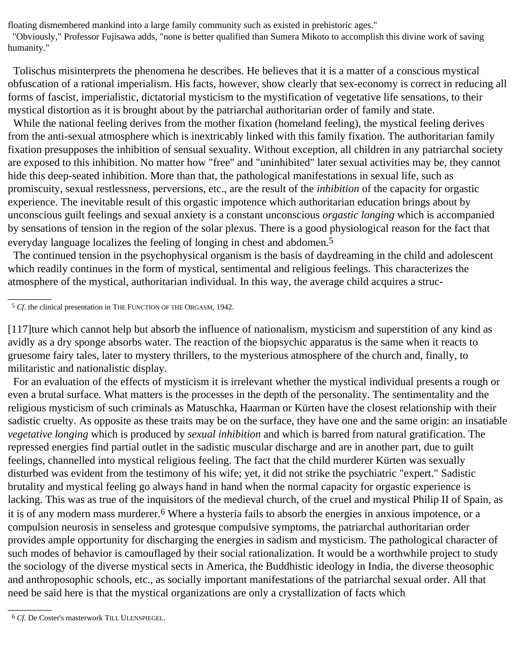floating dismembered mankind into a large family community such as existed in prehistoric ages."

 "Obviously," Professor Fujisawa adds, "none is better qualified than Sumera Mikoto to accomplish this divine work of saving humanity."

 Tolischus misinterprets the phenomena he describes. He believes that it is a matter of a conscious mystical obfuscation of a rational imperialism. His facts, however, show clearly that sex-economy is correct in reducing all forms of fascist, imperialistic, dictatorial mysticism to the mystification of vegetative life sensations, to their mystical distortion as it is brought about by the patriarchal authoritarian order of family and state.

 While the national feeling derives from the mother fixation (homeland feeling), the mystical feeling derives from the anti-sexual atmosphere which is inextricably linked with this family fixation. The authoritarian family fixation presupposes the inhibition of sensual sexuality. Without exception, all children in any patriarchal society are exposed to this inhibition. No matter how "free" and "uninhibited" later sexual activities may be, they cannot hide this deep-seated inhibition. More than that, the pathological manifestations in sexual life, such as promiscuity, sexual restlessness, perversions, etc., are the result of the *inhibition* of the capacity for orgastic experience. The inevitable result of this orgastic impotence which authoritarian education brings about by unconscious guilt feelings and sexual anxiety is a constant unconscious *orgastic longing* which is accompanied by sensations of tension in the region of the solar plexus. There is a good physiological reason for the fact that everyday language localizes the feeling of longing in chest and abdomen.5

 The continued tension in the psychophysical organism is the basis of daydreaming in the child and adolescent which readily continues in the form of mystical, sentimental and religious feelings. This characterizes the atmosphere of the mystical, authoritarian individual. In this way, the average child acquires a struc-

5 *Cf.* the clinical presentation in THE FUNCTION OF THE ORGASM, 1942.

\_\_\_\_\_\_\_\_

[117]ture which cannot help but absorb the influence of nationalism, mysticism and superstition of any kind as avidly as a dry sponge absorbs water. The reaction of the biopsychic apparatus is the same when it reacts to gruesome fairy tales, later to mystery thrillers, to the mysterious atmosphere of the church and, finally, to militaristic and nationalistic display.

 For an evaluation of the effects of mysticism it is irrelevant whether the mystical individual presents a rough or even a brutal surface. What matters is the processes in the depth of the personality. The sentimentality and the religious mysticism of such criminals as Matuschka, Haarman or Kürten have the closest relationship with their sadistic cruelty. As opposite as these traits may be on the surface, they have one and the same origin: an insatiable *vegetative longing* which is produced by *sexual inhibition* and which is barred from natural gratification. The repressed energies find partial outlet in the sadistic muscular discharge and are in another part, due to guilt feelings, channelled into mystical religious feeling. The fact that the child murderer Kürten was sexually disturbed was evident from the testimony of his wife; yet, it did not strike the psychiatric "expert." Sadistic brutality and mystical feeling go always hand in hand when the normal capacity for orgastic experience is lacking. This was as true of the inquisitors of the medieval church, of the cruel and mystical Philip II of Spain, as it is of any modern mass murderer.6 Where a hysteria fails to absorb the energies in anxious impotence, or a compulsion neurosis in senseless and grotesque compulsive symptoms, the patriarchal authoritarian order provides ample opportunity for discharging the energies in sadism and mysticism. The pathological character of such modes of behavior is camouflaged by their social rationalization. It would be a worthwhile project to study the sociology of the diverse mystical sects in America, the Buddhistic ideology in India, the diverse theosophic and anthroposophic schools, etc., as socially important manifestations of the patriarchal sexual order. All that need be said here is that the mystical organizations are only a crystallization of facts which

\_\_\_\_\_\_\_\_

6 *Cf.* De Coster's masterwork TILL ULENSPIEGEL.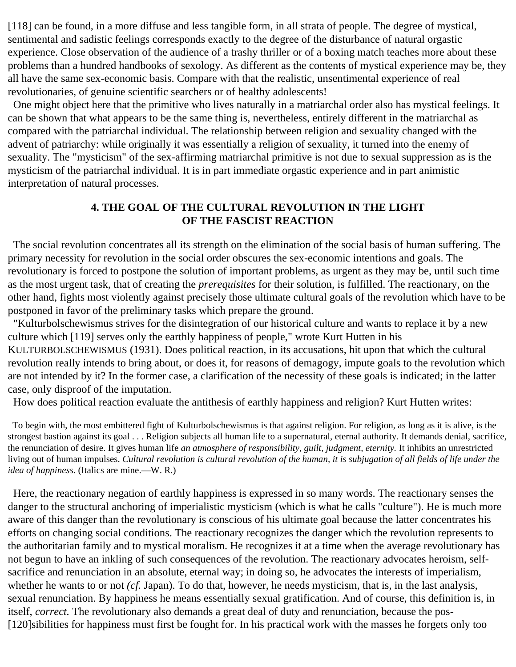[118] can be found, in a more diffuse and less tangible form, in all strata of people. The degree of mystical, sentimental and sadistic feelings corresponds exactly to the degree of the disturbance of natural orgastic experience. Close observation of the audience of a trashy thriller or of a boxing match teaches more about these problems than a hundred handbooks of sexology. As different as the contents of mystical experience may be, they all have the same sex-economic basis. Compare with that the realistic, unsentimental experience of real revolutionaries, of genuine scientific searchers or of healthy adolescents!

 One might object here that the primitive who lives naturally in a matriarchal order also has mystical feelings. It can be shown that what appears to be the same thing is, nevertheless, entirely different in the matriarchal as compared with the patriarchal individual. The relationship between religion and sexuality changed with the advent of patriarchy: while originally it was essentially a religion of sexuality, it turned into the enemy of sexuality. The "mysticism" of the sex-affirming matriarchal primitive is not due to sexual suppression as is the mysticism of the patriarchal individual. It is in part immediate orgastic experience and in part animistic interpretation of natural processes.

# **4. THE GOAL OF THE CULTURAL REVOLUTION IN THE LIGHT OF THE FASCIST REACTION**

 The social revolution concentrates all its strength on the elimination of the social basis of human suffering. The primary necessity for revolution in the social order obscures the sex-economic intentions and goals. The revolutionary is forced to postpone the solution of important problems, as urgent as they may be, until such time as the most urgent task, that of creating the *prerequisites* for their solution, is fulfilled. The reactionary, on the other hand, fights most violently against precisely those ultimate cultural goals of the revolution which have to be postponed in favor of the preliminary tasks which prepare the ground.

 "Kulturbolschewismus strives for the disintegration of our historical culture and wants to replace it by a new culture which [119] serves only the earthly happiness of people," wrote Kurt Hutten in his KULTURBOLSCHEWISMUS (1931). Does political reaction, in its accusations, hit upon that which the cultural revolution really intends to bring about, or does it, for reasons of demagogy, impute goals to the revolution which are not intended by it? In the former case, a clarification of the necessity of these goals is indicated; in the latter case, only disproof of the imputation.

How does political reaction evaluate the antithesis of earthly happiness and religion? Kurt Hutten writes:

 To begin with, the most embittered fight of Kulturbolschewismus is that against religion. For religion, as long as it is alive, is the strongest bastion against its goal . . . Religion subjects all human life to a supernatural, eternal authority. It demands denial, sacrifice, the renunciation of desire. It gives human life *an atmosphere of responsibility, guilt, judgment, eternity.* It inhibits an unrestricted living out of human impulses. *Cultural revolution is cultural revolution of the human, it is subjugation of all fields of life under the idea of happiness.* (Italics are mine.—W. R.)

 Here, the reactionary negation of earthly happiness is expressed in so many words. The reactionary senses the danger to the structural anchoring of imperialistic mysticism (which is what he calls "culture"). He is much more aware of this danger than the revolutionary is conscious of his ultimate goal because the latter concentrates his efforts on changing social conditions. The reactionary recognizes the danger which the revolution represents to the authoritarian family and to mystical moralism. He recognizes it at a time when the average revolutionary has not begun to have an inkling of such consequences of the revolution. The reactionary advocates heroism, selfsacrifice and renunciation in an absolute, eternal way; in doing so, he advocates the interests of imperialism, whether he wants to or not *(cf. Japan)*. To do that, however, he needs mysticism, that is, in the last analysis, sexual renunciation. By happiness he means essentially sexual gratification. And of course, this definition is, in itself, *correct.* The revolutionary also demands a great deal of duty and renunciation, because the pos- [120]sibilities for happiness must first be fought for. In his practical work with the masses he forgets only too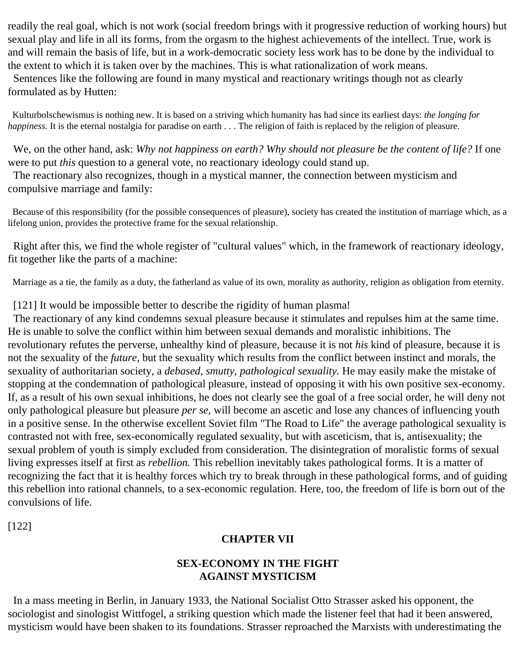readily the real goal, which is not work (social freedom brings with it progressive reduction of working hours) but sexual play and life in all its forms, from the orgasm to the highest achievements of the intellect. True, work is and will remain the basis of life, but in a work-democratic society less work has to be done by the individual to the extent to which it is taken over by the machines. This is what rationalization of work means.

 Sentences like the following are found in many mystical and reactionary writings though not as clearly formulated as by Hutten:

 Kulturbolschewismus is nothing new. It is based on a striving which humanity has had since its earliest days: *the longing for happiness.* It is the eternal nostalgia for paradise on earth . . . The religion of faith is replaced by the religion of pleasure.

 We, on the other hand, ask: *Why not happiness on earth? Why should not pleasure be the content of life?* If one were to put *this* question to a general vote, no reactionary ideology could stand up.

 The reactionary also recognizes, though in a mystical manner, the connection between mysticism and compulsive marriage and family:

 Because of this responsibility (for the possible consequences of pleasure), society has created the institution of marriage which, as a lifelong union, provides the protective frame for the sexual relationship.

 Right after this, we find the whole register of "cultural values" which, in the framework of reactionary ideology, fit together like the parts of a machine:

Marriage as a tie, the family as a duty, the fatherland as value of its own, morality as authority, religion as obligation from eternity.

[121] It would be impossible better to describe the rigidity of human plasma!

 The reactionary of any kind condemns sexual pleasure because it stimulates and repulses him at the same time. He is unable to solve the conflict within him between sexual demands and moralistic inhibitions. The revolutionary refutes the perverse, unhealthy kind of pleasure, because it is not *his* kind of pleasure, because it is not the sexuality of the *future,* but the sexuality which results from the conflict between instinct and morals, the sexuality of authoritarian society, a *debased, smutty, pathological sexuality.* He may easily make the mistake of stopping at the condemnation of pathological pleasure, instead of opposing it with his own positive sex-economy. If, as a result of his own sexual inhibitions, he does not clearly see the goal of a free social order, he will deny not only pathological pleasure but pleasure *per se,* will become an ascetic and lose any chances of influencing youth in a positive sense. In the otherwise excellent Soviet film "The Road to Life" the average pathological sexuality is contrasted not with free, sex-economically regulated sexuality, but with asceticism, that is, antisexuality; the sexual problem of youth is simply excluded from consideration. The disintegration of moralistic forms of sexual living expresses itself at first as *rebellion.* This rebellion inevitably takes pathological forms. It is a matter of recognizing the fact that it is healthy forces which try to break through in these pathological forms, and of guiding this rebellion into rational channels, to a sex-economic regulation. Here, too, the freedom of life is born out of the convulsions of life.

[122]

# **CHAPTER VII**

# **SEX-ECONOMY IN THE FIGHT AGAINST MYSTICISM**

 In a mass meeting in Berlin, in January 1933, the National Socialist Otto Strasser asked his opponent, the sociologist and sinologist Wittfogel, a striking question which made the listener feel that had it been answered, mysticism would have been shaken to its foundations. Strasser reproached the Marxists with underestimating the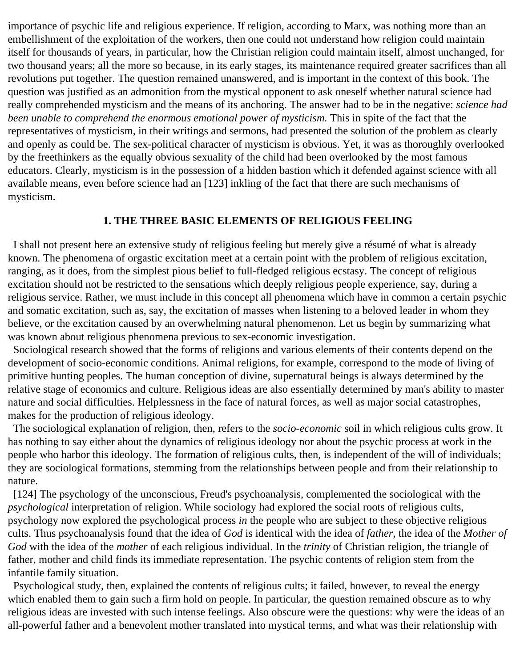importance of psychic life and religious experience. If religion, according to Marx, was nothing more than an embellishment of the exploitation of the workers, then one could not understand how religion could maintain itself for thousands of years, in particular, how the Christian religion could maintain itself, almost unchanged, for two thousand years; all the more so because, in its early stages, its maintenance required greater sacrifices than all revolutions put together. The question remained unanswered, and is important in the context of this book. The question was justified as an admonition from the mystical opponent to ask oneself whether natural science had really comprehended mysticism and the means of its anchoring. The answer had to be in the negative: *science had been unable to comprehend the enormous emotional power of mysticism.* This in spite of the fact that the representatives of mysticism, in their writings and sermons, had presented the solution of the problem as clearly and openly as could be. The sex-political character of mysticism is obvious. Yet, it was as thoroughly overlooked by the freethinkers as the equally obvious sexuality of the child had been overlooked by the most famous educators. Clearly, mysticism is in the possession of a hidden bastion which it defended against science with all available means, even before science had an [123] inkling of the fact that there are such mechanisms of mysticism.

# **1. THE THREE BASIC ELEMENTS OF RELIGIOUS FEELING**

 I shall not present here an extensive study of religious feeling but merely give a résumé of what is already known. The phenomena of orgastic excitation meet at a certain point with the problem of religious excitation, ranging, as it does, from the simplest pious belief to full-fledged religious ecstasy. The concept of religious excitation should not be restricted to the sensations which deeply religious people experience, say, during a religious service. Rather, we must include in this concept all phenomena which have in common a certain psychic and somatic excitation, such as, say, the excitation of masses when listening to a beloved leader in whom they believe, or the excitation caused by an overwhelming natural phenomenon. Let us begin by summarizing what was known about religious phenomena previous to sex-economic investigation.

 Sociological research showed that the forms of religions and various elements of their contents depend on the development of socio-economic conditions. Animal religions, for example, correspond to the mode of living of primitive hunting peoples. The human conception of divine, supernatural beings is always determined by the relative stage of economics and culture. Religious ideas are also essentially determined by man's ability to master nature and social difficulties. Helplessness in the face of natural forces, as well as major social catastrophes, makes for the production of religious ideology.

 The sociological explanation of religion, then, refers to the *socio-economic* soil in which religious cults grow. It has nothing to say either about the dynamics of religious ideology nor about the psychic process at work in the people who harbor this ideology. The formation of religious cults, then, is independent of the will of individuals; they are sociological formations, stemming from the relationships between people and from their relationship to nature.

 [124] The psychology of the unconscious, Freud's psychoanalysis, complemented the sociological with the *psychological* interpretation of religion. While sociology had explored the social roots of religious cults, psychology now explored the psychological process *in* the people who are subject to these objective religious cults. Thus psychoanalysis found that the idea of *God* is identical with the idea of *father,* the idea of the *Mother of God* with the idea of the *mother* of each religious individual. In the *trinity* of Christian religion, the triangle of father, mother and child finds its immediate representation. The psychic contents of religion stem from the infantile family situation.

 Psychological study, then, explained the contents of religious cults; it failed, however, to reveal the energy which enabled them to gain such a firm hold on people. In particular, the question remained obscure as to why religious ideas are invested with such intense feelings. Also obscure were the questions: why were the ideas of an all-powerful father and a benevolent mother translated into mystical terms, and what was their relationship with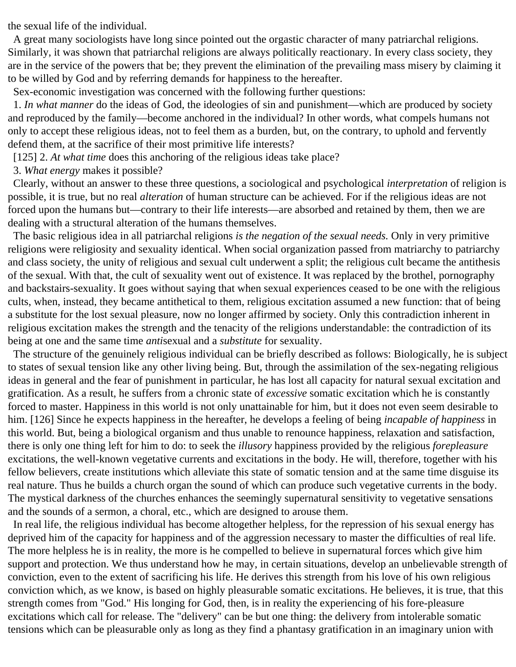the sexual life of the individual.

 A great many sociologists have long since pointed out the orgastic character of many patriarchal religions. Similarly, it was shown that patriarchal religions are always politically reactionary. In every class society, they are in the service of the powers that be; they prevent the elimination of the prevailing mass misery by claiming it to be willed by God and by referring demands for happiness to the hereafter.

Sex-economic investigation was concerned with the following further questions:

 1. *In what manner* do the ideas of God, the ideologies of sin and punishment—which are produced by society and reproduced by the family—become anchored in the individual? In other words, what compels humans not only to accept these religious ideas, not to feel them as a burden, but, on the contrary, to uphold and fervently defend them, at the sacrifice of their most primitive life interests?

[125] 2. *At what time* does this anchoring of the religious ideas take place?

3. *What energy* makes it possible?

 Clearly, without an answer to these three questions, a sociological and psychological *interpretation* of religion is possible, it is true, but no real *alteration* of human structure can be achieved. For if the religious ideas are not forced upon the humans but—contrary to their life interests—are absorbed and retained by them, then we are dealing with a structural alteration of the humans themselves.

 The basic religious idea in all patriarchal religions *is the negation of the sexual needs.* Only in very primitive religions were religiosity and sexuality identical. When social organization passed from matriarchy to patriarchy and class society, the unity of religious and sexual cult underwent a split; the religious cult became the antithesis of the sexual. With that, the cult of sexuality went out of existence. It was replaced by the brothel, pornography and backstairs-sexuality. It goes without saying that when sexual experiences ceased to be one with the religious cults, when, instead, they became antithetical to them, religious excitation assumed a new function: that of being a substitute for the lost sexual pleasure, now no longer affirmed by society. Only this contradiction inherent in religious excitation makes the strength and the tenacity of the religions understandable: the contradiction of its being at one and the same time *anti*sexual and a *substitute* for sexuality.

 The structure of the genuinely religious individual can be briefly described as follows: Biologically, he is subject to states of sexual tension like any other living being. But, through the assimilation of the sex-negating religious ideas in general and the fear of punishment in particular, he has lost all capacity for natural sexual excitation and gratification. As a result, he suffers from a chronic state of *excessive* somatic excitation which he is constantly forced to master. Happiness in this world is not only unattainable for him, but it does not even seem desirable to him. [126] Since he expects happiness in the hereafter, he develops a feeling of being *incapable of happiness* in this world. But, being a biological organism and thus unable to renounce happiness, relaxation and satisfaction, there is only one thing left for him to do: to seek the *illusory* happiness provided by the religious *forepleasure*  excitations, the well-known vegetative currents and excitations in the body. He will, therefore, together with his fellow believers, create institutions which alleviate this state of somatic tension and at the same time disguise its real nature. Thus he builds a church organ the sound of which can produce such vegetative currents in the body. The mystical darkness of the churches enhances the seemingly supernatural sensitivity to vegetative sensations and the sounds of a sermon, a choral, etc., which are designed to arouse them.

 In real life, the religious individual has become altogether helpless, for the repression of his sexual energy has deprived him of the capacity for happiness and of the aggression necessary to master the difficulties of real life. The more helpless he is in reality, the more is he compelled to believe in supernatural forces which give him support and protection. We thus understand how he may, in certain situations, develop an unbelievable strength of conviction, even to the extent of sacrificing his life. He derives this strength from his love of his own religious conviction which, as we know, is based on highly pleasurable somatic excitations. He believes, it is true, that this strength comes from "God." His longing for God, then, is in reality the experiencing of his fore-pleasure excitations which call for release. The "delivery" can be but one thing: the delivery from intolerable somatic tensions which can be pleasurable only as long as they find a phantasy gratification in an imaginary union with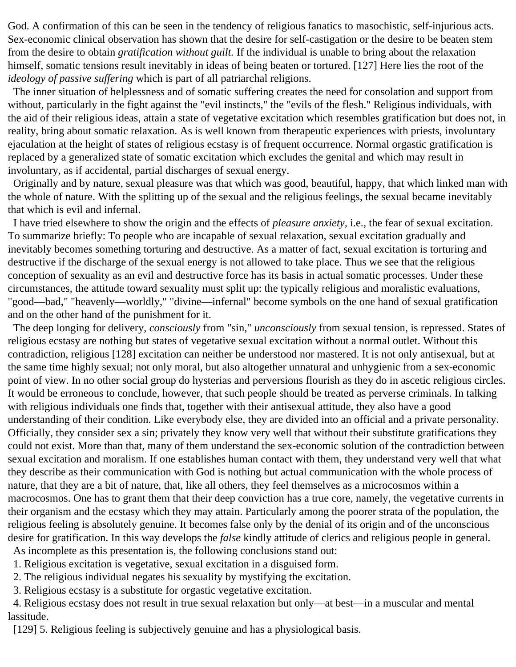God. A confirmation of this can be seen in the tendency of religious fanatics to masochistic, self-injurious acts. Sex-economic clinical observation has shown that the desire for self-castigation or the desire to be beaten stem from the desire to obtain *gratification without guilt.* If the individual is unable to bring about the relaxation himself, somatic tensions result inevitably in ideas of being beaten or tortured. [127] Here lies the root of the *ideology of passive suffering* which is part of all patriarchal religions.

 The inner situation of helplessness and of somatic suffering creates the need for consolation and support from without, particularly in the fight against the "evil instincts," the "evils of the flesh." Religious individuals, with the aid of their religious ideas, attain a state of vegetative excitation which resembles gratification but does not, in reality, bring about somatic relaxation. As is well known from therapeutic experiences with priests, involuntary ejaculation at the height of states of religious ecstasy is of frequent occurrence. Normal orgastic gratification is replaced by a generalized state of somatic excitation which excludes the genital and which may result in involuntary, as if accidental, partial discharges of sexual energy.

 Originally and by nature, sexual pleasure was that which was good, beautiful, happy, that which linked man with the whole of nature. With the splitting up of the sexual and the religious feelings, the sexual became inevitably that which is evil and infernal.

 I have tried elsewhere to show the origin and the effects of *pleasure anxiety,* i.e., the fear of sexual excitation. To summarize briefly: To people who are incapable of sexual relaxation, sexual excitation gradually and inevitably becomes something torturing and destructive. As a matter of fact, sexual excitation is torturing and destructive if the discharge of the sexual energy is not allowed to take place. Thus we see that the religious conception of sexuality as an evil and destructive force has its basis in actual somatic processes. Under these circumstances, the attitude toward sexuality must split up: the typically religious and moralistic evaluations, "good—bad," "heavenly—worldly," "divine—infernal" become symbols on the one hand of sexual gratification and on the other hand of the punishment for it.

 The deep longing for delivery, *consciously* from "sin," *unconsciously* from sexual tension, is repressed. States of religious ecstasy are nothing but states of vegetative sexual excitation without a normal outlet. Without this contradiction, religious [128] excitation can neither be understood nor mastered. It is not only antisexual, but at the same time highly sexual; not only moral, but also altogether unnatural and unhygienic from a sex-economic point of view. In no other social group do hysterias and perversions flourish as they do in ascetic religious circles. It would be erroneous to conclude, however, that such people should be treated as perverse criminals. In talking with religious individuals one finds that, together with their antisexual attitude, they also have a good understanding of their condition. Like everybody else, they are divided into an official and a private personality. Officially, they consider sex a sin; privately they know very well that without their substitute gratifications they could not exist. More than that, many of them understand the sex-economic solution of the contradiction between sexual excitation and moralism. If one establishes human contact with them, they understand very well that what they describe as their communication with God is nothing but actual communication with the whole process of nature, that they are a bit of nature, that, like all others, they feel themselves as a microcosmos within a macrocosmos. One has to grant them that their deep conviction has a true core, namely, the vegetative currents in their organism and the ecstasy which they may attain. Particularly among the poorer strata of the population, the religious feeling is absolutely genuine. It becomes false only by the denial of its origin and of the unconscious desire for gratification. In this way develops the *false* kindly attitude of clerics and religious people in general. As incomplete as this presentation is, the following conclusions stand out:

1. Religious excitation is vegetative, sexual excitation in a disguised form.

2. The religious individual negates his sexuality by mystifying the excitation.

3. Religious ecstasy is a substitute for orgastic vegetative excitation.

 4. Religious ecstasy does not result in true sexual relaxation but only—at best—in a muscular and mental lassitude.

[129] 5. Religious feeling is subjectively genuine and has a physiological basis.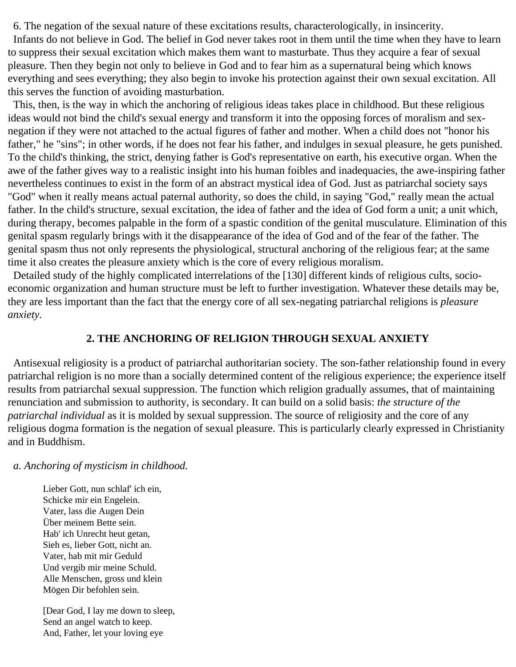6. The negation of the sexual nature of these excitations results, characterologically, in insincerity. Infants do not believe in God. The belief in God never takes root in them until the time when they have to learn to suppress their sexual excitation which makes them want to masturbate. Thus they acquire a fear of sexual pleasure. Then they begin not only to believe in God and to fear him as a supernatural being which knows everything and sees everything; they also begin to invoke his protection against their own sexual excitation. All this serves the function of avoiding masturbation.

 This, then, is the way in which the anchoring of religious ideas takes place in childhood. But these religious ideas would not bind the child's sexual energy and transform it into the opposing forces of moralism and sexnegation if they were not attached to the actual figures of father and mother. When a child does not "honor his father," he "sins"; in other words, if he does not fear his father, and indulges in sexual pleasure, he gets punished. To the child's thinking, the strict, denying father is God's representative on earth, his executive organ. When the awe of the father gives way to a realistic insight into his human foibles and inadequacies, the awe-inspiring father nevertheless continues to exist in the form of an abstract mystical idea of God. Just as patriarchal society says "God" when it really means actual paternal authority, so does the child, in saying "God," really mean the actual father. In the child's structure, sexual excitation, the idea of father and the idea of God form a unit; a unit which, during therapy, becomes palpable in the form of a spastic condition of the genital musculature. Elimination of this genital spasm regularly brings with it the disappearance of the idea of God and of the fear of the father. The genital spasm thus not only represents the physiological, structural anchoring of the religious fear; at the same time it also creates the pleasure anxiety which is the core of every religious moralism.

 Detailed study of the highly complicated interrelations of the [130] different kinds of religious cults, socioeconomic organization and human structure must be left to further investigation. Whatever these details may be, they are less important than the fact that the energy core of all sex-negating patriarchal religions is *pleasure anxiety.*

## **2. THE ANCHORING OF RELIGION THROUGH SEXUAL ANXIETY**

 Antisexual religiosity is a product of patriarchal authoritarian society. The son-father relationship found in every patriarchal religion is no more than a socially determined content of the religious experience; the experience itself results from patriarchal sexual suppression. The function which religion gradually assumes, that of maintaining renunciation and submission to authority, is secondary. It can build on a solid basis: *the structure of the patriarchal individual* as it is molded by sexual suppression. The source of religiosity and the core of any religious dogma formation is the negation of sexual pleasure. This is particularly clearly expressed in Christianity and in Buddhism.

#### *a. Anchoring of mysticism in childhood.*

 Lieber Gott, nun schlaf' ich ein, Schicke mir ein Engelein. Vater, lass die Augen Dein Über meinem Bette sein. Hab' ich Unrecht heut getan, Sieh es, lieber Gott, nicht an. Vater, hab mit mir Geduld Und vergib mir meine Schuld. Alle Menschen, gross und klein Mögen Dir befohlen sein.

 [Dear God, I lay me down to sleep, Send an angel watch to keep. And, Father, let your loving eye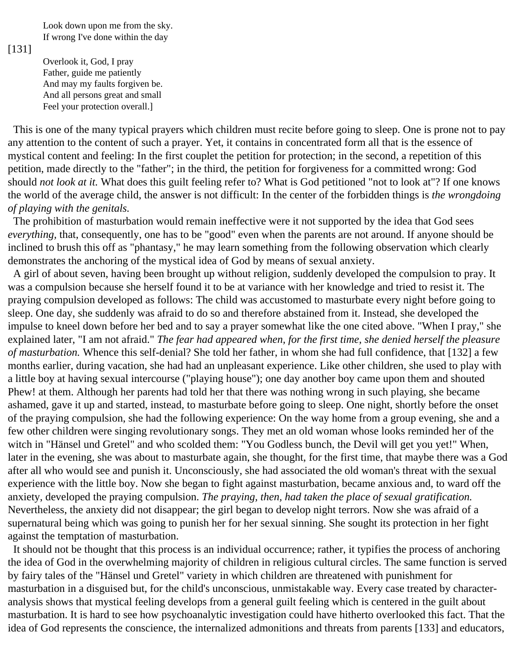Look down upon me from the sky. If wrong I've done within the day

[131]

 Overlook it, God, I pray Father, guide me patiently And may my faults forgiven be. And all persons great and small Feel your protection overall.]

 This is one of the many typical prayers which children must recite before going to sleep. One is prone not to pay any attention to the content of such a prayer. Yet, it contains in concentrated form all that is the essence of mystical content and feeling: In the first couplet the petition for protection; in the second, a repetition of this petition, made directly to the "father"; in the third, the petition for forgiveness for a committed wrong: God should *not look at it.* What does this guilt feeling refer to? What is God petitioned "not to look at"? If one knows the world of the average child, the answer is not difficult: In the center of the forbidden things is *the wrongdoing of playing with the genitals.*

 The prohibition of masturbation would remain ineffective were it not supported by the idea that God sees *everything,* that, consequently, one has to be "good" even when the parents are not around. If anyone should be inclined to brush this off as "phantasy," he may learn something from the following observation which clearly demonstrates the anchoring of the mystical idea of God by means of sexual anxiety.

 A girl of about seven, having been brought up without religion, suddenly developed the compulsion to pray. It was a compulsion because she herself found it to be at variance with her knowledge and tried to resist it. The praying compulsion developed as follows: The child was accustomed to masturbate every night before going to sleep. One day, she suddenly was afraid to do so and therefore abstained from it. Instead, she developed the impulse to kneel down before her bed and to say a prayer somewhat like the one cited above. "When I pray," she explained later, "I am not afraid." *The fear had appeared when, for the first time, she denied herself the pleasure of masturbation.* Whence this self-denial? She told her father, in whom she had full confidence, that [132] a few months earlier, during vacation, she had had an unpleasant experience. Like other children, she used to play with a little boy at having sexual intercourse ("playing house"); one day another boy came upon them and shouted Phew! at them. Although her parents had told her that there was nothing wrong in such playing, she became ashamed, gave it up and started, instead, to masturbate before going to sleep. One night, shortly before the onset of the praying compulsion, she had the following experience: On the way home from a group evening, she and a few other children were singing revolutionary songs. They met an old woman whose looks reminded her of the witch in "Hänsel und Gretel" and who scolded them: "You Godless bunch, the Devil will get you yet!" When, later in the evening, she was about to masturbate again, she thought, for the first time, that maybe there was a God after all who would see and punish it. Unconsciously, she had associated the old woman's threat with the sexual experience with the little boy. Now she began to fight against masturbation, became anxious and, to ward off the anxiety, developed the praying compulsion. *The praying, then, had taken the place of sexual gratification.*  Nevertheless, the anxiety did not disappear; the girl began to develop night terrors. Now she was afraid of a supernatural being which was going to punish her for her sexual sinning. She sought its protection in her fight against the temptation of masturbation.

 It should not be thought that this process is an individual occurrence; rather, it typifies the process of anchoring the idea of God in the overwhelming majority of children in religious cultural circles. The same function is served by fairy tales of the "Hänsel und Gretel" variety in which children are threatened with punishment for masturbation in a disguised but, for the child's unconscious, unmistakable way. Every case treated by characteranalysis shows that mystical feeling develops from a general guilt feeling which is centered in the guilt about masturbation. It is hard to see how psychoanalytic investigation could have hitherto overlooked this fact. That the idea of God represents the conscience, the internalized admonitions and threats from parents [133] and educators,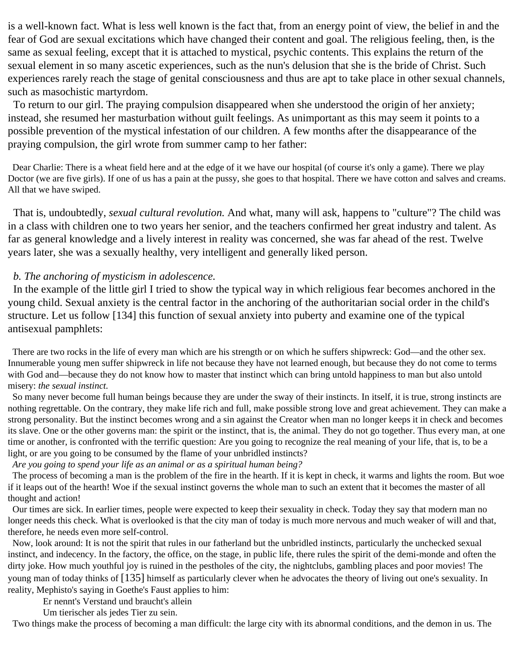is a well-known fact. What is less well known is the fact that, from an energy point of view, the belief in and the fear of God are sexual excitations which have changed their content and goal. The religious feeling, then, is the same as sexual feeling, except that it is attached to mystical, psychic contents. This explains the return of the sexual element in so many ascetic experiences, such as the nun's delusion that she is the bride of Christ. Such experiences rarely reach the stage of genital consciousness and thus are apt to take place in other sexual channels, such as masochistic martyrdom.

 To return to our girl. The praying compulsion disappeared when she understood the origin of her anxiety; instead, she resumed her masturbation without guilt feelings. As unimportant as this may seem it points to a possible prevention of the mystical infestation of our children. A few months after the disappearance of the praying compulsion, the girl wrote from summer camp to her father:

 Dear Charlie: There is a wheat field here and at the edge of it we have our hospital (of course it's only a game). There we play Doctor (we are five girls). If one of us has a pain at the pussy, she goes to that hospital. There we have cotton and salves and creams. All that we have swiped.

 That is, undoubtedly, *sexual cultural revolution.* And what, many will ask, happens to "culture"? The child was in a class with children one to two years her senior, and the teachers confirmed her great industry and talent. As far as general knowledge and a lively interest in reality was concerned, she was far ahead of the rest. Twelve years later, she was a sexually healthy, very intelligent and generally liked person.

## *b. The anchoring of mysticism in adolescence.*

 In the example of the little girl I tried to show the typical way in which religious fear becomes anchored in the young child. Sexual anxiety is the central factor in the anchoring of the authoritarian social order in the child's structure. Let us follow [134] this function of sexual anxiety into puberty and examine one of the typical antisexual pamphlets:

 There are two rocks in the life of every man which are his strength or on which he suffers shipwreck: God—and the other sex. Innumerable young men suffer shipwreck in life not because they have not learned enough, but because they do not come to terms with God and—because they do not know how to master that instinct which can bring untold happiness to man but also untold misery: *the sexual instinct.*

 So many never become full human beings because they are under the sway of their instincts. In itself, it is true, strong instincts are nothing regrettable. On the contrary, they make life rich and full, make possible strong love and great achievement. They can make a strong personality. But the instinct becomes wrong and a sin against the Creator when man no longer keeps it in check and becomes its slave. One or the other governs man: the spirit or the instinct, that is, the animal. They do not go together. Thus every man, at one time or another, is confronted with the terrific question: Are you going to recognize the real meaning of your life, that is, to be a light, or are you going to be consumed by the flame of your unbridled instincts?

*Are you going to spend your life as an animal or as a spiritual human being?*

 The process of becoming a man is the problem of the fire in the hearth. If it is kept in check, it warms and lights the room. But woe if it leaps out of the hearth! Woe if the sexual instinct governs the whole man to such an extent that it becomes the master of all thought and action!

 Our times are sick. In earlier times, people were expected to keep their sexuality in check. Today they say that modern man no longer needs this check. What is overlooked is that the city man of today is much more nervous and much weaker of will and that, therefore, he needs even more self-control.

 Now, look around: It is not the spirit that rules in our fatherland but the unbridled instincts, particularly the unchecked sexual instinct, and indecency. In the factory, the office, on the stage, in public life, there rules the spirit of the demi-monde and often the dirty joke. How much youthful joy is ruined in the pestholes of the city, the nightclubs, gambling places and poor movies! The young man of today thinks of [135] himself as particularly clever when he advocates the theory of living out one's sexuality. In reality, Mephisto's saying in Goethe's Faust applies to him:

Er nennt's Verstand und braucht's allein

Um tierischer als jedes Tier zu sein.

Two things make the process of becoming a man difficult: the large city with its abnormal conditions, and the demon in us. The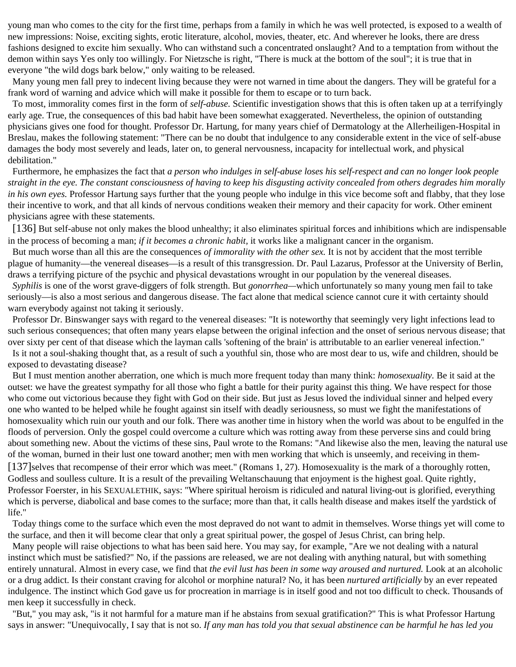young man who comes to the city for the first time, perhaps from a family in which he was well protected, is exposed to a wealth of new impressions: Noise, exciting sights, erotic literature, alcohol, movies, theater, etc. And wherever he looks, there are dress fashions designed to excite him sexually. Who can withstand such a concentrated onslaught? And to a temptation from without the demon within says Yes only too willingly. For Nietzsche is right, "There is muck at the bottom of the soul"; it is true that in everyone "the wild dogs bark below," only waiting to be released.

 Many young men fall prey to indecent living because they were not warned in time about the dangers. They will be grateful for a frank word of warning and advice which will make it possible for them to escape or to turn back.

 To most, immorality comes first in the form of *self-abuse.* Scientific investigation shows that this is often taken up at a terrifyingly early age. True, the consequences of this bad habit have been somewhat exaggerated. Nevertheless, the opinion of outstanding physicians gives one food for thought. Professor Dr. Hartung, for many years chief of Dermatology at the Allerheiligen-Hospital in Breslau, makes the following statement: "There can be no doubt that indulgence to any considerable extent in the vice of self-abuse damages the body most severely and leads, later on, to general nervousness, incapacity for intellectual work, and physical debilitation."

 Furthermore, he emphasizes the fact that *a person who indulges in self-abuse loses his self-respect and can no longer look people straight in the eye. The constant consciousness of having to keep his disgusting activity concealed from others degrades him morally in his own eyes.* Professor Hartung says further that the young people who indulge in this vice become soft and flabby, that they lose their incentive to work, and that all kinds of nervous conditions weaken their memory and their capacity for work. Other eminent physicians agree with these statements.

 [136] But self-abuse not only makes the blood unhealthy; it also eliminates spiritual forces and inhibitions which are indispensable in the process of becoming a man; *if it becomes a chronic habit,* it works like a malignant cancer in the organism.

 But much worse than all this are the consequences *of immorality with the other sex.* It is not by accident that the most terrible plague of humanity—the venereal diseases—is a result of this transgression. Dr. Paul Lazarus, Professor at the University of Berlin, draws a terrifying picture of the psychic and physical devastations wrought in our population by the venereal diseases.

 *Syphilis* is one of the worst grave-diggers of folk strength. But *gonorrhea—*which unfortunately so many young men fail to take seriously—is also a most serious and dangerous disease. The fact alone that medical science cannot cure it with certainty should warn everybody against not taking it seriously.

 Professor Dr. Binswanger says with regard to the venereal diseases: "It is noteworthy that seemingly very light infections lead to such serious consequences; that often many years elapse between the original infection and the onset of serious nervous disease; that over sixty per cent of that disease which the layman calls 'softening of the brain' is attributable to an earlier venereal infection."

 Is it not a soul-shaking thought that, as a result of such a youthful sin, those who are most dear to us, wife and children, should be exposed to devastating disease?

 But I must mention another aberration, one which is much more frequent today than many think: *homosexuality.* Be it said at the outset: we have the greatest sympathy for all those who fight a battle for their purity against this thing. We have respect for those who come out victorious because they fight with God on their side. But just as Jesus loved the individual sinner and helped every one who wanted to be helped while he fought against sin itself with deadly seriousness, so must we fight the manifestations of homosexuality which ruin our youth and our folk. There was another time in history when the world was about to be engulfed in the floods of perversion. Only the gospel could overcome a culture which was rotting away from these perverse sins and could bring about something new. About the victims of these sins, Paul wrote to the Romans: "And likewise also the men, leaving the natural use of the woman, burned in their lust one toward another; men with men working that which is unseemly, and receiving in them- [137]selves that recompense of their error which was meet." (Romans 1, 27). Homosexuality is the mark of a thoroughly rotten, Godless and soulless culture. It is a result of the prevailing Weltanschauung that enjoyment is the highest goal. Quite rightly, Professor Foerster, in his SEXUALETHIK, says: "Where spiritual heroism is ridiculed and natural living-out is glorified, everything which is perverse, diabolical and base comes to the surface; more than that, it calls health disease and makes itself the yardstick of life."

 Today things come to the surface which even the most depraved do not want to admit in themselves. Worse things yet will come to the surface, and then it will become clear that only a great spiritual power, the gospel of Jesus Christ, can bring help.

 Many people will raise objections to what has been said here. You may say, for example, "Are we not dealing with a natural instinct which must be satisfied?" No, if the passions are released, we are not dealing with anything natural, but with something entirely unnatural. Almost in every case, we find that *the evil lust has been in some way aroused and nurtured.* Look at an alcoholic or a drug addict. Is their constant craving for alcohol or morphine natural? No, it has been *nurtured artificially* by an ever repeated indulgence. The instinct which God gave us for procreation in marriage is in itself good and not too difficult to check. Thousands of men keep it successfully in check.

 "But," you may ask, "is it not harmful for a mature man if he abstains from sexual gratification?" This is what Professor Hartung says in answer: "Unequivocally, I say that is not so. *If any man has told you that sexual abstinence can be harmful he has led you*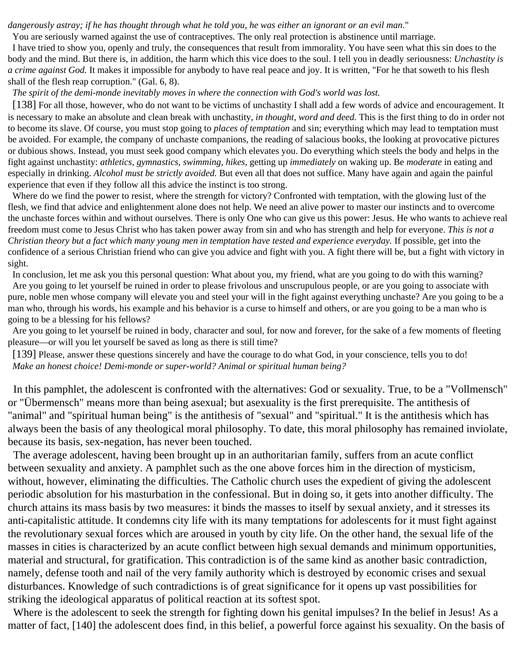*dangerously astray; if he has thought through what he told you, he was either an ignorant or an evil man.*"

You are seriously warned against the use of contraceptives. The only real protection is abstinence until marriage.

 I have tried to show you, openly and truly, the consequences that result from immorality. You have seen what this sin does to the body and the mind. But there is, in addition, the harm which this vice does to the soul. I tell you in deadly seriousness: *Unchastity is a crime against God.* It makes it impossible for anybody to have real peace and joy. It is written, "For he that soweth to his flesh shall of the flesh reap corruption." (Gal. 6, 8).

#### *The spirit of the demi-monde inevitably moves in where the connection with God's world was lost.*

[138] For all those, however, who do not want to be victims of unchastity I shall add a few words of advice and encouragement. It is necessary to make an absolute and clean break with unchastity, *in thought, word and deed.* This is the first thing to do in order not to become its slave. Of course, you must stop going to *places of temptation* and sin; everything which may lead to temptation must be avoided. For example, the company of unchaste companions, the reading of salacious books, the looking at provocative pictures or dubious shows. Instead, you must seek good company which elevates you. Do everything which steels the body and helps in the fight against unchastity: *athletics, gymnastics, swimming, hikes,* getting up *immediately* on waking up. Be *moderate* in eating and especially in drinking. *Alcohol must be strictly avoided.* But even all that does not suffice. Many have again and again the painful experience that even if they follow all this advice the instinct is too strong.

Where do we find the power to resist, where the strength for victory? Confronted with temptation, with the glowing lust of the flesh, we find that advice and enlightenment alone does not help. We need an alive power to master our instincts and to overcome the unchaste forces within and without ourselves. There is only One who can give us this power: Jesus. He who wants to achieve real freedom must come to Jesus Christ who has taken power away from sin and who has strength and help for everyone. *This is not a Christian theory but a fact which many young men in temptation have tested and experience everyday.* If possible, get into the confidence of a serious Christian friend who can give you advice and fight with you. A fight there will be, but a fight with victory in sight.

 In conclusion, let me ask you this personal question: What about you, my friend, what are you going to do with this warning? Are you going to let yourself be ruined in order to please frivolous and unscrupulous people, or are you going to associate with pure, noble men whose company will elevate you and steel your will in the fight against everything unchaste? Are you going to be a man who, through his words, his example and his behavior is a curse to himself and others, or are you going to be a man who is going to be a blessing for his fellows?

 Are you going to let yourself be ruined in body, character and soul, for now and forever, for the sake of a few moments of fleeting pleasure—or will you let yourself be saved as long as there is still time?

[139] Please, answer these questions sincerely and have the courage to do what God, in your conscience, tells you to do! *Make an honest choice! Demi-monde or super-world? Animal or spiritual human being?*

 In this pamphlet, the adolescent is confronted with the alternatives: God or sexuality. True, to be a "Vollmensch" or "Übermensch" means more than being asexual; but asexuality is the first prerequisite. The antithesis of "animal" and "spiritual human being" is the antithesis of "sexual" and "spiritual." It is the antithesis which has always been the basis of any theological moral philosophy. To date, this moral philosophy has remained inviolate, because its basis, sex-negation, has never been touched.

 The average adolescent, having been brought up in an authoritarian family, suffers from an acute conflict between sexuality and anxiety. A pamphlet such as the one above forces him in the direction of mysticism, without, however, eliminating the difficulties. The Catholic church uses the expedient of giving the adolescent periodic absolution for his masturbation in the confessional. But in doing so, it gets into another difficulty. The church attains its mass basis by two measures: it binds the masses to itself by sexual anxiety, and it stresses its anti-capitalistic attitude. It condemns city life with its many temptations for adolescents for it must fight against the revolutionary sexual forces which are aroused in youth by city life. On the other hand, the sexual life of the masses in cities is characterized by an acute conflict between high sexual demands and minimum opportunities, material and structural, for gratification. This contradiction is of the same kind as another basic contradiction, namely, defense tooth and nail of the very family authority which is destroyed by economic crises and sexual disturbances. Knowledge of such contradictions is of great significance for it opens up vast possibilities for striking the ideological apparatus of political reaction at its softest spot.

 Where is the adolescent to seek the strength for fighting down his genital impulses? In the belief in Jesus! As a matter of fact, [140] the adolescent does find, in this belief, a powerful force against his sexuality. On the basis of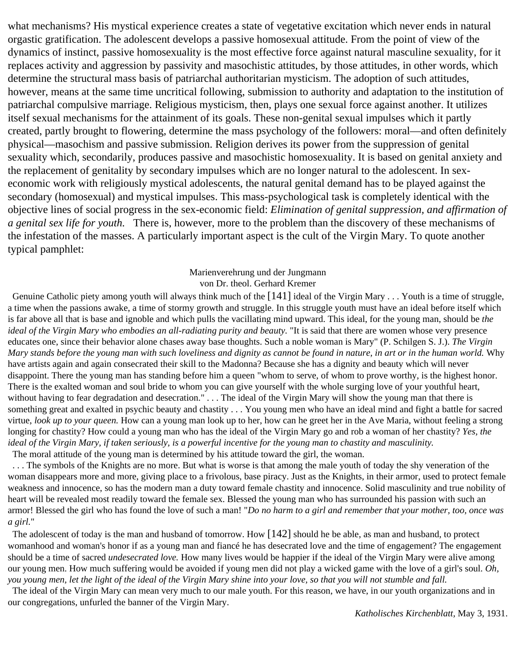what mechanisms? His mystical experience creates a state of vegetative excitation which never ends in natural orgastic gratification. The adolescent develops a passive homosexual attitude. From the point of view of the dynamics of instinct, passive homosexuality is the most effective force against natural masculine sexuality, for it replaces activity and aggression by passivity and masochistic attitudes, by those attitudes, in other words, which determine the structural mass basis of patriarchal authoritarian mysticism. The adoption of such attitudes, however, means at the same time uncritical following, submission to authority and adaptation to the institution of patriarchal compulsive marriage. Religious mysticism, then, plays one sexual force against another. It utilizes itself sexual mechanisms for the attainment of its goals. These non-genital sexual impulses which it partly created, partly brought to flowering, determine the mass psychology of the followers: moral—and often definitely physical—masochism and passive submission. Religion derives its power from the suppression of genital sexuality which, secondarily, produces passive and masochistic homosexuality. It is based on genital anxiety and the replacement of genitality by secondary impulses which are no longer natural to the adolescent. In sexeconomic work with religiously mystical adolescents, the natural genital demand has to be played against the secondary (homosexual) and mystical impulses. This mass-psychological task is completely identical with the objective lines of social progress in the sex-economic field: *Elimination of genital suppression, and affirmation of a genital sex life for youth.* There is, however, more to the problem than the discovery of these mechanisms of the infestation of the masses. A particularly important aspect is the cult of the Virgin Mary. To quote another typical pamphlet:

#### Marienverehrung und der Jungmann von Dr. theol. Gerhard Kremer

Genuine Catholic piety among youth will always think much of the [141] ideal of the Virgin Mary ... Youth is a time of struggle, a time when the passions awake, a time of stormy growth and struggle. In this struggle youth must have an ideal before itself which is far above all that is base and ignoble and which pulls the vacillating mind upward. This ideal, for the young man, should be *the ideal of the Virgin Mary who embodies an all-radiating purity and beauty.* "It is said that there are women whose very presence educates one, since their behavior alone chases away base thoughts. Such a noble woman is Mary" (P. Schilgen S. J.). *The Virgin Mary stands before the young man with such loveliness and dignity as cannot be found in nature, in art or in the human world.* Why have artists again and again consecrated their skill to the Madonna? Because she has a dignity and beauty which will never disappoint. There the young man has standing before him a queen "whom to serve, of whom to prove worthy, is the highest honor. There is the exalted woman and soul bride to whom you can give yourself with the whole surging love of your youthful heart, without having to fear degradation and desecration." . . . The ideal of the Virgin Mary will show the young man that there is something great and exalted in psychic beauty and chastity . . . You young men who have an ideal mind and fight a battle for sacred virtue, *look up to your queen.* How can a young man look up to her, how can he greet her in the Ave Maria, without feeling a strong longing for chastity? How could a young man who has the ideal of the Virgin Mary go and rob a woman of her chastity? *Yes, the ideal of the Virgin Mary, if taken seriously, is a powerful incentive for the young man to chastity and masculinity.* The moral attitude of the young man is determined by his attitude toward the girl, the woman.

 . . . The symbols of the Knights are no more. But what is worse is that among the male youth of today the shy veneration of the woman disappears more and more, giving place to a frivolous, base piracy. Just as the Knights, in their armor, used to protect female weakness and innocence, so has the modern man a duty toward female chastity and innocence. Solid masculinity and true nobility of heart will be revealed most readily toward the female sex. Blessed the young man who has surrounded his passion with such an armor! Blessed the girl who has found the love of such a man! "*Do no harm to a girl and remember that your mother, too, once was a girl.*"

 The adolescent of today is the man and husband of tomorrow. How [142] should he be able, as man and husband, to protect womanhood and woman's honor if as a young man and fiancé he has desecrated love and the time of engagement? The engagement should be a time of sacred *undesecrated love.* How many lives would be happier if the ideal of the Virgin Mary were alive among our young men. How much suffering would be avoided if young men did not play a wicked game with the love of a girl's soul. *Oh, you young men, let the light of the ideal of the Virgin Mary shine into your love, so that you will not stumble and fall.*

 The ideal of the Virgin Mary can mean very much to our male youth. For this reason, we have, in our youth organizations and in our congregations, unfurled the banner of the Virgin Mary.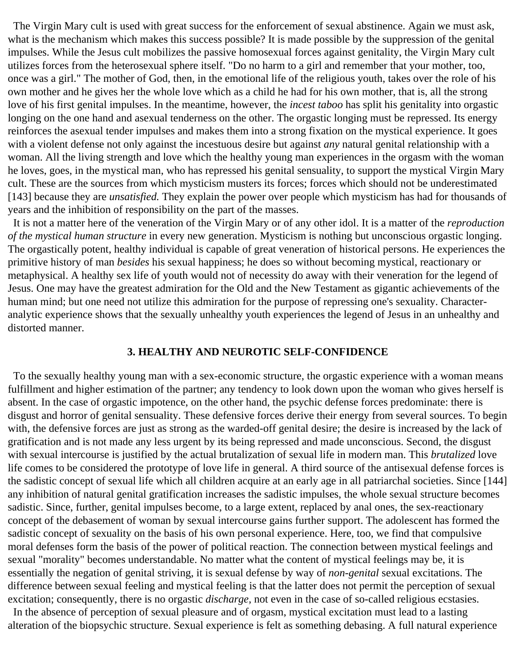The Virgin Mary cult is used with great success for the enforcement of sexual abstinence. Again we must ask, what is the mechanism which makes this success possible? It is made possible by the suppression of the genital impulses. While the Jesus cult mobilizes the passive homosexual forces against genitality, the Virgin Mary cult utilizes forces from the heterosexual sphere itself. "Do no harm to a girl and remember that your mother, too, once was a girl." The mother of God, then, in the emotional life of the religious youth, takes over the role of his own mother and he gives her the whole love which as a child he had for his own mother, that is, all the strong love of his first genital impulses. In the meantime, however, the *incest taboo* has split his genitality into orgastic longing on the one hand and asexual tenderness on the other. The orgastic longing must be repressed. Its energy reinforces the asexual tender impulses and makes them into a strong fixation on the mystical experience. It goes with a violent defense not only against the incestuous desire but against *any* natural genital relationship with a woman. All the living strength and love which the healthy young man experiences in the orgasm with the woman he loves, goes, in the mystical man, who has repressed his genital sensuality, to support the mystical Virgin Mary cult. These are the sources from which mysticism musters its forces; forces which should not be underestimated [143] because they are *unsatisfied.* They explain the power over people which mysticism has had for thousands of years and the inhibition of responsibility on the part of the masses.

 It is not a matter here of the veneration of the Virgin Mary or of any other idol. It is a matter of the *reproduction of the mystical human structure* in every new generation. Mysticism is nothing but unconscious orgastic longing. The orgastically potent, healthy individual is capable of great veneration of historical persons. He experiences the primitive history of man *besides* his sexual happiness; he does so without becoming mystical, reactionary or metaphysical. A healthy sex life of youth would not of necessity do away with their veneration for the legend of Jesus. One may have the greatest admiration for the Old and the New Testament as gigantic achievements of the human mind; but one need not utilize this admiration for the purpose of repressing one's sexuality. Characteranalytic experience shows that the sexually unhealthy youth experiences the legend of Jesus in an unhealthy and distorted manner.

#### **3. HEALTHY AND NEUROTIC SELF-CONFIDENCE**

 To the sexually healthy young man with a sex-economic structure, the orgastic experience with a woman means fulfillment and higher estimation of the partner; any tendency to look down upon the woman who gives herself is absent. In the case of orgastic impotence, on the other hand, the psychic defense forces predominate: there is disgust and horror of genital sensuality. These defensive forces derive their energy from several sources. To begin with, the defensive forces are just as strong as the warded-off genital desire; the desire is increased by the lack of gratification and is not made any less urgent by its being repressed and made unconscious. Second, the disgust with sexual intercourse is justified by the actual brutalization of sexual life in modern man. This *brutalized* love life comes to be considered the prototype of love life in general. A third source of the antisexual defense forces is the sadistic concept of sexual life which all children acquire at an early age in all patriarchal societies. Since [144] any inhibition of natural genital gratification increases the sadistic impulses, the whole sexual structure becomes sadistic. Since, further, genital impulses become, to a large extent, replaced by anal ones, the sex-reactionary concept of the debasement of woman by sexual intercourse gains further support. The adolescent has formed the sadistic concept of sexuality on the basis of his own personal experience. Here, too, we find that compulsive moral defenses form the basis of the power of political reaction. The connection between mystical feelings and sexual "morality" becomes understandable. No matter what the content of mystical feelings may be, it is essentially the negation of genital striving, it is sexual defense by way of *non-genital* sexual excitations. The difference between sexual feeling and mystical feeling is that the latter does not permit the perception of sexual excitation; consequently, there is no orgastic *discharge,* not even in the case of so-called religious ecstasies. In the absence of perception of sexual pleasure and of orgasm, mystical excitation must lead to a lasting alteration of the biopsychic structure. Sexual experience is felt as something debasing. A full natural experience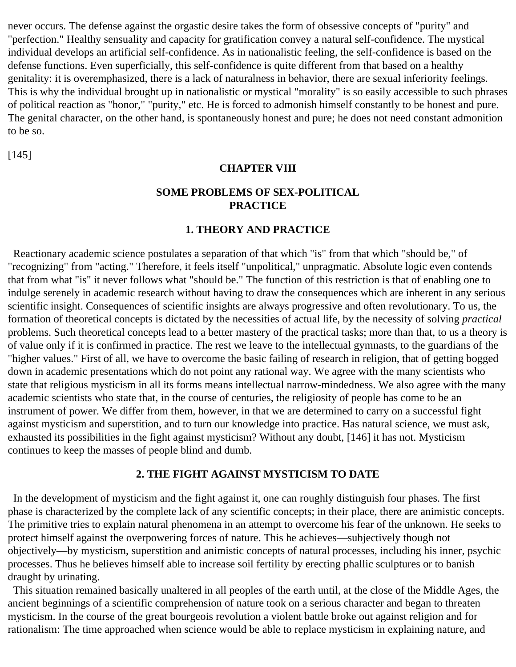never occurs. The defense against the orgastic desire takes the form of obsessive concepts of "purity" and "perfection." Healthy sensuality and capacity for gratification convey a natural self-confidence. The mystical individual develops an artificial self-confidence. As in nationalistic feeling, the self-confidence is based on the defense functions. Even superficially, this self-confidence is quite different from that based on a healthy genitality: it is overemphasized, there is a lack of naturalness in behavior, there are sexual inferiority feelings. This is why the individual brought up in nationalistic or mystical "morality" is so easily accessible to such phrases of political reaction as "honor," "purity," etc. He is forced to admonish himself constantly to be honest and pure. The genital character, on the other hand, is spontaneously honest and pure; he does not need constant admonition to be so.

[145]

## **CHAPTER VIII**

## **SOME PROBLEMS OF SEX-POLITICAL PRACTICE**

#### **1. THEORY AND PRACTICE**

 Reactionary academic science postulates a separation of that which "is" from that which "should be," of "recognizing" from "acting." Therefore, it feels itself "unpolitical," unpragmatic. Absolute logic even contends that from what "is" it never follows what "should be." The function of this restriction is that of enabling one to indulge serenely in academic research without having to draw the consequences which are inherent in any serious scientific insight. Consequences of scientific insights are always progressive and often revolutionary. To us, the formation of theoretical concepts is dictated by the necessities of actual life, by the necessity of solving *practical*  problems. Such theoretical concepts lead to a better mastery of the practical tasks; more than that, to us a theory is of value only if it is confirmed in practice. The rest we leave to the intellectual gymnasts, to the guardians of the "higher values." First of all, we have to overcome the basic failing of research in religion, that of getting bogged down in academic presentations which do not point any rational way. We agree with the many scientists who state that religious mysticism in all its forms means intellectual narrow-mindedness. We also agree with the many academic scientists who state that, in the course of centuries, the religiosity of people has come to be an instrument of power. We differ from them, however, in that we are determined to carry on a successful fight against mysticism and superstition, and to turn our knowledge into practice. Has natural science, we must ask, exhausted its possibilities in the fight against mysticism? Without any doubt, [146] it has not. Mysticism continues to keep the masses of people blind and dumb.

#### **2. THE FIGHT AGAINST MYSTICISM TO DATE**

 In the development of mysticism and the fight against it, one can roughly distinguish four phases. The first phase is characterized by the complete lack of any scientific concepts; in their place, there are animistic concepts. The primitive tries to explain natural phenomena in an attempt to overcome his fear of the unknown. He seeks to protect himself against the overpowering forces of nature. This he achieves—subjectively though not objectively—by mysticism, superstition and animistic concepts of natural processes, including his inner, psychic processes. Thus he believes himself able to increase soil fertility by erecting phallic sculptures or to banish draught by urinating.

 This situation remained basically unaltered in all peoples of the earth until, at the close of the Middle Ages, the ancient beginnings of a scientific comprehension of nature took on a serious character and began to threaten mysticism. In the course of the great bourgeois revolution a violent battle broke out against religion and for rationalism: The time approached when science would be able to replace mysticism in explaining nature, and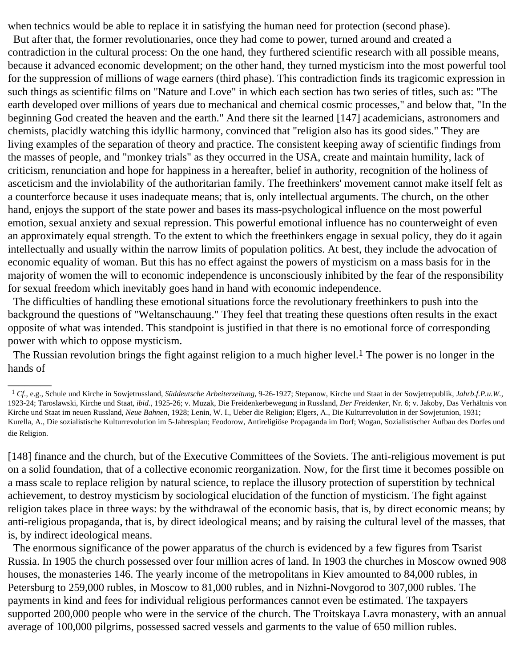when technics would be able to replace it in satisfying the human need for protection (second phase).

 But after that, the former revolutionaries, once they had come to power, turned around and created a contradiction in the cultural process: On the one hand, they furthered scientific research with all possible means, because it advanced economic development; on the other hand, they turned mysticism into the most powerful tool for the suppression of millions of wage earners (third phase). This contradiction finds its tragicomic expression in such things as scientific films on "Nature and Love" in which each section has two series of titles, such as: "The earth developed over millions of years due to mechanical and chemical cosmic processes," and below that, "In the beginning God created the heaven and the earth." And there sit the learned [147] academicians, astronomers and chemists, placidly watching this idyllic harmony, convinced that "religion also has its good sides." They are living examples of the separation of theory and practice. The consistent keeping away of scientific findings from the masses of people, and "monkey trials" as they occurred in the USA, create and maintain humility, lack of criticism, renunciation and hope for happiness in a hereafter, belief in authority, recognition of the holiness of asceticism and the inviolability of the authoritarian family. The freethinkers' movement cannot make itself felt as a counterforce because it uses inadequate means; that is, only intellectual arguments. The church, on the other hand, enjoys the support of the state power and bases its mass-psychological influence on the most powerful emotion, sexual anxiety and sexual repression. This powerful emotional influence has no counterweight of even an approximately equal strength. To the extent to which the freethinkers engage in sexual policy, they do it again intellectually and usually within the narrow limits of population politics. At best, they include the advocation of economic equality of woman. But this has no effect against the powers of mysticism on a mass basis for in the majority of women the will to economic independence is unconsciously inhibited by the fear of the responsibility for sexual freedom which inevitably goes hand in hand with economic independence.

 The difficulties of handling these emotional situations force the revolutionary freethinkers to push into the background the questions of "Weltanschauung." They feel that treating these questions often results in the exact opposite of what was intended. This standpoint is justified in that there is no emotional force of corresponding power with which to oppose mysticism.

The Russian revolution brings the fight against religion to a much higher level.<sup>1</sup> The power is no longer in the hands of

\_\_\_\_\_\_\_\_

[148] finance and the church, but of the Executive Committees of the Soviets. The anti-religious movement is put on a solid foundation, that of a collective economic reorganization. Now, for the first time it becomes possible on a mass scale to replace religion by natural science, to replace the illusory protection of superstition by technical achievement, to destroy mysticism by sociological elucidation of the function of mysticism. The fight against religion takes place in three ways: by the withdrawal of the economic basis, that is, by direct economic means; by anti-religious propaganda, that is, by direct ideological means; and by raising the cultural level of the masses, that is, by indirect ideological means.

 The enormous significance of the power apparatus of the church is evidenced by a few figures from Tsarist Russia. In 1905 the church possessed over four million acres of land. In 1903 the churches in Moscow owned 908 houses, the monasteries 146. The yearly income of the metropolitans in Kiev amounted to 84,000 rubles, in Petersburg to 259,000 rubles, in Moscow to 81,000 rubles, and in Nizhni-Novgorod to 307,000 rubles. The payments in kind and fees for individual religious performances cannot even be estimated. The taxpayers supported 200,000 people who were in the service of the church. The Troitskaya Lavra monastery, with an annual average of 100,000 pilgrims, possessed sacred vessels and garments to the value of 650 million rubles.

1 *Cf.,* e.g., Schule und Kirche in Sowjetrussland, *Süddeutsche Arbeiterzeitung,* 9-26-1927; Stepanow, Kirche und Staat in der Sowjetrepublik, *Jahrb.f.P.u.W.,*  1923-24; Taroslawski, Kirche und Staat, *ibid.,* 1925-26; v. Muzak, Die Freidenkerbewegung in Russland, *Der Freidenker,* Nr. 6; v. Jakoby, Das Verhältnis von Kirche und Staat im neuen Russland, *Neue Bahnen,* 1928; Lenin, W. I., Ueber die Religion; Elgers, A., Die Kulturrevolution in der Sowjetunion, 1931; Kurella, A., Die sozialistische Kulturrevolution im 5-Jahresplan; Feodorow, Antireligiöse Propaganda im Dorf; Wogan, Sozialistischer Aufbau des Dorfes und die Religion.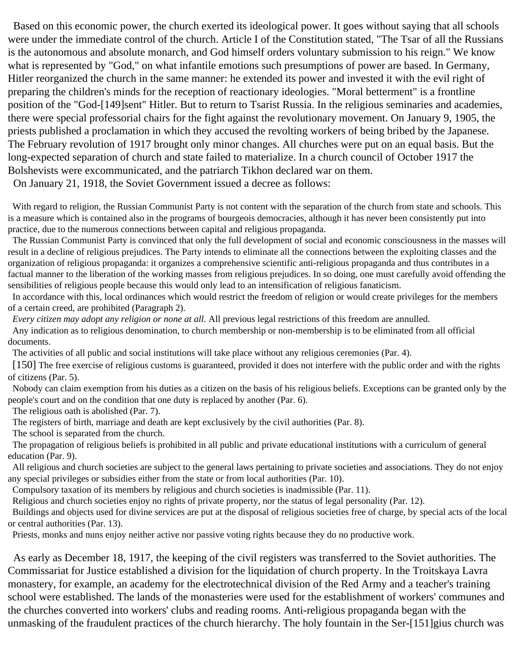Based on this economic power, the church exerted its ideological power. It goes without saying that all schools were under the immediate control of the church. Article I of the Constitution stated, "The Tsar of all the Russians is the autonomous and absolute monarch, and God himself orders voluntary submission to his reign." We know what is represented by "God," on what infantile emotions such presumptions of power are based. In Germany, Hitler reorganized the church in the same manner: he extended its power and invested it with the evil right of preparing the children's minds for the reception of reactionary ideologies. "Moral betterment" is a frontline position of the "God-[149]sent" Hitler. But to return to Tsarist Russia. In the religious seminaries and academies, there were special professorial chairs for the fight against the revolutionary movement. On January 9, 1905, the priests published a proclamation in which they accused the revolting workers of being bribed by the Japanese. The February revolution of 1917 brought only minor changes. All churches were put on an equal basis. But the long-expected separation of church and state failed to materialize. In a church council of October 1917 the Bolshevists were excommunicated, and the patriarch Tikhon declared war on them.

On January 21, 1918, the Soviet Government issued a decree as follows:

 With regard to religion, the Russian Communist Party is not content with the separation of the church from state and schools. This is a measure which is contained also in the programs of bourgeois democracies, although it has never been consistently put into practice, due to the numerous connections between capital and religious propaganda.

 The Russian Communist Party is convinced that only the full development of social and economic consciousness in the masses will result in a decline of religious prejudices. The Party intends to eliminate all the connections between the exploiting classes and the organization of religious propaganda: it organizes a comprehensive scientific anti-religious propaganda and thus contributes in a factual manner to the liberation of the working masses from religious prejudices. In so doing, one must carefully avoid offending the sensibilities of religious people because this would only lead to an intensification of religious fanaticism.

 In accordance with this, local ordinances which would restrict the freedom of religion or would create privileges for the members of a certain creed, are prohibited (Paragraph 2).

*Every citizen may adopt any religion or none at all.* All previous legal restrictions of this freedom are annulled.

 Any indication as to religious denomination, to church membership or non-membership is to be eliminated from all official documents.

The activities of all public and social institutions will take place without any religious ceremonies (Par. 4).

[150] The free exercise of religious customs is guaranteed, provided it does not interfere with the public order and with the rights of citizens (Par. 5).

 Nobody can claim exemption from his duties as a citizen on the basis of his religious beliefs. Exceptions can be granted only by the people's court and on the condition that one duty is replaced by another (Par. 6).

The religious oath is abolished (Par. 7).

The registers of birth, marriage and death are kept exclusively by the civil authorities (Par. 8).

The school is separated from the church.

 The propagation of religious beliefs is prohibited in all public and private educational institutions with a curriculum of general education (Par. 9).

 All religious and church societies are subject to the general laws pertaining to private societies and associations. They do not enjoy any special privileges or subsidies either from the state or from local authorities (Par. 10).

Compulsory taxation of its members by religious and church societies is inadmissible (Par. 11).

Religious and church societies enjoy no rights of private property, nor the status of legal personality (Par. 12).

 Buildings and objects used for divine services are put at the disposal of religious societies free of charge, by special acts of the local or central authorities (Par. 13).

Priests, monks and nuns enjoy neither active nor passive voting rights because they do no productive work.

 As early as December 18, 1917, the keeping of the civil registers was transferred to the Soviet authorities. The Commissariat for Justice established a division for the liquidation of church property. In the Troitskaya Lavra monastery, for example, an academy for the electrotechnical division of the Red Army and a teacher's training school were established. The lands of the monasteries were used for the establishment of workers' communes and the churches converted into workers' clubs and reading rooms. Anti-religious propaganda began with the unmasking of the fraudulent practices of the church hierarchy. The holy fountain in the Ser-[151]gius church was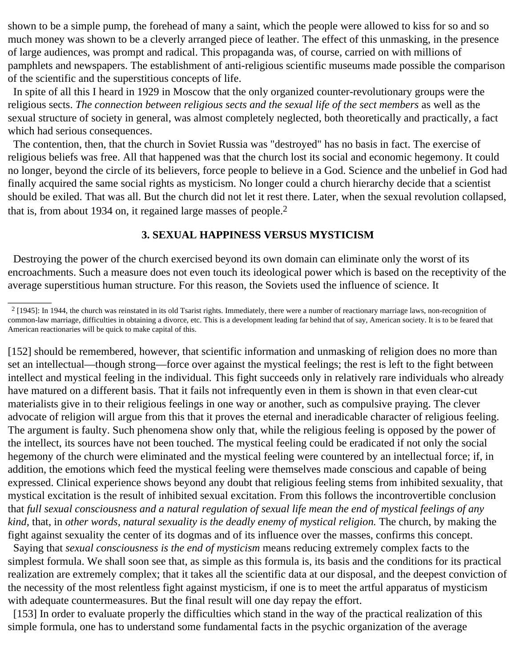shown to be a simple pump, the forehead of many a saint, which the people were allowed to kiss for so and so much money was shown to be a cleverly arranged piece of leather. The effect of this unmasking, in the presence of large audiences, was prompt and radical. This propaganda was, of course, carried on with millions of pamphlets and newspapers. The establishment of anti-religious scientific museums made possible the comparison of the scientific and the superstitious concepts of life.

 In spite of all this I heard in 1929 in Moscow that the only organized counter-revolutionary groups were the religious sects. The connection between religious sects and the sexual life of the sect members as well as the sexual structure of society in general, was almost completely neglected, both theoretically and practically, a fact which had serious consequences.

 The contention, then, that the church in Soviet Russia was "destroyed" has no basis in fact. The exercise of religious beliefs was free. All that happened was that the church lost its social and economic hegemony. It could no longer, beyond the circle of its believers, force people to believe in a God. Science and the unbelief in God had finally acquired the same social rights as mysticism. No longer could a church hierarchy decide that a scientist should be exiled. That was all. But the church did not let it rest there. Later, when the sexual revolution collapsed, that is, from about 1934 on, it regained large masses of people.2

## **3. SEXUAL HAPPINESS VERSUS MYSTICISM**

 Destroying the power of the church exercised beyond its own domain can eliminate only the worst of its encroachments. Such a measure does not even touch its ideological power which is based on the receptivity of the average superstitious human structure. For this reason, the Soviets used the influence of science. It

\_\_\_\_\_\_\_\_

[152] should be remembered, however, that scientific information and unmasking of religion does no more than set an intellectual—though strong—force over against the mystical feelings; the rest is left to the fight between intellect and mystical feeling in the individual. This fight succeeds only in relatively rare individuals who already have matured on a different basis. That it fails not infrequently even in them is shown in that even clear-cut materialists give in to their religious feelings in one way or another, such as compulsive praying. The clever advocate of religion will argue from this that it proves the eternal and ineradicable character of religious feeling. The argument is faulty. Such phenomena show only that, while the religious feeling is opposed by the power of the intellect, its sources have not been touched. The mystical feeling could be eradicated if not only the social hegemony of the church were eliminated and the mystical feeling were countered by an intellectual force; if, in addition, the emotions which feed the mystical feeling were themselves made conscious and capable of being expressed. Clinical experience shows beyond any doubt that religious feeling stems from inhibited sexuality, that mystical excitation is the result of inhibited sexual excitation. From this follows the incontrovertible conclusion that *full sexual consciousness and a natural regulation of sexual life mean the end of mystical feelings of any kind,* that, in *other words, natural sexuality is the deadly enemy of mystical religion.* The church, by making the fight against sexuality the center of its dogmas and of its influence over the masses, confirms this concept.

 Saying that *sexual consciousness is the end of mysticism* means reducing extremely complex facts to the simplest formula. We shall soon see that, as simple as this formula is, its basis and the conditions for its practical realization are extremely complex; that it takes all the scientific data at our disposal, and the deepest conviction of the necessity of the most relentless fight against mysticism, if one is to meet the artful apparatus of mysticism with adequate countermeasures. But the final result will one day repay the effort.

[153] In order to evaluate properly the difficulties which stand in the way of the practical realization of this simple formula, one has to understand some fundamental facts in the psychic organization of the average

<sup>&</sup>lt;sup>2</sup> [1945]: In 1944, the church was reinstated in its old Tsarist rights. Immediately, there were a number of reactionary marriage laws, non-recognition of common-law marriage, difficulties in obtaining a divorce, etc. This is a development leading far behind that of say, American society. It is to be feared that American reactionaries will be quick to make capital of this.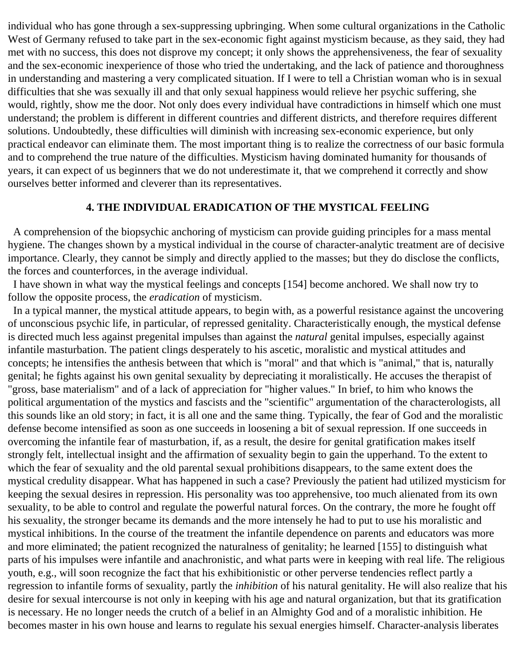individual who has gone through a sex-suppressing upbringing. When some cultural organizations in the Catholic West of Germany refused to take part in the sex-economic fight against mysticism because, as they said, they had met with no success, this does not disprove my concept; it only shows the apprehensiveness, the fear of sexuality and the sex-economic inexperience of those who tried the undertaking, and the lack of patience and thoroughness in understanding and mastering a very complicated situation. If I were to tell a Christian woman who is in sexual difficulties that she was sexually ill and that only sexual happiness would relieve her psychic suffering, she would, rightly, show me the door. Not only does every individual have contradictions in himself which one must understand; the problem is different in different countries and different districts, and therefore requires different solutions. Undoubtedly, these difficulties will diminish with increasing sex-economic experience, but only practical endeavor can eliminate them. The most important thing is to realize the correctness of our basic formula and to comprehend the true nature of the difficulties. Mysticism having dominated humanity for thousands of years, it can expect of us beginners that we do not underestimate it, that we comprehend it correctly and show ourselves better informed and cleverer than its representatives.

## **4. THE INDIVIDUAL ERADICATION OF THE MYSTICAL FEELING**

 A comprehension of the biopsychic anchoring of mysticism can provide guiding principles for a mass mental hygiene. The changes shown by a mystical individual in the course of character-analytic treatment are of decisive importance. Clearly, they cannot be simply and directly applied to the masses; but they do disclose the conflicts, the forces and counterforces, in the average individual.

 I have shown in what way the mystical feelings and concepts [154] become anchored. We shall now try to follow the opposite process, the *eradication* of mysticism.

 In a typical manner, the mystical attitude appears, to begin with, as a powerful resistance against the uncovering of unconscious psychic life, in particular, of repressed genitality. Characteristically enough, the mystical defense is directed much less against pregenital impulses than against the *natural* genital impulses, especially against infantile masturbation. The patient clings desperately to his ascetic, moralistic and mystical attitudes and concepts; he intensifies the anthesis between that which is "moral" and that which is "animal," that is, naturally genital; he fights against his own genital sexuality by depreciating it moralistically. He accuses the therapist of "gross, base materialism" and of a lack of appreciation for "higher values." In brief, to him who knows the political argumentation of the mystics and fascists and the "scientific" argumentation of the characterologists, all this sounds like an old story; in fact, it is all one and the same thing. Typically, the fear of God and the moralistic defense become intensified as soon as one succeeds in loosening a bit of sexual repression. If one succeeds in overcoming the infantile fear of masturbation, if, as a result, the desire for genital gratification makes itself strongly felt, intellectual insight and the affirmation of sexuality begin to gain the upperhand. To the extent to which the fear of sexuality and the old parental sexual prohibitions disappears, to the same extent does the mystical credulity disappear. What has happened in such a case? Previously the patient had utilized mysticism for keeping the sexual desires in repression. His personality was too apprehensive, too much alienated from its own sexuality, to be able to control and regulate the powerful natural forces. On the contrary, the more he fought off his sexuality, the stronger became its demands and the more intensely he had to put to use his moralistic and mystical inhibitions. In the course of the treatment the infantile dependence on parents and educators was more and more eliminated; the patient recognized the naturalness of genitality; he learned [155] to distinguish what parts of his impulses were infantile and anachronistic, and what parts were in keeping with real life. The religious youth, e.g., will soon recognize the fact that his exhibitionistic or other perverse tendencies reflect partly a regression to infantile forms of sexuality, partly the *inhibition* of his natural genitality. He will also realize that his desire for sexual intercourse is not only in keeping with his age and natural organization, but that its gratification is necessary. He no longer needs the crutch of a belief in an Almighty God and of a moralistic inhibition. He becomes master in his own house and learns to regulate his sexual energies himself. Character-analysis liberates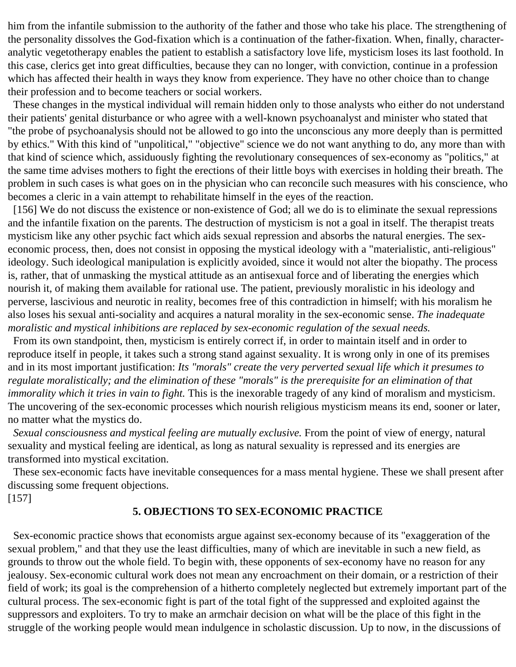him from the infantile submission to the authority of the father and those who take his place. The strengthening of the personality dissolves the God-fixation which is a continuation of the father-fixation. When, finally, characteranalytic vegetotherapy enables the patient to establish a satisfactory love life, mysticism loses its last foothold. In this case, clerics get into great difficulties, because they can no longer, with conviction, continue in a profession which has affected their health in ways they know from experience. They have no other choice than to change their profession and to become teachers or social workers.

 These changes in the mystical individual will remain hidden only to those analysts who either do not understand their patients' genital disturbance or who agree with a well-known psychoanalyst and minister who stated that "the probe of psychoanalysis should not be allowed to go into the unconscious any more deeply than is permitted by ethics." With this kind of "unpolitical," "objective" science we do not want anything to do, any more than with that kind of science which, assiduously fighting the revolutionary consequences of sex-economy as "politics," at the same time advises mothers to fight the erections of their little boys with exercises in holding their breath. The problem in such cases is what goes on in the physician who can reconcile such measures with his conscience, who becomes a cleric in a vain attempt to rehabilitate himself in the eyes of the reaction.

[156] We do not discuss the existence or non-existence of God; all we do is to eliminate the sexual repressions and the infantile fixation on the parents. The destruction of mysticism is not a goal in itself. The therapist treats mysticism like any other psychic fact which aids sexual repression and absorbs the natural energies. The sexeconomic process, then, does not consist in opposing the mystical ideology with a "materialistic, anti-religious" ideology. Such ideological manipulation is explicitly avoided, since it would not alter the biopathy. The process is, rather, that of unmasking the mystical attitude as an antisexual force and of liberating the energies which nourish it, of making them available for rational use. The patient, previously moralistic in his ideology and perverse, lascivious and neurotic in reality, becomes free of this contradiction in himself; with his moralism he also loses his sexual anti-sociality and acquires a natural morality in the sex-economic sense. *The inadequate moralistic and mystical inhibitions are replaced by sex-economic regulation of the sexual needs.*

 From its own standpoint, then, mysticism is entirely correct if, in order to maintain itself and in order to reproduce itself in people, it takes such a strong stand against sexuality. It is wrong only in one of its premises and in its most important justification: *Its "morals" create the very perverted sexual life which it presumes to regulate moralistically; and the elimination of these "morals" is the prerequisite for an elimination of that immorality which it tries in vain to fight*. This is the inexorable tragedy of any kind of moralism and mysticism. The uncovering of the sex-economic processes which nourish religious mysticism means its end, sooner or later, no matter what the mystics do.

*Sexual consciousness and mystical feeling are mutually exclusive.* From the point of view of energy, natural sexuality and mystical feeling are identical, as long as natural sexuality is repressed and its energies are transformed into mystical excitation.

 These sex-economic facts have inevitable consequences for a mass mental hygiene. These we shall present after discussing some frequent objections. [157]

# **5. OBJECTIONS TO SEX-ECONOMIC PRACTICE**

 Sex-economic practice shows that economists argue against sex-economy because of its "exaggeration of the sexual problem," and that they use the least difficulties, many of which are inevitable in such a new field, as grounds to throw out the whole field. To begin with, these opponents of sex-economy have no reason for any jealousy. Sex-economic cultural work does not mean any encroachment on their domain, or a restriction of their field of work; its goal is the comprehension of a hitherto completely neglected but extremely important part of the cultural process. The sex-economic fight is part of the total fight of the suppressed and exploited against the suppressors and exploiters. To try to make an armchair decision on what will be the place of this fight in the struggle of the working people would mean indulgence in scholastic discussion. Up to now, in the discussions of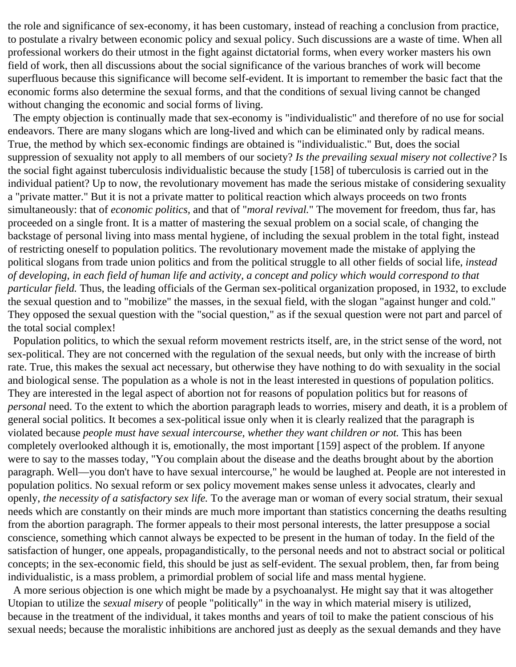the role and significance of sex-economy, it has been customary, instead of reaching a conclusion from practice, to postulate a rivalry between economic policy and sexual policy. Such discussions are a waste of time. When all professional workers do their utmost in the fight against dictatorial forms, when every worker masters his own field of work, then all discussions about the social significance of the various branches of work will become superfluous because this significance will become self-evident. It is important to remember the basic fact that the economic forms also determine the sexual forms, and that the conditions of sexual living cannot be changed without changing the economic and social forms of living.

 The empty objection is continually made that sex-economy is "individualistic" and therefore of no use for social endeavors. There are many slogans which are long-lived and which can be eliminated only by radical means. True, the method by which sex-economic findings are obtained is "individualistic." But, does the social suppression of sexuality not apply to all members of our society? *Is the prevailing sexual misery not collective?* Is the social fight against tuberculosis individualistic because the study [158] of tuberculosis is carried out in the individual patient? Up to now, the revolutionary movement has made the serious mistake of considering sexuality a "private matter." But it is not a private matter to political reaction which always proceeds on two fronts simultaneously: that of *economic politics,* and that of "*moral revival.*" The movement for freedom, thus far, has proceeded on a single front. It is a matter of mastering the sexual problem on a social scale, of changing the backstage of personal living into mass mental hygiene, of including the sexual problem in the total fight, instead of restricting oneself to population politics. The revolutionary movement made the mistake of applying the political slogans from trade union politics and from the political struggle to all other fields of social life, *instead of developing, in each field of human life and activity, a concept and policy which would correspond to that particular field.* Thus, the leading officials of the German sex-political organization proposed, in 1932, to exclude the sexual question and to "mobilize" the masses, in the sexual field, with the slogan "against hunger and cold." They opposed the sexual question with the "social question," as if the sexual question were not part and parcel of the total social complex!

 Population politics, to which the sexual reform movement restricts itself, are, in the strict sense of the word, not sex-political. They are not concerned with the regulation of the sexual needs, but only with the increase of birth rate. True, this makes the sexual act necessary, but otherwise they have nothing to do with sexuality in the social and biological sense. The population as a whole is not in the least interested in questions of population politics. They are interested in the legal aspect of abortion not for reasons of population politics but for reasons of *personal* need. To the extent to which the abortion paragraph leads to worries, misery and death, it is a problem of general social politics. It becomes a sex-political issue only when it is clearly realized that the paragraph is violated because *people must have sexual intercourse*, whether they want children or not. This has been completely overlooked although it is, emotionally, the most important [159] aspect of the problem. If anyone were to say to the masses today, "You complain about the disease and the deaths brought about by the abortion paragraph. Well—you don't have to have sexual intercourse," he would be laughed at. People are not interested in population politics. No sexual reform or sex policy movement makes sense unless it advocates, clearly and openly, *the necessity of a satisfactory sex life.* To the average man or woman of every social stratum, their sexual needs which are constantly on their minds are much more important than statistics concerning the deaths resulting from the abortion paragraph. The former appeals to their most personal interests, the latter presuppose a social conscience, something which cannot always be expected to be present in the human of today. In the field of the satisfaction of hunger, one appeals, propagandistically, to the personal needs and not to abstract social or political concepts; in the sex-economic field, this should be just as self-evident. The sexual problem, then, far from being individualistic, is a mass problem, a primordial problem of social life and mass mental hygiene.

 A more serious objection is one which might be made by a psychoanalyst. He might say that it was altogether Utopian to utilize the *sexual misery* of people "politically" in the way in which material misery is utilized, because in the treatment of the individual, it takes months and years of toil to make the patient conscious of his sexual needs; because the moralistic inhibitions are anchored just as deeply as the sexual demands and they have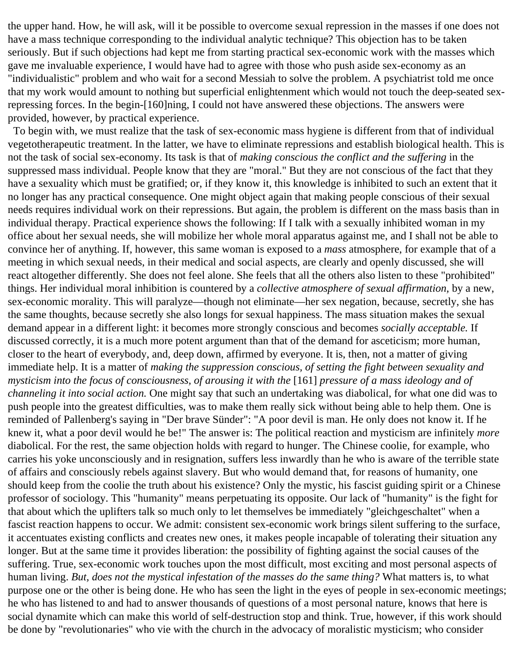the upper hand. How, he will ask, will it be possible to overcome sexual repression in the masses if one does not have a mass technique corresponding to the individual analytic technique? This objection has to be taken seriously. But if such objections had kept me from starting practical sex-economic work with the masses which gave me invaluable experience, I would have had to agree with those who push aside sex-economy as an "individualistic" problem and who wait for a second Messiah to solve the problem. A psychiatrist told me once that my work would amount to nothing but superficial enlightenment which would not touch the deep-seated sexrepressing forces. In the begin-[160]ning, I could not have answered these objections. The answers were provided, however, by practical experience.

 To begin with, we must realize that the task of sex-economic mass hygiene is different from that of individual vegetotherapeutic treatment. In the latter, we have to eliminate repressions and establish biological health. This is not the task of social sex-economy. Its task is that of *making conscious the conflict and the suffering* in the suppressed mass individual. People know that they are "moral." But they are not conscious of the fact that they have a sexuality which must be gratified; or, if they know it, this knowledge is inhibited to such an extent that it no longer has any practical consequence. One might object again that making people conscious of their sexual needs requires individual work on their repressions. But again, the problem is different on the mass basis than in individual therapy. Practical experience shows the following: If I talk with a sexually inhibited woman in my office about her sexual needs, she will mobilize her whole moral apparatus against me, and I shall not be able to convince her of anything. If, however, this same woman is exposed to a *mass* atmosphere, for example that of a meeting in which sexual needs, in their medical and social aspects, are clearly and openly discussed, she will react altogether differently. She does not feel alone. She feels that all the others also listen to these "prohibited" things. Her individual moral inhibition is countered by a *collective atmosphere of sexual affirmation,* by a new, sex-economic morality. This will paralyze—though not eliminate—her sex negation, because, secretly, she has the same thoughts, because secretly she also longs for sexual happiness. The mass situation makes the sexual demand appear in a different light: it becomes more strongly conscious and becomes *socially acceptable.* If discussed correctly, it is a much more potent argument than that of the demand for asceticism; more human, closer to the heart of everybody, and, deep down, affirmed by everyone. It is, then, not a matter of giving immediate help. It is a matter of *making the suppression conscious, of setting the fight between sexuality and mysticism into the focus of consciousness, of arousing it with the* [161] *pressure of a mass ideology and of channeling it into social action.* One might say that such an undertaking was diabolical, for what one did was to push people into the greatest difficulties, was to make them really sick without being able to help them. One is reminded of Pallenberg's saying in "Der brave Sünder": "A poor devil is man. He only does not know it. If he knew it, what a poor devil would he be!" The answer is: The political reaction and mysticism are infinitely *more*  diabolical. For the rest, the same objection holds with regard to hunger. The Chinese coolie, for example, who carries his yoke unconsciously and in resignation, suffers less inwardly than he who is aware of the terrible state of affairs and consciously rebels against slavery. But who would demand that, for reasons of humanity, one should keep from the coolie the truth about his existence? Only the mystic, his fascist guiding spirit or a Chinese professor of sociology. This "humanity" means perpetuating its opposite. Our lack of "humanity" is the fight for that about which the uplifters talk so much only to let themselves be immediately "gleichgeschaltet" when a fascist reaction happens to occur. We admit: consistent sex-economic work brings silent suffering to the surface, it accentuates existing conflicts and creates new ones, it makes people incapable of tolerating their situation any longer. But at the same time it provides liberation: the possibility of fighting against the social causes of the suffering. True, sex-economic work touches upon the most difficult, most exciting and most personal aspects of human living. *But, does not the mystical infestation of the masses do the same thing?* What matters is, to what purpose one or the other is being done. He who has seen the light in the eyes of people in sex-economic meetings; he who has listened to and had to answer thousands of questions of a most personal nature, knows that here is social dynamite which can make this world of self-destruction stop and think. True, however, if this work should be done by "revolutionaries" who vie with the church in the advocacy of moralistic mysticism; who consider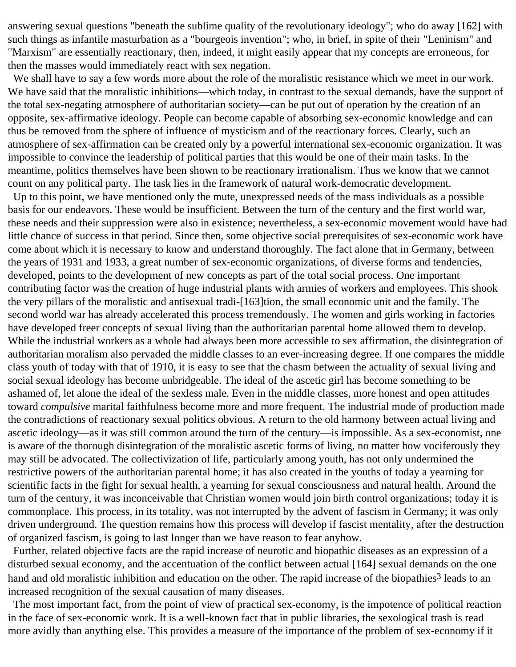answering sexual questions "beneath the sublime quality of the revolutionary ideology"; who do away [162] with such things as infantile masturbation as a "bourgeois invention"; who, in brief, in spite of their "Leninism" and "Marxism" are essentially reactionary, then, indeed, it might easily appear that my concepts are erroneous, for then the masses would immediately react with sex negation.

 We shall have to say a few words more about the role of the moralistic resistance which we meet in our work. We have said that the moralistic inhibitions—which today, in contrast to the sexual demands, have the support of the total sex-negating atmosphere of authoritarian society—can be put out of operation by the creation of an opposite, sex-affirmative ideology. People can become capable of absorbing sex-economic knowledge and can thus be removed from the sphere of influence of mysticism and of the reactionary forces. Clearly, such an atmosphere of sex-affirmation can be created only by a powerful international sex-economic organization. It was impossible to convince the leadership of political parties that this would be one of their main tasks. In the meantime, politics themselves have been shown to be reactionary irrationalism. Thus we know that we cannot count on any political party. The task lies in the framework of natural work-democratic development.

 Up to this point, we have mentioned only the mute, unexpressed needs of the mass individuals as a possible basis for our endeavors. These would be insufficient. Between the turn of the century and the first world war, these needs and their suppression were also in existence; nevertheless, a sex-economic movement would have had little chance of success in that period. Since then, some objective social prerequisites of sex-economic work have come about which it is necessary to know and understand thoroughly. The fact alone that in Germany, between the years of 1931 and 1933, a great number of sex-economic organizations, of diverse forms and tendencies, developed, points to the development of new concepts as part of the total social process. One important contributing factor was the creation of huge industrial plants with armies of workers and employees. This shook the very pillars of the moralistic and antisexual tradi-[163]tion, the small economic unit and the family. The second world war has already accelerated this process tremendously. The women and girls working in factories have developed freer concepts of sexual living than the authoritarian parental home allowed them to develop. While the industrial workers as a whole had always been more accessible to sex affirmation, the disintegration of authoritarian moralism also pervaded the middle classes to an ever-increasing degree. If one compares the middle class youth of today with that of 1910, it is easy to see that the chasm between the actuality of sexual living and social sexual ideology has become unbridgeable. The ideal of the ascetic girl has become something to be ashamed of, let alone the ideal of the sexless male. Even in the middle classes, more honest and open attitudes toward *compulsive* marital faithfulness become more and more frequent. The industrial mode of production made the contradictions of reactionary sexual politics obvious. A return to the old harmony between actual living and ascetic ideology—as it was still common around the turn of the century—is impossible. As a sex-economist, one is aware of the thorough disintegration of the moralistic ascetic forms of living, no matter how vociferously they may still be advocated. The collectivization of life, particularly among youth, has not only undermined the restrictive powers of the authoritarian parental home; it has also created in the youths of today a yearning for scientific facts in the fight for sexual health, a yearning for sexual consciousness and natural health. Around the turn of the century, it was inconceivable that Christian women would join birth control organizations; today it is commonplace. This process, in its totality, was not interrupted by the advent of fascism in Germany; it was only driven underground. The question remains how this process will develop if fascist mentality, after the destruction of organized fascism, is going to last longer than we have reason to fear anyhow.

 Further, related objective facts are the rapid increase of neurotic and biopathic diseases as an expression of a disturbed sexual economy, and the accentuation of the conflict between actual [164] sexual demands on the one hand and old moralistic inhibition and education on the other. The rapid increase of the biopathies<sup>3</sup> leads to an increased recognition of the sexual causation of many diseases.

 The most important fact, from the point of view of practical sex-economy, is the impotence of political reaction in the face of sex-economic work. It is a well-known fact that in public libraries, the sexological trash is read more avidly than anything else. This provides a measure of the importance of the problem of sex-economy if it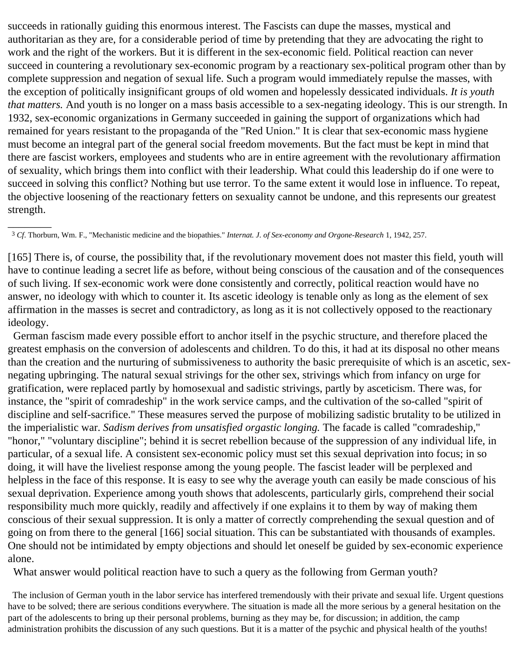succeeds in rationally guiding this enormous interest. The Fascists can dupe the masses, mystical and authoritarian as they are, for a considerable period of time by pretending that they are advocating the right to work and the right of the workers. But it is different in the sex-economic field. Political reaction can never succeed in countering a revolutionary sex-economic program by a reactionary sex-political program other than by complete suppression and negation of sexual life. Such a program would immediately repulse the masses, with the exception of politically insignificant groups of old women and hopelessly dessicated individuals. *It is youth that matters.* And youth is no longer on a mass basis accessible to a sex-negating ideology. This is our strength. In 1932, sex-economic organizations in Germany succeeded in gaining the support of organizations which had remained for years resistant to the propaganda of the "Red Union." It is clear that sex-economic mass hygiene must become an integral part of the general social freedom movements. But the fact must be kept in mind that there are fascist workers, employees and students who are in entire agreement with the revolutionary affirmation of sexuality, which brings them into conflict with their leadership. What could this leadership do if one were to succeed in solving this conflict? Nothing but use terror. To the same extent it would lose in influence. To repeat, the objective loosening of the reactionary fetters on sexuality cannot be undone, and this represents our greatest strength.

3 *Cf*. Thorburn, Wm. F., "Mechanistic medicine and the biopathies." *Internat. J. of Sex-economy and Orgone-Research* 1, 1942, 257.

\_\_\_\_\_\_\_\_

[165] There is, of course, the possibility that, if the revolutionary movement does not master this field, youth will have to continue leading a secret life as before, without being conscious of the causation and of the consequences of such living. If sex-economic work were done consistently and correctly, political reaction would have no answer, no ideology with which to counter it. Its ascetic ideology is tenable only as long as the element of sex affirmation in the masses is secret and contradictory, as long as it is not collectively opposed to the reactionary ideology.

 German fascism made every possible effort to anchor itself in the psychic structure, and therefore placed the greatest emphasis on the conversion of adolescents and children. To do this, it had at its disposal no other means than the creation and the nurturing of submissiveness to authority the basic prerequisite of which is an ascetic, sexnegating upbringing. The natural sexual strivings for the other sex, strivings which from infancy on urge for gratification, were replaced partly by homosexual and sadistic strivings, partly by asceticism. There was, for instance, the "spirit of comradeship" in the work service camps, and the cultivation of the so-called "spirit of discipline and self-sacrifice." These measures served the purpose of mobilizing sadistic brutality to be utilized in the imperialistic war. *Sadism derives from unsatisfied orgastic longing.* The facade is called "comradeship," "honor," "voluntary discipline"; behind it is secret rebellion because of the suppression of any individual life, in particular, of a sexual life. A consistent sex-economic policy must set this sexual deprivation into focus; in so doing, it will have the liveliest response among the young people. The fascist leader will be perplexed and helpless in the face of this response. It is easy to see why the average youth can easily be made conscious of his sexual deprivation. Experience among youth shows that adolescents, particularly girls, comprehend their social responsibility much more quickly, readily and affectively if one explains it to them by way of making them conscious of their sexual suppression. It is only a matter of correctly comprehending the sexual question and of going on from there to the general [166] social situation. This can be substantiated with thousands of examples. One should not be intimidated by empty objections and should let oneself be guided by sex-economic experience alone.

What answer would political reaction have to such a query as the following from German youth?

 The inclusion of German youth in the labor service has interfered tremendously with their private and sexual life. Urgent questions have to be solved; there are serious conditions everywhere. The situation is made all the more serious by a general hesitation on the part of the adolescents to bring up their personal problems, burning as they may be, for discussion; in addition, the camp administration prohibits the discussion of any such questions. But it is a matter of the psychic and physical health of the youths!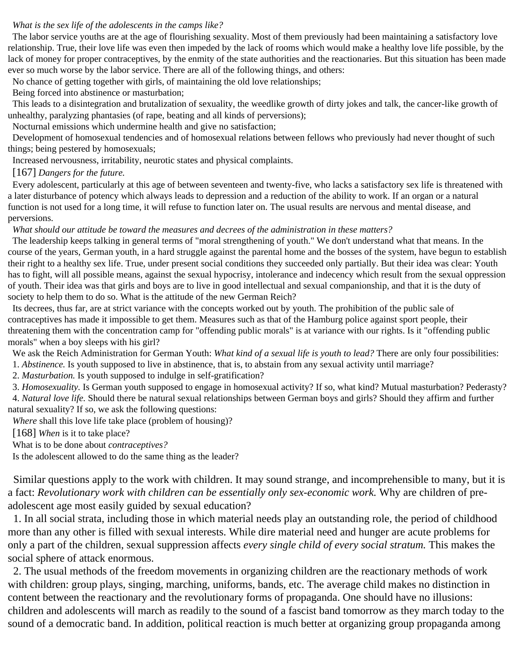#### *What is the sex life of the adolescents in the camps like?*

 The labor service youths are at the age of flourishing sexuality. Most of them previously had been maintaining a satisfactory love relationship. True, their love life was even then impeded by the lack of rooms which would make a healthy love life possible, by the lack of money for proper contraceptives, by the enmity of the state authorities and the reactionaries. But this situation has been made ever so much worse by the labor service. There are all of the following things, and others:

No chance of getting together with girls, of maintaining the old love relationships;

Being forced into abstinence or masturbation;

 This leads to a disintegration and brutalization of sexuality, the weedlike growth of dirty jokes and talk, the cancer-like growth of unhealthy, paralyzing phantasies (of rape, beating and all kinds of perversions);

Nocturnal emissions which undermine health and give no satisfaction;

 Development of homosexual tendencies and of homosexual relations between fellows who previously had never thought of such things; being pestered by homosexuals;

Increased nervousness, irritability, neurotic states and physical complaints.

[167] *Dangers for the future.*

 Every adolescent, particularly at this age of between seventeen and twenty-five, who lacks a satisfactory sex life is threatened with a later disturbance of potency which always leads to depression and a reduction of the ability to work. If an organ or a natural function is not used for a long time, it will refuse to function later on. The usual results are nervous and mental disease, and perversions.

*What should our attitude be toward the measures and decrees of the administration in these matters?*

 The leadership keeps talking in general terms of "moral strengthening of youth." We don't understand what that means. In the course of the years, German youth, in a hard struggle against the parental home and the bosses of the system, have begun to establish their right to a healthy sex life. True, under present social conditions they succeeded only partially. But their idea was clear: Youth has to fight, will all possible means, against the sexual hypocrisy, intolerance and indecency which result from the sexual oppression of youth. Their idea was that girls and boys are to live in good intellectual and sexual companionship, and that it is the duty of society to help them to do so. What is the attitude of the new German Reich?

 Its decrees, thus far, are at strict variance with the concepts worked out by youth. The prohibition of the public sale of contraceptives has made it impossible to get them. Measures such as that of the Hamburg police against sport people, their threatening them with the concentration camp for "offending public morals" is at variance with our rights. Is it "offending public morals" when a boy sleeps with his girl?

We ask the Reich Administration for German Youth: *What kind of a sexual life is youth to lead?* There are only four possibilities:

1. *Abstinence.* Is youth supposed to live in abstinence, that is, to abstain from any sexual activity until marriage?

2. *Masturbation.* Is youth supposed to indulge in self-gratification?

 3. *Homosexuality.* Is German youth supposed to engage in homosexual activity? If so, what kind? Mutual masturbation? Pederasty? 4. *Natural love life.* Should there be natural sexual relationships between German boys and girls? Should they affirm and further natural sexuality? If so, we ask the following questions:

*Where* shall this love life take place (problem of housing)?

[168] *When* is it to take place?

What is to be done about *contraceptives?*

Is the adolescent allowed to do the same thing as the leader?

 Similar questions apply to the work with children. It may sound strange, and incomprehensible to many, but it is a fact: *Revolutionary work with children can be essentially only sex-economic work.* Why are children of preadolescent age most easily guided by sexual education?

 1. In all social strata, including those in which material needs play an outstanding role, the period of childhood more than any other is filled with sexual interests. While dire material need and hunger are acute problems for only a part of the children, sexual suppression affects *every single child of every social stratum.* This makes the social sphere of attack enormous.

 2. The usual methods of the freedom movements in organizing children are the reactionary methods of work with children: group plays, singing, marching, uniforms, bands, etc. The average child makes no distinction in content between the reactionary and the revolutionary forms of propaganda. One should have no illusions: children and adolescents will march as readily to the sound of a fascist band tomorrow as they march today to the sound of a democratic band. In addition, political reaction is much better at organizing group propaganda among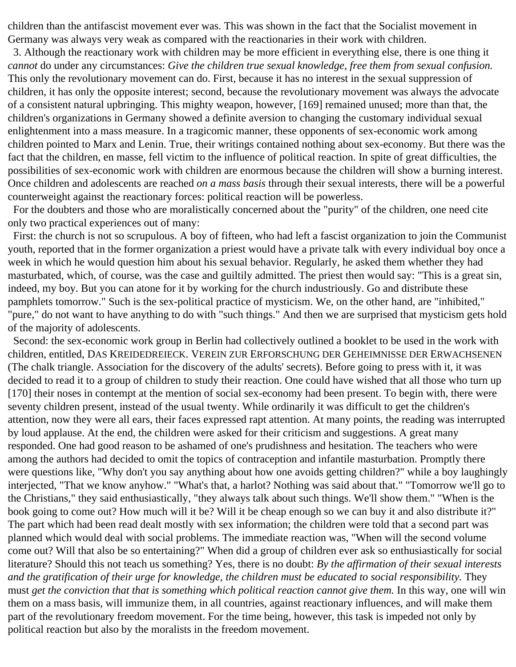children than the antifascist movement ever was. This was shown in the fact that the Socialist movement in Germany was always very weak as compared with the reactionaries in their work with children.

 3. Although the reactionary work with children may be more efficient in everything else, there is one thing it *cannot* do under any circumstances: *Give the children true sexual knowledge, free them from sexual confusion.*  This only the revolutionary movement can do. First, because it has no interest in the sexual suppression of children, it has only the opposite interest; second, because the revolutionary movement was always the advocate of a consistent natural upbringing. This mighty weapon, however, [169] remained unused; more than that, the children's organizations in Germany showed a definite aversion to changing the customary individual sexual enlightenment into a mass measure. In a tragicomic manner, these opponents of sex-economic work among children pointed to Marx and Lenin. True, their writings contained nothing about sex-economy. But there was the fact that the children, en masse, fell victim to the influence of political reaction. In spite of great difficulties, the possibilities of sex-economic work with children are enormous because the children will show a burning interest. Once children and adolescents are reached *on a mass basis* through their sexual interests, there will be a powerful counterweight against the reactionary forces: political reaction will be powerless.

 For the doubters and those who are moralistically concerned about the "purity" of the children, one need cite only two practical experiences out of many:

 First: the church is not so scrupulous. A boy of fifteen, who had left a fascist organization to join the Communist youth, reported that in the former organization a priest would have a private talk with every individual boy once a week in which he would question him about his sexual behavior. Regularly, he asked them whether they had masturbated, which, of course, was the case and guiltily admitted. The priest then would say: "This is a great sin, indeed, my boy. But you can atone for it by working for the church industriously. Go and distribute these pamphlets tomorrow." Such is the sex-political practice of mysticism. We, on the other hand, are "inhibited," "pure," do not want to have anything to do with "such things." And then we are surprised that mysticism gets hold of the majority of adolescents.

 Second: the sex-economic work group in Berlin had collectively outlined a booklet to be used in the work with children, entitled, DAS KREIDEDREIECK. VEREIN ZUR ERFORSCHUNG DER GEHEIMNISSE DER ERWACHSENEN (The chalk triangle. Association for the discovery of the adults' secrets). Before going to press with it, it was decided to read it to a group of children to study their reaction. One could have wished that all those who turn up [170] their noses in contempt at the mention of social sex-economy had been present. To begin with, there were seventy children present, instead of the usual twenty. While ordinarily it was difficult to get the children's attention, now they were all ears, their faces expressed rapt attention. At many points, the reading was interrupted by loud applause. At the end, the children were asked for their criticism and suggestions. A great many responded. One had good reason to be ashamed of one's prudishness and hesitation. The teachers who were among the authors had decided to omit the topics of contraception and infantile masturbation. Promptly there were questions like, "Why don't you say anything about how one avoids getting children?" while a boy laughingly interjected, "That we know anyhow." "What's that, a harlot? Nothing was said about that." "Tomorrow we'll go to the Christians," they said enthusiastically, "they always talk about such things. We'll show them." "When is the book going to come out? How much will it be? Will it be cheap enough so we can buy it and also distribute it?" The part which had been read dealt mostly with sex information; the children were told that a second part was planned which would deal with social problems. The immediate reaction was, "When will the second volume come out? Will that also be so entertaining?" When did a group of children ever ask so enthusiastically for social literature? Should this not teach us something? Yes, there is no doubt: *By the affirmation of their sexual interests and the gratification of their urge for knowledge, the children must be educated to social responsibility.* They must *get the conviction that that is something which political reaction cannot give them*. In this way, one will win them on a mass basis, will immunize them, in all countries, against reactionary influences, and will make them part of the revolutionary freedom movement. For the time being, however, this task is impeded not only by political reaction but also by the moralists in the freedom movement.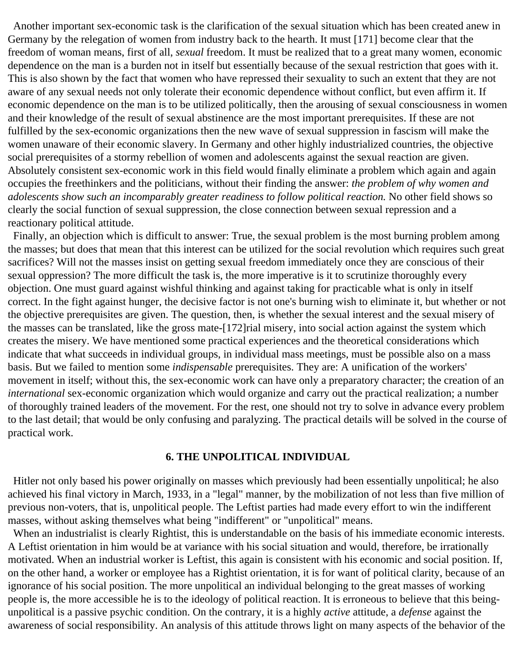Another important sex-economic task is the clarification of the sexual situation which has been created anew in Germany by the relegation of women from industry back to the hearth. It must [171] become clear that the freedom of woman means, first of all, *sexual* freedom. It must be realized that to a great many women, economic dependence on the man is a burden not in itself but essentially because of the sexual restriction that goes with it. This is also shown by the fact that women who have repressed their sexuality to such an extent that they are not aware of any sexual needs not only tolerate their economic dependence without conflict, but even affirm it. If economic dependence on the man is to be utilized politically, then the arousing of sexual consciousness in women and their knowledge of the result of sexual abstinence are the most important prerequisites. If these are not fulfilled by the sex-economic organizations then the new wave of sexual suppression in fascism will make the women unaware of their economic slavery. In Germany and other highly industrialized countries, the objective social prerequisites of a stormy rebellion of women and adolescents against the sexual reaction are given. Absolutely consistent sex-economic work in this field would finally eliminate a problem which again and again occupies the freethinkers and the politicians, without their finding the answer: *the problem of why women and adolescents show such an incomparably greater readiness to follow political reaction.* No other field shows so clearly the social function of sexual suppression, the close connection between sexual repression and a reactionary political attitude.

 Finally, an objection which is difficult to answer: True, the sexual problem is the most burning problem among the masses; but does that mean that this interest can be utilized for the social revolution which requires such great sacrifices? Will not the masses insist on getting sexual freedom immediately once they are conscious of their sexual oppression? The more difficult the task is, the more imperative is it to scrutinize thoroughly every objection. One must guard against wishful thinking and against taking for practicable what is only in itself correct. In the fight against hunger, the decisive factor is not one's burning wish to eliminate it, but whether or not the objective prerequisites are given. The question, then, is whether the sexual interest and the sexual misery of the masses can be translated, like the gross mate-[172]rial misery, into social action against the system which creates the misery. We have mentioned some practical experiences and the theoretical considerations which indicate that what succeeds in individual groups, in individual mass meetings, must be possible also on a mass basis. But we failed to mention some *indispensable* prerequisites. They are: A unification of the workers' movement in itself; without this, the sex-economic work can have only a preparatory character; the creation of an *international* sex-economic organization which would organize and carry out the practical realization; a number of thoroughly trained leaders of the movement. For the rest, one should not try to solve in advance every problem to the last detail; that would be only confusing and paralyzing. The practical details will be solved in the course of practical work.

## **6. THE UNPOLITICAL INDIVIDUAL**

 Hitler not only based his power originally on masses which previously had been essentially unpolitical; he also achieved his final victory in March, 1933, in a "legal" manner, by the mobilization of not less than five million of previous non-voters, that is, unpolitical people. The Leftist parties had made every effort to win the indifferent masses, without asking themselves what being "indifferent" or "unpolitical" means.

 When an industrialist is clearly Rightist, this is understandable on the basis of his immediate economic interests. A Leftist orientation in him would be at variance with his social situation and would, therefore, be irrationally motivated. When an industrial worker is Leftist, this again is consistent with his economic and social position. If, on the other hand, a worker or employee has a Rightist orientation, it is for want of political clarity, because of an ignorance of his social position. The more unpolitical an individual belonging to the great masses of working people is, the more accessible he is to the ideology of political reaction. It is erroneous to believe that this beingunpolitical is a passive psychic condition. On the contrary, it is a highly *active* attitude, a *defense* against the awareness of social responsibility. An analysis of this attitude throws light on many aspects of the behavior of the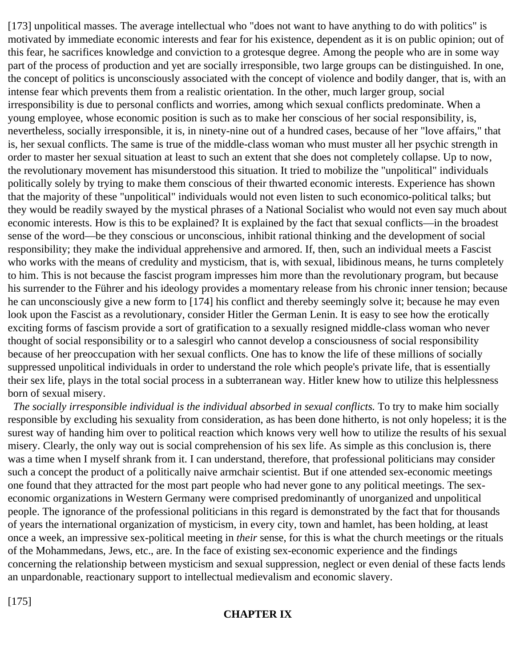[173] unpolitical masses. The average intellectual who "does not want to have anything to do with politics" is motivated by immediate economic interests and fear for his existence, dependent as it is on public opinion; out of this fear, he sacrifices knowledge and conviction to a grotesque degree. Among the people who are in some way part of the process of production and yet are socially irresponsible, two large groups can be distinguished. In one, the concept of politics is unconsciously associated with the concept of violence and bodily danger, that is, with an intense fear which prevents them from a realistic orientation. In the other, much larger group, social irresponsibility is due to personal conflicts and worries, among which sexual conflicts predominate. When a young employee, whose economic position is such as to make her conscious of her social responsibility, is, nevertheless, socially irresponsible, it is, in ninety-nine out of a hundred cases, because of her "love affairs," that is, her sexual conflicts. The same is true of the middle-class woman who must muster all her psychic strength in order to master her sexual situation at least to such an extent that she does not completely collapse. Up to now, the revolutionary movement has misunderstood this situation. It tried to mobilize the "unpolitical" individuals politically solely by trying to make them conscious of their thwarted economic interests. Experience has shown that the majority of these "unpolitical" individuals would not even listen to such economico-political talks; but they would be readily swayed by the mystical phrases of a National Socialist who would not even say much about economic interests. How is this to be explained? It is explained by the fact that sexual conflicts—in the broadest sense of the word—be they conscious or unconscious, inhibit rational thinking and the development of social responsibility; they make the individual apprehensive and armored. If, then, such an individual meets a Fascist who works with the means of credulity and mysticism, that is, with sexual, libidinous means, he turns completely to him. This is not because the fascist program impresses him more than the revolutionary program, but because his surrender to the Führer and his ideology provides a momentary release from his chronic inner tension; because he can unconsciously give a new form to [174] his conflict and thereby seemingly solve it; because he may even look upon the Fascist as a revolutionary, consider Hitler the German Lenin. It is easy to see how the erotically exciting forms of fascism provide a sort of gratification to a sexually resigned middle-class woman who never thought of social responsibility or to a salesgirl who cannot develop a consciousness of social responsibility because of her preoccupation with her sexual conflicts. One has to know the life of these millions of socially suppressed unpolitical individuals in order to understand the role which people's private life, that is essentially their sex life, plays in the total social process in a subterranean way. Hitler knew how to utilize this helplessness born of sexual misery.

 *The socially irresponsible individual is the individual absorbed in sexual conflicts.* To try to make him socially responsible by excluding his sexuality from consideration, as has been done hitherto, is not only hopeless; it is the surest way of handing him over to political reaction which knows very well how to utilize the results of his sexual misery. Clearly, the only way out is social comprehension of his sex life. As simple as this conclusion is, there was a time when I myself shrank from it. I can understand, therefore, that professional politicians may consider such a concept the product of a politically naive armchair scientist. But if one attended sex-economic meetings one found that they attracted for the most part people who had never gone to any political meetings. The sexeconomic organizations in Western Germany were comprised predominantly of unorganized and unpolitical people. The ignorance of the professional politicians in this regard is demonstrated by the fact that for thousands of years the international organization of mysticism, in every city, town and hamlet, has been holding, at least once a week, an impressive sex-political meeting in *their* sense, for this is what the church meetings or the rituals of the Mohammedans, Jews, etc., are. In the face of existing sex-economic experience and the findings concerning the relationship between mysticism and sexual suppression, neglect or even denial of these facts lends an unpardonable, reactionary support to intellectual medievalism and economic slavery.

## **CHAPTER IX**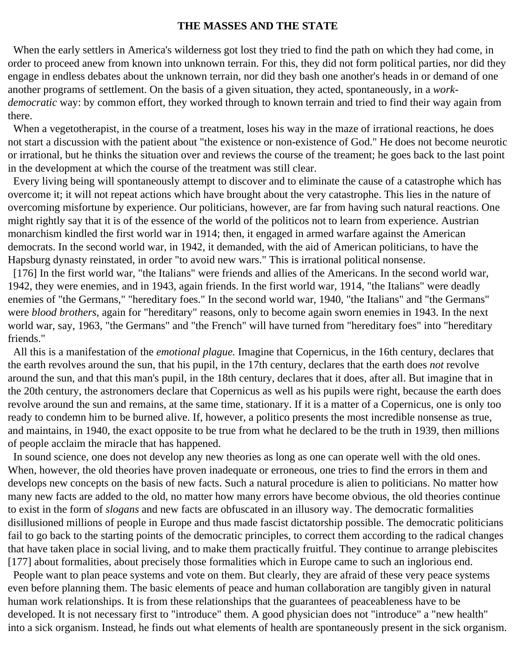#### **THE MASSES AND THE STATE**

 When the early settlers in America's wilderness got lost they tried to find the path on which they had come, in order to proceed anew from known into unknown terrain. For this, they did not form political parties, nor did they engage in endless debates about the unknown terrain, nor did they bash one another's heads in or demand of one another programs of settlement. On the basis of a given situation, they acted, spontaneously, in a *workdemocratic* way: by common effort, they worked through to known terrain and tried to find their way again from there.

When a vegetotherapist, in the course of a treatment, loses his way in the maze of irrational reactions, he does not start a discussion with the patient about "the existence or non-existence of God." He does not become neurotic or irrational, but he thinks the situation over and reviews the course of the treament; he goes back to the last point in the development at which the course of the treatment was still clear.

 Every living being will spontaneously attempt to discover and to eliminate the cause of a catastrophe which has overcome it; it will not repeat actions which have brought about the very catastrophe. This lies in the nature of overcoming misfortune by experience. Our politicians, however, are far from having such natural reactions. One might rightly say that it is of the essence of the world of the politicos not to learn from experience. Austrian monarchism kindled the first world war in 1914; then, it engaged in armed warfare against the American democrats. In the second world war, in 1942, it demanded, with the aid of American politicians, to have the Hapsburg dynasty reinstated, in order "to avoid new wars." This is irrational political nonsense.

[176] In the first world war, "the Italians" were friends and allies of the Americans. In the second world war, 1942, they were enemies, and in 1943, again friends. In the first world war, 1914, "the Italians" were deadly enemies of "the Germans," "hereditary foes." In the second world war, 1940, "the Italians" and "the Germans" were *blood brothers,* again for "hereditary" reasons, only to become again sworn enemies in 1943. In the next world war, say, 1963, "the Germans" and "the French" will have turned from "hereditary foes" into "hereditary friends."

 All this is a manifestation of the *emotional plague.* Imagine that Copernicus, in the 16th century, declares that the earth revolves around the sun, that his pupil, in the 17th century, declares that the earth does *not* revolve around the sun, and that this man's pupil, in the 18th century, declares that it does, after all. But imagine that in the 20th century, the astronomers declare that Copernicus as well as his pupils were right, because the earth does revolve around the sun and remains, at the same time, stationary. If it is a matter of a Copernicus, one is only too ready to condemn him to be burned alive. If, however, a politico presents the most incredible nonsense as true, and maintains, in 1940, the exact opposite to be true from what he declared to be the truth in 1939, then millions of people acclaim the miracle that has happened.

 In sound science, one does not develop any new theories as long as one can operate well with the old ones. When, however, the old theories have proven inadequate or erroneous, one tries to find the errors in them and develops new concepts on the basis of new facts. Such a natural procedure is alien to politicians. No matter how many new facts are added to the old, no matter how many errors have become obvious, the old theories continue to exist in the form of *slogans* and new facts are obfuscated in an illusory way. The democratic formalities disillusioned millions of people in Europe and thus made fascist dictatorship possible. The democratic politicians fail to go back to the starting points of the democratic principles, to correct them according to the radical changes that have taken place in social living, and to make them practically fruitful. They continue to arrange plebiscites [177] about formalities, about precisely those formalities which in Europe came to such an inglorious end.

 People want to plan peace systems and vote on them. But clearly, they are afraid of these very peace systems even before planning them. The basic elements of peace and human collaboration are tangibly given in natural human work relationships. It is from these relationships that the guarantees of peaceableness have to be developed. It is not necessary first to "introduce" them. A good physician does not "introduce" a "new health" into a sick organism. Instead, he finds out what elements of health are spontaneously present in the sick organism.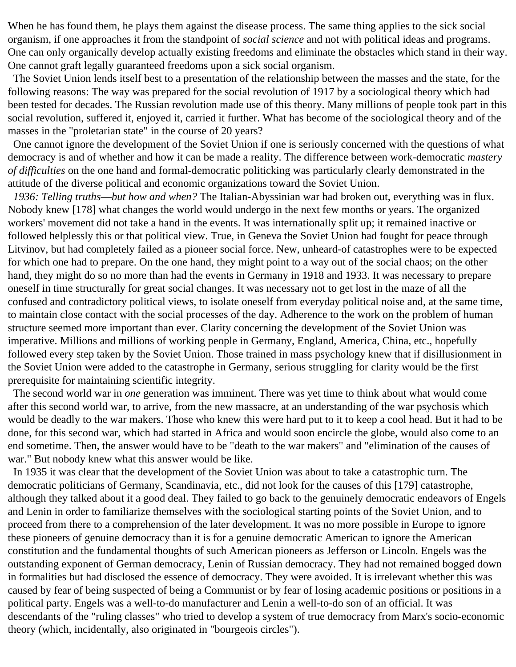When he has found them, he plays them against the disease process. The same thing applies to the sick social organism, if one approaches it from the standpoint of *social science* and not with political ideas and programs. One can only organically develop actually existing freedoms and eliminate the obstacles which stand in their way. One cannot graft legally guaranteed freedoms upon a sick social organism.

 The Soviet Union lends itself best to a presentation of the relationship between the masses and the state, for the following reasons: The way was prepared for the social revolution of 1917 by a sociological theory which had been tested for decades. The Russian revolution made use of this theory. Many millions of people took part in this social revolution, suffered it, enjoyed it, carried it further. What has become of the sociological theory and of the masses in the "proletarian state" in the course of 20 years?

 One cannot ignore the development of the Soviet Union if one is seriously concerned with the questions of what democracy is and of whether and how it can be made a reality. The difference between work-democratic *mastery of difficulties* on the one hand and formal-democratic politicking was particularly clearly demonstrated in the attitude of the diverse political and economic organizations toward the Soviet Union.

 *1936: Telling truths*—*but how and when?* The Italian-Abyssinian war had broken out, everything was in flux. Nobody knew [178] what changes the world would undergo in the next few months or years. The organized workers' movement did not take a hand in the events. It was internationally split up; it remained inactive or followed helplessly this or that political view. True, in Geneva the Soviet Union had fought for peace through Litvinov, but had completely failed as a pioneer social force. New, unheard-of catastrophes were to be expected for which one had to prepare. On the one hand, they might point to a way out of the social chaos; on the other hand, they might do so no more than had the events in Germany in 1918 and 1933. It was necessary to prepare oneself in time structurally for great social changes. It was necessary not to get lost in the maze of all the confused and contradictory political views, to isolate oneself from everyday political noise and, at the same time, to maintain close contact with the social processes of the day. Adherence to the work on the problem of human structure seemed more important than ever. Clarity concerning the development of the Soviet Union was imperative. Millions and millions of working people in Germany, England, America, China, etc., hopefully followed every step taken by the Soviet Union. Those trained in mass psychology knew that if disillusionment in the Soviet Union were added to the catastrophe in Germany, serious struggling for clarity would be the first prerequisite for maintaining scientific integrity.

 The second world war in *one* generation was imminent. There was yet time to think about what would come after this second world war, to arrive, from the new massacre, at an understanding of the war psychosis which would be deadly to the war makers. Those who knew this were hard put to it to keep a cool head. But it had to be done, for this second war, which had started in Africa and would soon encircle the globe, would also come to an end sometime. Then, the answer would have to be "death to the war makers" and "elimination of the causes of war." But nobody knew what this answer would be like.

 In 1935 it was clear that the development of the Soviet Union was about to take a catastrophic turn. The democratic politicians of Germany, Scandinavia, etc., did not look for the causes of this [179] catastrophe, although they talked about it a good deal. They failed to go back to the genuinely democratic endeavors of Engels and Lenin in order to familiarize themselves with the sociological starting points of the Soviet Union, and to proceed from there to a comprehension of the later development. It was no more possible in Europe to ignore these pioneers of genuine democracy than it is for a genuine democratic American to ignore the American constitution and the fundamental thoughts of such American pioneers as Jefferson or Lincoln. Engels was the outstanding exponent of German democracy, Lenin of Russian democracy. They had not remained bogged down in formalities but had disclosed the essence of democracy. They were avoided. It is irrelevant whether this was caused by fear of being suspected of being a Communist or by fear of losing academic positions or positions in a political party. Engels was a well-to-do manufacturer and Lenin a well-to-do son of an official. It was descendants of the "ruling classes" who tried to develop a system of true democracy from Marx's socio-economic theory (which, incidentally, also originated in "bourgeois circles").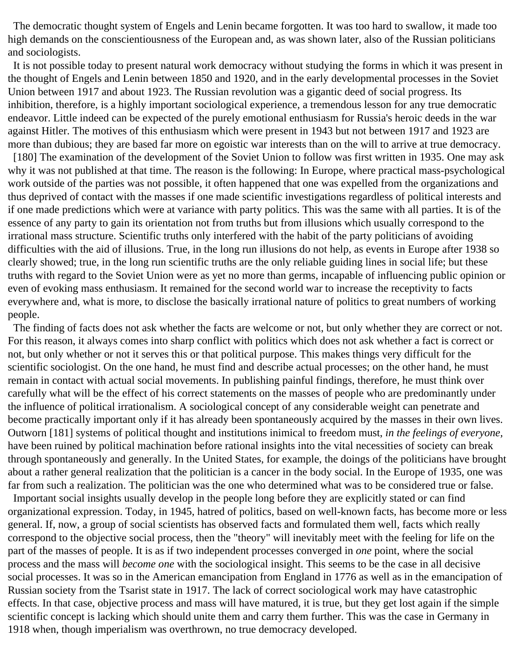The democratic thought system of Engels and Lenin became forgotten. It was too hard to swallow, it made too high demands on the conscientiousness of the European and, as was shown later, also of the Russian politicians and sociologists.

 It is not possible today to present natural work democracy without studying the forms in which it was present in the thought of Engels and Lenin between 1850 and 1920, and in the early developmental processes in the Soviet Union between 1917 and about 1923. The Russian revolution was a gigantic deed of social progress. Its inhibition, therefore, is a highly important sociological experience, a tremendous lesson for any true democratic endeavor. Little indeed can be expected of the purely emotional enthusiasm for Russia's heroic deeds in the war against Hitler. The motives of this enthusiasm which were present in 1943 but not between 1917 and 1923 are more than dubious; they are based far more on egoistic war interests than on the will to arrive at true democracy.

[180] The examination of the development of the Soviet Union to follow was first written in 1935. One may ask why it was not published at that time. The reason is the following: In Europe, where practical mass-psychological work outside of the parties was not possible, it often happened that one was expelled from the organizations and thus deprived of contact with the masses if one made scientific investigations regardless of political interests and if one made predictions which were at variance with party politics. This was the same with all parties. It is of the essence of any party to gain its orientation not from truths but from illusions which usually correspond to the irrational mass structure. Scientific truths only interfered with the habit of the party politicians of avoiding difficulties with the aid of illusions. True, in the long run illusions do not help, as events in Europe after 1938 so clearly showed; true, in the long run scientific truths are the only reliable guiding lines in social life; but these truths with regard to the Soviet Union were as yet no more than germs, incapable of influencing public opinion or even of evoking mass enthusiasm. It remained for the second world war to increase the receptivity to facts everywhere and, what is more, to disclose the basically irrational nature of politics to great numbers of working people.

 The finding of facts does not ask whether the facts are welcome or not, but only whether they are correct or not. For this reason, it always comes into sharp conflict with politics which does not ask whether a fact is correct or not, but only whether or not it serves this or that political purpose. This makes things very difficult for the scientific sociologist. On the one hand, he must find and describe actual processes; on the other hand, he must remain in contact with actual social movements. In publishing painful findings, therefore, he must think over carefully what will be the effect of his correct statements on the masses of people who are predominantly under the influence of political irrationalism. A sociological concept of any considerable weight can penetrate and become practically important only if it has already been spontaneously acquired by the masses in their own lives. Outworn [181] systems of political thought and institutions inimical to freedom must, *in the feelings of everyone,*  have been ruined by political machination before rational insights into the vital necessities of society can break through spontaneously and generally. In the United States, for example, the doings of the politicians have brought about a rather general realization that the politician is a cancer in the body social. In the Europe of 1935, one was far from such a realization. The politician was the one who determined what was to be considered true or false.

 Important social insights usually develop in the people long before they are explicitly stated or can find organizational expression. Today, in 1945, hatred of politics, based on well-known facts, has become more or less general. If, now, a group of social scientists has observed facts and formulated them well, facts which really correspond to the objective social process, then the "theory" will inevitably meet with the feeling for life on the part of the masses of people. It is as if two independent processes converged in *one* point, where the social process and the mass will *become one* with the sociological insight. This seems to be the case in all decisive social processes. It was so in the American emancipation from England in 1776 as well as in the emancipation of Russian society from the Tsarist state in 1917. The lack of correct sociological work may have catastrophic effects. In that case, objective process and mass will have matured, it is true, but they get lost again if the simple scientific concept is lacking which should unite them and carry them further. This was the case in Germany in 1918 when, though imperialism was overthrown, no true democracy developed.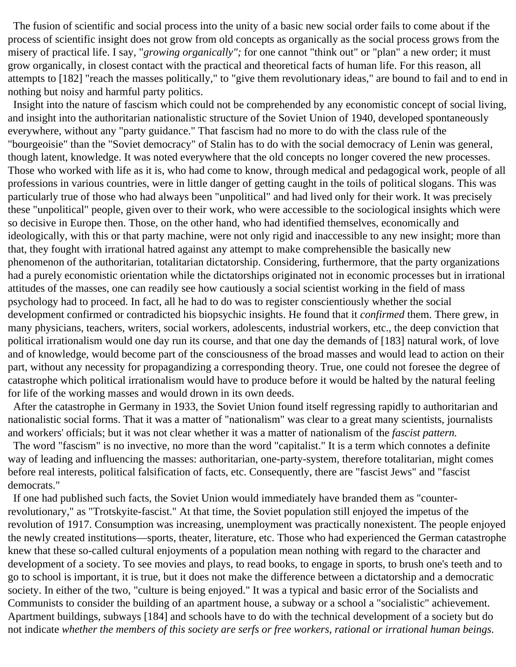The fusion of scientific and social process into the unity of a basic new social order fails to come about if the process of scientific insight does not grow from old concepts as organically as the social process grows from the misery of practical life. I say, "*growing organically";* for one cannot "think out" or "plan" a new order; it must grow organically, in closest contact with the practical and theoretical facts of human life. For this reason, all attempts to [182] "reach the masses politically," to "give them revolutionary ideas," are bound to fail and to end in nothing but noisy and harmful party politics.

 Insight into the nature of fascism which could not be comprehended by any economistic concept of social living, and insight into the authoritarian nationalistic structure of the Soviet Union of 1940, developed spontaneously everywhere, without any "party guidance." That fascism had no more to do with the class rule of the "bourgeoisie" than the "Soviet democracy" of Stalin has to do with the social democracy of Lenin was general, though latent, knowledge. It was noted everywhere that the old concepts no longer covered the new processes. Those who worked with life as it is, who had come to know, through medical and pedagogical work, people of all professions in various countries, were in little danger of getting caught in the toils of political slogans. This was particularly true of those who had always been "unpolitical" and had lived only for their work. It was precisely these "unpolitical" people, given over to their work, who were accessible to the sociological insights which were so decisive in Europe then. Those, on the other hand, who had identified themselves, economically and ideologically, with this or that party machine, were not only rigid and inaccessible to any new insight; more than that, they fought with irrational hatred against any attempt to make comprehensible the basically new phenomenon of the authoritarian, totalitarian dictatorship. Considering, furthermore, that the party organizations had a purely economistic orientation while the dictatorships originated not in economic processes but in irrational attitudes of the masses, one can readily see how cautiously a social scientist working in the field of mass psychology had to proceed. In fact, all he had to do was to register conscientiously whether the social development confirmed or contradicted his biopsychic insights. He found that it *confirmed* them. There grew, in many physicians, teachers, writers, social workers, adolescents, industrial workers, etc., the deep conviction that political irrationalism would one day run its course, and that one day the demands of [183] natural work, of love and of knowledge, would become part of the consciousness of the broad masses and would lead to action on their part, without any necessity for propagandizing a corresponding theory. True, one could not foresee the degree of catastrophe which political irrationalism would have to produce before it would be halted by the natural feeling for life of the working masses and would drown in its own deeds.

 After the catastrophe in Germany in 1933, the Soviet Union found itself regressing rapidly to authoritarian and nationalistic social forms. That it was a matter of "nationalism" was clear to a great many scientists, journalists and workers' officials; but it was not clear whether it was a matter of nationalism of the *fascist pattern.*

 The word "fascism" is no invective, no more than the word "capitalist." It is a term which connotes a definite way of leading and influencing the masses: authoritarian, one-party-system, therefore totalitarian, might comes before real interests, political falsification of facts, etc. Consequently, there are "fascist Jews" and "fascist democrats."

 If one had published such facts, the Soviet Union would immediately have branded them as "counterrevolutionary," as "Trotskyite-fascist." At that time, the Soviet population still enjoyed the impetus of the revolution of 1917. Consumption was increasing, unemployment was practically nonexistent. The people enjoyed the newly created institutions—sports, theater, literature, etc. Those who had experienced the German catastrophe knew that these so-called cultural enjoyments of a population mean nothing with regard to the character and development of a society. To see movies and plays, to read books, to engage in sports, to brush one's teeth and to go to school is important, it is true, but it does not make the difference between a dictatorship and a democratic society. In either of the two, "culture is being enjoyed." It was a typical and basic error of the Socialists and Communists to consider the building of an apartment house, a subway or a school a "socialistic" achievement. Apartment buildings, subways [184] and schools have to do with the technical development of a society but do not indicate *whether the members of this society are serfs or free workers, rational or irrational human beings.*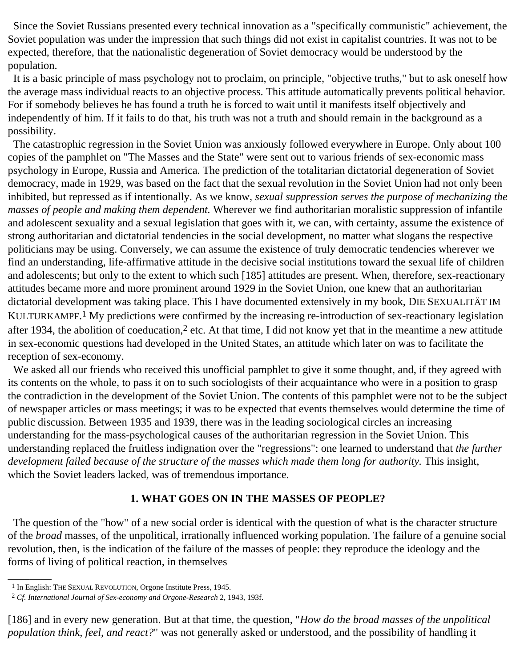Since the Soviet Russians presented every technical innovation as a "specifically communistic" achievement, the Soviet population was under the impression that such things did not exist in capitalist countries. It was not to be expected, therefore, that the nationalistic degeneration of Soviet democracy would be understood by the population.

 It is a basic principle of mass psychology not to proclaim, on principle, "objective truths," but to ask oneself how the average mass individual reacts to an objective process. This attitude automatically prevents political behavior. For if somebody believes he has found a truth he is forced to wait until it manifests itself objectively and independently of him. If it fails to do that, his truth was not a truth and should remain in the background as a possibility.

 The catastrophic regression in the Soviet Union was anxiously followed everywhere in Europe. Only about 100 copies of the pamphlet on "The Masses and the State" were sent out to various friends of sex-economic mass psychology in Europe, Russia and America. The prediction of the totalitarian dictatorial degeneration of Soviet democracy, made in 1929, was based on the fact that the sexual revolution in the Soviet Union had not only been inhibited, but repressed as if intentionally. As we know, *sexual suppression serves the purpose of mechanizing the masses of people and making them dependent.* Wherever we find authoritarian moralistic suppression of infantile and adolescent sexuality and a sexual legislation that goes with it, we can, with certainty, assume the existence of strong authoritarian and dictatorial tendencies in the social development, no matter what slogans the respective politicians may be using. Conversely, we can assume the existence of truly democratic tendencies wherever we find an understanding, life-affirmative attitude in the decisive social institutions toward the sexual life of children and adolescents; but only to the extent to which such [185] attitudes are present. When, therefore, sex-reactionary attitudes became more and more prominent around 1929 in the Soviet Union, one knew that an authoritarian dictatorial development was taking place. This I have documented extensively in my book, DIE SEXUALITÄT IM KULTURKAMPF. 1 My predictions were confirmed by the increasing re-introduction of sex-reactionary legislation after 1934, the abolition of coeducation,<sup>2</sup> etc. At that time, I did not know yet that in the meantime a new attitude in sex-economic questions had developed in the United States, an attitude which later on was to facilitate the reception of sex-economy.

 We asked all our friends who received this unofficial pamphlet to give it some thought, and, if they agreed with its contents on the whole, to pass it on to such sociologists of their acquaintance who were in a position to grasp the contradiction in the development of the Soviet Union. The contents of this pamphlet were not to be the subject of newspaper articles or mass meetings; it was to be expected that events themselves would determine the time of public discussion. Between 1935 and 1939, there was in the leading sociological circles an increasing understanding for the mass-psychological causes of the authoritarian regression in the Soviet Union. This understanding replaced the fruitless indignation over the "regressions": one learned to understand that *the further development failed because of the structure of the masses which made them long for authority.* This insight, which the Soviet leaders lacked, was of tremendous importance.

## **1. WHAT GOES ON IN THE MASSES OF PEOPLE?**

 The question of the "how" of a new social order is identical with the question of what is the character structure of the *broad* masses, of the unpolitical, irrationally influenced working population. The failure of a genuine social revolution, then, is the indication of the failure of the masses of people: they reproduce the ideology and the forms of living of political reaction, in themselves

\_\_\_\_\_\_\_\_

[186] and in every new generation. But at that time, the question, "*How do the broad masses of the unpolitical population think, feel, and react?*" was not generally asked or understood, and the possibility of handling it

1 In English: THE SEXUAL REVOLUTION, Orgone Institute Press, 1945.

2 *Cf. International Journal of Sex-economy and Orgone-Research* 2, 1943, 193f.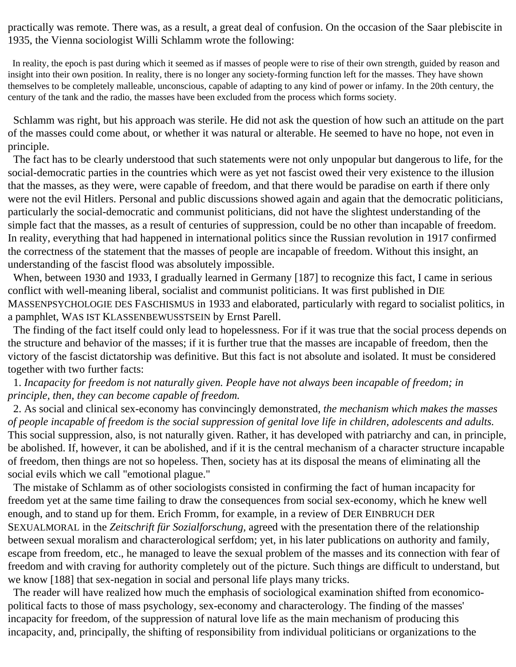practically was remote. There was, as a result, a great deal of confusion. On the occasion of the Saar plebiscite in 1935, the Vienna sociologist Willi Schlamm wrote the following:

 In reality, the epoch is past during which it seemed as if masses of people were to rise of their own strength, guided by reason and insight into their own position. In reality, there is no longer any society-forming function left for the masses. They have shown themselves to be completely malleable, unconscious, capable of adapting to any kind of power or infamy. In the 20th century, the century of the tank and the radio, the masses have been excluded from the process which forms society.

 Schlamm was right, but his approach was sterile. He did not ask the question of how such an attitude on the part of the masses could come about, or whether it was natural or alterable. He seemed to have no hope, not even in principle.

 The fact has to be clearly understood that such statements were not only unpopular but dangerous to life, for the social-democratic parties in the countries which were as yet not fascist owed their very existence to the illusion that the masses, as they were, were capable of freedom, and that there would be paradise on earth if there only were not the evil Hitlers. Personal and public discussions showed again and again that the democratic politicians, particularly the social-democratic and communist politicians, did not have the slightest understanding of the simple fact that the masses, as a result of centuries of suppression, could be no other than incapable of freedom. In reality, everything that had happened in international politics since the Russian revolution in 1917 confirmed the correctness of the statement that the masses of people are incapable of freedom. Without this insight, an understanding of the fascist flood was absolutely impossible.

When, between 1930 and 1933, I gradually learned in Germany [187] to recognize this fact, I came in serious conflict with well-meaning liberal, socialist and communist politicians. It was first published in DIE MASSENPSYCHOLOGIE DES FASCHISMUS in 1933 and elaborated, particularly with regard to socialist politics, in a pamphlet, WAS IST KLASSENBEWUSSTSEIN by Ernst Parell.

 The finding of the fact itself could only lead to hopelessness. For if it was true that the social process depends on the structure and behavior of the masses; if it is further true that the masses are incapable of freedom, then the victory of the fascist dictatorship was definitive. But this fact is not absolute and isolated. It must be considered together with two further facts:

 1. *Incapacity for freedom is not naturally given. People have not always been incapable of freedom; in principle, then, they can become capable of freedom.*

 2. As social and clinical sex-economy has convincingly demonstrated, *the mechanism which makes the masses of people incapable of freedom is the social suppression of genital love life in children, adolescents and adults.*  This social suppression, also, is not naturally given. Rather, it has developed with patriarchy and can, in principle, be abolished. If, however, it can be abolished, and if it is the central mechanism of a character structure incapable of freedom, then things are not so hopeless. Then, society has at its disposal the means of eliminating all the social evils which we call "emotional plague."

 The mistake of Schlamm as of other sociologists consisted in confirming the fact of human incapacity for freedom yet at the same time failing to draw the consequences from social sex-economy, which he knew well enough, and to stand up for them. Erich Fromm, for example, in a review of DER EINBRUCH DER SEXUALMORAL in the *Zeitschrift für Sozialforschung,* agreed with the presentation there of the relationship between sexual moralism and characterological serfdom; yet, in his later publications on authority and family, escape from freedom, etc., he managed to leave the sexual problem of the masses and its connection with fear of freedom and with craving for authority completely out of the picture. Such things are difficult to understand, but we know [188] that sex-negation in social and personal life plays many tricks.

 The reader will have realized how much the emphasis of sociological examination shifted from economicopolitical facts to those of mass psychology, sex-economy and characterology. The finding of the masses' incapacity for freedom, of the suppression of natural love life as the main mechanism of producing this incapacity, and, principally, the shifting of responsibility from individual politicians or organizations to the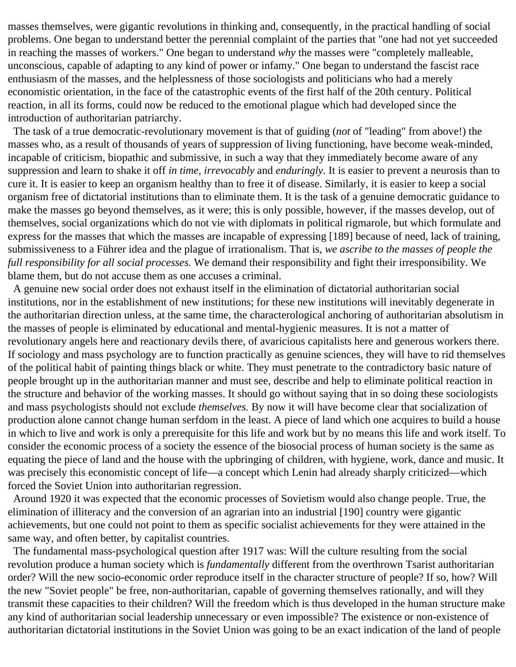masses themselves, were gigantic revolutions in thinking and, consequently, in the practical handling of social problems. One began to understand better the perennial complaint of the parties that "one had not yet succeeded in reaching the masses of workers." One began to understand *why* the masses were "completely malleable, unconscious, capable of adapting to any kind of power or infamy." One began to understand the fascist race enthusiasm of the masses, and the helplessness of those sociologists and politicians who had a merely economistic orientation, in the face of the catastrophic events of the first half of the 20th century. Political reaction, in all its forms, could now be reduced to the emotional plague which had developed since the introduction of authoritarian patriarchy.

 The task of a true democratic-revolutionary movement is that of guiding (*not* of "leading" from above!) the masses who, as a result of thousands of years of suppression of living functioning, have become weak-minded, incapable of criticism, biopathic and submissive, in such a way that they immediately become aware of any suppression and learn to shake it off *in time, irrevocably* and *enduringly.* It is easier to prevent a neurosis than to cure it. It is easier to keep an organism healthy than to free it of disease. Similarly, it is easier to keep a social organism free of dictatorial institutions than to eliminate them. It is the task of a genuine democratic guidance to make the masses go beyond themselves, as it were; this is only possible, however, if the masses develop, out of themselves, social organizations which do not vie with diplomats in political rigmarole, but which formulate and express for the masses that which the masses are incapable of expressing [189] because of need, lack of training, submissiveness to a Führer idea and the plague of irrationalism. That is, *we ascribe to the masses of people the full responsibility for all social processes.* We demand their responsibility and fight their irresponsibility. We blame them, but do not accuse them as one accuses a criminal.

 A genuine new social order does not exhaust itself in the elimination of dictatorial authoritarian social institutions, nor in the establishment of new institutions; for these new institutions will inevitably degenerate in the authoritarian direction unless, at the same time, the characterological anchoring of authoritarian absolutism in the masses of people is eliminated by educational and mental-hygienic measures. It is not a matter of revolutionary angels here and reactionary devils there, of avaricious capitalists here and generous workers there. If sociology and mass psychology are to function practically as genuine sciences, they will have to rid themselves of the political habit of painting things black or white. They must penetrate to the contradictory basic nature of people brought up in the authoritarian manner and must see, describe and help to eliminate political reaction in the structure and behavior of the working masses. It should go without saying that in so doing these sociologists and mass psychologists should not exclude *themselves.* By now it will have become clear that socialization of production alone cannot change human serfdom in the least. A piece of land which one acquires to build a house in which to live and work is only a prerequisite for this life and work but by no means this life and work itself. To consider the economic process of a society the essence of the biosocial process of human society is the same as equating the piece of land and the house with the upbringing of children, with hygiene, work, dance and music. It was precisely this economistic concept of life—a concept which Lenin had already sharply criticized—which forced the Soviet Union into authoritarian regression.

 Around 1920 it was expected that the economic processes of Sovietism would also change people. True, the elimination of illiteracy and the conversion of an agrarian into an industrial [190] country were gigantic achievements, but one could not point to them as specific socialist achievements for they were attained in the same way, and often better, by capitalist countries.

 The fundamental mass-psychological question after 1917 was: Will the culture resulting from the social revolution produce a human society which is *fundamentally* different from the overthrown Tsarist authoritarian order? Will the new socio-economic order reproduce itself in the character structure of people? If so, how? Will the new "Soviet people" be free, non-authoritarian, capable of governing themselves rationally, and will they transmit these capacities to their children? Will the freedom which is thus developed in the human structure make any kind of authoritarian social leadership unnecessary or even impossible? The existence or non-existence of authoritarian dictatorial institutions in the Soviet Union was going to be an exact indication of the land of people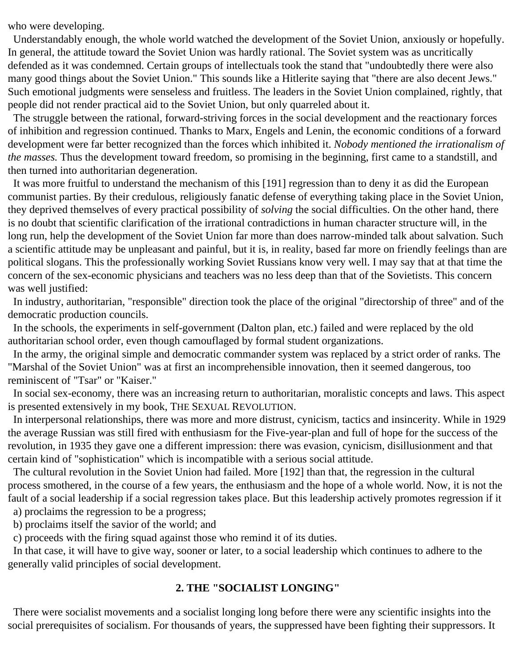who were developing.

 Understandably enough, the whole world watched the development of the Soviet Union, anxiously or hopefully. In general, the attitude toward the Soviet Union was hardly rational. The Soviet system was as uncritically defended as it was condemned. Certain groups of intellectuals took the stand that "undoubtedly there were also many good things about the Soviet Union." This sounds like a Hitlerite saying that "there are also decent Jews." Such emotional judgments were senseless and fruitless. The leaders in the Soviet Union complained, rightly, that people did not render practical aid to the Soviet Union, but only quarreled about it.

 The struggle between the rational, forward-striving forces in the social development and the reactionary forces of inhibition and regression continued. Thanks to Marx, Engels and Lenin, the economic conditions of a forward development were far better recognized than the forces which inhibited it. *Nobody mentioned the irrationalism of the masses.* Thus the development toward freedom, so promising in the beginning, first came to a standstill, and then turned into authoritarian degeneration.

 It was more fruitful to understand the mechanism of this [191] regression than to deny it as did the European communist parties. By their credulous, religiously fanatic defense of everything taking place in the Soviet Union, they deprived themselves of every practical possibility of *solving* the social difficulties. On the other hand, there is no doubt that scientific clarification of the irrational contradictions in human character structure will, in the long run, help the development of the Soviet Union far more than does narrow-minded talk about salvation. Such a scientific attitude may be unpleasant and painful, but it is, in reality, based far more on friendly feelings than are political slogans. This the professionally working Soviet Russians know very well. I may say that at that time the concern of the sex-economic physicians and teachers was no less deep than that of the Sovietists. This concern was well justified:

 In industry, authoritarian, "responsible" direction took the place of the original "directorship of three" and of the democratic production councils.

 In the schools, the experiments in self-government (Dalton plan, etc.) failed and were replaced by the old authoritarian school order, even though camouflaged by formal student organizations.

 In the army, the original simple and democratic commander system was replaced by a strict order of ranks. The "Marshal of the Soviet Union" was at first an incomprehensible innovation, then it seemed dangerous, too reminiscent of "Tsar" or "Kaiser."

 In social sex-economy, there was an increasing return to authoritarian, moralistic concepts and laws. This aspect is presented extensively in my book, THE SEXUAL REVOLUTION.

 In interpersonal relationships, there was more and more distrust, cynicism, tactics and insincerity. While in 1929 the average Russian was still fired with enthusiasm for the Five-year-plan and full of hope for the success of the revolution, in 1935 they gave one a different impression: there was evasion, cynicism, disillusionment and that certain kind of "sophistication" which is incompatible with a serious social attitude.

 The cultural revolution in the Soviet Union had failed. More [192] than that, the regression in the cultural process smothered, in the course of a few years, the enthusiasm and the hope of a whole world. Now, it is not the fault of a social leadership if a social regression takes place. But this leadership actively promotes regression if it

a) proclaims the regression to be a progress;

b) proclaims itself the savior of the world; and

c) proceeds with the firing squad against those who remind it of its duties.

 In that case, it will have to give way, sooner or later, to a social leadership which continues to adhere to the generally valid principles of social development.

#### **2. THE "SOCIALIST LONGING"**

 There were socialist movements and a socialist longing long before there were any scientific insights into the social prerequisites of socialism. For thousands of years, the suppressed have been fighting their suppressors. It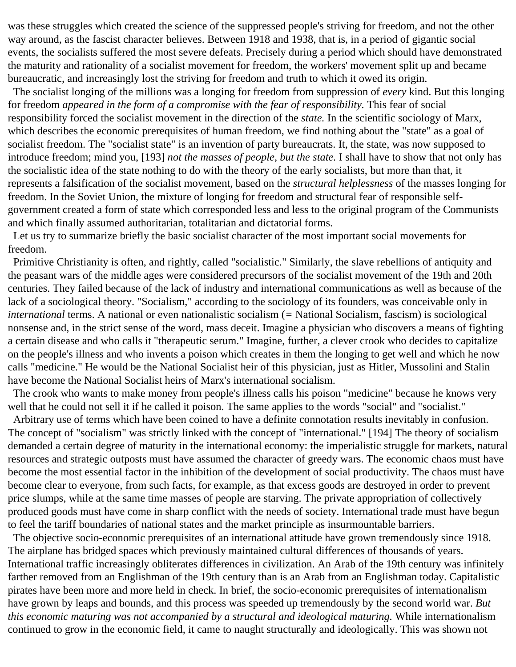was these struggles which created the science of the suppressed people's striving for freedom, and not the other way around, as the fascist character believes. Between 1918 and 1938, that is, in a period of gigantic social events, the socialists suffered the most severe defeats. Precisely during a period which should have demonstrated the maturity and rationality of a socialist movement for freedom, the workers' movement split up and became bureaucratic, and increasingly lost the striving for freedom and truth to which it owed its origin.

 The socialist longing of the millions was a longing for freedom from suppression of *every* kind. But this longing for freedom *appeared in the form of a compromise with the fear of responsibility.* This fear of social responsibility forced the socialist movement in the direction of the *state.* In the scientific sociology of Marx, which describes the economic prerequisites of human freedom, we find nothing about the "state" as a goal of socialist freedom. The "socialist state" is an invention of party bureaucrats. It, the state, was now supposed to introduce freedom; mind you, [193] *not the masses of people, but the state.* I shall have to show that not only has the socialistic idea of the state nothing to do with the theory of the early socialists, but more than that, it represents a falsification of the socialist movement, based on the *structural helplessness* of the masses longing for freedom. In the Soviet Union, the mixture of longing for freedom and structural fear of responsible selfgovernment created a form of state which corresponded less and less to the original program of the Communists and which finally assumed authoritarian, totalitarian and dictatorial forms.

 Let us try to summarize briefly the basic socialist character of the most important social movements for freedom.

 Primitive Christianity is often, and rightly, called "socialistic." Similarly, the slave rebellions of antiquity and the peasant wars of the middle ages were considered precursors of the socialist movement of the 19th and 20th centuries. They failed because of the lack of industry and international communications as well as because of the lack of a sociological theory. "Socialism," according to the sociology of its founders, was conceivable only in *international* terms. A national or even nationalistic socialism (*=* National Socialism, fascism) is sociological nonsense and, in the strict sense of the word, mass deceit. Imagine a physician who discovers a means of fighting a certain disease and who calls it "therapeutic serum." Imagine, further, a clever crook who decides to capitalize on the people's illness and who invents a poison which creates in them the longing to get well and which he now calls "medicine." He would be the National Socialist heir of this physician, just as Hitler, Mussolini and Stalin have become the National Socialist heirs of Marx's international socialism.

 The crook who wants to make money from people's illness calls his poison "medicine" because he knows very well that he could not sell it if he called it poison. The same applies to the words "social" and "socialist."

 Arbitrary use of terms which have been coined to have a definite connotation results inevitably in confusion. The concept of "socialism" was strictly linked with the concept of "international." [194] The theory of socialism demanded a certain degree of maturity in the international economy: the imperialistic struggle for markets, natural resources and strategic outposts must have assumed the character of greedy wars. The economic chaos must have become the most essential factor in the inhibition of the development of social productivity. The chaos must have become clear to everyone, from such facts, for example, as that excess goods are destroyed in order to prevent price slumps, while at the same time masses of people are starving. The private appropriation of collectively produced goods must have come in sharp conflict with the needs of society. International trade must have begun to feel the tariff boundaries of national states and the market principle as insurmountable barriers.

 The objective socio-economic prerequisites of an international attitude have grown tremendously since 1918. The airplane has bridged spaces which previously maintained cultural differences of thousands of years. International traffic increasingly obliterates differences in civilization. An Arab of the 19th century was infinitely farther removed from an Englishman of the 19th century than is an Arab from an Englishman today. Capitalistic pirates have been more and more held in check. In brief, the socio-economic prerequisites of internationalism have grown by leaps and bounds, and this process was speeded up tremendously by the second world war. *But this economic maturing was not accompanied by a structural and ideological maturing.* While internationalism continued to grow in the economic field, it came to naught structurally and ideologically. This was shown not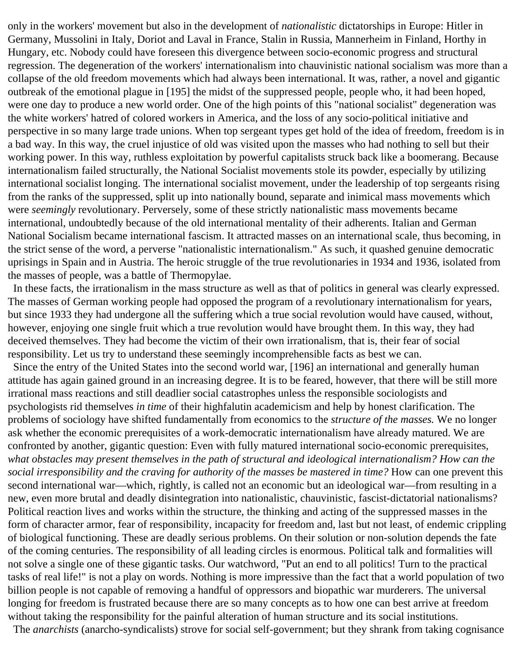only in the workers' movement but also in the development of *nationalistic* dictatorships in Europe: Hitler in Germany, Mussolini in Italy, Doriot and Laval in France, Stalin in Russia, Mannerheim in Finland, Horthy in Hungary, etc. Nobody could have foreseen this divergence between socio-economic progress and structural regression. The degeneration of the workers' internationalism into chauvinistic national socialism was more than a collapse of the old freedom movements which had always been international. It was, rather, a novel and gigantic outbreak of the emotional plague in [195] the midst of the suppressed people, people who, it had been hoped, were one day to produce a new world order. One of the high points of this "national socialist" degeneration was the white workers' hatred of colored workers in America, and the loss of any socio-political initiative and perspective in so many large trade unions. When top sergeant types get hold of the idea of freedom, freedom is in a bad way. In this way, the cruel injustice of old was visited upon the masses who had nothing to sell but their working power. In this way, ruthless exploitation by powerful capitalists struck back like a boomerang. Because internationalism failed structurally, the National Socialist movements stole its powder, especially by utilizing international socialist longing. The international socialist movement, under the leadership of top sergeants rising from the ranks of the suppressed, split up into nationally bound, separate and inimical mass movements which were *seemingly* revolutionary. Perversely, some of these strictly nationalistic mass movements became international, undoubtedly because of the old international mentality of their adherents. Italian and German National Socialism became international fascism. It attracted masses on an international scale, thus becoming, in the strict sense of the word, a perverse "nationalistic internationalism." As such, it quashed genuine democratic uprisings in Spain and in Austria. The heroic struggle of the true revolutionaries in 1934 and 1936, isolated from the masses of people, was a battle of Thermopylae.

 In these facts, the irrationalism in the mass structure as well as that of politics in general was clearly expressed. The masses of German working people had opposed the program of a revolutionary internationalism for years, but since 1933 they had undergone all the suffering which a true social revolution would have caused, without, however, enjoying one single fruit which a true revolution would have brought them. In this way, they had deceived themselves. They had become the victim of their own irrationalism, that is, their fear of social responsibility. Let us try to understand these seemingly incomprehensible facts as best we can.

 Since the entry of the United States into the second world war, [196] an international and generally human attitude has again gained ground in an increasing degree. It is to be feared, however, that there will be still more irrational mass reactions and still deadlier social catastrophes unless the responsible sociologists and psychologists rid themselves *in time* of their highfalutin academicism and help by honest clarification. The problems of sociology have shifted fundamentally from economics to the *structure of the masses.* We no longer ask whether the economic prerequisites of a work-democratic internationalism have already matured. We are confronted by another, gigantic question: Even with fully matured international socio-economic prerequisites, what obstacles may present themselves in the path of structural and ideological internationalism? How can the *social irresponsibility and the craving for authority of the masses be mastered in time?* How can one prevent this second international war—which, rightly, is called not an economic but an ideological war—from resulting in a new, even more brutal and deadly disintegration into nationalistic, chauvinistic, fascist-dictatorial nationalisms? Political reaction lives and works within the structure, the thinking and acting of the suppressed masses in the form of character armor, fear of responsibility, incapacity for freedom and, last but not least, of endemic crippling of biological functioning. These are deadly serious problems. On their solution or non-solution depends the fate of the coming centuries. The responsibility of all leading circles is enormous. Political talk and formalities will not solve a single one of these gigantic tasks. Our watchword, "Put an end to all politics! Turn to the practical tasks of real life!" is not a play on words. Nothing is more impressive than the fact that a world population of two billion people is not capable of removing a handful of oppressors and biopathic war murderers. The universal longing for freedom is frustrated because there are so many concepts as to how one can best arrive at freedom without taking the responsibility for the painful alteration of human structure and its social institutions.

The *anarchists* (anarcho-syndicalists) strove for social self-government; but they shrank from taking cognisance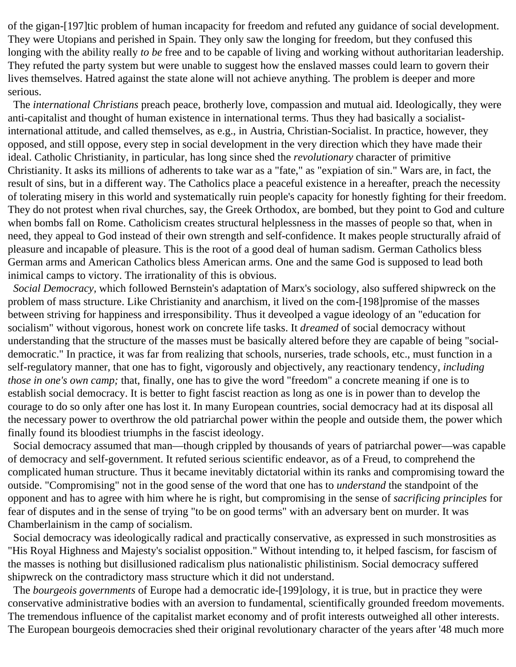of the gigan-[197]tic problem of human incapacity for freedom and refuted any guidance of social development. They were Utopians and perished in Spain. They only saw the longing for freedom, but they confused this longing with the ability really *to be* free and to be capable of living and working without authoritarian leadership. They refuted the party system but were unable to suggest how the enslaved masses could learn to govern their lives themselves. Hatred against the state alone will not achieve anything. The problem is deeper and more serious.

 The *international Christians* preach peace, brotherly love, compassion and mutual aid. Ideologically, they were anti-capitalist and thought of human existence in international terms. Thus they had basically a socialistinternational attitude, and called themselves, as e.g., in Austria, Christian-Socialist. In practice, however, they opposed, and still oppose, every step in social development in the very direction which they have made their ideal. Catholic Christianity, in particular, has long since shed the *revolutionary* character of primitive Christianity. It asks its millions of adherents to take war as a "fate," as "expiation of sin." Wars are, in fact, the result of sins, but in a different way. The Catholics place a peaceful existence in a hereafter, preach the necessity of tolerating misery in this world and systematically ruin people's capacity for honestly fighting for their freedom. They do not protest when rival churches, say, the Greek Orthodox, are bombed, but they point to God and culture when bombs fall on Rome. Catholicism creates structural helplessness in the masses of people so that, when in need, they appeal to God instead of their own strength and self-confidence. It makes people structurally afraid of pleasure and incapable of pleasure. This is the root of a good deal of human sadism. German Catholics bless German arms and American Catholics bless American arms. One and the same God is supposed to lead both inimical camps to victory. The irrationality of this is obvious.

 *Social Democracy,* which followed Bernstein's adaptation of Marx's sociology, also suffered shipwreck on the problem of mass structure. Like Christianity and anarchism, it lived on the com-[198]promise of the masses between striving for happiness and irresponsibility. Thus it deveolped a vague ideology of an "education for socialism" without vigorous, honest work on concrete life tasks. It *dreamed* of social democracy without understanding that the structure of the masses must be basically altered before they are capable of being "socialdemocratic." In practice, it was far from realizing that schools, nurseries, trade schools, etc., must function in a self-regulatory manner, that one has to fight, vigorously and objectively, any reactionary tendency, *including those in one's own camp;* that, finally, one has to give the word "freedom" a concrete meaning if one is to establish social democracy. It is better to fight fascist reaction as long as one is in power than to develop the courage to do so only after one has lost it. In many European countries, social democracy had at its disposal all the necessary power to overthrow the old patriarchal power within the people and outside them, the power which finally found its bloodiest triumphs in the fascist ideology.

 Social democracy assumed that man—though crippled by thousands of years of patriarchal power—was capable of democracy and self-government. It refuted serious scientific endeavor, as of a Freud, to comprehend the complicated human structure. Thus it became inevitably dictatorial within its ranks and compromising toward the outside. "Compromising" not in the good sense of the word that one has to *understand* the standpoint of the opponent and has to agree with him where he is right, but compromising in the sense of *sacrificing principles* for fear of disputes and in the sense of trying "to be on good terms" with an adversary bent on murder. It was Chamberlainism in the camp of socialism.

 Social democracy was ideologically radical and practically conservative, as expressed in such monstrosities as "His Royal Highness and Majesty's socialist opposition." Without intending to, it helped fascism, for fascism of the masses is nothing but disillusioned radicalism plus nationalistic philistinism. Social democracy suffered shipwreck on the contradictory mass structure which it did not understand.

 The *bourgeois governments* of Europe had a democratic ide-[199]ology, it is true, but in practice they were conservative administrative bodies with an aversion to fundamental, scientifically grounded freedom movements. The tremendous influence of the capitalist market economy and of profit interests outweighed all other interests. The European bourgeois democracies shed their original revolutionary character of the years after '48 much more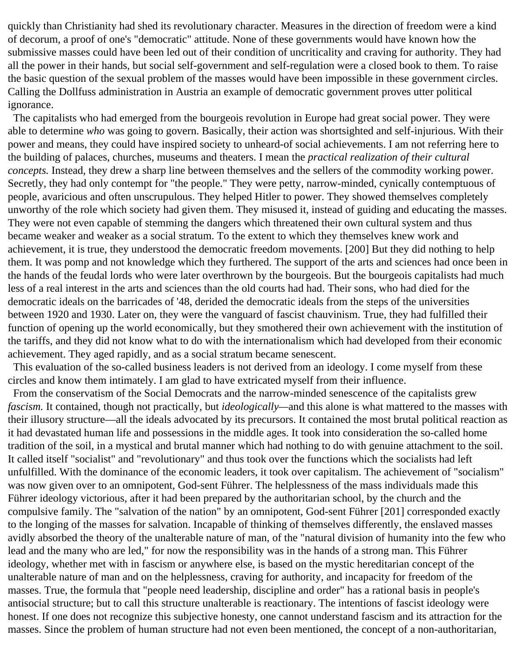quickly than Christianity had shed its revolutionary character. Measures in the direction of freedom were a kind of decorum, a proof of one's "democratic" attitude. None of these governments would have known how the submissive masses could have been led out of their condition of uncriticality and craving for authority. They had all the power in their hands, but social self-government and self-regulation were a closed book to them. To raise the basic question of the sexual problem of the masses would have been impossible in these government circles. Calling the Dollfuss administration in Austria an example of democratic government proves utter political ignorance.

 The capitalists who had emerged from the bourgeois revolution in Europe had great social power. They were able to determine *who* was going to govern. Basically, their action was shortsighted and self-injurious. With their power and means, they could have inspired society to unheard-of social achievements. I am not referring here to the building of palaces, churches, museums and theaters. I mean the *practical realization of their cultural concepts.* Instead, they drew a sharp line between themselves and the sellers of the commodity working power. Secretly, they had only contempt for "the people." They were petty, narrow-minded, cynically contemptuous of people, avaricious and often unscrupulous. They helped Hitler to power. They showed themselves completely unworthy of the role which society had given them. They misused it, instead of guiding and educating the masses. They were not even capable of stemming the dangers which threatened their own cultural system and thus became weaker and weaker as a social stratum. To the extent to which they themselves knew work and achievement, it is true, they understood the democratic freedom movements. [200] But they did nothing to help them. It was pomp and not knowledge which they furthered. The support of the arts and sciences had once been in the hands of the feudal lords who were later overthrown by the bourgeois. But the bourgeois capitalists had much less of a real interest in the arts and sciences than the old courts had had. Their sons, who had died for the democratic ideals on the barricades of '48, derided the democratic ideals from the steps of the universities between 1920 and 1930. Later on, they were the vanguard of fascist chauvinism. True, they had fulfilled their function of opening up the world economically, but they smothered their own achievement with the institution of the tariffs, and they did not know what to do with the internationalism which had developed from their economic achievement. They aged rapidly, and as a social stratum became senescent.

 This evaluation of the so-called business leaders is not derived from an ideology. I come myself from these circles and know them intimately. I am glad to have extricated myself from their influence.

 From the conservatism of the Social Democrats and the narrow-minded senescence of the capitalists grew *fascism.* It contained, though not practically, but *ideologically—*and this alone is what mattered to the masses with their illusory structure—all the ideals advocated by its precursors. It contained the most brutal political reaction as it had devastated human life and possessions in the middle ages. It took into consideration the so-called home tradition of the soil, in a mystical and brutal manner which had nothing to do with genuine attachment to the soil. It called itself "socialist" and "revolutionary" and thus took over the functions which the socialists had left unfulfilled. With the dominance of the economic leaders, it took over capitalism. The achievement of "socialism" was now given over to an omnipotent, God-sent Führer. The helplessness of the mass individuals made this Führer ideology victorious, after it had been prepared by the authoritarian school, by the church and the compulsive family. The "salvation of the nation" by an omnipotent, God-sent Führer [201] corresponded exactly to the longing of the masses for salvation. Incapable of thinking of themselves differently, the enslaved masses avidly absorbed the theory of the unalterable nature of man, of the "natural division of humanity into the few who lead and the many who are led," for now the responsibility was in the hands of a strong man. This Führer ideology, whether met with in fascism or anywhere else, is based on the mystic hereditarian concept of the unalterable nature of man and on the helplessness, craving for authority, and incapacity for freedom of the masses. True, the formula that "people need leadership, discipline and order" has a rational basis in people's antisocial structure; but to call this structure unalterable is reactionary. The intentions of fascist ideology were honest. If one does not recognize this subjective honesty, one cannot understand fascism and its attraction for the masses. Since the problem of human structure had not even been mentioned, the concept of a non-authoritarian,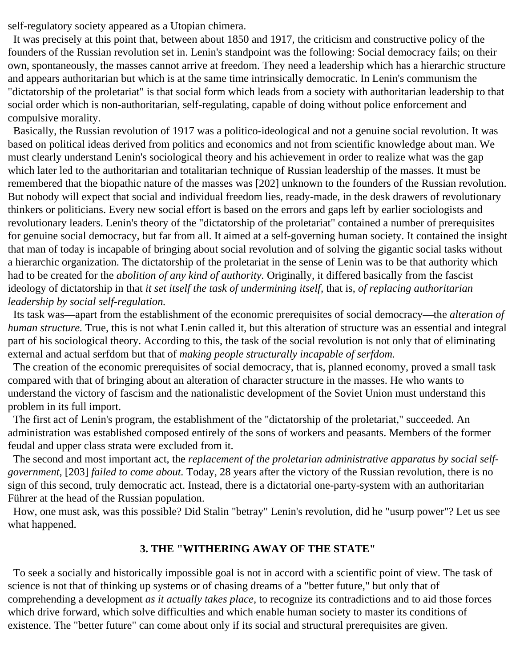self-regulatory society appeared as a Utopian chimera.

 It was precisely at this point that, between about 1850 and 1917, the criticism and constructive policy of the founders of the Russian revolution set in. Lenin's standpoint was the following: Social democracy fails; on their own, spontaneously, the masses cannot arrive at freedom. They need a leadership which has a hierarchic structure and appears authoritarian but which is at the same time intrinsically democratic. In Lenin's communism the "dictatorship of the proletariat" is that social form which leads from a society with authoritarian leadership to that social order which is non-authoritarian, self-regulating, capable of doing without police enforcement and compulsive morality.

 Basically, the Russian revolution of 1917 was a politico-ideological and not a genuine social revolution. It was based on political ideas derived from politics and economics and not from scientific knowledge about man. We must clearly understand Lenin's sociological theory and his achievement in order to realize what was the gap which later led to the authoritarian and totalitarian technique of Russian leadership of the masses. It must be remembered that the biopathic nature of the masses was [202] unknown to the founders of the Russian revolution. But nobody will expect that social and individual freedom lies, ready-made, in the desk drawers of revolutionary thinkers or politicians. Every new social effort is based on the errors and gaps left by earlier sociologists and revolutionary leaders. Lenin's theory of the "dictatorship of the proletariat" contained a number of prerequisites for genuine social democracy, but far from all. It aimed at a self-governing human society. It contained the insight that man of today is incapable of bringing about social revolution and of solving the gigantic social tasks without a hierarchic organization. The dictatorship of the proletariat in the sense of Lenin was to be that authority which had to be created for the *abolition of any kind of authority.* Originally, it differed basically from the fascist ideology of dictatorship in that *it set itself the task of undermining itself,* that is, *of replacing authoritarian leadership by social self-regulation.*

 Its task was—apart from the establishment of the economic prerequisites of social democracy—the *alteration of human structure.* True, this is not what Lenin called it, but this alteration of structure was an essential and integral part of his sociological theory. According to this, the task of the social revolution is not only that of eliminating external and actual serfdom but that of *making people structurally incapable of serfdom.*

 The creation of the economic prerequisites of social democracy, that is, planned economy, proved a small task compared with that of bringing about an alteration of character structure in the masses. He who wants to understand the victory of fascism and the nationalistic development of the Soviet Union must understand this problem in its full import.

 The first act of Lenin's program, the establishment of the "dictatorship of the proletariat," succeeded. An administration was established composed entirely of the sons of workers and peasants. Members of the former feudal and upper class strata were excluded from it.

 The second and most important act, the *replacement of the proletarian administrative apparatus by social selfgovernment,* [203] *failed to come about.* Today, 28 years after the victory of the Russian revolution, there is no sign of this second, truly democratic act. Instead, there is a dictatorial one-party-system with an authoritarian Führer at the head of the Russian population.

 How, one must ask, was this possible? Did Stalin "betray" Lenin's revolution, did he "usurp power"? Let us see what happened.

## **3. THE "WITHERING AWAY OF THE STATE"**

 To seek a socially and historically impossible goal is not in accord with a scientific point of view. The task of science is not that of thinking up systems or of chasing dreams of a "better future," but only that of comprehending a development *as it actually takes place,* to recognize its contradictions and to aid those forces which drive forward, which solve difficulties and which enable human society to master its conditions of existence. The "better future" can come about only if its social and structural prerequisites are given.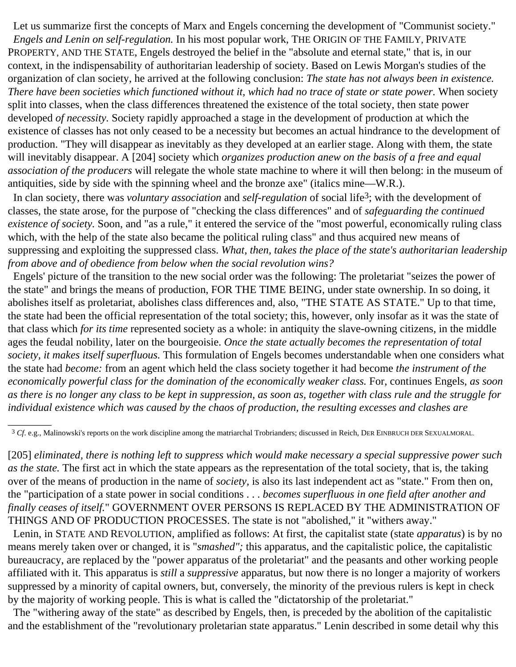Let us summarize first the concepts of Marx and Engels concerning the development of "Communist society." *Engels and Lenin on self-regulation.* In his most popular work, THE ORIGIN OF THE FAMILY, PRIVATE PROPERTY, AND THE STATE, Engels destroyed the belief in the "absolute and eternal state," that is, in our context, in the indispensability of authoritarian leadership of society. Based on Lewis Morgan's studies of the organization of clan society, he arrived at the following conclusion: *The state has not always been in existence. There have been societies which functioned without it, which had no trace of state or state power.* When society split into classes, when the class differences threatened the existence of the total society, then state power developed *of necessity.* Society rapidly approached a stage in the development of production at which the existence of classes has not only ceased to be a necessity but becomes an actual hindrance to the development of production. "They will disappear as inevitably as they developed at an earlier stage. Along with them, the state will inevitably disappear. A [204] society which *organizes production anew on the basis of a free and equal association of the producers* will relegate the whole state machine to where it will then belong: in the museum of antiquities, side by side with the spinning wheel and the bronze axe" (italics mine—W.R.).

 In clan society, there was *voluntary association* and *self-regulation* of social life3; with the development of classes, the state arose, for the purpose of "checking the class differences" and of *safeguarding the continued existence of society.* Soon, and "as a rule," it entered the service of the "most powerful, economically ruling class which, with the help of the state also became the political ruling class" and thus acquired new means of suppressing and exploiting the suppressed class. *What, then, takes the place of the state's authoritarian leadership from above and of obedience from below when the social revolution wins?*

 Engels' picture of the transition to the new social order was the following: The proletariat "seizes the power of the state" and brings the means of production, FOR THE TIME BEING, under state ownership. In so doing, it abolishes itself as proletariat, abolishes class differences and, also, "THE STATE AS STATE." Up to that time, the state had been the official representation of the total society; this, however, only insofar as it was the state of that class which *for its time* represented society as a whole: in antiquity the slave-owning citizens, in the middle ages the feudal nobility, later on the bourgeoisie. *Once the state actually becomes the representation of total society, it makes itself superfluous.* This formulation of Engels becomes understandable when one considers what the state had *become:* from an agent which held the class society together it had become *the instrument of the economically powerful class for the domination of the economically weaker class.* For, continues Engels, *as soon as there is no longer any class to be kept in suppression, as soon as, together with class rule and the struggle for individual existence which was caused by the chaos of production, the resulting excesses and clashes are*

<sup>3</sup> Cf. e.g., Malinowski's reports on the work discipline among the matriarchal Trobrianders; discussed in Reich, DER EINBRUCH DER SEXUALMORAL.

 $\overline{\phantom{a}}$ 

[205] *eliminated, there is nothing left to suppress which would make necessary a special suppressive power such as the state.* The first act in which the state appears as the representation of the total society, that is, the taking over of the means of production in the name of *society,* is also its last independent act as "state." From then on, the "participation of a state power in social conditions . . . *becomes superfluous in one field after another and finally ceases of itself.*" GOVERNMENT OVER PERSONS IS REPLACED BY THE ADMINISTRATION OF THINGS AND OF PRODUCTION PROCESSES. The state is not "abolished," it "withers away."

 Lenin, in STATE AND REVOLUTION, amplified as follows: At first, the capitalist state (state *apparatus*) is by no means merely taken over or changed, it is "*smashed";* this apparatus, and the capitalistic police, the capitalistic bureaucracy, are replaced by the "power apparatus of the proletariat" and the peasants and other working people affiliated with it. This apparatus is *still* a *suppressive* apparatus, but now there is no longer a majority of workers suppressed by a minority of capital owners, but, conversely, the minority of the previous rulers is kept in check by the majority of working people. This is what is called the "dictatorship of the proletariat."

 The "withering away of the state" as described by Engels, then, is preceded by the abolition of the capitalistic and the establishment of the "revolutionary proletarian state apparatus." Lenin described in some detail why this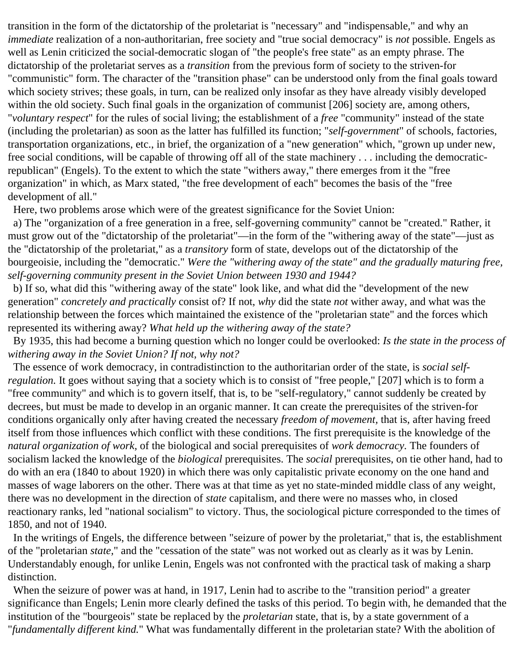transition in the form of the dictatorship of the proletariat is "necessary" and "indispensable," and why an *immediate* realization of a non-authoritarian, free society and "true social democracy" is *not* possible. Engels as well as Lenin criticized the social-democratic slogan of "the people's free state" as an empty phrase. The dictatorship of the proletariat serves as a *transition* from the previous form of society to the striven-for "communistic" form. The character of the "transition phase" can be understood only from the final goals toward which society strives; these goals, in turn, can be realized only insofar as they have already visibly developed within the old society. Such final goals in the organization of communist [206] society are, among others, "*voluntary respect*" for the rules of social living; the establishment of a *free* "community" instead of the state (including the proletarian) as soon as the latter has fulfilled its function; "*self-government*" of schools, factories, transportation organizations, etc., in brief, the organization of a "new generation" which, "grown up under new, free social conditions, will be capable of throwing off all of the state machinery . . . including the democraticrepublican" (Engels). To the extent to which the state "withers away," there emerges from it the "free organization" in which, as Marx stated, "the free development of each" becomes the basis of the "free development of all."

Here, two problems arose which were of the greatest significance for the Soviet Union:

 a) The "organization of a free generation in a free, self-governing community" cannot be "created." Rather, it must grow out of the "dictatorship of the proletariat"—in the form of the "withering away of the state"—just as the "dictatorship of the proletariat," as a *transitory* form of state, develops out of the dictatorship of the bourgeoisie, including the "democratic." *Were the "withering away of the state" and the gradually maturing free, self-governing community present in the Soviet Union between 1930 and 1944?*

 b) If so, what did this "withering away of the state" look like, and what did the "development of the new generation" *concretely and practically* consist of? If not, *why* did the state *not* wither away, and what was the relationship between the forces which maintained the existence of the "proletarian state" and the forces which represented its withering away? *What held up the withering away of the state?*

 By 1935, this had become a burning question which no longer could be overlooked: *Is the state in the process of withering away in the Soviet Union? If not, why not?*

 The essence of work democracy, in contradistinction to the authoritarian order of the state, is *social selfregulation.* It goes without saying that a society which is to consist of "free people," [207] which is to form a "free community" and which is to govern itself, that is, to be "self-regulatory," cannot suddenly be created by decrees, but must be made to develop in an organic manner. It can create the prerequisites of the striven-for conditions organically only after having created the necessary *freedom of movement,* that is, after having freed itself from those influences which conflict with these conditions. The first prerequisite is the knowledge of the *natural organization of work,* of the biological and social prerequisites of *work democracy.* The founders of socialism lacked the knowledge of the *biological* prerequisites. The *social* prerequisites, on tie other hand, had to do with an era (1840 to about 1920) in which there was only capitalistic private economy on the one hand and masses of wage laborers on the other. There was at that time as yet no state-minded middle class of any weight, there was no development in the direction of *state* capitalism, and there were no masses who, in closed reactionary ranks, led "national socialism" to victory. Thus, the sociological picture corresponded to the times of 1850, and not of 1940.

 In the writings of Engels, the difference between "seizure of power by the proletariat," that is, the establishment of the "proletarian *state,*" and the "cessation of the state" was not worked out as clearly as it was by Lenin. Understandably enough, for unlike Lenin, Engels was not confronted with the practical task of making a sharp distinction.

 When the seizure of power was at hand, in 1917, Lenin had to ascribe to the "transition period" a greater significance than Engels; Lenin more clearly defined the tasks of this period. To begin with, he demanded that the institution of the "bourgeois" state be replaced by the *proletarian* state, that is, by a state government of a "*fundamentally different kind.*" What was fundamentally different in the proletarian state? With the abolition of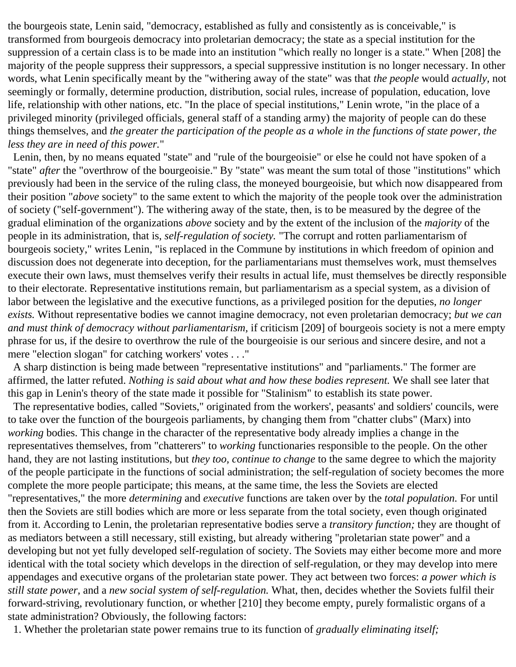the bourgeois state, Lenin said, "democracy, established as fully and consistently as is conceivable," is transformed from bourgeois democracy into proletarian democracy; the state as a special institution for the suppression of a certain class is to be made into an institution "which really no longer is a state." When [208] the majority of the people suppress their suppressors, a special suppressive institution is no longer necessary. In other words, what Lenin specifically meant by the "withering away of the state" was that *the people* would *actually,* not seemingly or formally, determine production, distribution, social rules, increase of population, education, love life, relationship with other nations, etc. "In the place of special institutions," Lenin wrote, "in the place of a privileged minority (privileged officials, general staff of a standing army) the majority of people can do these things themselves, and *the greater the participation of the people as a whole in the functions of state power, the less they are in need of this power.*"

 Lenin, then, by no means equated "state" and "rule of the bourgeoisie" or else he could not have spoken of a "state" *after* the "overthrow of the bourgeoisie." By "state" was meant the sum total of those "institutions" which previously had been in the service of the ruling class, the moneyed bourgeoisie, but which now disappeared from their position "*above* society" to the same extent to which the majority of the people took over the administration of society ("self-government"). The withering away of the state, then, is to be measured by the degree of the gradual elimination of the organizations *above* society and by the extent of the inclusion of the *majority* of the people in its administration, that is, *self-regulation of society.* "The corrupt and rotten parliamentarism of bourgeois society," writes Lenin, "is replaced in the Commune by institutions in which freedom of opinion and discussion does not degenerate into deception, for the parliamentarians must themselves work, must themselves execute their own laws, must themselves verify their results in actual life, must themselves be directly responsible to their electorate. Representative institutions remain, but parliamentarism as a special system, as a division of labor between the legislative and the executive functions, as a privileged position for the deputies, *no longer exists.* Without representative bodies we cannot imagine democracy, not even proletarian democracy; *but we can and must think of democracy without parliamentarism,* if criticism [209] of bourgeois society is not a mere empty phrase for us, if the desire to overthrow the rule of the bourgeoisie is our serious and sincere desire, and not a mere "election slogan" for catching workers' votes . . ."

 A sharp distinction is being made between "representative institutions" and "parliaments." The former are affirmed, the latter refuted. *Nothing is said about what and how these bodies represent.* We shall see later that this gap in Lenin's theory of the state made it possible for "Stalinism" to establish its state power.

 The representative bodies, called "Soviets," originated from the workers', peasants' and soldiers' councils, were to take over the function of the bourgeois parliaments, by changing them from "chatter clubs" (Marx) into *working* bodies. This change in the character of the representative body already implies a change in the representatives themselves, from "chatterers" to *working* functionaries responsible to the people. On the other hand, they are not lasting institutions, but *they too, continue to change* to the same degree to which the majority of the people participate in the functions of social administration; the self-regulation of society becomes the more complete the more people participate; this means, at the same time, the less the Soviets are elected "representatives," the more *determining* and *executive* functions are taken over by the *total population.* For until then the Soviets are still bodies which are more or less separate from the total society, even though originated from it. According to Lenin, the proletarian representative bodies serve a *transitory function;* they are thought of as mediators between a still necessary, still existing, but already withering "proletarian state power" and a developing but not yet fully developed self-regulation of society. The Soviets may either become more and more identical with the total society which develops in the direction of self-regulation, or they may develop into mere appendages and executive organs of the proletarian state power. They act between two forces: *a power which is still state power,* and a *new social system of self-regulation.* What, then, decides whether the Soviets fulfil their forward-striving, revolutionary function, or whether [210] they become empty, purely formalistic organs of a state administration? Obviously, the following factors:

1. Whether the proletarian state power remains true to its function of *gradually eliminating itself;*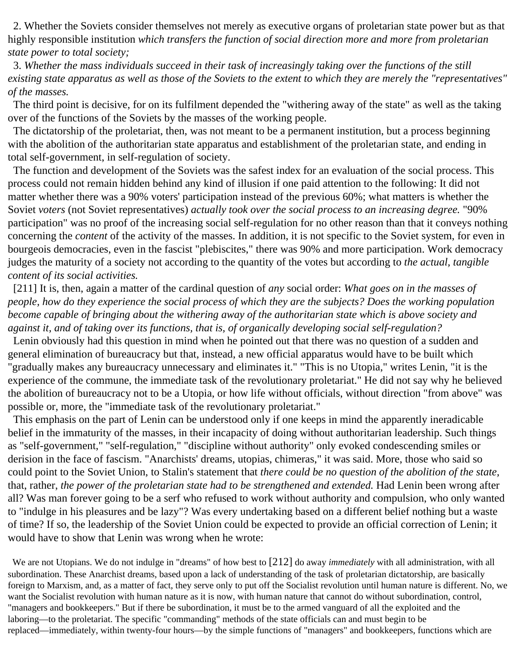2. Whether the Soviets consider themselves not merely as executive organs of proletarian state power but as that highly responsible institution *which transfers the function of social direction more and more from proletarian state power to total society;*

 3. *Whether the mass individuals succeed in their task of increasingly taking over the functions of the still existing state apparatus as well as those of the Soviets to the extent to which they are merely the "representatives" of the masses.*

 The third point is decisive, for on its fulfilment depended the "withering away of the state" as well as the taking over of the functions of the Soviets by the masses of the working people.

 The dictatorship of the proletariat, then, was not meant to be a permanent institution, but a process beginning with the abolition of the authoritarian state apparatus and establishment of the proletarian state, and ending in total self-government, in self-regulation of society.

 The function and development of the Soviets was the safest index for an evaluation of the social process. This process could not remain hidden behind any kind of illusion if one paid attention to the following: It did not matter whether there was a 90% voters' participation instead of the previous 60%; what matters is whether the Soviet *voters* (not Soviet representatives) *actually took over the social process to an increasing degree.* "90% participation" was no proof of the increasing social self-regulation for no other reason than that it conveys nothing concerning the *content* of the activity of the masses. In addition, it is not specific to the Soviet system, for even in bourgeois democracies, even in the fascist "plebiscites," there was 90% and more participation. Work democracy judges the maturity of a society not according to the quantity of the votes but according to *the actual, tangible content of its social activities.*

 [211] It is, then, again a matter of the cardinal question of *any* social order: *What goes on in the masses of people, how do they experience the social process of which they are the subjects? Does the working population become capable of bringing about the withering away of the authoritarian state which is above society and against it, and of taking over its functions, that is, of organically developing social self-regulation?*

 Lenin obviously had this question in mind when he pointed out that there was no question of a sudden and general elimination of bureaucracy but that, instead, a new official apparatus would have to be built which "gradually makes any bureaucracy unnecessary and eliminates it." "This is no Utopia," writes Lenin, "it is the experience of the commune, the immediate task of the revolutionary proletariat." He did not say why he believed the abolition of bureaucracy not to be a Utopia, or how life without officials, without direction "from above" was possible or, more, the "immediate task of the revolutionary proletariat."

 This emphasis on the part of Lenin can be understood only if one keeps in mind the apparently ineradicable belief in the immaturity of the masses, in their incapacity of doing without authoritarian leadership. Such things as "self-government," "self-regulation," "discipline without authority" only evoked condescending smiles or derision in the face of fascism. "Anarchists' dreams, utopias, chimeras," it was said. More, those who said so could point to the Soviet Union, to Stalin's statement that *there could be no question of the abolition of the state,*  that, rather, *the power of the proletarian state had to be strengthened and extended.* Had Lenin been wrong after all? Was man forever going to be a serf who refused to work without authority and compulsion, who only wanted to "indulge in his pleasures and be lazy"? Was every undertaking based on a different belief nothing but a waste of time? If so, the leadership of the Soviet Union could be expected to provide an official correction of Lenin; it would have to show that Lenin was wrong when he wrote:

 We are not Utopians. We do not indulge in "dreams" of how best to [212] do away *immediately* with all administration, with all subordination. These Anarchist dreams, based upon a lack of understanding of the task of proletarian dictatorship, are basically foreign to Marxism, and, as a matter of fact, they serve only to put off the Socialist revolution until human nature is different. No, we want the Socialist revolution with human nature as it is now, with human nature that cannot do without subordination, control, "managers and bookkeepers." But if there be subordination, it must be to the armed vanguard of all the exploited and the laboring—to the proletariat. The specific "commanding" methods of the state officials can and must begin to be replaced—immediately, within twenty-four hours—by the simple functions of "managers" and bookkeepers, functions which are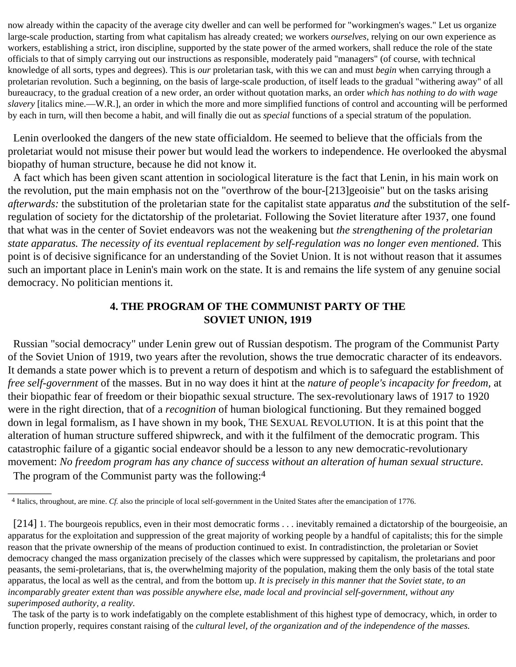now already within the capacity of the average city dweller and can well be performed for "workingmen's wages." Let us organize large-scale production, starting from what capitalism has already created; we workers *ourselves,* relying on our own experience as workers, establishing a strict, iron discipline, supported by the state power of the armed workers, shall reduce the role of the state officials to that of simply carrying out our instructions as responsible, moderately paid "managers" (of course, with technical knowledge of all sorts, types and degrees). This is *our* proletarian task, with this we can and must *begin* when carrying through a proletarian revolution. Such a beginning, on the basis of large-scale production, of itself leads to the gradual "withering away" of all bureaucracy, to the gradual creation of a new order, an order without quotation marks, an order *which has nothing to do with wage slavery* [italics mine.—W.R.], an order in which the more and more simplified functions of control and accounting will be performed by each in turn, will then become a habit, and will finally die out as *special* functions of a special stratum of the population.

 Lenin overlooked the dangers of the new state officialdom. He seemed to believe that the officials from the proletariat would not misuse their power but would lead the workers to independence. He overlooked the abysmal biopathy of human structure, because he did not know it.

 A fact which has been given scant attention in sociological literature is the fact that Lenin, in his main work on the revolution, put the main emphasis not on the "overthrow of the bour-[213]geoisie" but on the tasks arising *afterwards:* the substitution of the proletarian state for the capitalist state apparatus *and* the substitution of the selfregulation of society for the dictatorship of the proletariat. Following the Soviet literature after 1937, one found that what was in the center of Soviet endeavors was not the weakening but *the strengthening of the proletarian state apparatus. The necessity of its eventual replacement by self-regulation was no longer even mentioned.* This point is of decisive significance for an understanding of the Soviet Union. It is not without reason that it assumes such an important place in Lenin's main work on the state. It is and remains the life system of any genuine social democracy. No politician mentions it.

# **4. THE PROGRAM OF THE COMMUNIST PARTY OF THE SOVIET UNION, 1919**

 Russian "social democracy" under Lenin grew out of Russian despotism. The program of the Communist Party of the Soviet Union of 1919, two years after the revolution, shows the true democratic character of its endeavors. It demands a state power which is to prevent a return of despotism and which is to safeguard the establishment of *free self-government* of the masses. But in no way does it hint at the *nature of people's incapacity for freedom,* at their biopathic fear of freedom or their biopathic sexual structure. The sex-revolutionary laws of 1917 to 1920 were in the right direction, that of a *recognition* of human biological functioning. But they remained bogged down in legal formalism, as I have shown in my book, THE SEXUAL REVOLUTION. It is at this point that the alteration of human structure suffered shipwreck, and with it the fulfilment of the democratic program. This catastrophic failure of a gigantic social endeavor should be a lesson to any new democratic-revolutionary movement: *No freedom program has any chance of success without an alteration of human sexual structure.* The program of the Communist party was the following:<sup>4</sup>

 $\overline{\phantom{a}}$ 

 The task of the party is to work indefatigably on the complete establishment of this highest type of democracy, which, in order to function properly, requires constant raising of the *cultural level, of the organization and of the independence of the masses.*

4 Italics, throughout, are mine. *Cf.* also the principle of local self-government in the United States after the emancipation of 1776.

<sup>[214] 1.</sup> The bourgeois republics, even in their most democratic forms . . . inevitably remained a dictatorship of the bourgeoisie, an apparatus for the exploitation and suppression of the great majority of working people by a handful of capitalists; this for the simple reason that the private ownership of the means of production continued to exist. In contradistinction, the proletarian or Soviet democracy changed the mass organization precisely of the classes which were suppressed by capitalism, the proletarians and poor peasants, the semi-proletarians, that is, the overwhelming majority of the population, making them the only basis of the total state apparatus, the local as well as the central, and from the bottom up. *It is precisely in this manner that the Soviet state, to an incomparably greater extent than was possible anywhere else, made local and provincial self-government, without any superimposed authority, a reality.*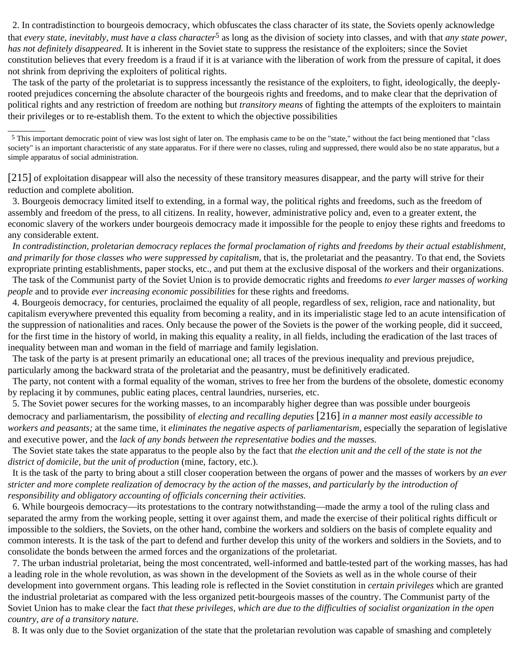2. In contradistinction to bourgeois democracy, which obfuscates the class character of its state, the Soviets openly acknowledge that *every state, inevitably, must have a class character*5 as long as the division of society into classes, and with that *any state power, has not definitely disappeared.* It is inherent in the Soviet state to suppress the resistance of the exploiters; since the Soviet constitution believes that every freedom is a fraud if it is at variance with the liberation of work from the pressure of capital, it does not shrink from depriving the exploiters of political rights.

 The task of the party of the proletariat is to suppress incessantly the resistance of the exploiters, to fight, ideologically, the deeplyrooted prejudices concerning the absolute character of the bourgeois rights and freedoms, and to make clear that the deprivation of political rights and any restriction of freedom are nothing but *transitory means* of fighting the attempts of the exploiters to maintain their privileges or to re-establish them. To the extent to which the objective possibilities

 5 This important democratic point of view was lost sight of later on. The emphasis came to be on the "state," without the fact being mentioned that "class society" is an important characteristic of any state apparatus. For if there were no classes, ruling and suppressed, there would also be no state apparatus, but a simple apparatus of social administration.

[215] of exploitation disappear will also the necessity of these transitory measures disappear, and the party will strive for their reduction and complete abolition.

 3. Bourgeois democracy limited itself to extending, in a formal way, the political rights and freedoms, such as the freedom of assembly and freedom of the press, to all citizens. In reality, however, administrative policy and, even to a greater extent, the economic slavery of the workers under bourgeois democracy made it impossible for the people to enjoy these rights and freedoms to any considerable extent.

 *In contradistinction, proletarian democracy replaces the formal proclamation of rights and freedoms by their actual establishment, and primarily for those classes who were suppressed by capitalism*, that is, the proletariat and the peasantry. To that end, the Soviets expropriate printing establishments, paper stocks, etc., and put them at the exclusive disposal of the workers and their organizations. The task of the Communist party of the Soviet Union is to provide democratic rights and freedoms *to ever larger masses of working* 

*people* and to provide *ever increasing economic possibilities* for these rights and freedoms.

\_\_\_\_\_\_\_\_

 4. Bourgeois democracy, for centuries, proclaimed the equality of all people, regardless of sex, religion, race and nationality, but capitalism everywhere prevented this equality from becoming a reality, and in its imperialistic stage led to an acute intensification of the suppression of nationalities and races. Only because the power of the Soviets is the power of the working people, did it succeed, for the first time in the history of world, in making this equality a reality, in all fields, including the eradication of the last traces of inequality between man and woman in the field of marriage and family legislation.

 The task of the party is at present primarily an educational one; all traces of the previous inequality and previous prejudice, particularly among the backward strata of the proletariat and the peasantry, must be definitively eradicated.

 The party, not content with a formal equality of the woman, strives to free her from the burdens of the obsolete, domestic economy by replacing it by communes, public eating places, central laundries, nurseries, etc.

 5. The Soviet power secures for the working masses, to an incomparably higher degree than was possible under bourgeois democracy and parliamentarism, the possibility of *electing and recalling deputies* [216] *in a manner most easily accessible to workers and peasants;* at the same time, it *eliminates the negative aspects of parliamentarism,* especially the separation of legislative and executive power, and the *lack of any bonds between the representative bodies and the masses.*

 The Soviet state takes the state apparatus to the people also by the fact that *the election unit and the cell of the state is not the*  district of domicile, but the unit of production (mine, factory, etc.).

 It is the task of the party to bring about a still closer cooperation between the organs of power and the masses of workers by *an ever stricter and more complete realization of democracy by the action of the masses, and particularly by the introduction of responsibility and obligatory accounting of officials concerning their activities.*

 6. While bourgeois democracy—its protestations to the contrary notwithstanding—made the army a tool of the ruling class and separated the army from the working people, setting it over against them, and made the exercise of their political rights difficult or impossible to the soldiers, the Soviets, on the other hand, combine the workers and soldiers on the basis of complete equality and common interests. It is the task of the part to defend and further develop this unity of the workers and soldiers in the Soviets, and to consolidate the bonds between the armed forces and the organizations of the proletariat.

 7. The urban industrial proletariat, being the most concentrated, well-informed and battle-tested part of the working masses, has had a leading role in the whole revolution, as was shown in the development of the Soviets as well as in the whole course of their development into government organs. This leading role is reflected in the Soviet constitution in *certain privileges* which are granted the industrial proletariat as compared with the less organized petit-bourgeois masses of the country. The Communist party of the Soviet Union has to make clear the fact *that these privileges, which are due to the difficulties of socialist organization in the open country, are of a transitory nature.*

8. It was only due to the Soviet organization of the state that the proletarian revolution was capable of smashing and completely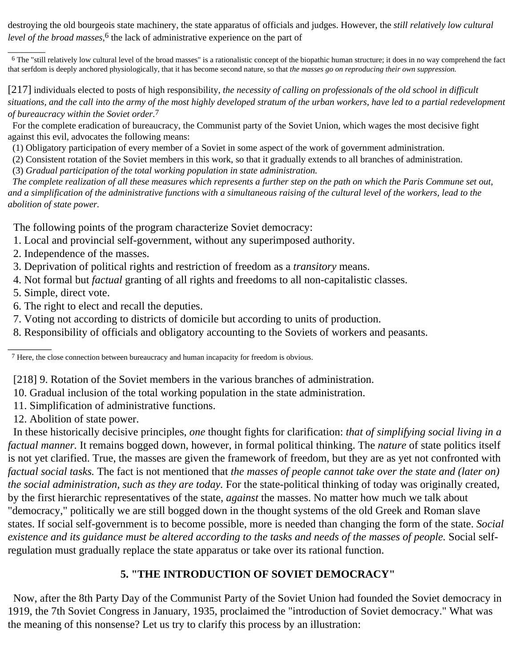destroying the old bourgeois state machinery, the state apparatus of officials and judges. However, the *still relatively low cultural level of the broad masses,*6 the lack of administrative experience on the part of

 $\overline{\phantom{a}}$  6 The "still relatively low cultural level of the broad masses" is a rationalistic concept of the biopathic human structure; it does in no way comprehend the fact that serfdom is deeply anchored physiologically, that it has become second nature, so that *the masses go on reproducing their own suppression.*

[217] individuals elected to posts of high responsibility, *the necessity of calling on professionals of the old school in difficult situations, and the call into the army of the most highly developed stratum of the urban workers, have led to a partial redevelopment of bureaucracy within the Soviet order.*7

 For the complete eradication of bureaucracy, the Communist party of the Soviet Union, which wages the most decisive fight against this evil, advocates the following means:

(1) Obligatory participation of every member of a Soviet in some aspect of the work of government administration.

(2) Consistent rotation of the Soviet members in this work, so that it gradually extends to all branches of administration.

(3) *Gradual participation of the total working population in state administration.*

 *The complete realization of all these measures which represents a further step on the path on which the Paris Commune set out, and a simplification of the administrative functions with a simultaneous raising of the cultural level of the workers, lead to the abolition of state power.*

The following points of the program characterize Soviet democracy:

1. Local and provincial self-government, without any superimposed authority.

- 2. Independence of the masses.
- 3. Deprivation of political rights and restriction of freedom as a *transitory* means.
- 4. Not formal but *factual* granting of all rights and freedoms to all non-capitalistic classes.
- 5. Simple, direct vote.
- 6. The right to elect and recall the deputies.
- 7. Voting not according to districts of domicile but according to units of production.
- 8. Responsibility of officials and obligatory accounting to the Soviets of workers and peasants.

 $\overline{\phantom{a}}$ 7 Here, the close connection between bureaucracy and human incapacity for freedom is obvious.

- [218] 9. Rotation of the Soviet members in the various branches of administration.
- 10. Gradual inclusion of the total working population in the state administration.
- 11. Simplification of administrative functions.
- 12. Abolition of state power.

 In these historically decisive principles, *one* thought fights for clarification: *that of simplifying social living in a factual manner.* It remains bogged down, however, in formal political thinking. The *nature* of state politics itself is not yet clarified. True, the masses are given the framework of freedom, but they are as yet not confronted with *factual social tasks.* The fact is not mentioned that *the masses of people cannot take over the state and (later on) the social administration, such as they are today.* For the state-political thinking of today was originally created, by the first hierarchic representatives of the state, *against* the masses. No matter how much we talk about "democracy," politically we are still bogged down in the thought systems of the old Greek and Roman slave states. If social self-government is to become possible, more is needed than changing the form of the state. *Social existence and its guidance must be altered according to the tasks and needs of the masses of people.* Social selfregulation must gradually replace the state apparatus or take over its rational function.

# **5. "THE INTRODUCTION OF SOVIET DEMOCRACY"**

 Now, after the 8th Party Day of the Communist Party of the Soviet Union had founded the Soviet democracy in 1919, the 7th Soviet Congress in January, 1935, proclaimed the "introduction of Soviet democracy." What was the meaning of this nonsense? Let us try to clarify this process by an illustration: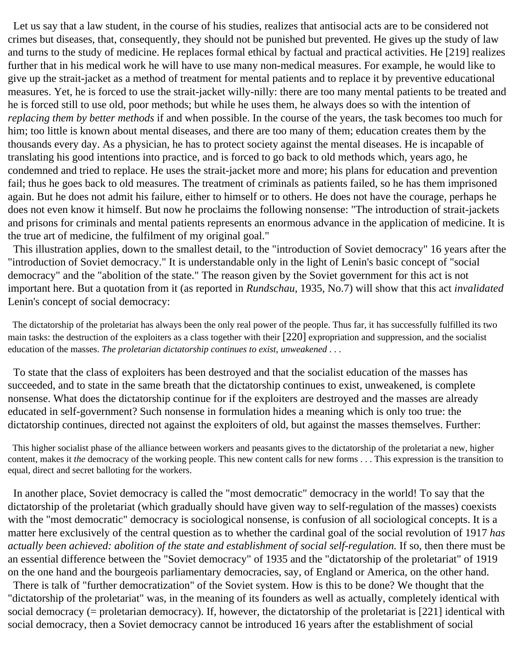Let us say that a law student, in the course of his studies, realizes that antisocial acts are to be considered not crimes but diseases, that, consequently, they should not be punished but prevented. He gives up the study of law and turns to the study of medicine. He replaces formal ethical by factual and practical activities. He [219] realizes further that in his medical work he will have to use many non-medical measures. For example, he would like to give up the strait-jacket as a method of treatment for mental patients and to replace it by preventive educational measures. Yet, he is forced to use the strait-jacket willy-nilly: there are too many mental patients to be treated and he is forced still to use old, poor methods; but while he uses them, he always does so with the intention of *replacing them by better methods* if and when possible. In the course of the years, the task becomes too much for him; too little is known about mental diseases, and there are too many of them; education creates them by the thousands every day. As a physician, he has to protect society against the mental diseases. He is incapable of translating his good intentions into practice, and is forced to go back to old methods which, years ago, he condemned and tried to replace. He uses the strait-jacket more and more; his plans for education and prevention fail; thus he goes back to old measures. The treatment of criminals as patients failed, so he has them imprisoned again. But he does not admit his failure, either to himself or to others. He does not have the courage, perhaps he does not even know it himself. But now he proclaims the following nonsense: "The introduction of strait-jackets and prisons for criminals and mental patients represents an enormous advance in the application of medicine. It is the true art of medicine, the fulfilment of my original goal."

 This illustration applies, down to the smallest detail, to the "introduction of Soviet democracy" 16 years after the "introduction of Soviet democracy." It is understandable only in the light of Lenin's basic concept of "social democracy" and the "abolition of the state." The reason given by the Soviet government for this act is not important here. But a quotation from it (as reported in *Rundschau,* 1935, No.7) will show that this act *invalidated*  Lenin's concept of social democracy:

 The dictatorship of the proletariat has always been the only real power of the people. Thus far, it has successfully fulfilled its two main tasks: the destruction of the exploiters as a class together with their [220] expropriation and suppression, and the socialist education of the masses. *The proletarian dictatorship continues to exist, unweakened* . . .

 To state that the class of exploiters has been destroyed and that the socialist education of the masses has succeeded, and to state in the same breath that the dictatorship continues to exist, unweakened, is complete nonsense. What does the dictatorship continue for if the exploiters are destroyed and the masses are already educated in self-government? Such nonsense in formulation hides a meaning which is only too true: the dictatorship continues, directed not against the exploiters of old, but against the masses themselves. Further:

 This higher socialist phase of the alliance between workers and peasants gives to the dictatorship of the proletariat a new, higher content, makes it *the* democracy of the working people. This new content calls for new forms . . . This expression is the transition to equal, direct and secret balloting for the workers.

 In another place, Soviet democracy is called the "most democratic" democracy in the world! To say that the dictatorship of the proletariat (which gradually should have given way to self-regulation of the masses) coexists with the "most democratic" democracy is sociological nonsense, is confusion of all sociological concepts. It is a matter here exclusively of the central question as to whether the cardinal goal of the social revolution of 1917 *has actually been achieved: abolition of the state and establishment of social self-regulation.* If so, then there must be an essential difference between the "Soviet democracy" of 1935 and the "dictatorship of the proletariat" of 1919 on the one hand and the bourgeois parliamentary democracies, say, of England or America, on the other hand.

 There is talk of "further democratization" of the Soviet system. How is this to be done? We thought that the "dictatorship of the proletariat" was, in the meaning of its founders as well as actually, completely identical with social democracy (= proletarian democracy). If, however, the dictatorship of the proletariat is [221] identical with social democracy, then a Soviet democracy cannot be introduced 16 years after the establishment of social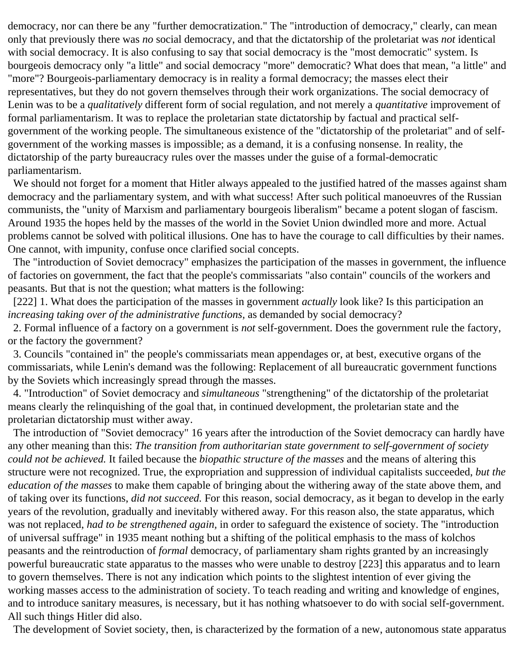democracy, nor can there be any "further democratization." The "introduction of democracy," clearly, can mean only that previously there was *no* social democracy, and that the dictatorship of the proletariat was *not* identical with social democracy. It is also confusing to say that social democracy is the "most democratic" system. Is bourgeois democracy only "a little" and social democracy "more" democratic? What does that mean, "a little" and "more"? Bourgeois-parliamentary democracy is in reality a formal democracy; the masses elect their representatives, but they do not govern themselves through their work organizations. The social democracy of Lenin was to be a *qualitatively* different form of social regulation, and not merely a *quantitative* improvement of formal parliamentarism. It was to replace the proletarian state dictatorship by factual and practical selfgovernment of the working people. The simultaneous existence of the "dictatorship of the proletariat" and of selfgovernment of the working masses is impossible; as a demand, it is a confusing nonsense. In reality, the dictatorship of the party bureaucracy rules over the masses under the guise of a formal-democratic parliamentarism.

We should not forget for a moment that Hitler always appealed to the justified hatred of the masses against sham democracy and the parliamentary system, and with what success! After such political manoeuvres of the Russian communists, the "unity of Marxism and parliamentary bourgeois liberalism" became a potent slogan of fascism. Around 1935 the hopes held by the masses of the world in the Soviet Union dwindled more and more. Actual problems cannot be solved with political illusions. One has to have the courage to call difficulties by their names. One cannot, with impunity, confuse once clarified social concepts.

 The "introduction of Soviet democracy" emphasizes the participation of the masses in government, the influence of factories on government, the fact that the people's commissariats "also contain" councils of the workers and peasants. But that is not the question; what matters is the following:

 [222] 1. What does the participation of the masses in government *actually* look like? Is this participation an *increasing taking over of the administrative functions, as demanded by social democracy?* 

 2. Formal influence of a factory on a government is *not* self-government. Does the government rule the factory, or the factory the government?

 3. Councils "contained in" the people's commissariats mean appendages or, at best, executive organs of the commissariats, while Lenin's demand was the following: Replacement of all bureaucratic government functions by the Soviets which increasingly spread through the masses.

 4. "Introduction" of Soviet democracy and *simultaneous* "strengthening" of the dictatorship of the proletariat means clearly the relinquishing of the goal that, in continued development, the proletarian state and the proletarian dictatorship must wither away.

 The introduction of "Soviet democracy" 16 years after the introduction of the Soviet democracy can hardly have any other meaning than this: *The transition from authoritarian state government to self-government of society could not be achieved.* It failed because the *biopathic structure of the masses* and the means of altering this structure were not recognized. True, the expropriation and suppression of individual capitalists succeeded, *but the education of the masses* to make them capable of bringing about the withering away of the state above them, and of taking over its functions, *did not succeed.* For this reason, social democracy, as it began to develop in the early years of the revolution, gradually and inevitably withered away. For this reason also, the state apparatus, which was not replaced, *had to be strengthened again,* in order to safeguard the existence of society. The "introduction of universal suffrage" in 1935 meant nothing but a shifting of the political emphasis to the mass of kolchos peasants and the reintroduction of *formal* democracy, of parliamentary sham rights granted by an increasingly powerful bureaucratic state apparatus to the masses who were unable to destroy [223] this apparatus and to learn to govern themselves. There is not any indication which points to the slightest intention of ever giving the working masses access to the administration of society. To teach reading and writing and knowledge of engines, and to introduce sanitary measures, is necessary, but it has nothing whatsoever to do with social self-government. All such things Hitler did also.

The development of Soviet society, then, is characterized by the formation of a new, autonomous state apparatus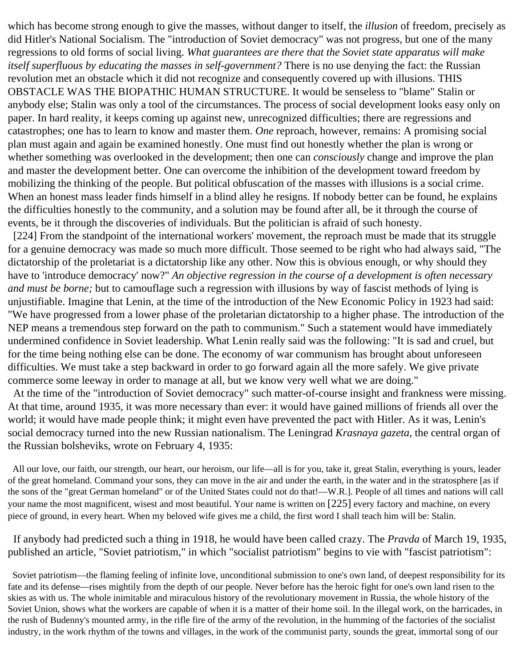which has become strong enough to give the masses, without danger to itself, the *illusion* of freedom, precisely as did Hitler's National Socialism. The "introduction of Soviet democracy" was not progress, but one of the many regressions to old forms of social living. *What guarantees are there that the Soviet state apparatus will make itself superfluous by educating the masses in self-government?* There is no use denying the fact: the Russian revolution met an obstacle which it did not recognize and consequently covered up with illusions. THIS OBSTACLE WAS THE BIOPATHIC HUMAN STRUCTURE. It would be senseless to "blame" Stalin or anybody else; Stalin was only a tool of the circumstances. The process of social development looks easy only on paper. In hard reality, it keeps coming up against new, unrecognized difficulties; there are regressions and catastrophes; one has to learn to know and master them. *One* reproach, however, remains: A promising social plan must again and again be examined honestly. One must find out honestly whether the plan is wrong or whether something was overlooked in the development; then one can *consciously* change and improve the plan and master the development better. One can overcome the inhibition of the development toward freedom by mobilizing the thinking of the people. But political obfuscation of the masses with illusions is a social crime. When an honest mass leader finds himself in a blind alley he resigns. If nobody better can be found, he explains the difficulties honestly to the community, and a solution may be found after all, be it through the course of events, be it through the discoveries of individuals. But the politician is afraid of such honesty.

[224] From the standpoint of the international workers' movement, the reproach must be made that its struggle for a genuine democracy was made so much more difficult. Those seemed to be right who had always said, "The dictatorship of the proletariat is a dictatorship like any other. Now this is obvious enough, or why should they have to 'introduce democracy' now?" *An objective regression in the course of a development is often necessary and must be borne;* but to camouflage such a regression with illusions by way of fascist methods of lying is unjustifiable. Imagine that Lenin, at the time of the introduction of the New Economic Policy in 1923 had said: "We have progressed from a lower phase of the proletarian dictatorship to a higher phase. The introduction of the NEP means a tremendous step forward on the path to communism." Such a statement would have immediately undermined confidence in Soviet leadership. What Lenin really said was the following: "It is sad and cruel, but for the time being nothing else can be done. The economy of war communism has brought about unforeseen difficulties. We must take a step backward in order to go forward again all the more safely. We give private commerce some leeway in order to manage at all, but we know very well what we are doing."

 At the time of the "introduction of Soviet democracy" such matter-of-course insight and frankness were missing. At that time, around 1935, it was more necessary than ever: it would have gained millions of friends all over the world; it would have made people think; it might even have prevented the pact with Hitler. As it was, Lenin's social democracy turned into the new Russian nationalism. The Leningrad *Krasnaya gazeta,* the central organ of the Russian bolsheviks, wrote on February 4, 1935:

 All our love, our faith, our strength, our heart, our heroism, our life—all is for you, take it, great Stalin, everything is yours, leader of the great homeland. Command your sons, they can move in the air and under the earth, in the water and in the stratosphere [as if the sons of the "great German homeland" or of the United States could not do that!—W.R.]. People of all times and nations will call your name the most magnificent, wisest and most beautiful. Your name is written on [225] every factory and machine, on every piece of ground, in every heart. When my beloved wife gives me a child, the first word I shall teach him will be: Stalin.

 If anybody had predicted such a thing in 1918, he would have been called crazy. The *Pravda* of March 19, 1935, published an article, "Soviet patriotism," in which "socialist patriotism" begins to vie with "fascist patriotism":

 Soviet patriotism—the flaming feeling of infinite love, unconditional submission to one's own land, of deepest responsibility for its fate and its defense—rises mightily from the depth of our people. Never before has the heroic fight for one's own land risen to the skies as with us. The whole inimitable and miraculous history of the revolutionary movement in Russia, the whole history of the Soviet Union, shows what the workers are capable of when it is a matter of their home soil. In the illegal work, on the barricades, in the rush of Budenny's mounted army, in the rifle fire of the army of the revolution, in the humming of the factories of the socialist industry, in the work rhythm of the towns and villages, in the work of the communist party, sounds the great, immortal song of our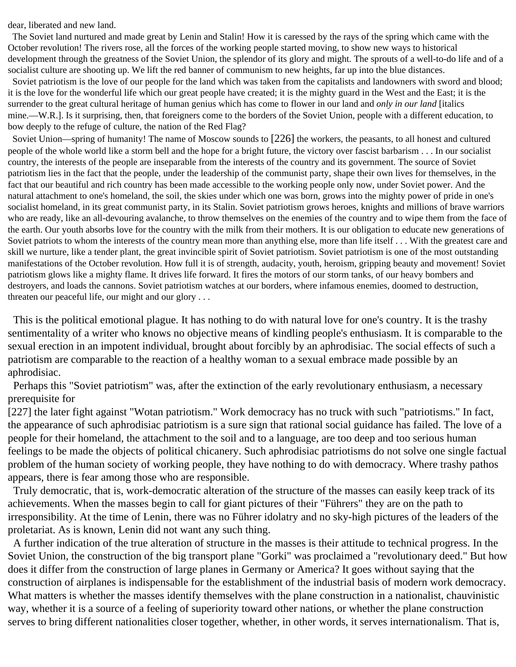dear, liberated and new land.

 The Soviet land nurtured and made great by Lenin and Stalin! How it is caressed by the rays of the spring which came with the October revolution! The rivers rose, all the forces of the working people started moving, to show new ways to historical development through the greatness of the Soviet Union, the splendor of its glory and might. The sprouts of a well-to-do life and of a socialist culture are shooting up. We lift the red banner of communism to new heights, far up into the blue distances.

 Soviet patriotism is the love of our people for the land which was taken from the capitalists and landowners with sword and blood; it is the love for the wonderful life which our great people have created; it is the mighty guard in the West and the East; it is the surrender to the great cultural heritage of human genius which has come to flower in our land and *only in our land* [italics mine.—W.R.]. Is it surprising, then, that foreigners come to the borders of the Soviet Union, people with a different education, to bow deeply to the refuge of culture, the nation of the Red Flag?

 Soviet Union—spring of humanity! The name of Moscow sounds to [226] the workers, the peasants, to all honest and cultured people of the whole world like a storm bell and the hope for a bright future, the victory over fascist barbarism . . . In our socialist country, the interests of the people are inseparable from the interests of the country and its government. The source of Soviet patriotism lies in the fact that the people, under the leadership of the communist party, shape their own lives for themselves, in the fact that our beautiful and rich country has been made accessible to the working people only now, under Soviet power. And the natural attachment to one's homeland, the soil, the skies under which one was born, grows into the mighty power of pride in one's socialist homeland, in its great communist party, in its Stalin. Soviet patriotism grows heroes, knights and millions of brave warriors who are ready, like an all-devouring avalanche, to throw themselves on the enemies of the country and to wipe them from the face of the earth. Our youth absorbs love for the country with the milk from their mothers. It is our obligation to educate new generations of Soviet patriots to whom the interests of the country mean more than anything else, more than life itself . . . With the greatest care and skill we nurture, like a tender plant, the great invincible spirit of Soviet patriotism. Soviet patriotism is one of the most outstanding manifestations of the October revolution. How full it is of strength, audacity, youth, heroism, gripping beauty and movement! Soviet patriotism glows like a mighty flame. It drives life forward. It fires the motors of our storm tanks, of our heavy bombers and destroyers, and loads the cannons. Soviet patriotism watches at our borders, where infamous enemies, doomed to destruction, threaten our peaceful life, our might and our glory . . .

 This is the political emotional plague. It has nothing to do with natural love for one's country. It is the trashy sentimentality of a writer who knows no objective means of kindling people's enthusiasm. It is comparable to the sexual erection in an impotent individual, brought about forcibly by an aphrodisiac. The social effects of such a patriotism are comparable to the reaction of a healthy woman to a sexual embrace made possible by an aphrodisiac.

 Perhaps this "Soviet patriotism" was, after the extinction of the early revolutionary enthusiasm, a necessary prerequisite for

[227] the later fight against "Wotan patriotism." Work democracy has no truck with such "patriotisms." In fact, the appearance of such aphrodisiac patriotism is a sure sign that rational social guidance has failed. The love of a people for their homeland, the attachment to the soil and to a language, are too deep and too serious human feelings to be made the objects of political chicanery. Such aphrodisiac patriotisms do not solve one single factual problem of the human society of working people, they have nothing to do with democracy. Where trashy pathos appears, there is fear among those who are responsible.

 Truly democratic, that is, work-democratic alteration of the structure of the masses can easily keep track of its achievements. When the masses begin to call for giant pictures of their "Führers" they are on the path to irresponsibility. At the time of Lenin, there was no Führer idolatry and no sky-high pictures of the leaders of the proletariat. As is known, Lenin did not want any such thing.

 A further indication of the true alteration of structure in the masses is their attitude to technical progress. In the Soviet Union, the construction of the big transport plane "Gorki" was proclaimed a "revolutionary deed." But how does it differ from the construction of large planes in Germany or America? It goes without saying that the construction of airplanes is indispensable for the establishment of the industrial basis of modern work democracy. What matters is whether the masses identify themselves with the plane construction in a nationalist, chauvinistic way, whether it is a source of a feeling of superiority toward other nations, or whether the plane construction serves to bring different nationalities closer together, whether, in other words, it serves internationalism. That is,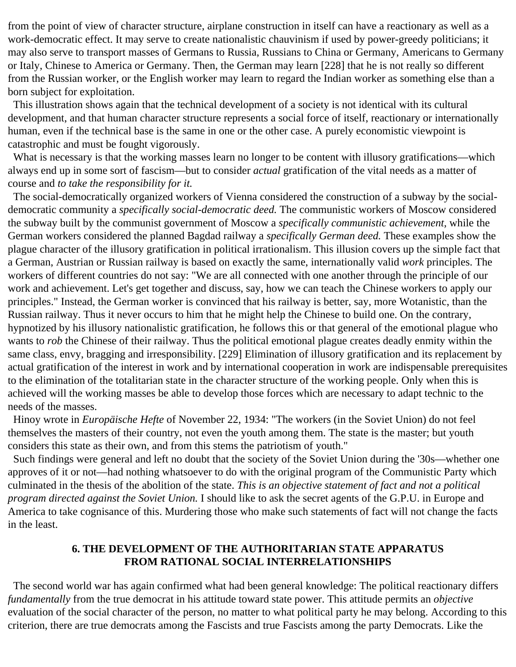from the point of view of character structure, airplane construction in itself can have a reactionary as well as a work-democratic effect. It may serve to create nationalistic chauvinism if used by power-greedy politicians; it may also serve to transport masses of Germans to Russia, Russians to China or Germany, Americans to Germany or Italy, Chinese to America or Germany. Then, the German may learn [228] that he is not really so different from the Russian worker, or the English worker may learn to regard the Indian worker as something else than a born subject for exploitation.

 This illustration shows again that the technical development of a society is not identical with its cultural development, and that human character structure represents a social force of itself, reactionary or internationally human, even if the technical base is the same in one or the other case. A purely economistic viewpoint is catastrophic and must be fought vigorously.

What is necessary is that the working masses learn no longer to be content with illusory gratifications—which always end up in some sort of fascism—but to consider *actual* gratification of the vital needs as a matter of course and *to take the responsibility for it.*

 The social-democratically organized workers of Vienna considered the construction of a subway by the socialdemocratic community a *specifically social-democratic deed.* The communistic workers of Moscow considered the subway built by the communist government of Moscow a *specifically communistic achievement,* while the German workers considered the planned Bagdad railway a *specifically German deed.* These examples show the plague character of the illusory gratification in political irrationalism. This illusion covers up the simple fact that a German, Austrian or Russian railway is based on exactly the same, internationally valid *work* principles. The workers of different countries do not say: "We are all connected with one another through the principle of our work and achievement. Let's get together and discuss, say, how we can teach the Chinese workers to apply our principles." Instead, the German worker is convinced that his railway is better, say, more Wotanistic, than the Russian railway. Thus it never occurs to him that he might help the Chinese to build one. On the contrary, hypnotized by his illusory nationalistic gratification, he follows this or that general of the emotional plague who wants to *rob* the Chinese of their railway. Thus the political emotional plague creates deadly enmity within the same class, envy, bragging and irresponsibility. [229] Elimination of illusory gratification and its replacement by actual gratification of the interest in work and by international cooperation in work are indispensable prerequisites to the elimination of the totalitarian state in the character structure of the working people. Only when this is achieved will the working masses be able to develop those forces which are necessary to adapt technic to the needs of the masses.

 Hinoy wrote in *Europäische Hefte* of November 22, 1934: "The workers (in the Soviet Union) do not feel themselves the masters of their country, not even the youth among them. The state is the master; but youth considers this state as their own, and from this stems the patriotism of youth."

 Such findings were general and left no doubt that the society of the Soviet Union during the '30s—whether one approves of it or not—had nothing whatsoever to do with the original program of the Communistic Party which culminated in the thesis of the abolition of the state. *This is an objective statement of fact and not a political program directed against the Soviet Union.* I should like to ask the secret agents of the G.P.U. in Europe and America to take cognisance of this. Murdering those who make such statements of fact will not change the facts in the least.

## **6. THE DEVELOPMENT OF THE AUTHORITARIAN STATE APPARATUS FROM RATIONAL SOCIAL INTERRELATIONSHIPS**

 The second world war has again confirmed what had been general knowledge: The political reactionary differs *fundamentally* from the true democrat in his attitude toward state power. This attitude permits an *objective*  evaluation of the social character of the person, no matter to what political party he may belong. According to this criterion, there are true democrats among the Fascists and true Fascists among the party Democrats. Like the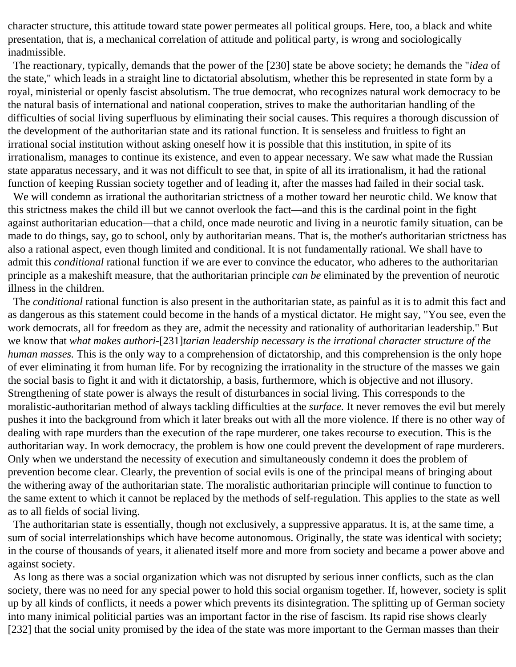character structure, this attitude toward state power permeates all political groups. Here, too, a black and white presentation, that is, a mechanical correlation of attitude and political party, is wrong and sociologically inadmissible.

 The reactionary, typically, demands that the power of the [230] state be above society; he demands the "*idea* of the state," which leads in a straight line to dictatorial absolutism, whether this be represented in state form by a royal, ministerial or openly fascist absolutism. The true democrat, who recognizes natural work democracy to be the natural basis of international and national cooperation, strives to make the authoritarian handling of the difficulties of social living superfluous by eliminating their social causes. This requires a thorough discussion of the development of the authoritarian state and its rational function. It is senseless and fruitless to fight an irrational social institution without asking oneself how it is possible that this institution, in spite of its irrationalism, manages to continue its existence, and even to appear necessary. We saw what made the Russian state apparatus necessary, and it was not difficult to see that, in spite of all its irrationalism, it had the rational function of keeping Russian society together and of leading it, after the masses had failed in their social task.

 We will condemn as irrational the authoritarian strictness of a mother toward her neurotic child. We know that this strictness makes the child ill but we cannot overlook the fact—and this is the cardinal point in the fight against authoritarian education—that a child, once made neurotic and living in a neurotic family situation, can be made to do things, say, go to school, only by authoritarian means. That is, the mother's authoritarian strictness has also a rational aspect, even though limited and conditional. It is not fundamentally rational. We shall have to admit this *conditional* rational function if we are ever to convince the educator, who adheres to the authoritarian principle as a makeshift measure, that the authoritarian principle *can be* eliminated by the prevention of neurotic illness in the children.

The *conditional* rational function is also present in the authoritarian state, as painful as it is to admit this fact and as dangerous as this statement could become in the hands of a mystical dictator. He might say, "You see, even the work democrats, all for freedom as they are, admit the necessity and rationality of authoritarian leadership." But we know that *what makes authori-*[231]*tarian leadership necessary is the irrational character structure of the human masses.* This is the only way to a comprehension of dictatorship, and this comprehension is the only hope of ever eliminating it from human life. For by recognizing the irrationality in the structure of the masses we gain the social basis to fight it and with it dictatorship, a basis, furthermore, which is objective and not illusory. Strengthening of state power is always the result of disturbances in social living. This corresponds to the moralistic-authoritarian method of always tackling difficulties at the *surface.* It never removes the evil but merely pushes it into the background from which it later breaks out with all the more violence. If there is no other way of dealing with rape murders than the execution of the rape murderer, one takes recourse to execution. This is the authoritarian way. In work democracy, the problem is how one could prevent the development of rape murderers. Only when we understand the necessity of execution and simultaneously condemn it does the problem of prevention become clear. Clearly, the prevention of social evils is one of the principal means of bringing about the withering away of the authoritarian state. The moralistic authoritarian principle will continue to function to the same extent to which it cannot be replaced by the methods of self-regulation. This applies to the state as well as to all fields of social living.

 The authoritarian state is essentially, though not exclusively, a suppressive apparatus. It is, at the same time, a sum of social interrelationships which have become autonomous. Originally, the state was identical with society; in the course of thousands of years, it alienated itself more and more from society and became a power above and against society.

 As long as there was a social organization which was not disrupted by serious inner conflicts, such as the clan society, there was no need for any special power to hold this social organism together. If, however, society is split up by all kinds of conflicts, it needs a power which prevents its disintegration. The splitting up of German society into many inimical politicial parties was an important factor in the rise of fascism. Its rapid rise shows clearly [232] that the social unity promised by the idea of the state was more important to the German masses than their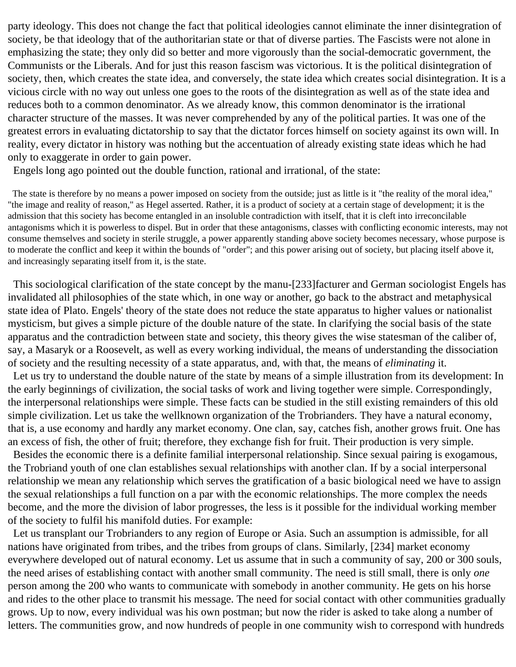party ideology. This does not change the fact that political ideologies cannot eliminate the inner disintegration of society, be that ideology that of the authoritarian state or that of diverse parties. The Fascists were not alone in emphasizing the state; they only did so better and more vigorously than the social-democratic government, the Communists or the Liberals. And for just this reason fascism was victorious. It is the political disintegration of society, then, which creates the state idea, and conversely, the state idea which creates social disintegration. It is a vicious circle with no way out unless one goes to the roots of the disintegration as well as of the state idea and reduces both to a common denominator. As we already know, this common denominator is the irrational character structure of the masses. It was never comprehended by any of the political parties. It was one of the greatest errors in evaluating dictatorship to say that the dictator forces himself on society against its own will. In reality, every dictator in history was nothing but the accentuation of already existing state ideas which he had only to exaggerate in order to gain power.

Engels long ago pointed out the double function, rational and irrational, of the state:

 The state is therefore by no means a power imposed on society from the outside; just as little is it "the reality of the moral idea," "the image and reality of reason," as Hegel asserted. Rather, it is a product of society at a certain stage of development; it is the admission that this society has become entangled in an insoluble contradiction with itself, that it is cleft into irreconcilable antagonisms which it is powerless to dispel. But in order that these antagonisms, classes with conflicting economic interests, may not consume themselves and society in sterile struggle, a power apparently standing above society becomes necessary, whose purpose is to moderate the conflict and keep it within the bounds of "order"; and this power arising out of society, but placing itself above it, and increasingly separating itself from it, is the state.

 This sociological clarification of the state concept by the manu-[233]facturer and German sociologist Engels has invalidated all philosophies of the state which, in one way or another, go back to the abstract and metaphysical state idea of Plato. Engels' theory of the state does not reduce the state apparatus to higher values or nationalist mysticism, but gives a simple picture of the double nature of the state. In clarifying the social basis of the state apparatus and the contradiction between state and society, this theory gives the wise statesman of the caliber of, say, a Masaryk or a Roosevelt, as well as every working individual, the means of understanding the dissociation of society and the resulting necessity of a state apparatus, and, with that, the means of *eliminating* it.

 Let us try to understand the double nature of the state by means of a simple illustration from its development: In the early beginnings of civilization, the social tasks of work and living together were simple. Correspondingly, the interpersonal relationships were simple. These facts can be studied in the still existing remainders of this old simple civilization. Let us take the wellknown organization of the Trobrianders. They have a natural economy, that is, a use economy and hardly any market economy. One clan, say, catches fish, another grows fruit. One has an excess of fish, the other of fruit; therefore, they exchange fish for fruit. Their production is very simple.

 Besides the economic there is a definite familial interpersonal relationship. Since sexual pairing is exogamous, the Trobriand youth of one clan establishes sexual relationships with another clan. If by a social interpersonal relationship we mean any relationship which serves the gratification of a basic biological need we have to assign the sexual relationships a full function on a par with the economic relationships. The more complex the needs become, and the more the division of labor progresses, the less is it possible for the individual working member of the society to fulfil his manifold duties. For example:

 Let us transplant our Trobrianders to any region of Europe or Asia. Such an assumption is admissible, for all nations have originated from tribes, and the tribes from groups of clans. Similarly, [234] market economy everywhere developed out of natural economy. Let us assume that in such a community of say, 200 or 300 souls, the need arises of establishing contact with another small community. The need is still small, there is only *one*  person among the 200 who wants to communicate with somebody in another community. He gets on his horse and rides to the other place to transmit his message. The need for social contact with other communities gradually grows. Up to now, every individual was his own postman; but now the rider is asked to take along a number of letters. The communities grow, and now hundreds of people in one community wish to correspond with hundreds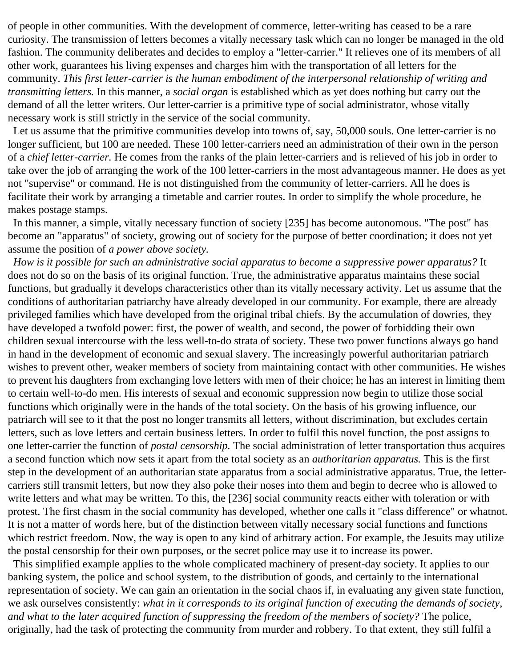of people in other communities. With the development of commerce, letter-writing has ceased to be a rare curiosity. The transmission of letters becomes a vitally necessary task which can no longer be managed in the old fashion. The community deliberates and decides to employ a "letter-carrier." It relieves one of its members of all other work, guarantees his living expenses and charges him with the transportation of all letters for the community. *This first letter-carrier is the human embodiment of the interpersonal relationship of writing and transmitting letters.* In this manner, a *social organ* is established which as yet does nothing but carry out the demand of all the letter writers. Our letter-carrier is a primitive type of social administrator, whose vitally necessary work is still strictly in the service of the social community.

Let us assume that the primitive communities develop into towns of, say, 50,000 souls. One letter-carrier is no longer sufficient, but 100 are needed. These 100 letter-carriers need an administration of their own in the person of a *chief letter-carrier.* He comes from the ranks of the plain letter-carriers and is relieved of his job in order to take over the job of arranging the work of the 100 letter-carriers in the most advantageous manner. He does as yet not "supervise" or command. He is not distinguished from the community of letter-carriers. All he does is facilitate their work by arranging a timetable and carrier routes. In order to simplify the whole procedure, he makes postage stamps.

 In this manner, a simple, vitally necessary function of society [235] has become autonomous. "The post" has become an "apparatus" of society, growing out of society for the purpose of better coordination; it does not yet assume the position of *a power above society.*

 *How is it possible for such an administrative social apparatus to become a suppressive power apparatus?* It does not do so on the basis of its original function. True, the administrative apparatus maintains these social functions, but gradually it develops characteristics other than its vitally necessary activity. Let us assume that the conditions of authoritarian patriarchy have already developed in our community. For example, there are already privileged families which have developed from the original tribal chiefs. By the accumulation of dowries, they have developed a twofold power: first, the power of wealth, and second, the power of forbidding their own children sexual intercourse with the less well-to-do strata of society. These two power functions always go hand in hand in the development of economic and sexual slavery. The increasingly powerful authoritarian patriarch wishes to prevent other, weaker members of society from maintaining contact with other communities. He wishes to prevent his daughters from exchanging love letters with men of their choice; he has an interest in limiting them to certain well-to-do men. His interests of sexual and economic suppression now begin to utilize those social functions which originally were in the hands of the total society. On the basis of his growing influence, our patriarch will see to it that the post no longer transmits all letters, without discrimination, but excludes certain letters, such as love letters and certain business letters. In order to fulfil this novel function, the post assigns to one letter-carrier the function of *postal censorship.* The social administration of letter transportation thus acquires a second function which now sets it apart from the total society as an *authoritarian apparatus.* This is the first step in the development of an authoritarian state apparatus from a social administrative apparatus. True, the lettercarriers still transmit letters, but now they also poke their noses into them and begin to decree who is allowed to write letters and what may be written. To this, the [236] social community reacts either with toleration or with protest. The first chasm in the social community has developed, whether one calls it "class difference" or whatnot. It is not a matter of words here, but of the distinction between vitally necessary social functions and functions which restrict freedom. Now, the way is open to any kind of arbitrary action. For example, the Jesuits may utilize the postal censorship for their own purposes, or the secret police may use it to increase its power.

 This simplified example applies to the whole complicated machinery of present-day society. It applies to our banking system, the police and school system, to the distribution of goods, and certainly to the international representation of society. We can gain an orientation in the social chaos if, in evaluating any given state function, we ask ourselves consistently: *what in it corresponds to its original function of executing the demands of society, and what to the later acquired function of suppressing the freedom of the members of society?* The police, originally, had the task of protecting the community from murder and robbery. To that extent, they still fulfil a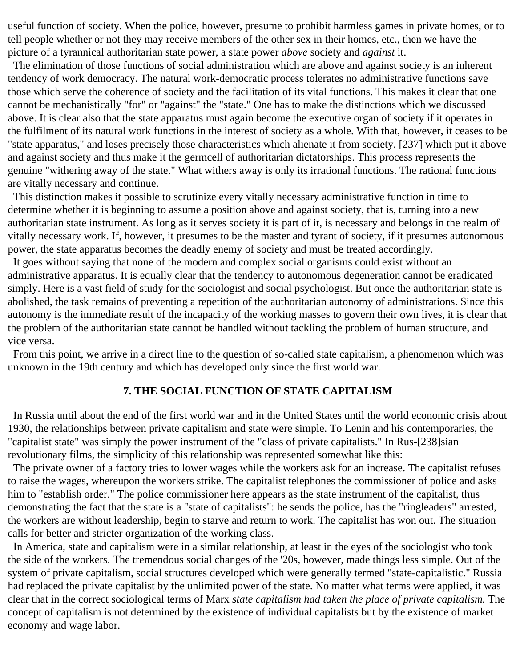useful function of society. When the police, however, presume to prohibit harmless games in private homes, or to tell people whether or not they may receive members of the other sex in their homes, etc., then we have the picture of a tyrannical authoritarian state power, a state power *above* society and *against* it.

 The elimination of those functions of social administration which are above and against society is an inherent tendency of work democracy. The natural work-democratic process tolerates no administrative functions save those which serve the coherence of society and the facilitation of its vital functions. This makes it clear that one cannot be mechanistically "for" or "against" the "state." One has to make the distinctions which we discussed above. It is clear also that the state apparatus must again become the executive organ of society if it operates in the fulfilment of its natural work functions in the interest of society as a whole. With that, however, it ceases to be "state apparatus," and loses precisely those characteristics which alienate it from society, [237] which put it above and against society and thus make it the germcell of authoritarian dictatorships. This process represents the genuine "withering away of the state." What withers away is only its irrational functions. The rational functions are vitally necessary and continue.

 This distinction makes it possible to scrutinize every vitally necessary administrative function in time to determine whether it is beginning to assume a position above and against society, that is, turning into a new authoritarian state instrument. As long as it serves society it is part of it, is necessary and belongs in the realm of vitally necessary work. If, however, it presumes to be the master and tyrant of society, if it presumes autonomous power, the state apparatus becomes the deadly enemy of society and must be treated accordingly.

 It goes without saying that none of the modern and complex social organisms could exist without an administrative apparatus. It is equally clear that the tendency to autonomous degeneration cannot be eradicated simply. Here is a vast field of study for the sociologist and social psychologist. But once the authoritarian state is abolished, the task remains of preventing a repetition of the authoritarian autonomy of administrations. Since this autonomy is the immediate result of the incapacity of the working masses to govern their own lives, it is clear that the problem of the authoritarian state cannot be handled without tackling the problem of human structure, and vice versa.

 From this point, we arrive in a direct line to the question of so-called state capitalism, a phenomenon which was unknown in the 19th century and which has developed only since the first world war.

## **7. THE SOCIAL FUNCTION OF STATE CAPITALISM**

 In Russia until about the end of the first world war and in the United States until the world economic crisis about 1930, the relationships between private capitalism and state were simple. To Lenin and his contemporaries, the "capitalist state" was simply the power instrument of the "class of private capitalists." In Rus-[238]sian revolutionary films, the simplicity of this relationship was represented somewhat like this:

 The private owner of a factory tries to lower wages while the workers ask for an increase. The capitalist refuses to raise the wages, whereupon the workers strike. The capitalist telephones the commissioner of police and asks him to "establish order." The police commissioner here appears as the state instrument of the capitalist, thus demonstrating the fact that the state is a "state of capitalists": he sends the police, has the "ringleaders" arrested, the workers are without leadership, begin to starve and return to work. The capitalist has won out. The situation calls for better and stricter organization of the working class.

 In America, state and capitalism were in a similar relationship, at least in the eyes of the sociologist who took the side of the workers. The tremendous social changes of the '20s, however, made things less simple. Out of the system of private capitalism, social structures developed which were generally termed "state-capitalistic." Russia had replaced the private capitalist by the unlimited power of the state. No matter what terms were applied, it was clear that in the correct sociological terms of Marx *state capitalism had taken the place of private capitalism.* The concept of capitalism is not determined by the existence of individual capitalists but by the existence of market economy and wage labor.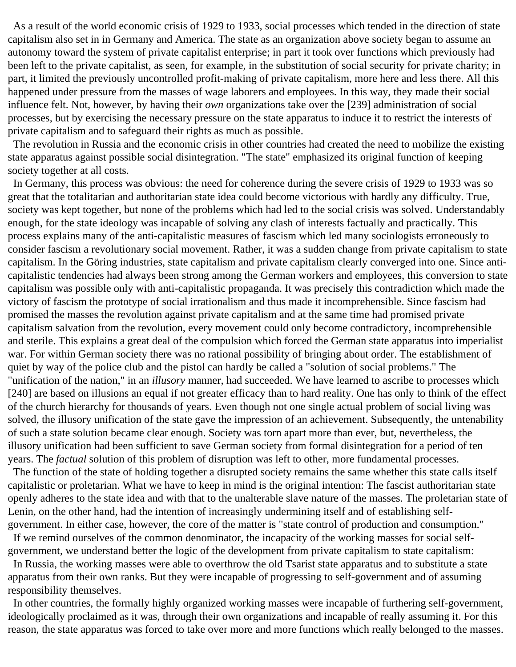As a result of the world economic crisis of 1929 to 1933, social processes which tended in the direction of state capitalism also set in in Germany and America. The state as an organization above society began to assume an autonomy toward the system of private capitalist enterprise; in part it took over functions which previously had been left to the private capitalist, as seen, for example, in the substitution of social security for private charity; in part, it limited the previously uncontrolled profit-making of private capitalism, more here and less there. All this happened under pressure from the masses of wage laborers and employees. In this way, they made their social influence felt. Not, however, by having their *own* organizations take over the [239] administration of social processes, but by exercising the necessary pressure on the state apparatus to induce it to restrict the interests of private capitalism and to safeguard their rights as much as possible.

 The revolution in Russia and the economic crisis in other countries had created the need to mobilize the existing state apparatus against possible social disintegration. "The state" emphasized its original function of keeping society together at all costs.

 In Germany, this process was obvious: the need for coherence during the severe crisis of 1929 to 1933 was so great that the totalitarian and authoritarian state idea could become victorious with hardly any difficulty. True, society was kept together, but none of the problems which had led to the social crisis was solved. Understandably enough, for the state ideology was incapable of solving any clash of interests factually and practically. This process explains many of the anti-capitalistic measures of fascism which led many sociologists erroneously to consider fascism a revolutionary social movement. Rather, it was a sudden change from private capitalism to state capitalism. In the Göring industries, state capitalism and private capitalism clearly converged into one. Since anticapitalistic tendencies had always been strong among the German workers and employees, this conversion to state capitalism was possible only with anti-capitalistic propaganda. It was precisely this contradiction which made the victory of fascism the prototype of social irrationalism and thus made it incomprehensible. Since fascism had promised the masses the revolution against private capitalism and at the same time had promised private capitalism salvation from the revolution, every movement could only become contradictory, incomprehensible and sterile. This explains a great deal of the compulsion which forced the German state apparatus into imperialist war. For within German society there was no rational possibility of bringing about order. The establishment of quiet by way of the police club and the pistol can hardly be called a "solution of social problems." The "unification of the nation," in an *illusory* manner, had succeeded. We have learned to ascribe to processes which [240] are based on illusions an equal if not greater efficacy than to hard reality. One has only to think of the effect of the church hierarchy for thousands of years. Even though not one single actual problem of social living was solved, the illusory unification of the state gave the impression of an achievement. Subsequently, the untenability of such a state solution became clear enough. Society was torn apart more than ever, but, nevertheless, the illusory unification had been sufficient to save German society from formal disintegration for a period of ten years. The *factual* solution of this problem of disruption was left to other, more fundamental processes.

 The function of the state of holding together a disrupted society remains the same whether this state calls itself capitalistic or proletarian. What we have to keep in mind is the original intention: The fascist authoritarian state openly adheres to the state idea and with that to the unalterable slave nature of the masses. The proletarian state of Lenin, on the other hand, had the intention of increasingly undermining itself and of establishing selfgovernment. In either case, however, the core of the matter is "state control of production and consumption."

 If we remind ourselves of the common denominator, the incapacity of the working masses for social selfgovernment, we understand better the logic of the development from private capitalism to state capitalism:

 In Russia, the working masses were able to overthrow the old Tsarist state apparatus and to substitute a state apparatus from their own ranks. But they were incapable of progressing to self-government and of assuming responsibility themselves.

 In other countries, the formally highly organized working masses were incapable of furthering self-government, ideologically proclaimed as it was, through their own organizations and incapable of really assuming it. For this reason, the state apparatus was forced to take over more and more functions which really belonged to the masses.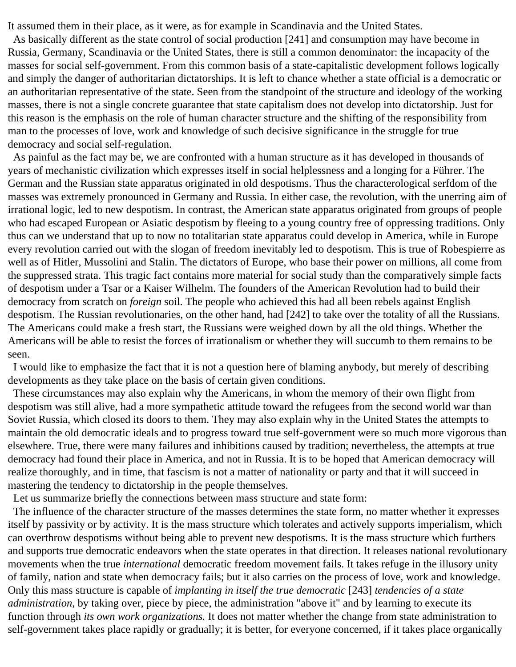It assumed them in their place, as it were, as for example in Scandinavia and the United States.

 As basically different as the state control of social production [241] and consumption may have become in Russia, Germany, Scandinavia or the United States, there is still a common denominator: the incapacity of the masses for social self-government. From this common basis of a state-capitalistic development follows logically and simply the danger of authoritarian dictatorships. It is left to chance whether a state official is a democratic or an authoritarian representative of the state. Seen from the standpoint of the structure and ideology of the working masses, there is not a single concrete guarantee that state capitalism does not develop into dictatorship. Just for this reason is the emphasis on the role of human character structure and the shifting of the responsibility from man to the processes of love, work and knowledge of such decisive significance in the struggle for true democracy and social self-regulation.

 As painful as the fact may be, we are confronted with a human structure as it has developed in thousands of years of mechanistic civilization which expresses itself in social helplessness and a longing for a Führer. The German and the Russian state apparatus originated in old despotisms. Thus the characterological serfdom of the masses was extremely pronounced in Germany and Russia. In either case, the revolution, with the unerring aim of irrational logic, led to new despotism. In contrast, the American state apparatus originated from groups of people who had escaped European or Asiatic despotism by fleeing to a young country free of oppressing traditions. Only thus can we understand that up to now no totalitarian state apparatus could develop in America, while in Europe every revolution carried out with the slogan of freedom inevitably led to despotism. This is true of Robespierre as well as of Hitler, Mussolini and Stalin. The dictators of Europe, who base their power on millions, all come from the suppressed strata. This tragic fact contains more material for social study than the comparatively simple facts of despotism under a Tsar or a Kaiser Wilhelm. The founders of the American Revolution had to build their democracy from scratch on *foreign* soil. The people who achieved this had all been rebels against English despotism. The Russian revolutionaries, on the other hand, had [242] to take over the totality of all the Russians. The Americans could make a fresh start, the Russians were weighed down by all the old things. Whether the Americans will be able to resist the forces of irrationalism or whether they will succumb to them remains to be seen.

 I would like to emphasize the fact that it is not a question here of blaming anybody, but merely of describing developments as they take place on the basis of certain given conditions.

 These circumstances may also explain why the Americans, in whom the memory of their own flight from despotism was still alive, had a more sympathetic attitude toward the refugees from the second world war than Soviet Russia, which closed its doors to them. They may also explain why in the United States the attempts to maintain the old democratic ideals and to progress toward true self-government were so much more vigorous than elsewhere. True, there were many failures and inhibitions caused by tradition; nevertheless, the attempts at true democracy had found their place in America, and not in Russia. It is to be hoped that American democracy will realize thoroughly, and in time, that fascism is not a matter of nationality or party and that it will succeed in mastering the tendency to dictatorship in the people themselves.

Let us summarize briefly the connections between mass structure and state form:

 The influence of the character structure of the masses determines the state form, no matter whether it expresses itself by passivity or by activity. It is the mass structure which tolerates and actively supports imperialism, which can overthrow despotisms without being able to prevent new despotisms. It is the mass structure which furthers and supports true democratic endeavors when the state operates in that direction. It releases national revolutionary movements when the true *international* democratic freedom movement fails. It takes refuge in the illusory unity of family, nation and state when democracy fails; but it also carries on the process of love, work and knowledge. Only this mass structure is capable of *implanting in itself the true democratic* [243] *tendencies of a state administration,* by taking over, piece by piece, the administration "above it" and by learning to execute its function through *its own work organizations.* It does not matter whether the change from state administration to self-government takes place rapidly or gradually; it is better, for everyone concerned, if it takes place organically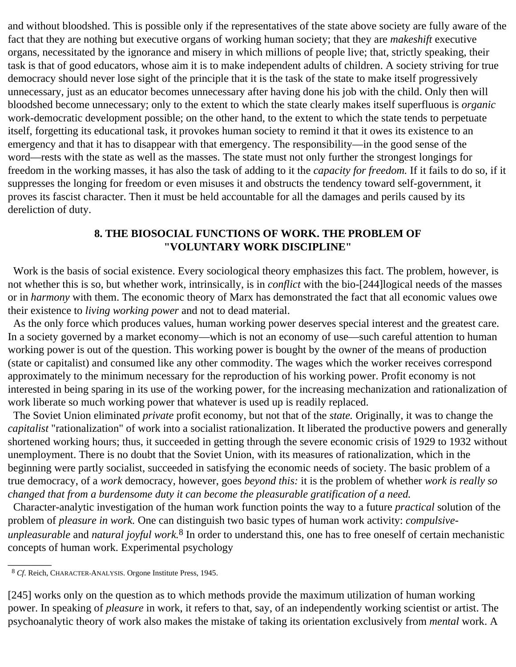and without bloodshed. This is possible only if the representatives of the state above society are fully aware of the fact that they are nothing but executive organs of working human society; that they are *makeshift* executive organs, necessitated by the ignorance and misery in which millions of people live; that, strictly speaking, their task is that of good educators, whose aim it is to make independent adults of children. A society striving for true democracy should never lose sight of the principle that it is the task of the state to make itself progressively unnecessary, just as an educator becomes unnecessary after having done his job with the child. Only then will bloodshed become unnecessary; only to the extent to which the state clearly makes itself superfluous is *organic*  work-democratic development possible; on the other hand, to the extent to which the state tends to perpetuate itself, forgetting its educational task, it provokes human society to remind it that it owes its existence to an emergency and that it has to disappear with that emergency. The responsibility—in the good sense of the word—rests with the state as well as the masses. The state must not only further the strongest longings for freedom in the working masses, it has also the task of adding to it the *capacity for freedom.* If it fails to do so, if it suppresses the longing for freedom or even misuses it and obstructs the tendency toward self-government, it proves its fascist character. Then it must be held accountable for all the damages and perils caused by its dereliction of duty.

# **8. THE BIOSOCIAL FUNCTIONS OF WORK. THE PROBLEM OF "VOLUNTARY WORK DISCIPLINE"**

 Work is the basis of social existence. Every sociological theory emphasizes this fact. The problem, however, is not whether this is so, but whether work, intrinsically, is in *conflict* with the bio-[244]logical needs of the masses or in *harmony* with them. The economic theory of Marx has demonstrated the fact that all economic values owe their existence to *living working power* and not to dead material.

 As the only force which produces values, human working power deserves special interest and the greatest care. In a society governed by a market economy—which is not an economy of use—such careful attention to human working power is out of the question. This working power is bought by the owner of the means of production (state or capitalist) and consumed like any other commodity. The wages which the worker receives correspond approximately to the minimum necessary for the reproduction of his working power. Profit economy is not interested in being sparing in its use of the working power, for the increasing mechanization and rationalization of work liberate so much working power that whatever is used up is readily replaced.

 The Soviet Union eliminated *private* profit economy, but not that of the *state.* Originally, it was to change the *capitalist* "rationalization" of work into a socialist rationalization. It liberated the productive powers and generally shortened working hours; thus, it succeeded in getting through the severe economic crisis of 1929 to 1932 without unemployment. There is no doubt that the Soviet Union, with its measures of rationalization, which in the beginning were partly socialist, succeeded in satisfying the economic needs of society. The basic problem of a true democracy, of a *work* democracy, however, goes *beyond this:* it is the problem of whether *work is really so changed that from a burdensome duty it can become the pleasurable gratification of a need.*

 Character-analytic investigation of the human work function points the way to a future *practical* solution of the problem of *pleasure in work.* One can distinguish two basic types of human work activity: *compulsiveunpleasurable* and *natural joyful work.*8 In order to understand this, one has to free oneself of certain mechanistic concepts of human work. Experimental psychology

\_\_\_\_\_\_\_\_

[245] works only on the question as to which methods provide the maximum utilization of human working power. In speaking of *pleasure* in work, it refers to that, say, of an independently working scientist or artist. The psychoanalytic theory of work also makes the mistake of taking its orientation exclusively from *mental* work. A

8 *Cf*. Reich, CHARACTER-ANALYSIS. Orgone Institute Press, 1945.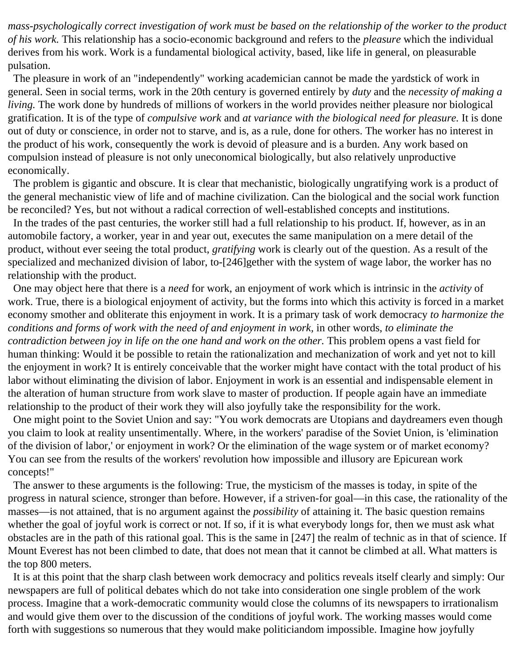*mass-psychologically correct investigation of work must be based on the relationship of the worker to the product of his work.* This relationship has a socio-economic background and refers to the *pleasure* which the individual derives from his work. Work is a fundamental biological activity, based, like life in general, on pleasurable pulsation.

 The pleasure in work of an "independently" working academician cannot be made the yardstick of work in general. Seen in social terms, work in the 20th century is governed entirely by *duty* and the *necessity of making a living.* The work done by hundreds of millions of workers in the world provides neither pleasure nor biological gratification. It is of the type of *compulsive work* and *at variance with the biological need for pleasure.* It is done out of duty or conscience, in order not to starve, and is, as a rule, done for others. The worker has no interest in the product of his work, consequently the work is devoid of pleasure and is a burden. Any work based on compulsion instead of pleasure is not only uneconomical biologically, but also relatively unproductive economically.

 The problem is gigantic and obscure. It is clear that mechanistic, biologically ungratifying work is a product of the general mechanistic view of life and of machine civilization. Can the biological and the social work function be reconciled? Yes, but not without a radical correction of well-established concepts and institutions.

 In the trades of the past centuries, the worker still had a full relationship to his product. If, however, as in an automobile factory, a worker, year in and year out, executes the same manipulation on a mere detail of the product, without ever seeing the total product, *gratifying* work is clearly out of the question. As a result of the specialized and mechanized division of labor, to-[246]gether with the system of wage labor, the worker has no relationship with the product.

 One may object here that there is a *need* for work, an enjoyment of work which is intrinsic in the *activity* of work. True, there is a biological enjoyment of activity, but the forms into which this activity is forced in a market economy smother and obliterate this enjoyment in work. It is a primary task of work democracy *to harmonize the conditions and forms of work with the need of and enjoyment in work,* in other words, *to eliminate the contradiction between joy in life on the one hand and work on the other.* This problem opens a vast field for human thinking: Would it be possible to retain the rationalization and mechanization of work and yet not to kill the enjoyment in work? It is entirely conceivable that the worker might have contact with the total product of his labor without eliminating the division of labor. Enjoyment in work is an essential and indispensable element in the alteration of human structure from work slave to master of production. If people again have an immediate relationship to the product of their work they will also joyfully take the responsibility for the work.

 One might point to the Soviet Union and say: "You work democrats are Utopians and daydreamers even though you claim to look at reality unsentimentally. Where, in the workers' paradise of the Soviet Union, is 'elimination of the division of labor,' or enjoyment in work? Or the elimination of the wage system or of market economy? You can see from the results of the workers' revolution how impossible and illusory are Epicurean work concepts!"

 The answer to these arguments is the following: True, the mysticism of the masses is today, in spite of the progress in natural science, stronger than before. However, if a striven-for goal—in this case, the rationality of the masses—is not attained, that is no argument against the *possibility* of attaining it. The basic question remains whether the goal of joyful work is correct or not. If so, if it is what everybody longs for, then we must ask what obstacles are in the path of this rational goal. This is the same in [247] the realm of technic as in that of science. If Mount Everest has not been climbed to date, that does not mean that it cannot be climbed at all. What matters is the top 800 meters.

 It is at this point that the sharp clash between work democracy and politics reveals itself clearly and simply: Our newspapers are full of political debates which do not take into consideration one single problem of the work process. Imagine that a work-democratic community would close the columns of its newspapers to irrationalism and would give them over to the discussion of the conditions of joyful work. The working masses would come forth with suggestions so numerous that they would make politiciandom impossible. Imagine how joyfully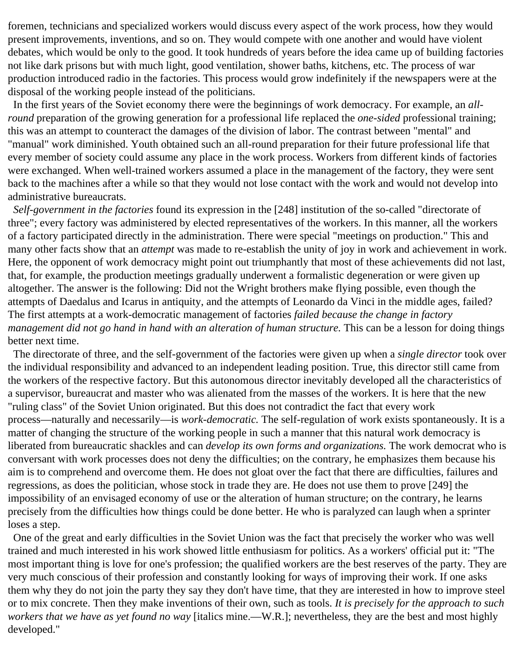foremen, technicians and specialized workers would discuss every aspect of the work process, how they would present improvements, inventions, and so on. They would compete with one another and would have violent debates, which would be only to the good. It took hundreds of years before the idea came up of building factories not like dark prisons but with much light, good ventilation, shower baths, kitchens, etc. The process of war production introduced radio in the factories. This process would grow indefinitely if the newspapers were at the disposal of the working people instead of the politicians.

 In the first years of the Soviet economy there were the beginnings of work democracy. For example, an *allround* preparation of the growing generation for a professional life replaced the *one-sided* professional training; this was an attempt to counteract the damages of the division of labor. The contrast between "mental" and "manual" work diminished. Youth obtained such an all-round preparation for their future professional life that every member of society could assume any place in the work process. Workers from different kinds of factories were exchanged. When well-trained workers assumed a place in the management of the factory, they were sent back to the machines after a while so that they would not lose contact with the work and would not develop into administrative bureaucrats.

 *Self-government in the factories* found its expression in the [248] institution of the so-called "directorate of three"; every factory was administered by elected representatives of the workers. In this manner, all the workers of a factory participated directly in the administration. There were special "meetings on production." This and many other facts show that an *attempt* was made to re-establish the unity of joy in work and achievement in work. Here, the opponent of work democracy might point out triumphantly that most of these achievements did not last, that, for example, the production meetings gradually underwent a formalistic degeneration or were given up altogether. The answer is the following: Did not the Wright brothers make flying possible, even though the attempts of Daedalus and Icarus in antiquity, and the attempts of Leonardo da Vinci in the middle ages, failed? The first attempts at a work-democratic management of factories *failed because the change in factory management did not go hand in hand with an alteration of human structure. This can be a lesson for doing things* better next time.

 The directorate of three, and the self-government of the factories were given up when a *single director* took over the individual responsibility and advanced to an independent leading position. True, this director still came from the workers of the respective factory. But this autonomous director inevitably developed all the characteristics of a supervisor, bureaucrat and master who was alienated from the masses of the workers. It is here that the new "ruling class" of the Soviet Union originated. But this does not contradict the fact that every work process—naturally and necessarily—is *work-democratic.* The self-regulation of work exists spontaneously. It is a matter of changing the structure of the working people in such a manner that this natural work democracy is liberated from bureaucratic shackles and can *develop its own forms and organizations.* The work democrat who is conversant with work processes does not deny the difficulties; on the contrary, he emphasizes them because his aim is to comprehend and overcome them. He does not gloat over the fact that there are difficulties, failures and regressions, as does the politician, whose stock in trade they are. He does not use them to prove [249] the impossibility of an envisaged economy of use or the alteration of human structure; on the contrary, he learns precisely from the difficulties how things could be done better. He who is paralyzed can laugh when a sprinter loses a step.

 One of the great and early difficulties in the Soviet Union was the fact that precisely the worker who was well trained and much interested in his work showed little enthusiasm for politics. As a workers' official put it: "The most important thing is love for one's profession; the qualified workers are the best reserves of the party. They are very much conscious of their profession and constantly looking for ways of improving their work. If one asks them why they do not join the party they say they don't have time, that they are interested in how to improve steel or to mix concrete. Then they make inventions of their own, such as tools. *It is precisely for the approach to such workers that we have as yet found no way* [italics mine.—W.R.]; nevertheless, they are the best and most highly developed."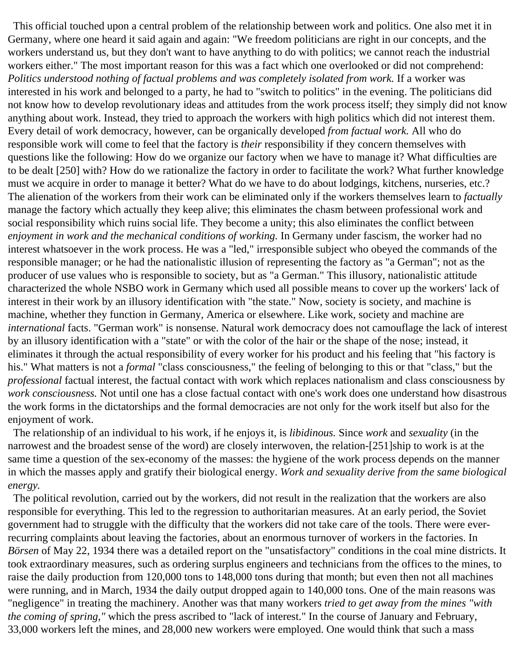This official touched upon a central problem of the relationship between work and politics. One also met it in Germany, where one heard it said again and again: "We freedom politicians are right in our concepts, and the workers understand us, but they don't want to have anything to do with politics; we cannot reach the industrial workers either." The most important reason for this was a fact which one overlooked or did not comprehend: *Politics understood nothing of factual problems and was completely isolated from work.* If a worker was interested in his work and belonged to a party, he had to "switch to politics" in the evening. The politicians did not know how to develop revolutionary ideas and attitudes from the work process itself; they simply did not know anything about work. Instead, they tried to approach the workers with high politics which did not interest them. Every detail of work democracy, however, can be organically developed *from factual work.* All who do responsible work will come to feel that the factory is *their* responsibility if they concern themselves with questions like the following: How do we organize our factory when we have to manage it? What difficulties are to be dealt [250] with? How do we rationalize the factory in order to facilitate the work? What further knowledge must we acquire in order to manage it better? What do we have to do about lodgings, kitchens, nurseries, etc.? The alienation of the workers from their work can be eliminated only if the workers themselves learn to *factually*  manage the factory which actually they keep alive; this eliminates the chasm between professional work and social responsibility which ruins social life. They become a unity; this also eliminates the conflict between *enjoyment in work and the mechanical conditions of working.* In Germany under fascism, the worker had no interest whatsoever in the work process. He was a "led," irresponsible subject who obeyed the commands of the responsible manager; or he had the nationalistic illusion of representing the factory as "a German"; not as the producer of use values who is responsible to society, but as "a German." This illusory, nationalistic attitude characterized the whole NSBO work in Germany which used all possible means to cover up the workers' lack of interest in their work by an illusory identification with "the state." Now, society is society, and machine is machine, whether they function in Germany, America or elsewhere. Like work, society and machine are *international* facts. "German work" is nonsense. Natural work democracy does not camouflage the lack of interest by an illusory identification with a "state" or with the color of the hair or the shape of the nose; instead, it eliminates it through the actual responsibility of every worker for his product and his feeling that "his factory is his." What matters is not a *formal* "class consciousness," the feeling of belonging to this or that "class," but the *professional* factual interest, the factual contact with work which replaces nationalism and class consciousness by *work consciousness.* Not until one has a close factual contact with one's work does one understand how disastrous the work forms in the dictatorships and the formal democracies are not only for the work itself but also for the enjoyment of work.

 The relationship of an individual to his work, if he enjoys it, is *libidinous.* Since *work* and *sexuality* (in the narrowest and the broadest sense of the word) are closely interwoven, the relation-[251]ship to work is at the same time a question of the sex-economy of the masses: the hygiene of the work process depends on the manner in which the masses apply and gratify their biological energy. *Work and sexuality derive from the same biological energy.*

 The political revolution, carried out by the workers, did not result in the realization that the workers are also responsible for everything. This led to the regression to authoritarian measures. At an early period, the Soviet government had to struggle with the difficulty that the workers did not take care of the tools. There were everrecurring complaints about leaving the factories, about an enormous turnover of workers in the factories. In *Börsen* of May 22, 1934 there was a detailed report on the "unsatisfactory" conditions in the coal mine districts. It took extraordinary measures, such as ordering surplus engineers and technicians from the offices to the mines, to raise the daily production from 120,000 tons to 148,000 tons during that month; but even then not all machines were running, and in March, 1934 the daily output dropped again to 140,000 tons. One of the main reasons was "negligence" in treating the machinery. Another was that many workers *tried to get away from the mines "with the coming of spring,"* which the press ascribed to "lack of interest." In the course of January and February, 33,000 workers left the mines, and 28,000 new workers were employed. One would think that such a mass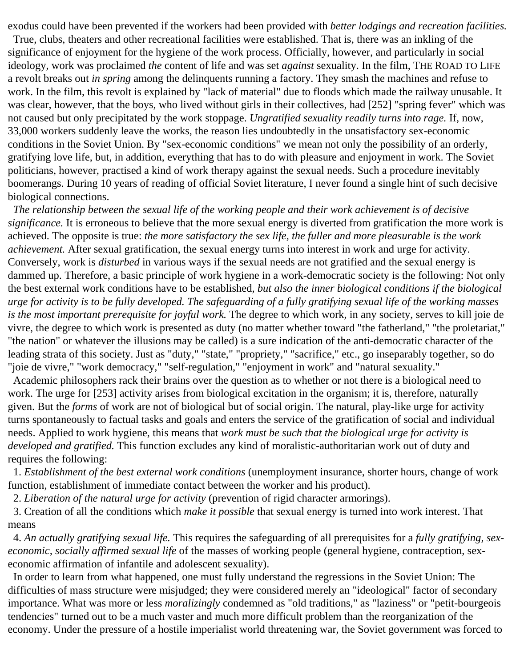exodus could have been prevented if the workers had been provided with *better lodgings and recreation facilities.*

 True, clubs, theaters and other recreational facilities were established. That is, there was an inkling of the significance of enjoyment for the hygiene of the work process. Officially, however, and particularly in social ideology, work was proclaimed *the* content of life and was set *against* sexuality. In the film, THE ROAD TO LIFE a revolt breaks out *in spring* among the delinquents running a factory. They smash the machines and refuse to work. In the film, this revolt is explained by "lack of material" due to floods which made the railway unusable. It was clear, however, that the boys, who lived without girls in their collectives, had [252] "spring fever" which was not caused but only precipitated by the work stoppage. *Ungratified sexuality readily turns into rage.* If, now, 33,000 workers suddenly leave the works, the reason lies undoubtedly in the unsatisfactory sex-economic conditions in the Soviet Union. By "sex-economic conditions" we mean not only the possibility of an orderly, gratifying love life, but, in addition, everything that has to do with pleasure and enjoyment in work. The Soviet politicians, however, practised a kind of work therapy against the sexual needs. Such a procedure inevitably boomerangs. During 10 years of reading of official Soviet literature, I never found a single hint of such decisive biological connections.

 *The relationship between the sexual life of the working people and their work achievement is of decisive significance.* It is erroneous to believe that the more sexual energy is diverted from gratification the more work is achieved. The opposite is true: *the more satisfactory the sex life, the fuller and more pleasurable is the work achievement.* After sexual gratification, the sexual energy turns into interest in work and urge for activity. Conversely, work is *disturbed* in various ways if the sexual needs are not gratified and the sexual energy is dammed up. Therefore, a basic principle of work hygiene in a work-democratic society is the following: Not only the best external work conditions have to be established, *but also the inner biological conditions if the biological urge for activity is to be fully developed. The safeguarding of a fully gratifying sexual life of the working masses is the most important prerequisite for joyful work.* The degree to which work, in any society, serves to kill joie de vivre, the degree to which work is presented as duty (no matter whether toward "the fatherland," "the proletariat," "the nation" or whatever the illusions may be called) is a sure indication of the anti-democratic character of the leading strata of this society. Just as "duty," "state," "propriety," "sacrifice," etc., go inseparably together, so do "joie de vivre," "work democracy," "self-regulation," "enjoyment in work" and "natural sexuality."

 Academic philosophers rack their brains over the question as to whether or not there is a biological need to work. The urge for [253] activity arises from biological excitation in the organism; it is, therefore, naturally given. But the *forms* of work are not of biological but of social origin. The natural, play-like urge for activity turns spontaneously to factual tasks and goals and enters the service of the gratification of social and individual needs. Applied to work hygiene, this means that *work must be such that the biological urge for activity is developed and gratified.* This function excludes any kind of moralistic-authoritarian work out of duty and requires the following:

 1. *Establishment of the best external work conditions* (unemployment insurance, shorter hours, change of work function, establishment of immediate contact between the worker and his product).

2. *Liberation of the natural urge for activity* (prevention of rigid character armorings).

 3. Creation of all the conditions which *make it possible* that sexual energy is turned into work interest. That means

 4. *An actually gratifying sexual life.* This requires the safeguarding of all prerequisites for a *fully gratifying, sexeconomic, socially affirmed sexual life* of the masses of working people (general hygiene, contraception, sexeconomic affirmation of infantile and adolescent sexuality).

 In order to learn from what happened, one must fully understand the regressions in the Soviet Union: The difficulties of mass structure were misjudged; they were considered merely an "ideological" factor of secondary importance. What was more or less *moralizingly* condemned as "old traditions," as "laziness" or "petit-bourgeois tendencies" turned out to be a much vaster and much more difficult problem than the reorganization of the economy. Under the pressure of a hostile imperialist world threatening war, the Soviet government was forced to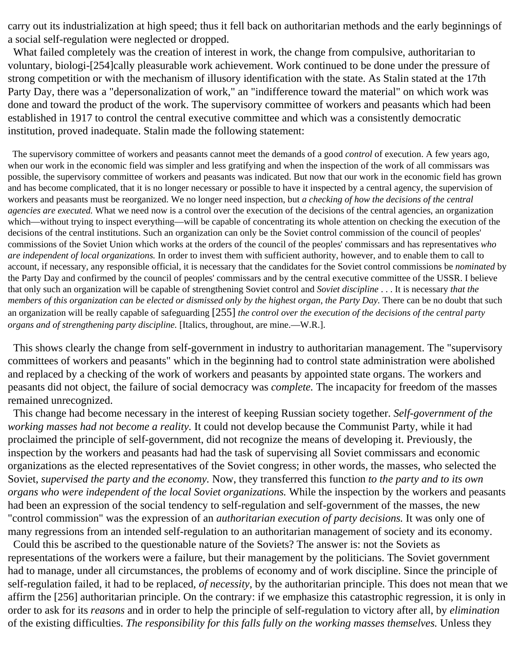carry out its industrialization at high speed; thus it fell back on authoritarian methods and the early beginnings of a social self-regulation were neglected or dropped.

 What failed completely was the creation of interest in work, the change from compulsive, authoritarian to voluntary, biologi-[254]cally pleasurable work achievement. Work continued to be done under the pressure of strong competition or with the mechanism of illusory identification with the state. As Stalin stated at the 17th Party Day, there was a "depersonalization of work," an "indifference toward the material" on which work was done and toward the product of the work. The supervisory committee of workers and peasants which had been established in 1917 to control the central executive committee and which was a consistently democratic institution, proved inadequate. Stalin made the following statement:

 The supervisory committee of workers and peasants cannot meet the demands of a good *control* of execution. A few years ago, when our work in the economic field was simpler and less gratifying and when the inspection of the work of all commissars was possible, the supervisory committee of workers and peasants was indicated. But now that our work in the economic field has grown and has become complicated, that it is no longer necessary or possible to have it inspected by a central agency, the supervision of workers and peasants must be reorganized. We no longer need inspection, but *a checking of how the decisions of the central agencies are executed.* What we need now is a control over the execution of the decisions of the central agencies, an organization which—without trying to inspect everything—will be capable of concentrating its whole attention on checking the execution of the decisions of the central institutions. Such an organization can only be the Soviet control commission of the council of peoples' commissions of the Soviet Union which works at the orders of the council of the peoples' commissars and has representatives *who are independent of local organizations.* In order to invest them with sufficient authority, however, and to enable them to call to account, if necessary, any responsible official, it is necessary that the candidates for the Soviet control commissions be *nominated* by the Party Day and confirmed by the council of peoples' commissars and by the central executive committee of the USSR. I believe that only such an organization will be capable of strengthening Soviet control and *Soviet discipline* . . . It is necessary *that the members of this organization can be elected or dismissed only by the highest organ, the Party Day.* There can be no doubt that such an organization will be really capable of safeguarding [255] *the control over the execution of the decisions of the central party organs and of strengthening party discipline.* [Italics, throughout, are mine.—W.R.].

 This shows clearly the change from self-government in industry to authoritarian management. The "supervisory committees of workers and peasants" which in the beginning had to control state administration were abolished and replaced by a checking of the work of workers and peasants by appointed state organs. The workers and peasants did not object, the failure of social democracy was *complete.* The incapacity for freedom of the masses remained unrecognized.

 This change had become necessary in the interest of keeping Russian society together. *Self-government of the working masses had not become a reality.* It could not develop because the Communist Party, while it had proclaimed the principle of self-government, did not recognize the means of developing it. Previously, the inspection by the workers and peasants had had the task of supervising all Soviet commissars and economic organizations as the elected representatives of the Soviet congress; in other words, the masses, who selected the Soviet, *supervised the party and the economy.* Now, they transferred this function *to the party and to its own organs who were independent of the local Soviet organizations.* While the inspection by the workers and peasants had been an expression of the social tendency to self-regulation and self-government of the masses, the new "control commission" was the expression of an *authoritarian execution of party decisions.* It was only one of many regressions from an intended self-regulation to an authoritarian management of society and its economy.

 Could this be ascribed to the questionable nature of the Soviets? The answer is: not the Soviets as representations of the workers were a failure, but their management by the politicians. The Soviet government had to manage, under all circumstances, the problems of economy and of work discipline. Since the principle of self-regulation failed, it had to be replaced, *of necessity,* by the authoritarian principle. This does not mean that we affirm the [256] authoritarian principle. On the contrary: if we emphasize this catastrophic regression, it is only in order to ask for its *reasons* and in order to help the principle of self-regulation to victory after all, by *elimination*  of the existing difficulties. *The responsibility for this falls fully on the working masses themselves.* Unless they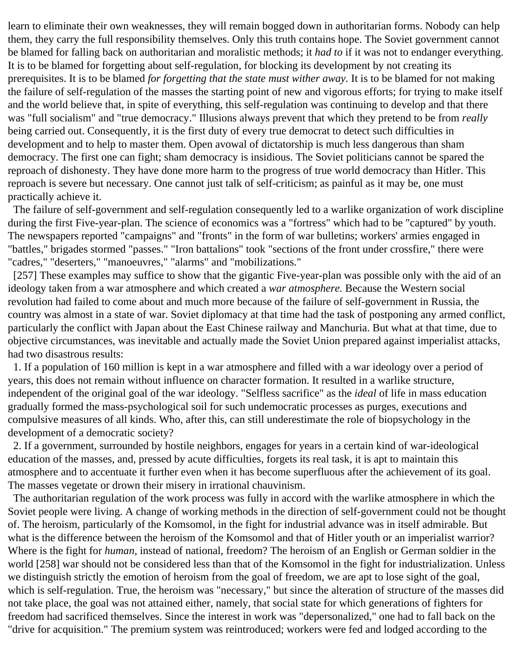learn to eliminate their own weaknesses, they will remain bogged down in authoritarian forms. Nobody can help them, they carry the full responsibility themselves. Only this truth contains hope. The Soviet government cannot be blamed for falling back on authoritarian and moralistic methods; it *had to* if it was not to endanger everything. It is to be blamed for forgetting about self-regulation, for blocking its development by not creating its prerequisites. It is to be blamed *for forgetting that the state must wither away.* It is to be blamed for not making the failure of self-regulation of the masses the starting point of new and vigorous efforts; for trying to make itself and the world believe that, in spite of everything, this self-regulation was continuing to develop and that there was "full socialism" and "true democracy." Illusions always prevent that which they pretend to be from *really*  being carried out. Consequently, it is the first duty of every true democrat to detect such difficulties in development and to help to master them. Open avowal of dictatorship is much less dangerous than sham democracy. The first one can fight; sham democracy is insidious. The Soviet politicians cannot be spared the reproach of dishonesty. They have done more harm to the progress of true world democracy than Hitler. This reproach is severe but necessary. One cannot just talk of self-criticism; as painful as it may be, one must practically achieve it.

 The failure of self-government and self-regulation consequently led to a warlike organization of work discipline during the first Five-year-plan. The science of economics was a "fortress" which had to be "captured" by youth. The newspapers reported "campaigns" and "fronts" in the form of war bulletins; workers' armies engaged in "battles," brigades stormed "passes." "Iron battalions" took "sections of the front under crossfire," there were "cadres," "deserters," "manoeuvres," "alarms" and "mobilizations."

 [257] These examples may suffice to show that the gigantic Five-year-plan was possible only with the aid of an ideology taken from a war atmosphere and which created a *war atmosphere.* Because the Western social revolution had failed to come about and much more because of the failure of self-government in Russia, the country was almost in a state of war. Soviet diplomacy at that time had the task of postponing any armed conflict, particularly the conflict with Japan about the East Chinese railway and Manchuria. But what at that time, due to objective circumstances, was inevitable and actually made the Soviet Union prepared against imperialist attacks, had two disastrous results:

 1. If a population of 160 million is kept in a war atmosphere and filled with a war ideology over a period of years, this does not remain without influence on character formation. It resulted in a warlike structure, independent of the original goal of the war ideology. "Selfless sacrifice" as the *ideal* of life in mass education gradually formed the mass-psychological soil for such undemocratic processes as purges, executions and compulsive measures of all kinds. Who, after this, can still underestimate the role of biopsychology in the development of a democratic society?

 2. If a government, surrounded by hostile neighbors, engages for years in a certain kind of war-ideological education of the masses, and, pressed by acute difficulties, forgets its real task, it is apt to maintain this atmosphere and to accentuate it further even when it has become superfluous after the achievement of its goal. The masses vegetate or drown their misery in irrational chauvinism.

 The authoritarian regulation of the work process was fully in accord with the warlike atmosphere in which the Soviet people were living. A change of working methods in the direction of self-government could not be thought of. The heroism, particularly of the Komsomol, in the fight for industrial advance was in itself admirable. But what is the difference between the heroism of the Komsomol and that of Hitler youth or an imperialist warrior? Where is the fight for *human,* instead of national, freedom? The heroism of an English or German soldier in the world [258] war should not be considered less than that of the Komsomol in the fight for industrialization. Unless we distinguish strictly the emotion of heroism from the goal of freedom, we are apt to lose sight of the goal, which is self-regulation. True, the heroism was "necessary," but since the alteration of structure of the masses did not take place, the goal was not attained either, namely, that social state for which generations of fighters for freedom had sacrificed themselves. Since the interest in work was "depersonalized," one had to fall back on the "drive for acquisition." The premium system was reintroduced; workers were fed and lodged according to the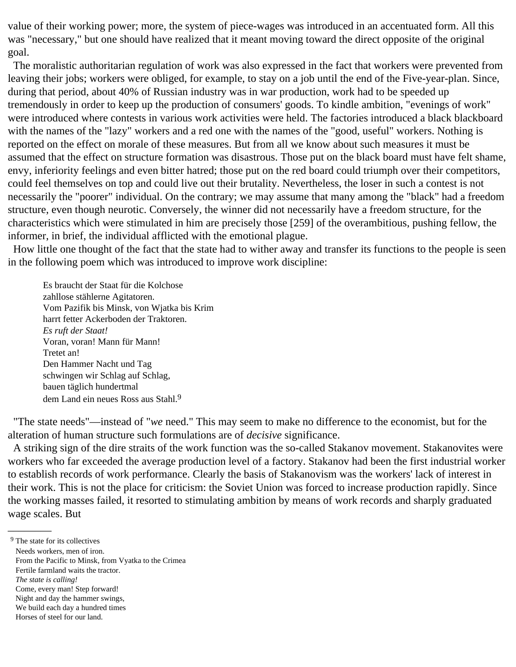value of their working power; more, the system of piece-wages was introduced in an accentuated form. All this was "necessary," but one should have realized that it meant moving toward the direct opposite of the original goal.

 The moralistic authoritarian regulation of work was also expressed in the fact that workers were prevented from leaving their jobs; workers were obliged, for example, to stay on a job until the end of the Five-year-plan. Since, during that period, about 40% of Russian industry was in war production, work had to be speeded up tremendously in order to keep up the production of consumers' goods. To kindle ambition, "evenings of work" were introduced where contests in various work activities were held. The factories introduced a black blackboard with the names of the "lazy" workers and a red one with the names of the "good, useful" workers. Nothing is reported on the effect on morale of these measures. But from all we know about such measures it must be assumed that the effect on structure formation was disastrous. Those put on the black board must have felt shame, envy, inferiority feelings and even bitter hatred; those put on the red board could triumph over their competitors, could feel themselves on top and could live out their brutality. Nevertheless, the loser in such a contest is not necessarily the "poorer" individual. On the contrary; we may assume that many among the "black" had a freedom structure, even though neurotic. Conversely, the winner did not necessarily have a freedom structure, for the characteristics which were stimulated in him are precisely those [259] of the overambitious, pushing fellow, the informer, in brief, the individual afflicted with the emotional plague.

 How little one thought of the fact that the state had to wither away and transfer its functions to the people is seen in the following poem which was introduced to improve work discipline:

 Es braucht der Staat für die Kolchose zahllose stählerne Agitatoren. Vom Pazifik bis Minsk, von Wjatka bis Krim harrt fetter Ackerboden der Traktoren. *Es ruft der Staat!* Voran, voran! Mann für Mann! Tretet an! Den Hammer Nacht und Tag schwingen wir Schlag auf Schlag, bauen täglich hundertmal dem Land ein neues Ross aus Stahl.<sup>9</sup>

 "The state needs"—instead of "*we* need." This may seem to make no difference to the economist, but for the alteration of human structure such formulations are of *decisive* significance.

 A striking sign of the dire straits of the work function was the so-called Stakanov movement. Stakanovites were workers who far exceeded the average production level of a factory. Stakanov had been the first industrial worker to establish records of work performance. Clearly the basis of Stakanovism was the workers' lack of interest in their work. This is not the place for criticism: the Soviet Union was forced to increase production rapidly. Since the working masses failed, it resorted to stimulating ambition by means of work records and sharply graduated wage scales. But

 $\overline{\phantom{a}}$ 

<sup>9</sup> The state for its collectives

Needs workers, men of iron.

From the Pacific to Minsk, from Vyatka to the Crimea

Fertile farmland waits the tractor.

*The state is calling!*

Come, every man! Step forward!

Night and day the hammer swings, We build each day a hundred times

Horses of steel for our land.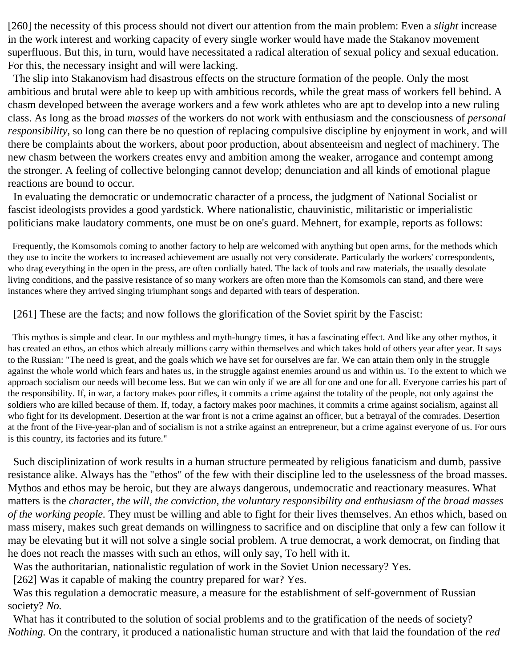[260] the necessity of this process should not divert our attention from the main problem: Even a *slight* increase in the work interest and working capacity of every single worker would have made the Stakanov movement superfluous. But this, in turn, would have necessitated a radical alteration of sexual policy and sexual education. For this, the necessary insight and will were lacking.

 The slip into Stakanovism had disastrous effects on the structure formation of the people. Only the most ambitious and brutal were able to keep up with ambitious records, while the great mass of workers fell behind. A chasm developed between the average workers and a few work athletes who are apt to develop into a new ruling class. As long as the broad *masses* of the workers do not work with enthusiasm and the consciousness of *personal responsibility,* so long can there be no question of replacing compulsive discipline by enjoyment in work, and will there be complaints about the workers, about poor production, about absenteeism and neglect of machinery. The new chasm between the workers creates envy and ambition among the weaker, arrogance and contempt among the stronger. A feeling of collective belonging cannot develop; denunciation and all kinds of emotional plague reactions are bound to occur.

 In evaluating the democratic or undemocratic character of a process, the judgment of National Socialist or fascist ideologists provides a good yardstick. Where nationalistic, chauvinistic, militaristic or imperialistic politicians make laudatory comments, one must be on one's guard. Mehnert, for example, reports as follows:

 Frequently, the Komsomols coming to another factory to help are welcomed with anything but open arms, for the methods which they use to incite the workers to increased achievement are usually not very considerate. Particularly the workers' correspondents, who drag everything in the open in the press, are often cordially hated. The lack of tools and raw materials, the usually desolate living conditions, and the passive resistance of so many workers are often more than the Komsomols can stand, and there were instances where they arrived singing triumphant songs and departed with tears of desperation.

## [261] These are the facts; and now follows the glorification of the Soviet spirit by the Fascist:

 This mythos is simple and clear. In our mythless and myth-hungry times, it has a fascinating effect. And like any other mythos, it has created an ethos, an ethos which already millions carry within themselves and which takes hold of others year after year. It says to the Russian: "The need is great, and the goals which we have set for ourselves are far. We can attain them only in the struggle against the whole world which fears and hates us, in the struggle against enemies around us and within us. To the extent to which we approach socialism our needs will become less. But we can win only if we are all for one and one for all. Everyone carries his part of the responsibility. If, in war, a factory makes poor rifles, it commits a crime against the totality of the people, not only against the soldiers who are killed because of them. If, today, a factory makes poor machines, it commits a crime against socialism, against all who fight for its development. Desertion at the war front is not a crime against an officer, but a betrayal of the comrades. Desertion at the front of the Five-year-plan and of socialism is not a strike against an entrepreneur, but a crime against everyone of us. For ours is this country, its factories and its future."

 Such disciplinization of work results in a human structure permeated by religious fanaticism and dumb, passive resistance alike. Always has the "ethos" of the few with their discipline led to the uselessness of the broad masses. Mythos and ethos may be heroic, but they are always dangerous, undemocratic and reactionary measures. What matters is the *character, the will, the conviction, the voluntary responsibility and enthusiasm of the broad masses of the working people.* They must be willing and able to fight for their lives themselves. An ethos which, based on mass misery, makes such great demands on willingness to sacrifice and on discipline that only a few can follow it may be elevating but it will not solve a single social problem. A true democrat, a work democrat, on finding that he does not reach the masses with such an ethos, will only say, To hell with it.

Was the authoritarian, nationalistic regulation of work in the Soviet Union necessary? Yes.

[262] Was it capable of making the country prepared for war? Yes.

 Was this regulation a democratic measure, a measure for the establishment of self-government of Russian society? *No.*

 What has it contributed to the solution of social problems and to the gratification of the needs of society? *Nothing.* On the contrary, it produced a nationalistic human structure and with that laid the foundation of the *red*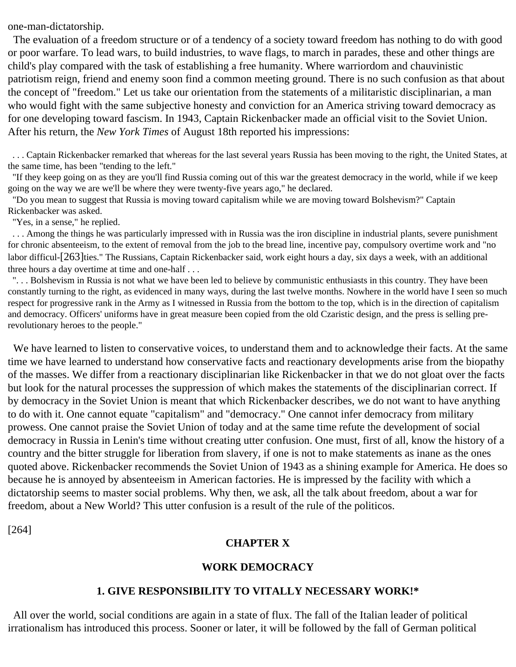one-man-dictatorship.

 The evaluation of a freedom structure or of a tendency of a society toward freedom has nothing to do with good or poor warfare. To lead wars, to build industries, to wave flags, to march in parades, these and other things are child's play compared with the task of establishing a free humanity. Where warriordom and chauvinistic patriotism reign, friend and enemy soon find a common meeting ground. There is no such confusion as that about the concept of "freedom." Let us take our orientation from the statements of a militaristic disciplinarian, a man who would fight with the same subjective honesty and conviction for an America striving toward democracy as for one developing toward fascism. In 1943, Captain Rickenbacker made an official visit to the Soviet Union. After his return, the *New York Times* of August 18th reported his impressions:

 . . . Captain Rickenbacker remarked that whereas for the last several years Russia has been moving to the right, the United States, at the same time, has been "tending to the left."

 "If they keep going on as they are you'll find Russia coming out of this war the greatest democracy in the world, while if we keep going on the way we are we'll be where they were twenty-five years ago," he declared.

 "Do you mean to suggest that Russia is moving toward capitalism while we are moving toward Bolshevism?" Captain Rickenbacker was asked.

"Yes, in a sense," he replied.

 . . . Among the things he was particularly impressed with in Russia was the iron discipline in industrial plants, severe punishment for chronic absenteeism, to the extent of removal from the job to the bread line, incentive pay, compulsory overtime work and "no labor difficul-[263]ties." The Russians, Captain Rickenbacker said, work eight hours a day, six days a week, with an additional three hours a day overtime at time and one-half . . .

 ". . . Bolshevism in Russia is not what we have been led to believe by communistic enthusiasts in this country. They have been constantly turning to the right, as evidenced in many ways, during the last twelve months. Nowhere in the world have I seen so much respect for progressive rank in the Army as I witnessed in Russia from the bottom to the top, which is in the direction of capitalism and democracy. Officers' uniforms have in great measure been copied from the old Czaristic design, and the press is selling prerevolutionary heroes to the people."

We have learned to listen to conservative voices, to understand them and to acknowledge their facts. At the same time we have learned to understand how conservative facts and reactionary developments arise from the biopathy of the masses. We differ from a reactionary disciplinarian like Rickenbacker in that we do not gloat over the facts but look for the natural processes the suppression of which makes the statements of the disciplinarian correct. If by democracy in the Soviet Union is meant that which Rickenbacker describes, we do not want to have anything to do with it. One cannot equate "capitalism" and "democracy." One cannot infer democracy from military prowess. One cannot praise the Soviet Union of today and at the same time refute the development of social democracy in Russia in Lenin's time without creating utter confusion. One must, first of all, know the history of a country and the bitter struggle for liberation from slavery, if one is not to make statements as inane as the ones quoted above. Rickenbacker recommends the Soviet Union of 1943 as a shining example for America. He does so because he is annoyed by absenteeism in American factories. He is impressed by the facility with which a dictatorship seems to master social problems. Why then, we ask, all the talk about freedom, about a war for freedom, about a New World? This utter confusion is a result of the rule of the politicos.

[264]

#### **CHAPTER X**

#### **WORK DEMOCRACY**

#### **1. GIVE RESPONSIBILITY TO VITALLY NECESSARY WORK!\***

 All over the world, social conditions are again in a state of flux. The fall of the Italian leader of political irrationalism has introduced this process. Sooner or later, it will be followed by the fall of German political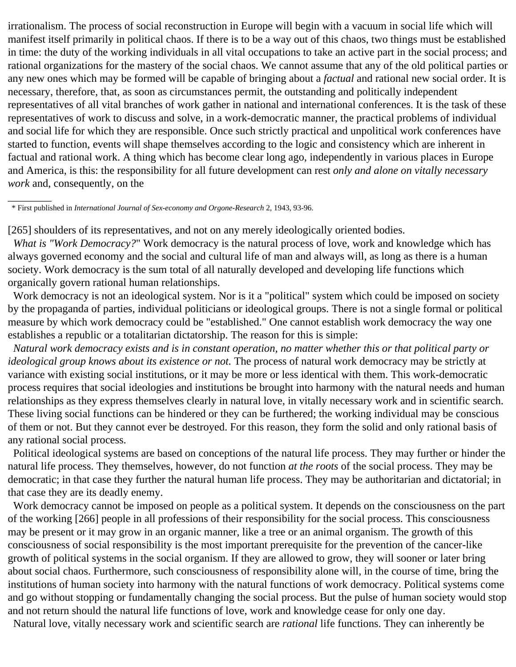irrationalism. The process of social reconstruction in Europe will begin with a vacuum in social life which will manifest itself primarily in political chaos. If there is to be a way out of this chaos, two things must be established in time: the duty of the working individuals in all vital occupations to take an active part in the social process; and rational organizations for the mastery of the social chaos. We cannot assume that any of the old political parties or any new ones which may be formed will be capable of bringing about a *factual* and rational new social order. It is necessary, therefore, that, as soon as circumstances permit, the outstanding and politically independent representatives of all vital branches of work gather in national and international conferences. It is the task of these representatives of work to discuss and solve, in a work-democratic manner, the practical problems of individual and social life for which they are responsible. Once such strictly practical and unpolitical work conferences have started to function, events will shape themselves according to the logic and consistency which are inherent in factual and rational work. A thing which has become clear long ago, independently in various places in Europe and America, is this: the responsibility for all future development can rest *only and alone on vitally necessary work* and, consequently, on the

\* First published in *International Journal of Sex-economy and Orgone-Research* 2, 1943, 93-96.

\_\_\_\_\_\_\_\_

[265] shoulders of its representatives, and not on any merely ideologically oriented bodies.

 *What is "Work Democracy?*" Work democracy is the natural process of love, work and knowledge which has always governed economy and the social and cultural life of man and always will, as long as there is a human society. Work democracy is the sum total of all naturally developed and developing life functions which organically govern rational human relationships.

 Work democracy is not an ideological system. Nor is it a "political" system which could be imposed on society by the propaganda of parties, individual politicians or ideological groups. There is not a single formal or political measure by which work democracy could be "established." One cannot establish work democracy the way one establishes a republic or a totalitarian dictatorship. The reason for this is simple:

 *Natural work democracy exists and is in constant operation, no matter whether this or that political party or ideological group knows about its existence or not.* The process of natural work democracy may be strictly at variance with existing social institutions, or it may be more or less identical with them. This work-democratic process requires that social ideologies and institutions be brought into harmony with the natural needs and human relationships as they express themselves clearly in natural love, in vitally necessary work and in scientific search. These living social functions can be hindered or they can be furthered; the working individual may be conscious of them or not. But they cannot ever be destroyed. For this reason, they form the solid and only rational basis of any rational social process.

 Political ideological systems are based on conceptions of the natural life process. They may further or hinder the natural life process. They themselves, however, do not function *at the roots* of the social process. They may be democratic; in that case they further the natural human life process. They may be authoritarian and dictatorial; in that case they are its deadly enemy.

 Work democracy cannot be imposed on people as a political system. It depends on the consciousness on the part of the working [266] people in all professions of their responsibility for the social process. This consciousness may be present or it may grow in an organic manner, like a tree or an animal organism. The growth of this consciousness of social responsibility is the most important prerequisite for the prevention of the cancer-like growth of political systems in the social organism. If they are allowed to grow, they will sooner or later bring about social chaos. Furthermore, such consciousness of responsibility alone will, in the course of time, bring the institutions of human society into harmony with the natural functions of work democracy. Political systems come and go without stopping or fundamentally changing the social process. But the pulse of human society would stop and not return should the natural life functions of love, work and knowledge cease for only one day.

Natural love, vitally necessary work and scientific search are *rational* life functions. They can inherently be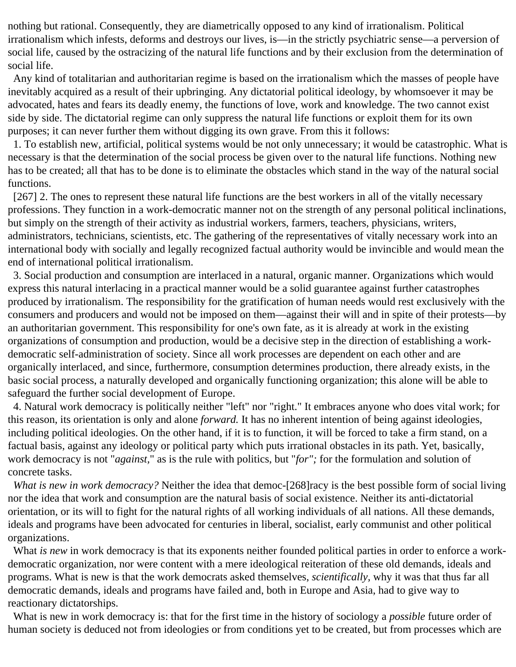nothing but rational. Consequently, they are diametrically opposed to any kind of irrationalism. Political irrationalism which infests, deforms and destroys our lives, is—in the strictly psychiatric sense—a perversion of social life, caused by the ostracizing of the natural life functions and by their exclusion from the determination of social life.

 Any kind of totalitarian and authoritarian regime is based on the irrationalism which the masses of people have inevitably acquired as a result of their upbringing. Any dictatorial political ideology, by whomsoever it may be advocated, hates and fears its deadly enemy, the functions of love, work and knowledge. The two cannot exist side by side. The dictatorial regime can only suppress the natural life functions or exploit them for its own purposes; it can never further them without digging its own grave. From this it follows:

 1. To establish new, artificial, political systems would be not only unnecessary; it would be catastrophic. What is necessary is that the determination of the social process be given over to the natural life functions. Nothing new has to be created; all that has to be done is to eliminate the obstacles which stand in the way of the natural social functions.

[267] 2. The ones to represent these natural life functions are the best workers in all of the vitally necessary professions. They function in a work-democratic manner not on the strength of any personal political inclinations, but simply on the strength of their activity as industrial workers, farmers, teachers, physicians, writers, administrators, technicians, scientists, etc. The gathering of the representatives of vitally necessary work into an international body with socially and legally recognized factual authority would be invincible and would mean the end of international political irrationalism.

 3. Social production and consumption are interlaced in a natural, organic manner. Organizations which would express this natural interlacing in a practical manner would be a solid guarantee against further catastrophes produced by irrationalism. The responsibility for the gratification of human needs would rest exclusively with the consumers and producers and would not be imposed on them—against their will and in spite of their protests—by an authoritarian government. This responsibility for one's own fate, as it is already at work in the existing organizations of consumption and production, would be a decisive step in the direction of establishing a workdemocratic self-administration of society. Since all work processes are dependent on each other and are organically interlaced, and since, furthermore, consumption determines production, there already exists, in the basic social process, a naturally developed and organically functioning organization; this alone will be able to safeguard the further social development of Europe.

 4. Natural work democracy is politically neither "left" nor "right." It embraces anyone who does vital work; for this reason, its orientation is only and alone *forward.* It has no inherent intention of being against ideologies, including political ideologies. On the other hand, if it is to function, it will be forced to take a firm stand, on a factual basis, against any ideology or political party which puts irrational obstacles in its path. Yet, basically, work democracy is not "*against,*" as is the rule with politics, but "*for";* for the formulation and solution of concrete tasks.

 *What is new in work democracy?* Neither the idea that democ-[268]racy is the best possible form of social living nor the idea that work and consumption are the natural basis of social existence. Neither its anti-dictatorial orientation, or its will to fight for the natural rights of all working individuals of all nations. All these demands, ideals and programs have been advocated for centuries in liberal, socialist, early communist and other political organizations.

What *is new* in work democracy is that its exponents neither founded political parties in order to enforce a workdemocratic organization, nor were content with a mere ideological reiteration of these old demands, ideals and programs. What is new is that the work democrats asked themselves, *scientifically,* why it was that thus far all democratic demands, ideals and programs have failed and, both in Europe and Asia, had to give way to reactionary dictatorships.

 What is new in work democracy is: that for the first time in the history of sociology a *possible* future order of human society is deduced not from ideologies or from conditions yet to be created, but from processes which are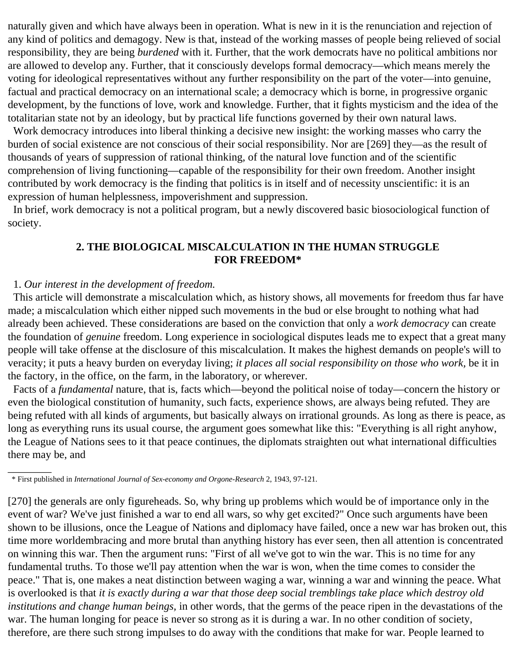naturally given and which have always been in operation. What is new in it is the renunciation and rejection of any kind of politics and demagogy. New is that, instead of the working masses of people being relieved of social responsibility, they are being *burdened* with it. Further, that the work democrats have no political ambitions nor are allowed to develop any. Further, that it consciously develops formal democracy—which means merely the voting for ideological representatives without any further responsibility on the part of the voter—into genuine, factual and practical democracy on an international scale; a democracy which is borne, in progressive organic development, by the functions of love, work and knowledge. Further, that it fights mysticism and the idea of the totalitarian state not by an ideology, but by practical life functions governed by their own natural laws.

 Work democracy introduces into liberal thinking a decisive new insight: the working masses who carry the burden of social existence are not conscious of their social responsibility. Nor are [269] they—as the result of thousands of years of suppression of rational thinking, of the natural love function and of the scientific comprehension of living functioning—capable of the responsibility for their own freedom. Another insight contributed by work democracy is the finding that politics is in itself and of necessity unscientific: it is an expression of human helplessness, impoverishment and suppression.

 In brief, work democracy is not a political program, but a newly discovered basic biosociological function of society.

## **2. THE BIOLOGICAL MISCALCULATION IN THE HUMAN STRUGGLE FOR FREEDOM\***

#### 1. *Our interest in the development of freedom.*

 $\overline{\phantom{a}}$ 

 This article will demonstrate a miscalculation which, as history shows, all movements for freedom thus far have made; a miscalculation which either nipped such movements in the bud or else brought to nothing what had already been achieved. These considerations are based on the conviction that only a *work democracy* can create the foundation of *genuine* freedom. Long experience in sociological disputes leads me to expect that a great many people will take offense at the disclosure of this miscalculation. It makes the highest demands on people's will to veracity; it puts a heavy burden on everyday living; *it places all social responsibility on those who work,* be it in the factory, in the office, on the farm, in the laboratory, or wherever.

 Facts of a *fundamental* nature, that is, facts which—beyond the political noise of today—concern the history or even the biological constitution of humanity, such facts, experience shows, are always being refuted. They are being refuted with all kinds of arguments, but basically always on irrational grounds. As long as there is peace, as long as everything runs its usual course, the argument goes somewhat like this: "Everything is all right anyhow, the League of Nations sees to it that peace continues, the diplomats straighten out what international difficulties there may be, and

[270] the generals are only figureheads. So, why bring up problems which would be of importance only in the event of war? We've just finished a war to end all wars, so why get excited?" Once such arguments have been shown to be illusions, once the League of Nations and diplomacy have failed, once a new war has broken out, this time more worldembracing and more brutal than anything history has ever seen, then all attention is concentrated on winning this war. Then the argument runs: "First of all we've got to win the war. This is no time for any fundamental truths. To those we'll pay attention when the war is won, when the time comes to consider the peace." That is, one makes a neat distinction between waging a war, winning a war and winning the peace. What is overlooked is that *it is exactly during a war that those deep social tremblings take place which destroy old institutions and change human beings,* in other words, that the germs of the peace ripen in the devastations of the war. The human longing for peace is never so strong as it is during a war. In no other condition of society, therefore, are there such strong impulses to do away with the conditions that make for war. People learned to

 <sup>\*</sup> First published in *International Journal of Sex-economy and Orgone-Research* 2, 1943, 97-121.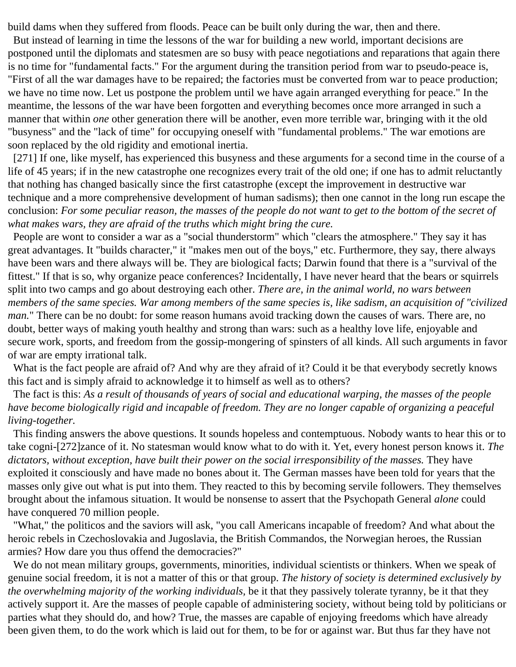build dams when they suffered from floods. Peace can be built only during the war, then and there.

 But instead of learning in time the lessons of the war for building a new world, important decisions are postponed until the diplomats and statesmen are so busy with peace negotiations and reparations that again there is no time for "fundamental facts." For the argument during the transition period from war to pseudo-peace is, "First of all the war damages have to be repaired; the factories must be converted from war to peace production; we have no time now. Let us postpone the problem until we have again arranged everything for peace." In the meantime, the lessons of the war have been forgotten and everything becomes once more arranged in such a manner that within *one* other generation there will be another, even more terrible war, bringing with it the old "busyness" and the "lack of time" for occupying oneself with "fundamental problems." The war emotions are soon replaced by the old rigidity and emotional inertia.

[271] If one, like myself, has experienced this busyness and these arguments for a second time in the course of a life of 45 years; if in the new catastrophe one recognizes every trait of the old one; if one has to admit reluctantly that nothing has changed basically since the first catastrophe (except the improvement in destructive war technique and a more comprehensive development of human sadisms); then one cannot in the long run escape the conclusion: *For some peculiar reason, the masses of the people do not want to get to the bottom of the secret of what makes wars, they are afraid of the truths which might bring the cure.*

 People are wont to consider a war as a "social thunderstorm" which "clears the atmosphere." They say it has great advantages. It "builds character," it "makes men out of the boys," etc. Furthermore, they say, there always have been wars and there always will be. They are biological facts; Darwin found that there is a "survival of the fittest." If that is so, why organize peace conferences? Incidentally, I have never heard that the bears or squirrels split into two camps and go about destroying each other. *There are, in the animal world, no wars between members of the same species. War among members of the same species is, like sadism, an acquisition of "civilized man.*" There can be no doubt: for some reason humans avoid tracking down the causes of wars. There are, no doubt, better ways of making youth healthy and strong than wars: such as a healthy love life, enjoyable and secure work, sports, and freedom from the gossip-mongering of spinsters of all kinds. All such arguments in favor of war are empty irrational talk.

 What is the fact people are afraid of? And why are they afraid of it? Could it be that everybody secretly knows this fact and is simply afraid to acknowledge it to himself as well as to others?

 The fact is this: *As a result of thousands of years of social and educational warping, the masses of the people have become biologically rigid and incapable of freedom. They are no longer capable of organizing a peaceful living-together.*

 This finding answers the above questions. It sounds hopeless and contemptuous. Nobody wants to hear this or to take cogni-[272]zance of it. No statesman would know what to do with it. Yet, every honest person knows it. *The dictators, without exception, have built their power on the social irresponsibility of the masses.* They have exploited it consciously and have made no bones about it. The German masses have been told for years that the masses only give out what is put into them. They reacted to this by becoming servile followers. They themselves brought about the infamous situation. It would be nonsense to assert that the Psychopath General *alone* could have conquered 70 million people.

 "What," the politicos and the saviors will ask, "you call Americans incapable of freedom? And what about the heroic rebels in Czechoslovakia and Jugoslavia, the British Commandos, the Norwegian heroes, the Russian armies? How dare you thus offend the democracies?"

 We do not mean military groups, governments, minorities, individual scientists or thinkers. When we speak of genuine social freedom, it is not a matter of this or that group. *The history of society is determined exclusively by the overwhelming majority of the working individuals,* be it that they passively tolerate tyranny, be it that they actively support it. Are the masses of people capable of administering society, without being told by politicians or parties what they should do, and how? True, the masses are capable of enjoying freedoms which have already been given them, to do the work which is laid out for them, to be for or against war. But thus far they have not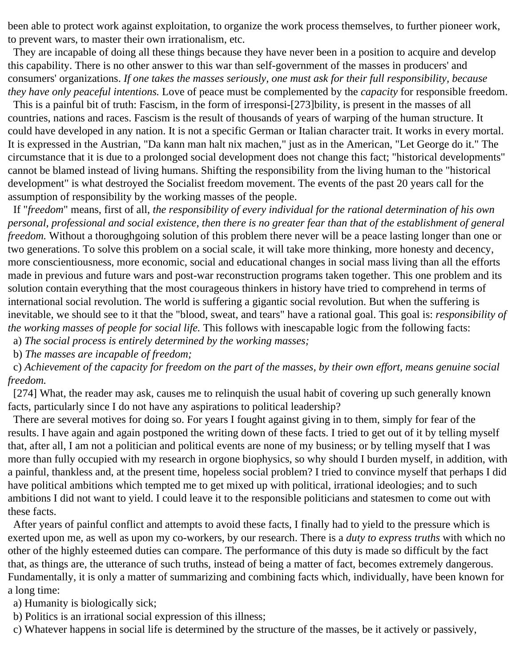been able to protect work against exploitation, to organize the work process themselves, to further pioneer work, to prevent wars, to master their own irrationalism, etc.

 They are incapable of doing all these things because they have never been in a position to acquire and develop this capability. There is no other answer to this war than self-government of the masses in producers' and consumers' organizations. *If one takes the masses seriously, one must ask for their full responsibility, because they have only peaceful intentions.* Love of peace must be complemented by the *capacity* for responsible freedom.

 This is a painful bit of truth: Fascism, in the form of irresponsi-[273]bility, is present in the masses of all countries, nations and races. Fascism is the result of thousands of years of warping of the human structure. It could have developed in any nation. It is not a specific German or Italian character trait. It works in every mortal. It is expressed in the Austrian, "Da kann man halt nix machen," just as in the American, "Let George do it." The circumstance that it is due to a prolonged social development does not change this fact; "historical developments" cannot be blamed instead of living humans. Shifting the responsibility from the living human to the "historical development" is what destroyed the Socialist freedom movement. The events of the past 20 years call for the assumption of responsibility by the working masses of the people.

 If "*freedom*" means, first of all, *the responsibility of every individual for the rational determination of his own personal, professional and social existence, then there is no greater fear than that of the establishment of general freedom.* Without a thoroughgoing solution of this problem there never will be a peace lasting longer than one or two generations. To solve this problem on a social scale, it will take more thinking, more honesty and decency, more conscientiousness, more economic, social and educational changes in social mass living than all the efforts made in previous and future wars and post-war reconstruction programs taken together. This one problem and its solution contain everything that the most courageous thinkers in history have tried to comprehend in terms of international social revolution. The world is suffering a gigantic social revolution. But when the suffering is inevitable, we should see to it that the "blood, sweat, and tears" have a rational goal. This goal is: *responsibility of the working masses of people for social life.* This follows with inescapable logic from the following facts:

a) *The social process is entirely determined by the working masses;*

b) *The masses are incapable of freedom;*

 c) *Achievement of the capacity for freedom on the part of the masses, by their own effort, means genuine social freedom.*

 [274] What, the reader may ask, causes me to relinquish the usual habit of covering up such generally known facts, particularly since I do not have any aspirations to political leadership?

 There are several motives for doing so. For years I fought against giving in to them, simply for fear of the results. I have again and again postponed the writing down of these facts. I tried to get out of it by telling myself that, after all, I am not a politician and political events are none of my business; or by telling myself that I was more than fully occupied with my research in orgone biophysics, so why should I burden myself, in addition, with a painful, thankless and, at the present time, hopeless social problem? I tried to convince myself that perhaps I did have political ambitions which tempted me to get mixed up with political, irrational ideologies; and to such ambitions I did not want to yield. I could leave it to the responsible politicians and statesmen to come out with these facts.

 After years of painful conflict and attempts to avoid these facts, I finally had to yield to the pressure which is exerted upon me, as well as upon my co-workers, by our research. There is a *duty to express truths* with which no other of the highly esteemed duties can compare. The performance of this duty is made so difficult by the fact that, as things are, the utterance of such truths, instead of being a matter of fact, becomes extremely dangerous. Fundamentally, it is only a matter of summarizing and combining facts which, individually, have been known for a long time:

a) Humanity is biologically sick;

- b) Politics is an irrational social expression of this illness;
- c) Whatever happens in social life is determined by the structure of the masses, be it actively or passively,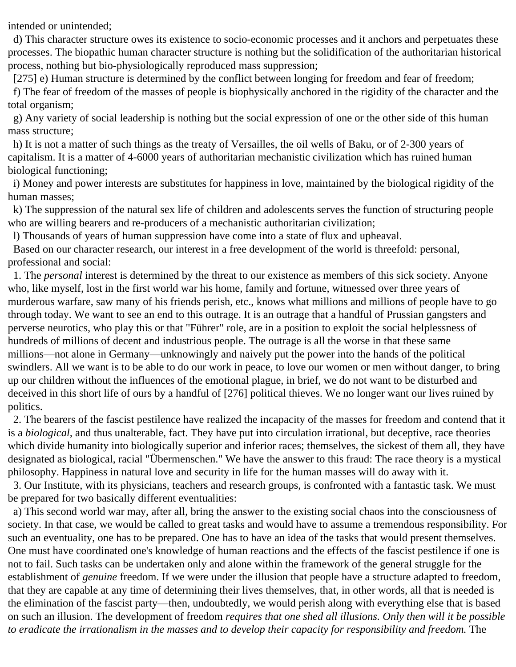intended or unintended;

 d) This character structure owes its existence to socio-economic processes and it anchors and perpetuates these processes. The biopathic human character structure is nothing but the solidification of the authoritarian historical process, nothing but bio-physiologically reproduced mass suppression;

 [275] e) Human structure is determined by the conflict between longing for freedom and fear of freedom; f) The fear of freedom of the masses of people is biophysically anchored in the rigidity of the character and the total organism;

 g) Any variety of social leadership is nothing but the social expression of one or the other side of this human mass structure;

 h) It is not a matter of such things as the treaty of Versailles, the oil wells of Baku, or of 2-300 years of capitalism. It is a matter of 4-6000 years of authoritarian mechanistic civilization which has ruined human biological functioning;

 i) Money and power interests are substitutes for happiness in love, maintained by the biological rigidity of the human masses;

 k) The suppression of the natural sex life of children and adolescents serves the function of structuring people who are willing bearers and re-producers of a mechanistic authoritarian civilization;

l) Thousands of years of human suppression have come into a state of flux and upheaval.

 Based on our character research, our interest in a free development of the world is threefold: personal, professional and social:

 1. The *personal* interest is determined by the threat to our existence as members of this sick society. Anyone who, like myself, lost in the first world war his home, family and fortune, witnessed over three years of murderous warfare, saw many of his friends perish, etc., knows what millions and millions of people have to go through today. We want to see an end to this outrage. It is an outrage that a handful of Prussian gangsters and perverse neurotics, who play this or that "Führer" role, are in a position to exploit the social helplessness of hundreds of millions of decent and industrious people. The outrage is all the worse in that these same millions—not alone in Germany—unknowingly and naively put the power into the hands of the political swindlers. All we want is to be able to do our work in peace, to love our women or men without danger, to bring up our children without the influences of the emotional plague, in brief, we do not want to be disturbed and deceived in this short life of ours by a handful of [276] political thieves. We no longer want our lives ruined by politics.

 2. The bearers of the fascist pestilence have realized the incapacity of the masses for freedom and contend that it is a *biological,* and thus unalterable, fact. They have put into circulation irrational, but deceptive, race theories which divide humanity into biologically superior and inferior races; themselves, the sickest of them all, they have designated as biological, racial "Übermenschen." We have the answer to this fraud: The race theory is a mystical philosophy. Happiness in natural love and security in life for the human masses will do away with it.

 3. Our Institute, with its physicians, teachers and research groups, is confronted with a fantastic task. We must be prepared for two basically different eventualities:

 a) This second world war may, after all, bring the answer to the existing social chaos into the consciousness of society. In that case, we would be called to great tasks and would have to assume a tremendous responsibility. For such an eventuality, one has to be prepared. One has to have an idea of the tasks that would present themselves. One must have coordinated one's knowledge of human reactions and the effects of the fascist pestilence if one is not to fail. Such tasks can be undertaken only and alone within the framework of the general struggle for the establishment of *genuine* freedom. If we were under the illusion that people have a structure adapted to freedom, that they are capable at any time of determining their lives themselves, that, in other words, all that is needed is the elimination of the fascist party—then, undoubtedly, we would perish along with everything else that is based on such an illusion. The development of freedom *requires that one shed all illusions. Only then will it be possible to eradicate the irrationalism in the masses and to develop their capacity for responsibility and freedom.* The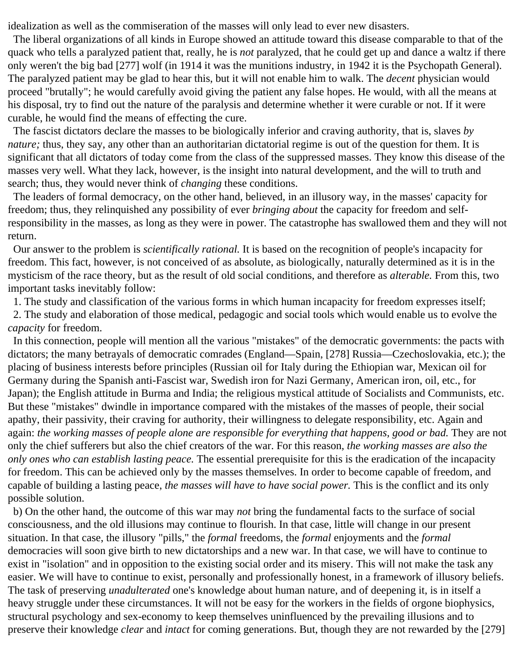idealization as well as the commiseration of the masses will only lead to ever new disasters.

 The liberal organizations of all kinds in Europe showed an attitude toward this disease comparable to that of the quack who tells a paralyzed patient that, really, he is *not* paralyzed, that he could get up and dance a waltz if there only weren't the big bad [277] wolf (in 1914 it was the munitions industry, in 1942 it is the Psychopath General). The paralyzed patient may be glad to hear this, but it will not enable him to walk. The *decent* physician would proceed "brutally"; he would carefully avoid giving the patient any false hopes. He would, with all the means at his disposal, try to find out the nature of the paralysis and determine whether it were curable or not. If it were curable, he would find the means of effecting the cure.

 The fascist dictators declare the masses to be biologically inferior and craving authority, that is, slaves *by nature;* thus, they say, any other than an authoritarian dictatorial regime is out of the question for them. It is significant that all dictators of today come from the class of the suppressed masses. They know this disease of the masses very well. What they lack, however, is the insight into natural development, and the will to truth and search; thus, they would never think of *changing* these conditions.

 The leaders of formal democracy, on the other hand, believed, in an illusory way, in the masses' capacity for freedom; thus, they relinquished any possibility of ever *bringing about* the capacity for freedom and selfresponsibility in the masses, as long as they were in power. The catastrophe has swallowed them and they will not return.

 Our answer to the problem is *scientifically rational.* It is based on the recognition of people's incapacity for freedom. This fact, however, is not conceived of as absolute, as biologically, naturally determined as it is in the mysticism of the race theory, but as the result of old social conditions, and therefore as *alterable.* From this, two important tasks inevitably follow:

1. The study and classification of the various forms in which human incapacity for freedom expresses itself;

 2. The study and elaboration of those medical, pedagogic and social tools which would enable us to evolve the *capacity* for freedom.

 In this connection, people will mention all the various "mistakes" of the democratic governments: the pacts with dictators; the many betrayals of democratic comrades (England—Spain, [278] Russia—Czechoslovakia, etc.); the placing of business interests before principles (Russian oil for Italy during the Ethiopian war, Mexican oil for Germany during the Spanish anti-Fascist war, Swedish iron for Nazi Germany, American iron, oil, etc., for Japan); the English attitude in Burma and India; the religious mystical attitude of Socialists and Communists, etc. But these "mistakes" dwindle in importance compared with the mistakes of the masses of people, their social apathy, their passivity, their craving for authority, their willingness to delegate responsibility, etc. Again and again: *the working masses of people alone are responsible for everything that happens, good or bad.* They are not only the chief sufferers but also the chief creators of the war. For this reason, *the working masses are also the only ones who can establish lasting peace.* The essential prerequisite for this is the eradication of the incapacity for freedom. This can be achieved only by the masses themselves. In order to become capable of freedom, and capable of building a lasting peace, *the masses will have to have social power.* This is the conflict and its only possible solution.

 b) On the other hand, the outcome of this war may *not* bring the fundamental facts to the surface of social consciousness, and the old illusions may continue to flourish. In that case, little will change in our present situation. In that case, the illusory "pills," the *formal* freedoms, the *formal* enjoyments and the *formal*  democracies will soon give birth to new dictatorships and a new war. In that case, we will have to continue to exist in "isolation" and in opposition to the existing social order and its misery. This will not make the task any easier. We will have to continue to exist, personally and professionally honest, in a framework of illusory beliefs. The task of preserving *unadulterated* one's knowledge about human nature, and of deepening it, is in itself a heavy struggle under these circumstances. It will not be easy for the workers in the fields of orgone biophysics, structural psychology and sex-economy to keep themselves uninfluenced by the prevailing illusions and to preserve their knowledge *clear* and *intact* for coming generations. But, though they are not rewarded by the [279]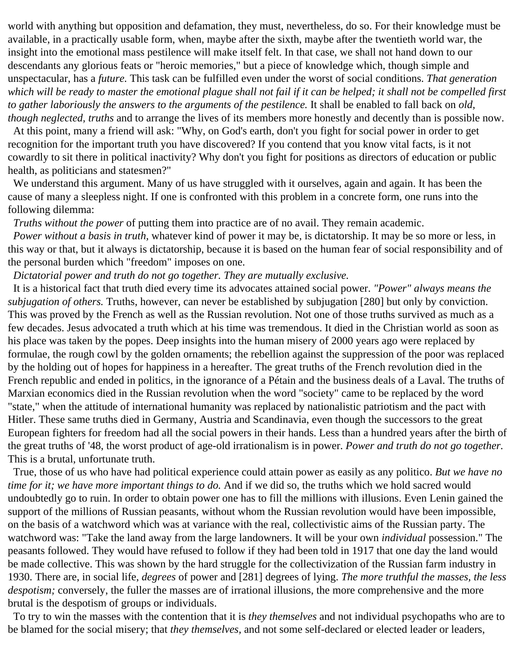world with anything but opposition and defamation, they must, nevertheless, do so. For their knowledge must be available, in a practically usable form, when, maybe after the sixth, maybe after the twentieth world war, the insight into the emotional mass pestilence will make itself felt. In that case, we shall not hand down to our descendants any glorious feats or "heroic memories," but a piece of knowledge which, though simple and unspectacular, has a *future.* This task can be fulfilled even under the worst of social conditions. *That generation which will be ready to master the emotional plague shall not fail if it can be helped; it shall not be compelled first to gather laboriously the answers to the arguments of the pestilence.* It shall be enabled to fall back on *old, though neglected, truths* and to arrange the lives of its members more honestly and decently than is possible now.

 At this point, many a friend will ask: "Why, on God's earth, don't you fight for social power in order to get recognition for the important truth you have discovered? If you contend that you know vital facts, is it not cowardly to sit there in political inactivity? Why don't you fight for positions as directors of education or public health, as politicians and statesmen?"

We understand this argument. Many of us have struggled with it ourselves, again and again. It has been the cause of many a sleepless night. If one is confronted with this problem in a concrete form, one runs into the following dilemma:

*Truths without the power* of putting them into practice are of no avail. They remain academic.

 *Power without a basis in truth,* whatever kind of power it may be, is dictatorship. It may be so more or less, in this way or that, but it always is dictatorship, because it is based on the human fear of social responsibility and of the personal burden which "freedom" imposes on one.

*Dictatorial power and truth do not go together. They are mutually exclusive.*

 It is a historical fact that truth died every time its advocates attained social power. *"Power" always means the subjugation of others.* Truths, however, can never be established by subjugation [280] but only by conviction. This was proved by the French as well as the Russian revolution. Not one of those truths survived as much as a few decades. Jesus advocated a truth which at his time was tremendous. It died in the Christian world as soon as his place was taken by the popes. Deep insights into the human misery of 2000 years ago were replaced by formulae, the rough cowl by the golden ornaments; the rebellion against the suppression of the poor was replaced by the holding out of hopes for happiness in a hereafter. The great truths of the French revolution died in the French republic and ended in politics, in the ignorance of a Pétain and the business deals of a Laval. The truths of Marxian economics died in the Russian revolution when the word "society" came to be replaced by the word "state," when the attitude of international humanity was replaced by nationalistic patriotism and the pact with Hitler. These same truths died in Germany, Austria and Scandinavia, even though the successors to the great European fighters for freedom had all the social powers in their hands. Less than a hundred years after the birth of the great truths of '48, the worst product of age-old irrationalism is in power. *Power and truth do not go together.*  This is a brutal, unfortunate truth.

 True, those of us who have had political experience could attain power as easily as any politico. *But we have no time for it; we have more important things to do.* And if we did so, the truths which we hold sacred would undoubtedly go to ruin. In order to obtain power one has to fill the millions with illusions. Even Lenin gained the support of the millions of Russian peasants, without whom the Russian revolution would have been impossible, on the basis of a watchword which was at variance with the real, collectivistic aims of the Russian party. The watchword was: "Take the land away from the large landowners. It will be your own *individual* possession." The peasants followed. They would have refused to follow if they had been told in 1917 that one day the land would be made collective. This was shown by the hard struggle for the collectivization of the Russian farm industry in 1930. There are, in social life, *degrees* of power and [281] degrees of lying. *The more truthful the masses, the less despotism;* conversely, the fuller the masses are of irrational illusions, the more comprehensive and the more brutal is the despotism of groups or individuals.

 To try to win the masses with the contention that it is *they themselves* and not individual psychopaths who are to be blamed for the social misery; that *they themselves,* and not some self-declared or elected leader or leaders,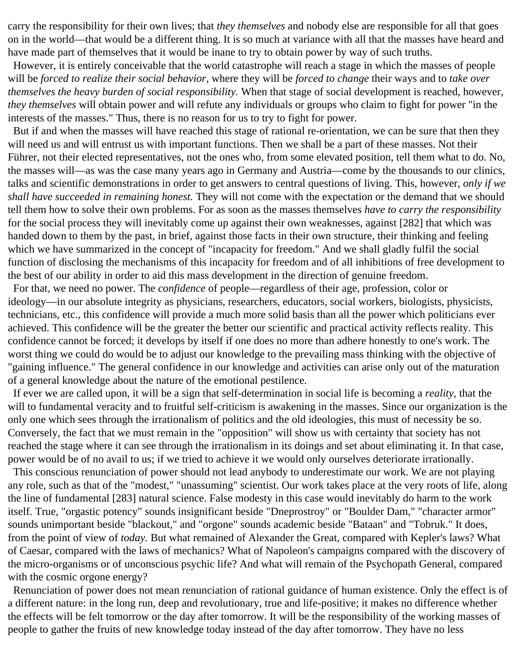carry the responsibility for their own lives; that *they themselves* and nobody else are responsible for all that goes on in the world—that would be a different thing. It is so much at variance with all that the masses have heard and have made part of themselves that it would be inane to try to obtain power by way of such truths.

 However, it is entirely conceivable that the world catastrophe will reach a stage in which the masses of people will be *forced to realize their social behavior,* where they will be *forced to change* their ways and to *take over themselves the heavy burden of social responsibility.* When that stage of social development is reached, however, *they themselves* will obtain power and will refute any individuals or groups who claim to fight for power "in the interests of the masses." Thus, there is no reason for us to try to fight for power.

 But if and when the masses will have reached this stage of rational re-orientation, we can be sure that then they will need us and will entrust us with important functions. Then we shall be a part of these masses. Not their Führer, not their elected representatives, not the ones who, from some elevated position, tell them what to do. No, the masses will—as was the case many years ago in Germany and Austria—come by the thousands to our clinics, talks and scientific demonstrations in order to get answers to central questions of living. This, however, *only if we shall have succeeded in remaining honest.* They will not come with the expectation or the demand that we should tell them how to solve their own problems. For as soon as the masses themselves *have to carry the responsibility*  for the social process they will inevitably come up against their own weaknesses, against [282] that which was handed down to them by the past, in brief, against those facts in their own structure, their thinking and feeling which we have summarized in the concept of "incapacity for freedom." And we shall gladly fulfil the social function of disclosing the mechanisms of this incapacity for freedom and of all inhibitions of free development to the best of our ability in order to aid this mass development in the direction of genuine freedom.

 For that, we need no power. The *confidence* of people—regardless of their age, profession, color or ideology—in our absolute integrity as physicians, researchers, educators, social workers, biologists, physicists, technicians, etc., this confidence will provide a much more solid basis than all the power which politicians ever achieved. This confidence will be the greater the better our scientific and practical activity reflects reality. This confidence cannot be forced; it develops by itself if one does no more than adhere honestly to one's work. The worst thing we could do would be to adjust our knowledge to the prevailing mass thinking with the objective of "gaining influence." The general confidence in our knowledge and activities can arise only out of the maturation of a general knowledge about the nature of the emotional pestilence.

 If ever we are called upon, it will be a sign that self-determination in social life is becoming a *reality,* that the will to fundamental veracity and to fruitful self-criticism is awakening in the masses. Since our organization is the only one which sees through the irrationalism of politics and the old ideologies, this must of necessity be so. Conversely, the fact that we must remain in the "opposition" will show us with certainty that society has not reached the stage where it can see through the irrationalism in its doings and set about eliminating it. In that case, power would be of no avail to us; if we tried to achieve it we would only ourselves deteriorate irrationally.

<span id="page-144-0"></span> This conscious renunciation of power should not lead anybody to underestimate our work. We are not playing any role, such as that of the "modest," "unassuming" scientist. Our work takes place at the very roots of life, along the line of fundamental [283] natural science. False modesty in this case would inevitably do harm to the work itself. True, "orgastic potency" sounds insignificant beside "Dneprostroy" or "Boulder Dam," "character armor" sounds unimportant beside "blackout," and "orgone" sounds academic beside "Bataan" and "Tobruk." It does, from the point of view of *today.* But what remained of Alexander the Great, compared with Kepler's laws? What of Caesar, compared with the laws of mechanics? What of Napoleon's campaigns compared with the discovery of the micro-organisms or of unconscious psychic life? And what will remain of the Psychopath General, compared with the cosmic orgone energy?

 Renunciation of power does not mean renunciation of rational guidance of human existence. Only the effect is of a different nature: in the long run, deep and revolutionary, true and life-positive; it makes no difference whether the effects will be felt tomorrow or the day after tomorrow. It will be the responsibility of the working masses of people to gather the fruits of new knowledge today instead of the day after tomorrow. They have no less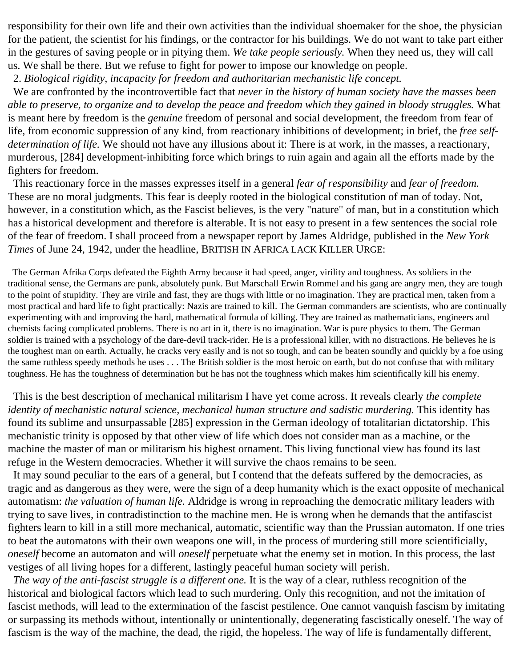responsibility for their own life and their own activities than the individual shoemaker for the shoe, the physician for the patient, the scientist for his findings, or the contractor for his buildings. We do not want to take part either in the gestures of saving people or in pitying them. *We take people seriously.* When they need us, they will call us. We shall be there. But we refuse to fight for power to impose our knowledge on people.

2. *Biological rigidity, incapacity for freedom and authoritarian mechanistic life concept.*

 We are confronted by the incontrovertible fact that *never in the history of human society have the masses been able to preserve, to organize and to develop the peace and freedom which they gained in bloody struggles.* What is meant here by freedom is the *genuine* freedom of personal and social development, the freedom from fear of life, from economic suppression of any kind, from reactionary inhibitions of development; in brief, the *free selfdetermination of life.* We should not have any illusions about it: There is at work, in the masses, a reactionary, murderous, [284] development-inhibiting force which brings to ruin again and again all the efforts made by the fighters for freedom.

<span id="page-145-0"></span> This reactionary force in the masses expresses itself in a general *fear of responsibility* and *fear of freedom.*  These are no moral judgments. This fear is deeply rooted in the biological constitution of man of today. Not, however, in a constitution which, as the Fascist believes, is the very "nature" of man, but in a constitution which has a historical development and therefore is alterable. It is not easy to present in a few sentences the social role of the fear of freedom. I shall proceed from a newspaper report by James Aldridge, published in the *New York Times* of June 24, 1942, under the headline, BRITISH IN AFRICA LACK KILLER URGE:

 The German Afrika Corps defeated the Eighth Army because it had speed, anger, virility and toughness. As soldiers in the traditional sense, the Germans are punk, absolutely punk. But Marschall Erwin Rommel and his gang are angry men, they are tough to the point of stupidity. They are virile and fast, they are thugs with little or no imagination. They are practical men, taken from a most practical and hard life to fight practically: Nazis are trained to kill. The German commanders are scientists, who are continually experimenting with and improving the hard, mathematical formula of killing. They are trained as mathematicians, engineers and chemists facing complicated problems. There is no art in it, there is no imagination. War is pure physics to them. The German soldier is trained with a psychology of the dare-devil track-rider. He is a professional killer, with no distractions. He believes he is the toughest man on earth. Actually, he cracks very easily and is not so tough, and can be beaten soundly and quickly by a foe using the same ruthless speedy methods he uses . . . The British soldier is the most heroic on earth, but do not confuse that with military toughness. He has the toughness of determination but he has not the toughness which makes him scientifically kill his enemy.

 This is the best description of mechanical militarism I have yet come across. It reveals clearly *the complete identity of mechanistic natural science, mechanical human structure and sadistic murdering.* This identity has found its sublime and unsurpassable [285] expression in the German ideology of totalitarian dictatorship. This mechanistic trinity is opposed by that other view of life which does not consider man as a machine, or the machine the master of man or militarism his highest ornament. This living functional view has found its last refuge in the Western democracies. Whether it will survive the chaos remains to be seen.

 It may sound peculiar to the ears of a general, but I contend that the defeats suffered by the democracies, as tragic and as dangerous as they were, were the sign of a deep humanity which is the exact opposite of mechanical automatism: *the valuation of human life.* Aldridge is wrong in reproaching the democratic military leaders with trying to save lives, in contradistinction to the machine men. He is wrong when he demands that the antifascist fighters learn to kill in a still more mechanical, automatic, scientific way than the Prussian automaton. If one tries to beat the automatons with their own weapons one will, in the process of murdering still more scientificially, *oneself* become an automaton and will *oneself* perpetuate what the enemy set in motion. In this process, the last vestiges of all living hopes for a different, lastingly peaceful human society will perish.

*The way of the anti-fascist struggle is a different one.* It is the way of a clear, ruthless recognition of the historical and biological factors which lead to such murdering. Only this recognition, and not the imitation of fascist methods, will lead to the extermination of the fascist pestilence. One cannot vanquish fascism by imitating or surpassing its methods without, intentionally or unintentionally, degenerating fascistically oneself. The way of fascism is the way of the machine, the dead, the rigid, the hopeless. The way of life is fundamentally different,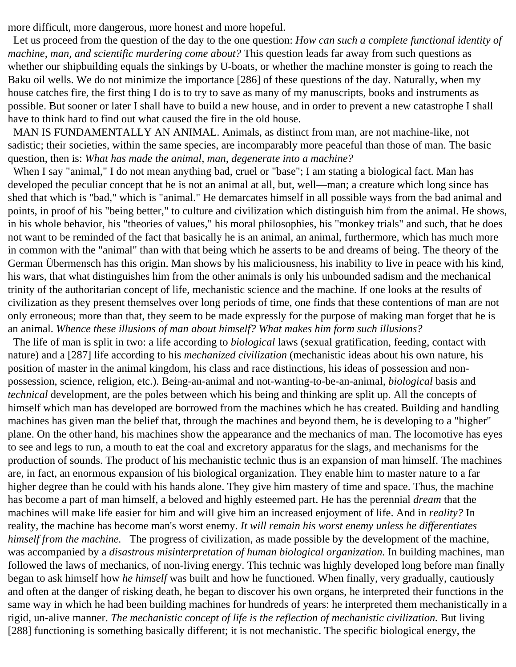more difficult, more dangerous, more honest and more hopeful.

 Let us proceed from the question of the day to the one question: *How can such a complete functional identity of machine, man, and scientific murdering come about?* This question leads far away from such questions as whether our shipbuilding equals the sinkings by U-boats, or whether the machine monster is going to reach the Baku oil wells. We do not minimize the importance [286] of these questions of the day. Naturally, when my house catches fire, the first thing I do is to try to save as many of my manuscripts, books and instruments as possible. But sooner or later I shall have to build a new house, and in order to prevent a new catastrophe I shall have to think hard to find out what caused the fire in the old house.

<span id="page-146-0"></span> MAN IS FUNDAMENTALLY AN ANIMAL. Animals, as distinct from man, are not machine-like, not sadistic; their societies, within the same species, are incomparably more peaceful than those of man. The basic question, then is: *What has made the animal, man, degenerate into a machine?*

 When I say "animal," I do not mean anything bad, cruel or "base"; I am stating a biological fact. Man has developed the peculiar concept that he is not an animal at all, but, well—man; a creature which long since has shed that which is "bad," which is "animal." He demarcates himself in all possible ways from the bad animal and points, in proof of his "being better," to culture and civilization which distinguish him from the animal. He shows, in his whole behavior, his "theories of values," his moral philosophies, his "monkey trials" and such, that he does not want to be reminded of the fact that basically he is an animal, an animal, furthermore, which has much more in common with the "animal" than with that being which he asserts to be and dreams of being. The theory of the German Übermensch has this origin. Man shows by his maliciousness, his inability to live in peace with his kind, his wars, that what distinguishes him from the other animals is only his unbounded sadism and the mechanical trinity of the authoritarian concept of life, mechanistic science and the machine. If one looks at the results of civilization as they present themselves over long periods of time, one finds that these contentions of man are not only erroneous; more than that, they seem to be made expressly for the purpose of making man forget that he is an animal. *Whence these illusions of man about himself? What makes him form such illusions?*

<span id="page-146-2"></span><span id="page-146-1"></span> The life of man is split in two: a life according to *biological* laws (sexual gratification, feeding, contact with nature) and a [287] life according to his *mechanized civilization* (mechanistic ideas about his own nature, his position of master in the animal kingdom, his class and race distinctions, his ideas of possession and nonpossession, science, religion, etc.). Being-an-animal and not-wanting-to-be-an-animal, *biological* basis and *technical* development, are the poles between which his being and thinking are split up. All the concepts of himself which man has developed are borrowed from the machines which he has created. Building and handling machines has given man the belief that, through the machines and beyond them, he is developing to a "higher" plane. On the other hand, his machines show the appearance and the mechanics of man. The locomotive has eyes to see and legs to run, a mouth to eat the coal and excretory apparatus for the slags, and mechanisms for the production of sounds. The product of his mechanistic technic thus is an expansion of man himself. The machines are, in fact, an enormous expansion of his biological organization. They enable him to master nature to a far higher degree than he could with his hands alone. They give him mastery of time and space. Thus, the machine has become a part of man himself, a beloved and highly esteemed part. He has the perennial *dream* that the machines will make life easier for him and will give him an increased enjoyment of life. And in *reality?* In reality, the machine has become man's worst enemy. *It will remain his worst enemy unless he differentiates himself from the machine.* The progress of civilization, as made possible by the development of the machine, was accompanied by a *disastrous misinterpretation of human biological organization.* In building machines, man followed the laws of mechanics, of non-living energy. This technic was highly developed long before man finally began to ask himself how *he himself* was built and how he functioned. When finally, very gradually, cautiously and often at the danger of risking death, he began to discover his own organs, he interpreted their functions in the same way in which he had been building machines for hundreds of years: he interpreted them mechanistically in a rigid, un-alive manner. *The mechanistic concept of life is the reflection of mechanistic civilization.* But living [288] functioning is something basically different; it is not mechanistic. The specific biological energy, the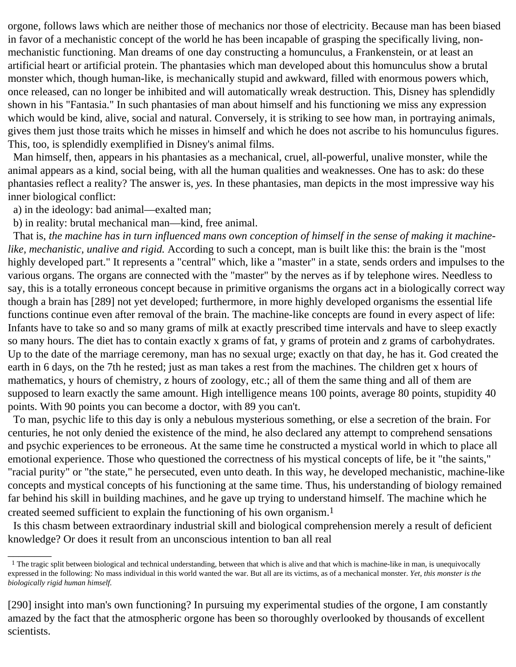orgone, follows laws which are neither those of mechanics nor those of electricity. Because man has been biased in favor of a mechanistic concept of the world he has been incapable of grasping the specifically living, nonmechanistic functioning. Man dreams of one day constructing a homunculus, a Frankenstein, or at least an artificial heart or artificial protein. The phantasies which man developed about this homunculus show a brutal monster which, though human-like, is mechanically stupid and awkward, filled with enormous powers which, once released, can no longer be inhibited and will automatically wreak destruction. This, Disney has splendidly shown in his "Fantasia." In such phantasies of man about himself and his functioning we miss any expression which would be kind, alive, social and natural. Conversely, it is striking to see how man, in portraying animals, gives them just those traits which he misses in himself and which he does not ascribe to his homunculus figures. This, too, is splendidly exemplified in Disney's animal films.

 Man himself, then, appears in his phantasies as a mechanical, cruel, all-powerful, unalive monster, while the animal appears as a kind, social being, with all the human qualities and weaknesses. One has to ask: do these phantasies reflect a reality? The answer is, *yes.* In these phantasies, man depicts in the most impressive way his inner biological conflict:

a) in the ideology: bad animal—exalted man;

\_\_\_\_\_\_\_\_

b) in reality: brutal mechanical man—kind, free animal.

 That is, *the machine has in turn influenced mans own conception of himself in the sense of making it machinelike, mechanistic, unalive and rigid.* According to such a concept, man is built like this: the brain is the "most highly developed part." It represents a "central" which, like a "master" in a state, sends orders and impulses to the various organs. The organs are connected with the "master" by the nerves as if by telephone wires. Needless to say, this is a totally erroneous concept because in primitive organisms the organs act in a biologically correct way though a brain has [289] not yet developed; furthermore, in more highly developed organisms the essential life functions continue even after removal of the brain. The machine-like concepts are found in every aspect of life: Infants have to take so and so many grams of milk at exactly prescribed time intervals and have to sleep exactly so many hours. The diet has to contain exactly x grams of fat, y grams of protein and z grams of carbohydrates. Up to the date of the marriage ceremony, man has no sexual urge; exactly on that day, he has it. God created the earth in 6 days, on the 7th he rested; just as man takes a rest from the machines. The children get x hours of mathematics, y hours of chemistry, z hours of zoology, etc.; all of them the same thing and all of them are supposed to learn exactly the same amount. High intelligence means 100 points, average 80 points, stupidity 40 points. With 90 points you can become a doctor, with 89 you can't.

 To man, psychic life to this day is only a nebulous mysterious something, or else a secretion of the brain. For centuries, he not only denied the existence of the mind, he also declared any attempt to comprehend sensations and psychic experiences to be erroneous. At the same time he constructed a mystical world in which to place all emotional experience. Those who questioned the correctness of his mystical concepts of life, be it "the saints," "racial purity" or "the state," he persecuted, even unto death. In this way, he developed mechanistic, machine-like concepts and mystical concepts of his functioning at the same time. Thus, his understanding of biology remained far behind his skill in building machines, and he gave up trying to understand himself. The machine which he created seemed sufficient to explain the functioning of his own organism.1

 Is this chasm between extraordinary industrial skill and biological comprehension merely a result of deficient knowledge? Or does it result from an unconscious intention to ban all real

<sup>&</sup>lt;sup>1</sup> The tragic split between biological and technical understanding, between that which is alive and that which is machine-like in man, is unequivocally expressed in the following: No mass individual in this world wanted the war. But all are its victims, as of a mechanical monster. *Yet, this monster is the biologically rigid human himself.*

<span id="page-147-0"></span><sup>[290]</sup> insight into man's own functioning? In pursuing my experimental studies of the orgone, I am constantly amazed by the fact that the atmospheric orgone has been so thoroughly overlooked by thousands of excellent scientists.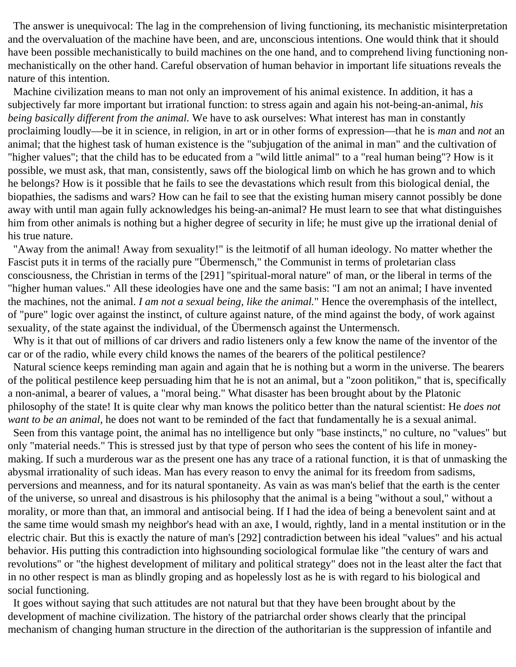The answer is unequivocal: The lag in the comprehension of living functioning, its mechanistic misinterpretation and the overvaluation of the machine have been, and are, unconscious intentions. One would think that it should have been possible mechanistically to build machines on the one hand, and to comprehend living functioning nonmechanistically on the other hand. Careful observation of human behavior in important life situations reveals the nature of this intention.

 Machine civilization means to man not only an improvement of his animal existence. In addition, it has a subjectively far more important but irrational function: to stress again and again his not-being-an-animal, *his being basically different from the animal.* We have to ask ourselves: What interest has man in constantly proclaiming loudly—be it in science, in religion, in art or in other forms of expression—that he is *man* and *not* an animal; that the highest task of human existence is the "subjugation of the animal in man" and the cultivation of "higher values"; that the child has to be educated from a "wild little animal" to a "real human being"? How is it possible, we must ask, that man, consistently, saws off the biological limb on which he has grown and to which he belongs? How is it possible that he fails to see the devastations which result from this biological denial, the biopathies, the sadisms and wars? How can he fail to see that the existing human misery cannot possibly be done away with until man again fully acknowledges his being-an-animal? He must learn to see that what distinguishes him from other animals is nothing but a higher degree of security in life; he must give up the irrational denial of his true nature.

 "Away from the animal! Away from sexuality!" is the leitmotif of all human ideology. No matter whether the Fascist puts it in terms of the racially pure "Übermensch," the Communist in terms of proletarian class consciousness, the Christian in terms of the [291] "spiritual-moral nature" of man, or the liberal in terms of the "higher human values." All these ideologies have one and the same basis: "I am not an animal; I have invented the machines, not the animal. *I am not a sexual being, like the animal.*" Hence the overemphasis of the intellect, of "pure" logic over against the instinct, of culture against nature, of the mind against the body, of work against sexuality, of the state against the individual, of the Übermensch against the Untermensch.

 Why is it that out of millions of car drivers and radio listeners only a few know the name of the inventor of the car or of the radio, while every child knows the names of the bearers of the political pestilence?

 Natural science keeps reminding man again and again that he is nothing but a worm in the universe. The bearers of the political pestilence keep persuading him that he is not an animal, but a "zoon politikon," that is, specifically a non-animal, a bearer of values, a "moral being." What disaster has been brought about by the Platonic philosophy of the state! It is quite clear why man knows the politico better than the natural scientist: He *does not want to be an animal,* he does not want to be reminded of the fact that fundamentally he is a sexual animal.

 Seen from this vantage point, the animal has no intelligence but only "base instincts," no culture, no "values" but only "material needs." This is stressed just by that type of person who sees the content of his life in moneymaking. If such a murderous war as the present one has any trace of a rational function, it is that of unmasking the abysmal irrationality of such ideas. Man has every reason to envy the animal for its freedom from sadisms, perversions and meanness, and for its natural spontaneity. As vain as was man's belief that the earth is the center of the universe, so unreal and disastrous is his philosophy that the animal is a being "without a soul," without a morality, or more than that, an immoral and antisocial being. If I had the idea of being a benevolent saint and at the same time would smash my neighbor's head with an axe, I would, rightly, land in a mental institution or in the electric chair. But this is exactly the nature of man's [292] contradiction between his ideal "values" and his actual behavior. His putting this contradiction into highsounding sociological formulae like "the century of wars and revolutions" or "the highest development of military and political strategy" does not in the least alter the fact that in no other respect is man as blindly groping and as hopelessly lost as he is with regard to his biological and social functioning.

<span id="page-148-0"></span> It goes without saying that such attitudes are not natural but that they have been brought about by the development of machine civilization. The history of the patriarchal order shows clearly that the principal mechanism of changing human structure in the direction of the authoritarian is the suppression of infantile and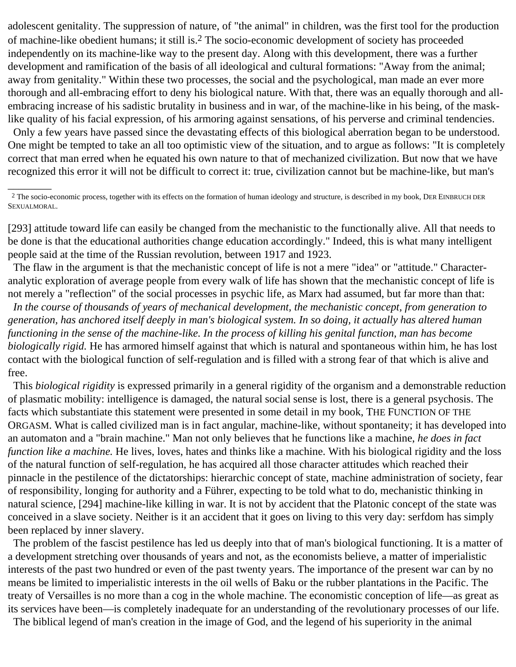adolescent genitality. The suppression of nature, of "the animal" in children, was the first tool for the production of machine-like obedient humans; it still is.2 The socio-economic development of society has proceeded independently on its machine-like way to the present day. Along with this development, there was a further development and ramification of the basis of all ideological and cultural formations: "Away from the animal; away from genitality." Within these two processes, the social and the psychological, man made an ever more thorough and all-embracing effort to deny his biological nature. With that, there was an equally thorough and allembracing increase of his sadistic brutality in business and in war, of the machine-like in his being, of the masklike quality of his facial expression, of his armoring against sensations, of his perverse and criminal tendencies.

 Only a few years have passed since the devastating effects of this biological aberration began to be understood. One might be tempted to take an all too optimistic view of the situation, and to argue as follows: "It is completely correct that man erred when he equated his own nature to that of mechanized civilization. But now that we have recognized this error it will not be difficult to correct it: true, civilization cannot but be machine-like, but man's

\_\_\_\_\_\_\_\_

<span id="page-149-0"></span>[293] attitude toward life can easily be changed from the mechanistic to the functionally alive. All that needs to be done is that the educational authorities change education accordingly." Indeed, this is what many intelligent people said at the time of the Russian revolution, between 1917 and 1923.

 The flaw in the argument is that the mechanistic concept of life is not a mere "idea" or "attitude." Characteranalytic exploration of average people from every walk of life has shown that the mechanistic concept of life is not merely a "reflection" of the social processes in psychic life, as Marx had assumed, but far more than that:

 *In the course of thousands of years of mechanical development, the mechanistic concept, from generation to generation, has anchored itself deeply in man's biological system. In so doing, it actually has altered human functioning in the sense of the machine-like. In the process of killing his genital function, man has become biologically rigid.* He has armored himself against that which is natural and spontaneous within him, he has lost contact with the biological function of self-regulation and is filled with a strong fear of that which is alive and free.

 This *biological rigidity* is expressed primarily in a general rigidity of the organism and a demonstrable reduction of plasmatic mobility: intelligence is damaged, the natural social sense is lost, there is a general psychosis. The facts which substantiate this statement were presented in some detail in my book, THE FUNCTION OF THE ORGASM. What is called civilized man is in fact angular, machine-like, without spontaneity; it has developed into an automaton and a "brain machine." Man not only believes that he functions like a machine, *he does in fact function like a machine.* He lives, loves, hates and thinks like a machine. With his biological rigidity and the loss of the natural function of self-regulation, he has acquired all those character attitudes which reached their pinnacle in the pestilence of the dictatorships: hierarchic concept of state, machine administration of society, fear of responsibility, longing for authority and a Führer, expecting to be told what to do, mechanistic thinking in natural science, [294] machine-like killing in war. It is not by accident that the Platonic concept of the state was conceived in a slave society. Neither is it an accident that it goes on living to this very day: serfdom has simply been replaced by inner slavery.

<span id="page-149-1"></span> The problem of the fascist pestilence has led us deeply into that of man's biological functioning. It is a matter of a development stretching over thousands of years and not, as the economists believe, a matter of imperialistic interests of the past two hundred or even of the past twenty years. The importance of the present war can by no means be limited to imperialistic interests in the oil wells of Baku or the rubber plantations in the Pacific. The treaty of Versailles is no more than a cog in the whole machine. The economistic conception of life—as great as its services have been—is completely inadequate for an understanding of the revolutionary processes of our life.

The biblical legend of man's creation in the image of God, and the legend of his superiority in the animal

<sup>&</sup>lt;sup>2</sup> The socio-economic process, together with its effects on the formation of human ideology and structure, is described in my book, DER EINBRUCH DER SEXUALMORAL.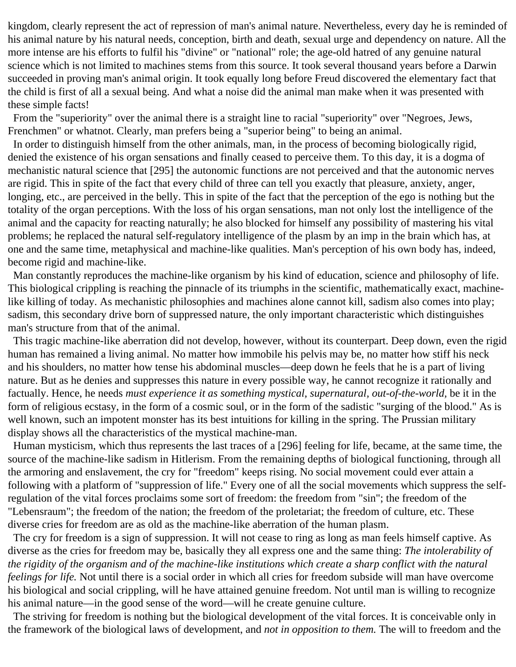kingdom, clearly represent the act of repression of man's animal nature. Nevertheless, every day he is reminded of his animal nature by his natural needs, conception, birth and death, sexual urge and dependency on nature. All the more intense are his efforts to fulfil his "divine" or "national" role; the age-old hatred of any genuine natural science which is not limited to machines stems from this source. It took several thousand years before a Darwin succeeded in proving man's animal origin. It took equally long before Freud discovered the elementary fact that the child is first of all a sexual being. And what a noise did the animal man make when it was presented with these simple facts!

 From the "superiority" over the animal there is a straight line to racial "superiority" over "Negroes, Jews, Frenchmen" or whatnot. Clearly, man prefers being a "superior being" to being an animal.

<span id="page-150-1"></span> In order to distinguish himself from the other animals, man, in the process of becoming biologically rigid, denied the existence of his organ sensations and finally ceased to perceive them. To this day, it is a dogma of mechanistic natural science that [295] the autonomic functions are not perceived and that the autonomic nerves are rigid. This in spite of the fact that every child of three can tell you exactly that pleasure, anxiety, anger, longing, etc., are perceived in the belly. This in spite of the fact that the perception of the ego is nothing but the totality of the organ perceptions. With the loss of his organ sensations, man not only lost the intelligence of the animal and the capacity for reacting naturally; he also blocked for himself any possibility of mastering his vital problems; he replaced the natural self-regulatory intelligence of the plasm by an imp in the brain which has, at one and the same time, metaphysical and machine-like qualities. Man's perception of his own body has, indeed, become rigid and machine-like.

 Man constantly reproduces the machine-like organism by his kind of education, science and philosophy of life. This biological crippling is reaching the pinnacle of its triumphs in the scientific, mathematically exact, machinelike killing of today. As mechanistic philosophies and machines alone cannot kill, sadism also comes into play; sadism, this secondary drive born of suppressed nature, the only important characteristic which distinguishes man's structure from that of the animal.

 This tragic machine-like aberration did not develop, however, without its counterpart. Deep down, even the rigid human has remained a living animal. No matter how immobile his pelvis may be, no matter how stiff his neck and his shoulders, no matter how tense his abdominal muscles—deep down he feels that he is a part of living nature. But as he denies and suppresses this nature in every possible way, he cannot recognize it rationally and factually. Hence, he needs *must experience it as something mystical, supernatural, out-of-the-world*, be it in the form of religious ecstasy, in the form of a cosmic soul, or in the form of the sadistic "surging of the blood." As is well known, such an impotent monster has its best intuitions for killing in the spring. The Prussian military display shows all the characteristics of the mystical machine-man.

<span id="page-150-0"></span> Human mysticism, which thus represents the last traces of a [296] feeling for life, became, at the same time, the source of the machine-like sadism in Hitlerism. From the remaining depths of biological functioning, through all the armoring and enslavement, the cry for "freedom" keeps rising. No social movement could ever attain a following with a platform of "suppression of life." Every one of all the social movements which suppress the selfregulation of the vital forces proclaims some sort of freedom: the freedom from "sin"; the freedom of the "Lebensraum"; the freedom of the nation; the freedom of the proletariat; the freedom of culture, etc. These diverse cries for freedom are as old as the machine-like aberration of the human plasm.

 The cry for freedom is a sign of suppression. It will not cease to ring as long as man feels himself captive. As diverse as the cries for freedom may be, basically they all express one and the same thing: *The intolerability of the rigidity of the organism and of the machine-like institutions which create a sharp conflict with the natural feelings for life.* Not until there is a social order in which all cries for freedom subside will man have overcome his biological and social crippling, will he have attained genuine freedom. Not until man is willing to recognize his animal nature—in the good sense of the word—will he create genuine culture.

 The striving for freedom is nothing but the biological development of the vital forces. It is conceivable only in the framework of the biological laws of development, and *not in opposition to them.* The will to freedom and the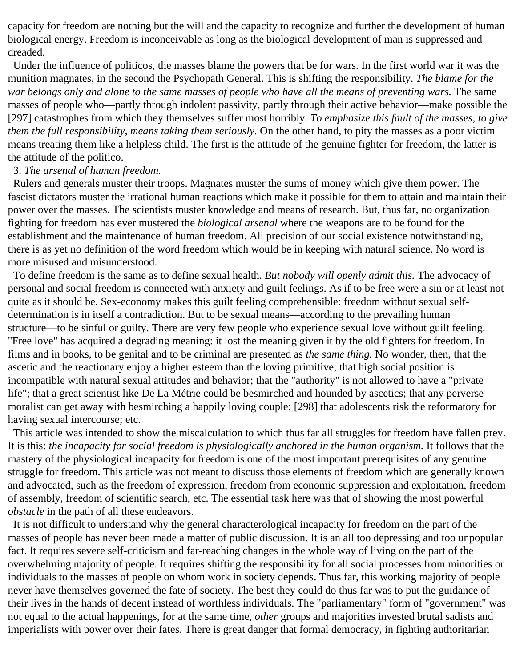capacity for freedom are nothing but the will and the capacity to recognize and further the development of human biological energy. Freedom is inconceivable as long as the biological development of man is suppressed and dreaded.

<span id="page-151-0"></span> Under the influence of politicos, the masses blame the powers that be for wars. In the first world war it was the munition magnates, in the second the Psychopath General. This is shifting the responsibility. *The blame for the war belongs only and alone to the same masses of people who have all the means of preventing wars.* The same masses of people who—partly through indolent passivity, partly through their active behavior—make possible the [297] catastrophes from which they themselves suffer most horribly. *To emphasize this fault of the masses, to give them the full responsibility, means taking them seriously.* On the other hand, to pity the masses as a poor victim means treating them like a helpless child. The first is the attitude of the genuine fighter for freedom, the latter is the attitude of the politico.

#### 3. *The arsenal of human freedom.*

 Rulers and generals muster their troops. Magnates muster the sums of money which give them power. The fascist dictators muster the irrational human reactions which make it possible for them to attain and maintain their power over the masses. The scientists muster knowledge and means of research. But, thus far, no organization fighting for freedom has ever mustered the *biological arsenal* where the weapons are to be found for the establishment and the maintenance of human freedom. All precision of our social existence notwithstanding, there is as yet no definition of the word freedom which would be in keeping with natural science. No word is more misused and misunderstood.

 To define freedom is the same as to define sexual health. *But nobody will openly admit this.* The advocacy of personal and social freedom is connected with anxiety and guilt feelings. As if to be free were a sin or at least not quite as it should be. Sex-economy makes this guilt feeling comprehensible: freedom without sexual selfdetermination is in itself a contradiction. But to be sexual means—according to the prevailing human structure—to be sinful or guilty. There are very few people who experience sexual love without guilt feeling. "Free love" has acquired a degrading meaning: it lost the meaning given it by the old fighters for freedom. In films and in books, to be genital and to be criminal are presented as *the same thing.* No wonder, then, that the ascetic and the reactionary enjoy a higher esteem than the loving primitive; that high social position is incompatible with natural sexual attitudes and behavior; that the "authority" is not allowed to have a "private life"; that a great scientist like De La Métrie could be besmirched and hounded by ascetics; that any perverse moralist can get away with besmirching a happily loving couple; [298] that adolescents risk the reformatory for having sexual intercourse; etc.

<span id="page-151-1"></span> This article was intended to show the miscalculation to which thus far all struggles for freedom have fallen prey. It is this: *the incapacity for social freedom is physiologically anchored in the human organism.* It follows that the mastery of the physiological incapacity for freedom is one of the most important prerequisites of any genuine struggle for freedom. This article was not meant to discuss those elements of freedom which are generally known and advocated, such as the freedom of expression, freedom from economic suppression and exploitation, freedom of assembly, freedom of scientific search, etc. The essential task here was that of showing the most powerful *obstacle* in the path of all these endeavors.

 It is not difficult to understand why the general characterological incapacity for freedom on the part of the masses of people has never been made a matter of public discussion. It is an all too depressing and too unpopular fact. It requires severe self-criticism and far-reaching changes in the whole way of living on the part of the overwhelming majority of people. It requires shifting the responsibility for all social processes from minorities or individuals to the masses of people on whom work in society depends. Thus far, this working majority of people never have themselves governed the fate of society. The best they could do thus far was to put the guidance of their lives in the hands of decent instead of worthless individuals. The "parliamentary" form of "government" was not equal to the actual happenings, for at the same time, *other* groups and majorities invested brutal sadists and imperialists with power over their fates. There is great danger that formal democracy, in fighting authoritarian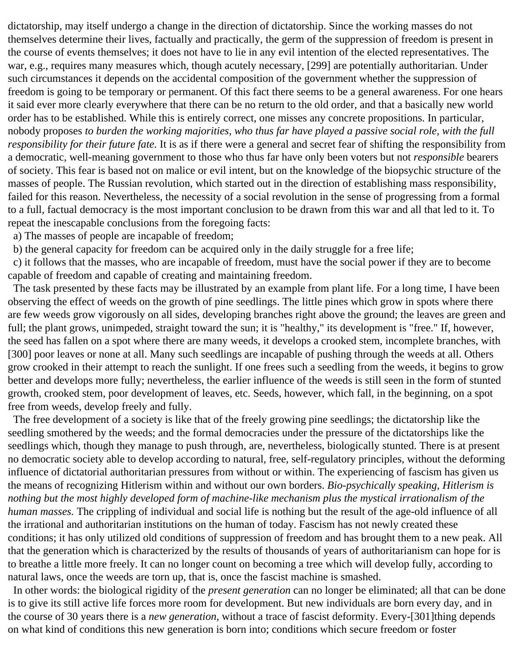dictatorship, may itself undergo a change in the direction of dictatorship. Since the working masses do not themselves determine their lives, factually and practically, the germ of the suppression of freedom is present in the course of events themselves; it does not have to lie in any evil intention of the elected representatives. The war, e.g., requires many measures which, though acutely necessary, [299] are potentially authoritarian. Under such circumstances it depends on the accidental composition of the government whether the suppression of freedom is going to be temporary or permanent. Of this fact there seems to be a general awareness. For one hears it said ever more clearly everywhere that there can be no return to the old order, and that a basically new world order has to be established. While this is entirely correct, one misses any concrete propositions. In particular, nobody proposes *to burden the working majorities, who thus far have played a passive social role, with the full responsibility for their future fate.* It is as if there were a general and secret fear of shifting the responsibility from a democratic, well-meaning government to those who thus far have only been voters but not *responsible* bearers of society. This fear is based not on malice or evil intent, but on the knowledge of the biopsychic structure of the masses of people. The Russian revolution, which started out in the direction of establishing mass responsibility, failed for this reason. Nevertheless, the necessity of a social revolution in the sense of progressing from a formal to a full, factual democracy is the most important conclusion to be drawn from this war and all that led to it. To repeat the inescapable conclusions from the foregoing facts:

a) The masses of people are incapable of freedom;

b) the general capacity for freedom can be acquired only in the daily struggle for a free life;

 c) it follows that the masses, who are incapable of freedom, must have the social power if they are to become capable of freedom and capable of creating and maintaining freedom.

<span id="page-152-1"></span> The task presented by these facts may be illustrated by an example from plant life. For a long time, I have been observing the effect of weeds on the growth of pine seedlings. The little pines which grow in spots where there are few weeds grow vigorously on all sides, developing branches right above the ground; the leaves are green and full; the plant grows, unimpeded, straight toward the sun; it is "healthy," its development is "free." If, however, the seed has fallen on a spot where there are many weeds, it develops a crooked stem, incomplete branches, with [300] poor leaves or none at all. Many such seedlings are incapable of pushing through the weeds at all. Others grow crooked in their attempt to reach the sunlight. If one frees such a seedling from the weeds, it begins to grow better and develops more fully; nevertheless, the earlier influence of the weeds is still seen in the form of stunted growth, crooked stem, poor development of leaves, etc. Seeds, however, which fall, in the beginning, on a spot free from weeds, develop freely and fully.

 The free development of a society is like that of the freely growing pine seedlings; the dictatorship like the seedling smothered by the weeds; and the formal democracies under the pressure of the dictatorships like the seedlings which, though they manage to push through, are, nevertheless, biologically stunted. There is at present no democratic society able to develop according to natural, free, self-regulatory principles, without the deforming influence of dictatorial authoritarian pressures from without or within. The experiencing of fascism has given us the means of recognizing Hitlerism within and without our own borders. *Bio-psychically speaking, Hitlerism is nothing but the most highly developed form of machine-like mechanism plus the mystical irrationalism of the human masses.* The crippling of individual and social life is nothing but the result of the age-old influence of all the irrational and authoritarian institutions on the human of today. Fascism has not newly created these conditions; it has only utilized old conditions of suppression of freedom and has brought them to a new peak. All that the generation which is characterized by the results of thousands of years of authoritarianism can hope for is to breathe a little more freely. It can no longer count on becoming a tree which will develop fully, according to natural laws, once the weeds are torn up, that is, once the fascist machine is smashed.

<span id="page-152-0"></span> In other words: the biological rigidity of the *present generation* can no longer be eliminated; all that can be done is to give its still active life forces more room for development. But new individuals are born every day, and in the course of 30 years there is a *new generation,* without a trace of fascist deformity. Every-[301]thing depends on what kind of conditions this new generation is born into; conditions which secure freedom or foster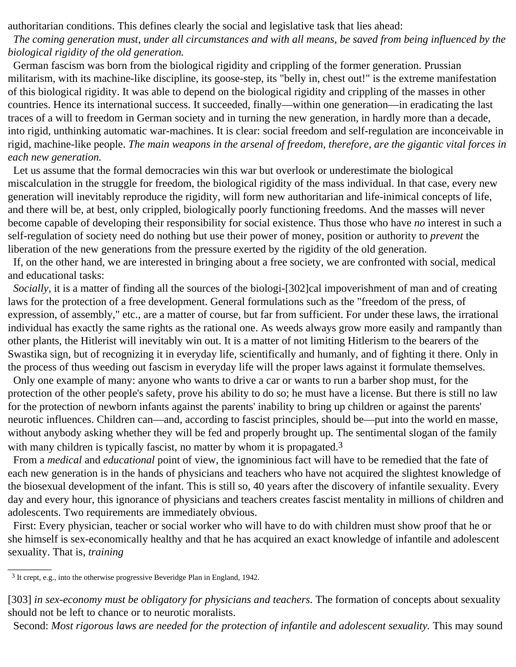authoritarian conditions. This defines clearly the social and legislative task that lies ahead:

 *The coming generation must, under all circumstances and with all means, be saved from being influenced by the biological rigidity of the old generation.*

 German fascism was born from the biological rigidity and crippling of the former generation. Prussian militarism, with its machine-like discipline, its goose-step, its "belly in, chest out!" is the extreme manifestation of this biological rigidity. It was able to depend on the biological rigidity and crippling of the masses in other countries. Hence its international success. It succeeded, finally—within one generation—in eradicating the last traces of a will to freedom in German society and in turning the new generation, in hardly more than a decade, into rigid, unthinking automatic war-machines. It is clear: social freedom and self-regulation are inconceivable in rigid, machine-like people. *The main weapons in the arsenal of freedom, therefore, are the gigantic vital forces in each new generation.*

Let us assume that the formal democracies win this war but overlook or underestimate the biological miscalculation in the struggle for freedom, the biological rigidity of the mass individual. In that case, every new generation will inevitably reproduce the rigidity, will form new authoritarian and life-inimical concepts of life, and there will be, at best, only crippled, biologically poorly functioning freedoms. And the masses will never become capable of developing their responsibility for social existence. Thus those who have *no* interest in such a self-regulation of society need do nothing but use their power of money, position or authority to *prevent* the liberation of the new generations from the pressure exerted by the rigidity of the old generation.

 If, on the other hand, we are interested in bringing about a free society, we are confronted with social, medical and educational tasks:

*Socially,* it is a matter of finding all the sources of the biologi-[302]cal impoverishment of man and of creating laws for the protection of a free development. General formulations such as the "freedom of the press, of expression, of assembly," etc., are a matter of course, but far from sufficient. For under these laws, the irrational individual has exactly the same rights as the rational one. As weeds always grow more easily and rampantly than other plants, the Hitlerist will inevitably win out. It is a matter of not limiting Hitlerism to the bearers of the Swastika sign, but of recognizing it in everyday life, scientifically and humanly, and of fighting it there. Only in the process of thus weeding out fascism in everyday life will the proper laws against it formulate themselves.

 Only one example of many: anyone who wants to drive a car or wants to run a barber shop must, for the protection of the other people's safety, prove his ability to do so; he must have a license. But there is still no law for the protection of newborn infants against the parents' inability to bring up children or against the parents' neurotic influences. Children can—and, according to fascist principles, should be—put into the world en masse, without anybody asking whether they will be fed and properly brought up. The sentimental slogan of the family with many children is typically fascist, no matter by whom it is propagated.<sup>3</sup>

 From a *medical* and *educational* point of view, the ignominious fact will have to be remedied that the fate of each new generation is in the hands of physicians and teachers who have not acquired the slightest knowledge of the biosexual development of the infant. This is still so, 40 years after the discovery of infantile sexuality. Every day and every hour, this ignorance of physicians and teachers creates fascist mentality in millions of children and adolescents. Two requirements are immediately obvious.

 First: Every physician, teacher or social worker who will have to do with children must show proof that he or she himself is sex-economically healthy and that he has acquired an exact knowledge of infantile and adolescent sexuality. That is, *training*

*\_\_\_\_\_\_\_\_*

Second: *Most rigorous laws are needed for the protection of infantile and adolescent sexuality*. This may sound

3 It crept, e.g., into the otherwise progressive Beveridge Plan in England, 1942.

<span id="page-153-0"></span><sup>[303]</sup> *in sex-economy must be obligatory for physicians and teachers*. The formation of concepts about sexuality should not be left to chance or to neurotic moralists.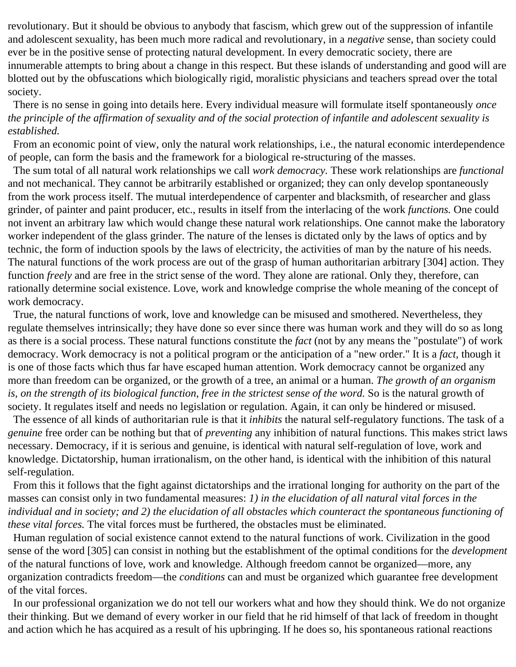revolutionary. But it should be obvious to anybody that fascism, which grew out of the suppression of infantile and adolescent sexuality, has been much more radical and revolutionary, in a *negative* sense, than society could ever be in the positive sense of protecting natural development. In every democratic society, there are innumerable attempts to bring about a change in this respect. But these islands of understanding and good will are blotted out by the obfuscations which biologically rigid, moralistic physicians and teachers spread over the total society.

# There is no sense in going into details here. Every individual measure will formulate itself spontaneously *once the principle of the affirmation of sexuality and of the social protection of infantile and adolescent sexuality is established.*

 From an economic point of view, only the natural work relationships, i.e., the natural economic interdependence of people, can form the basis and the framework for a biological re-structuring of the masses.

 The sum total of all natural work relationships we call *work democracy.* These work relationships are *functional*  and not mechanical. They cannot be arbitrarily established or organized; they can only develop spontaneously from the work process itself. The mutual interdependence of carpenter and blacksmith, of researcher and glass grinder, of painter and paint producer, etc., results in itself from the interlacing of the work *functions.* One could not invent an arbitrary law which would change these natural work relationships. One cannot make the laboratory worker independent of the glass grinder. The nature of the lenses is dictated only by the laws of optics and by technic, the form of induction spools by the laws of electricity, the activities of man by the nature of his needs. The natural functions of the work process are out of the grasp of human authoritarian arbitrary [304] action. They function *freely* and are free in the strict sense of the word. They alone are rational. Only they, therefore, can rationally determine social existence. Love, work and knowledge comprise the whole meaning of the concept of work democracy.

 True, the natural functions of work, love and knowledge can be misused and smothered. Nevertheless, they regulate themselves intrinsically; they have done so ever since there was human work and they will do so as long as there is a social process. These natural functions constitute the *fact* (not by any means the "postulate") of work democracy. Work democracy is not a political program or the anticipation of a "new order." It is a *fact,* though it is one of those facts which thus far have escaped human attention. Work democracy cannot be organized any more than freedom can be organized, or the growth of a tree, an animal or a human. *The growth of an organism is, on the strength of its biological function, free in the strictest sense of the word.* So is the natural growth of society. It regulates itself and needs no legislation or regulation. Again, it can only be hindered or misused.

 The essence of all kinds of authoritarian rule is that it *inhibits* the natural self-regulatory functions. The task of a *genuine* free order can be nothing but that of *preventing* any inhibition of natural functions. This makes strict laws necessary. Democracy, if it is serious and genuine, is identical with natural self-regulation of love, work and knowledge. Dictatorship, human irrationalism, on the other hand, is identical with the inhibition of this natural self-regulation.

 From this it follows that the fight against dictatorships and the irrational longing for authority on the part of the masses can consist only in two fundamental measures: *1) in the elucidation of all natural vital forces in the*  individual and in society; and 2) the elucidation of all obstacles which counteract the spontaneous functioning of *these vital forces.* The vital forces must be furthered, the obstacles must be eliminated.

<span id="page-154-0"></span> Human regulation of social existence cannot extend to the natural functions of work. Civilization in the good sense of the word [305] can consist in nothing but the establishment of the optimal conditions for the *development*  of the natural functions of love, work and knowledge. Although freedom cannot be organized—more, any organization contradicts freedom—the *conditions* can and must be organized which guarantee free development of the vital forces.

 In our professional organization we do not tell our workers what and how they should think. We do not organize their thinking. But we demand of every worker in our field that he rid himself of that lack of freedom in thought and action which he has acquired as a result of his upbringing. If he does so, his spontaneous rational reactions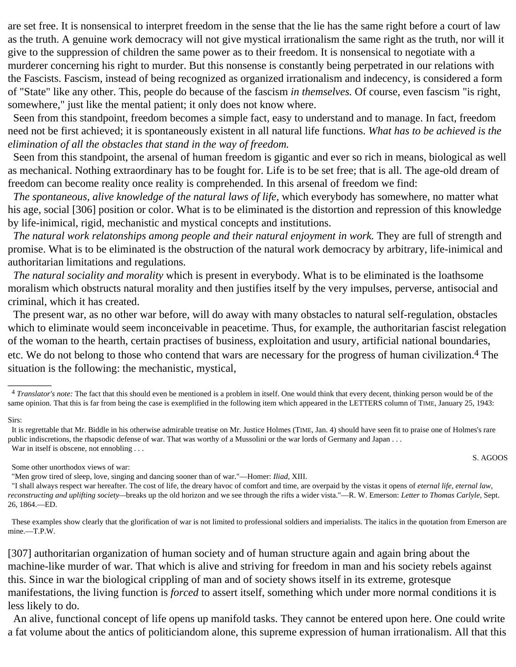are set free. It is nonsensical to interpret freedom in the sense that the lie has the same right before a court of law as the truth. A genuine work democracy will not give mystical irrationalism the same right as the truth, nor will it give to the suppression of children the same power as to their freedom. It is nonsensical to negotiate with a murderer concerning his right to murder. But this nonsense is constantly being perpetrated in our relations with the Fascists. Fascism, instead of being recognized as organized irrationalism and indecency, is considered a form of "State" like any other. This, people do because of the fascism *in themselves.* Of course, even fascism "is right, somewhere," just like the mental patient; it only does not know where.

 Seen from this standpoint, freedom becomes a simple fact, easy to understand and to manage. In fact, freedom need not be first achieved; it is spontaneously existent in all natural life functions. *What has to be achieved is the elimination of all the obstacles that stand in the way of freedom.*

 Seen from this standpoint, the arsenal of human freedom is gigantic and ever so rich in means, biological as well as mechanical. Nothing extraordinary has to be fought for. Life is to be set free; that is all. The age-old dream of freedom can become reality once reality is comprehended. In this arsenal of freedom we find:

 *The spontaneous, alive knowledge of the natural laws of life,* which everybody has somewhere, no matter what his age, social [306] position or color. What is to be eliminated is the distortion and repression of this knowledge by life-inimical, rigid, mechanistic and mystical concepts and institutions.

<span id="page-155-0"></span> *The natural work relatonships among people and their natural enjoyment in work.* They are full of strength and promise. What is to be eliminated is the obstruction of the natural work democracy by arbitrary, life-inimical and authoritarian limitations and regulations.

 *The natural sociality and morality* which is present in everybody. What is to be eliminated is the loathsome moralism which obstructs natural morality and then justifies itself by the very impulses, perverse, antisocial and criminal, which it has created.

 The present war, as no other war before, will do away with many obstacles to natural self-regulation, obstacles which to eliminate would seem inconceivable in peacetime. Thus, for example, the authoritarian fascist relegation of the woman to the hearth, certain practises of business, exploitation and usury, artificial national boundaries, etc. We do not belong to those who contend that wars are necessary for the progress of human civilization.4 The situation is the following: the mechanistic, mystical,

\_\_\_\_\_\_\_\_

Some other unorthodox views of war:

"Men grow tired of sleep, love, singing and dancing sooner than of war."—Homer: *Iliad,* XIII.

 "I shall always respect war hereafter. The cost of life, the dreary havoc of comfort and time, are overpaid by the vistas it opens of *eternal life, eternal law, reconstructing and uplifting society—*breaks up the old horizon and we see through the rifts a wider vista."—R. W. Emerson: *Letter to Thomas Carlyle,* Sept. 26, 1864.—ED.

 These examples show clearly that the glorification of war is not limited to professional soldiers and imperialists. The italics in the quotation from Emerson are mine.—T.P.W.

[307] authoritarian organization of human society and of human structure again and again bring about the machine-like murder of war. That which is alive and striving for freedom in man and his society rebels against this. Since in war the biological crippling of man and of society shows itself in its extreme, grotesque manifestations, the living function is *forced* to assert itself, something which under more normal conditions it is less likely to do.

 An alive, functional concept of life opens up manifold tasks. They cannot be entered upon here. One could write a fat volume about the antics of politiciandom alone, this supreme expression of human irrationalism. All that this

S. AGOOS

4 *Translator's note:* The fact that this should even be mentioned is a problem in itself. One would think that every decent, thinking person would be of the same opinion. That this is far from being the case is exemplified in the following item which appeared in the LETTERS column of TIME, January 25, 1943:

Sirs:

It is regrettable that Mr. Biddle in his otherwise admirable treatise on Mr. Justice Holmes (TIME, Jan. 4) should have seen fit to praise one of Holmes's rare public indiscretions, the rhapsodic defense of war. That was worthy of a Mussolini or the war lords of Germany and Japan . . . War in itself is obscene, not ennobling . . .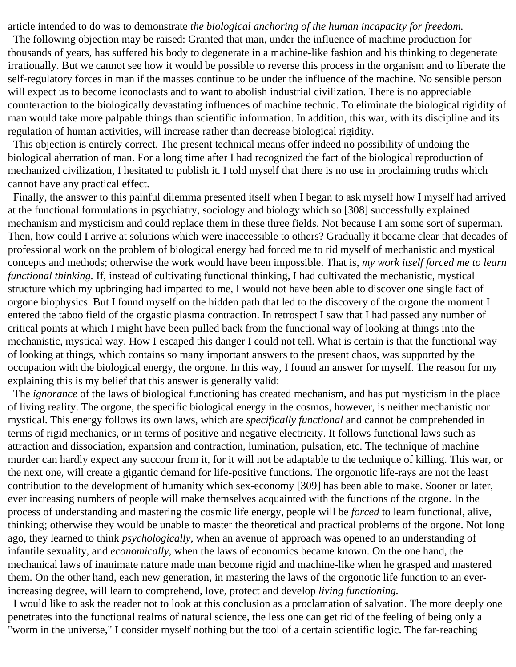article intended to do was to demonstrate *the biological anchoring of the human incapacity for freedom.*

 The following objection may be raised: Granted that man, under the influence of machine production for thousands of years, has suffered his body to degenerate in a machine-like fashion and his thinking to degenerate irrationally. But we cannot see how it would be possible to reverse this process in the organism and to liberate the self-regulatory forces in man if the masses continue to be under the influence of the machine. No sensible person will expect us to become iconoclasts and to want to abolish industrial civilization. There is no appreciable counteraction to the biologically devastating influences of machine technic. To eliminate the biological rigidity of man would take more palpable things than scientific information. In addition, this war, with its discipline and its regulation of human activities, will increase rather than decrease biological rigidity.

 This objection is entirely correct. The present technical means offer indeed no possibility of undoing the biological aberration of man. For a long time after I had recognized the fact of the biological reproduction of mechanized civilization, I hesitated to publish it. I told myself that there is no use in proclaiming truths which cannot have any practical effect.

<span id="page-156-0"></span> Finally, the answer to this painful dilemma presented itself when I began to ask myself how I myself had arrived at the functional formulations in psychiatry, sociology and biology which so [308] successfully explained mechanism and mysticism and could replace them in these three fields. Not because I am some sort of superman. Then, how could I arrive at solutions which were inaccessible to others? Gradually it became clear that decades of professional work on the problem of biological energy had forced me to rid myself of mechanistic and mystical concepts and methods; otherwise the work would have been impossible. That is, *my work itself forced me to learn functional thinking.* If, instead of cultivating functional thinking, I had cultivated the mechanistic, mystical structure which my upbringing had imparted to me, I would not have been able to discover one single fact of orgone biophysics. But I found myself on the hidden path that led to the discovery of the orgone the moment I entered the taboo field of the orgastic plasma contraction. In retrospect I saw that I had passed any number of critical points at which I might have been pulled back from the functional way of looking at things into the mechanistic, mystical way. How I escaped this danger I could not tell. What is certain is that the functional way of looking at things, which contains so many important answers to the present chaos, was supported by the occupation with the biological energy, the orgone. In this way, I found an answer for myself. The reason for my explaining this is my belief that this answer is generally valid:

 The *ignorance* of the laws of biological functioning has created mechanism, and has put mysticism in the place of living reality. The orgone, the specific biological energy in the cosmos, however, is neither mechanistic nor mystical. This energy follows its own laws, which are *specifically functional* and cannot be comprehended in terms of rigid mechanics, or in terms of positive and negative electricity. It follows functional laws such as attraction and dissociation, expansion and contraction, lumination, pulsation, etc. The technique of machine murder can hardly expect any succour from it, for it will not be adaptable to the technique of killing. This war, or the next one, will create a gigantic demand for life-positive functions. The orgonotic life-rays are not the least contribution to the development of humanity which sex-economy [309] has been able to make. Sooner or later, ever increasing numbers of people will make themselves acquainted with the functions of the orgone. In the process of understanding and mastering the cosmic life energy, people will be *forced* to learn functional, alive, thinking; otherwise they would be unable to master the theoretical and practical problems of the orgone. Not long ago, they learned to think *psychologically,* when an avenue of approach was opened to an understanding of infantile sexuality, and *economically,* when the laws of economics became known. On the one hand, the mechanical laws of inanimate nature made man become rigid and machine-like when he grasped and mastered them. On the other hand, each new generation, in mastering the laws of the orgonotic life function to an everincreasing degree, will learn to comprehend, love, protect and develop *living functioning.*

 I would like to ask the reader not to look at this conclusion as a proclamation of salvation. The more deeply one penetrates into the functional realms of natural science, the less one can get rid of the feeling of being only a "worm in the universe," I consider myself nothing but the tool of a certain scientific logic. The far-reaching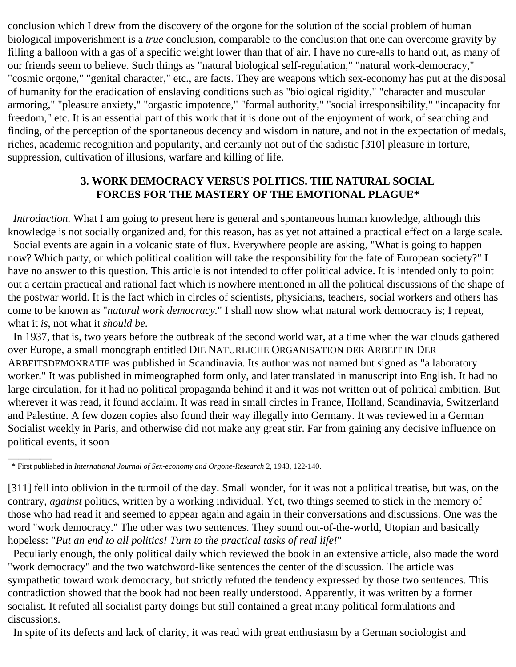conclusion which I drew from the discovery of the orgone for the solution of the social problem of human biological impoverishment is a *true* conclusion, comparable to the conclusion that one can overcome gravity by filling a balloon with a gas of a specific weight lower than that of air. I have no cure-alls to hand out, as many of our friends seem to believe. Such things as "natural biological self-regulation," "natural work-democracy," "cosmic orgone," "genital character," etc., are facts. They are weapons which sex-economy has put at the disposal of humanity for the eradication of enslaving conditions such as "biological rigidity," "character and muscular armoring," "pleasure anxiety," "orgastic impotence," "formal authority," "social irresponsibility," "incapacity for freedom," etc. It is an essential part of this work that it is done out of the enjoyment of work, of searching and finding, of the perception of the spontaneous decency and wisdom in nature, and not in the expectation of medals, riches, academic recognition and popularity, and certainly not out of the sadistic [310] pleasure in torture, suppression, cultivation of illusions, warfare and killing of life.

# **3. WORK DEMOCRACY VERSUS POLITICS. THE NATURAL SOCIAL FORCES FOR THE MASTERY OF THE EMOTIONAL PLAGUE\***

<span id="page-157-0"></span>*Introduction.* What I am going to present here is general and spontaneous human knowledge, although this knowledge is not socially organized and, for this reason, has as yet not attained a practical effect on a large scale. Social events are again in a volcanic state of flux. Everywhere people are asking, "What is going to happen now? Which party, or which political coalition will take the responsibility for the fate of European society?" I have no answer to this question. This article is not intended to offer political advice. It is intended only to point out a certain practical and rational fact which is nowhere mentioned in all the political discussions of the shape of

the postwar world. It is the fact which in circles of scientists, physicians, teachers, social workers and others has come to be known as "*natural work democracy.*" I shall now show what natural work democracy is; I repeat, what it *is*, not what it *should be.*

 In 1937, that is, two years before the outbreak of the second world war, at a time when the war clouds gathered over Europe, a small monograph entitled DIE NATÜRLICHE ORGANISATION DER ARBEIT IN DER ARBEITSDEMOKRATIE was published in Scandinavia. Its author was not named but signed as "a laboratory worker." It was published in mimeographed form only, and later translated in manuscript into English. It had no large circulation, for it had no political propaganda behind it and it was not written out of political ambition. But wherever it was read, it found acclaim. It was read in small circles in France, Holland, Scandinavia, Switzerland and Palestine. A few dozen copies also found their way illegally into Germany. It was reviewed in a German Socialist weekly in Paris, and otherwise did not make any great stir. Far from gaining any decisive influence on political events, it soon

\* First published in *International Journal of Sex-economy and Orgone-Research* 2, 1943, 122-140.

\_\_\_\_\_\_\_\_

[311] fell into oblivion in the turmoil of the day. Small wonder, for it was not a political treatise, but was, on the contrary, *against* politics, written by a working individual. Yet, two things seemed to stick in the memory of those who had read it and seemed to appear again and again in their conversations and discussions. One was the word "work democracy." The other was two sentences. They sound out-of-the-world, Utopian and basically hopeless: "*Put an end to all politics! Turn to the practical tasks of real life!*"

 Peculiarly enough, the only political daily which reviewed the book in an extensive article, also made the word "work democracy" and the two watchword-like sentences the center of the discussion. The article was sympathetic toward work democracy, but strictly refuted the tendency expressed by those two sentences. This contradiction showed that the book had not been really understood. Apparently, it was written by a former socialist. It refuted all socialist party doings but still contained a great many political formulations and discussions.

In spite of its defects and lack of clarity, it was read with great enthusiasm by a German sociologist and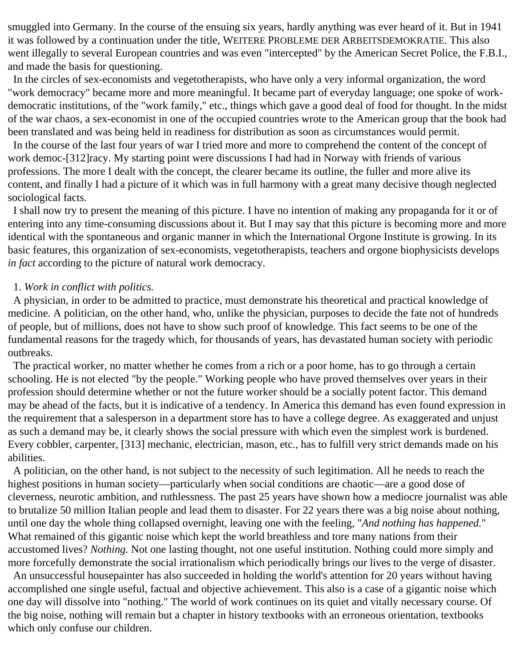smuggled into Germany. In the course of the ensuing six years, hardly anything was ever heard of it. But in 1941 it was followed by a continuation under the title, WEITERE PROBLEME DER ARBEITSDEMOKRATIE. This also went illegally to several European countries and was even "intercepted" by the American Secret Police, the F.B.I., and made the basis for questioning.

 In the circles of sex-economists and vegetotherapists, who have only a very informal organization, the word "work democracy" became more and more meaningful. It became part of everyday language; one spoke of workdemocratic institutions, of the "work family," etc., things which gave a good deal of food for thought. In the midst of the war chaos, a sex-economist in one of the occupied countries wrote to the American group that the book had been translated and was being held in readiness for distribution as soon as circumstances would permit.

<span id="page-158-1"></span> In the course of the last four years of war I tried more and more to comprehend the content of the concept of work democ-[312]racy. My starting point were discussions I had had in Norway with friends of various professions. The more I dealt with the concept, the clearer became its outline, the fuller and more alive its content, and finally I had a picture of it which was in full harmony with a great many decisive though neglected sociological facts.

 I shall now try to present the meaning of this picture. I have no intention of making any propaganda for it or of entering into any time-consuming discussions about it. But I may say that this picture is becoming more and more identical with the spontaneous and organic manner in which the International Orgone Institute is growing. In its basic features, this organization of sex-economists, vegetotherapists, teachers and orgone biophysicists develops *in fact* according to the picture of natural work democracy.

#### 1. *Work in conflict with politics.*

 A physician, in order to be admitted to practice, must demonstrate his theoretical and practical knowledge of medicine. A politician, on the other hand, who, unlike the physician, purposes to decide the fate not of hundreds of people, but of millions, does not have to show such proof of knowledge. This fact seems to be one of the fundamental reasons for the tragedy which, for thousands of years, has devastated human society with periodic outbreaks.

 The practical worker, no matter whether he comes from a rich or a poor home, has to go through a certain schooling. He is not elected "by the people." Working people who have proved themselves over years in their profession should determine whether or not the future worker should be a socially potent factor. This demand may be ahead of the facts, but it is indicative of a tendency. In America this demand has even found expression in the requirement that a salesperson in a department store has to have a college degree. As exaggerated and unjust as such a demand may be, it clearly shows the social pressure with which even the simplest work is burdened. Every cobbler, carpenter, [313] mechanic, electrician, mason, etc., has to fulfill very strict demands made on his abilities.

<span id="page-158-0"></span> A politician, on the other hand, is not subject to the necessity of such legitimation. All he needs to reach the highest positions in human society—particularly when social conditions are chaotic—are a good dose of cleverness, neurotic ambition, and ruthlessness. The past 25 years have shown how a mediocre journalist was able to brutalize 50 million Italian people and lead them to disaster. For 22 years there was a big noise about nothing, until one day the whole thing collapsed overnight, leaving one with the feeling, "*And nothing has happened.*" What remained of this gigantic noise which kept the world breathless and tore many nations from their accustomed lives? *Nothing.* Not one lasting thought, not one useful institution. Nothing could more simply and more forcefully demonstrate the social irrationalism which periodically brings our lives to the verge of disaster.

 An unsuccessful housepainter has also succeeded in holding the world's attention for 20 years without having accomplished one single useful, factual and objective achievement. This also is a case of a gigantic noise which one day will dissolve into "nothing." The world of work continues on its quiet and vitally necessary course. Of the big noise, nothing will remain but a chapter in history textbooks with an erroneous orientation, textbooks which only confuse our children.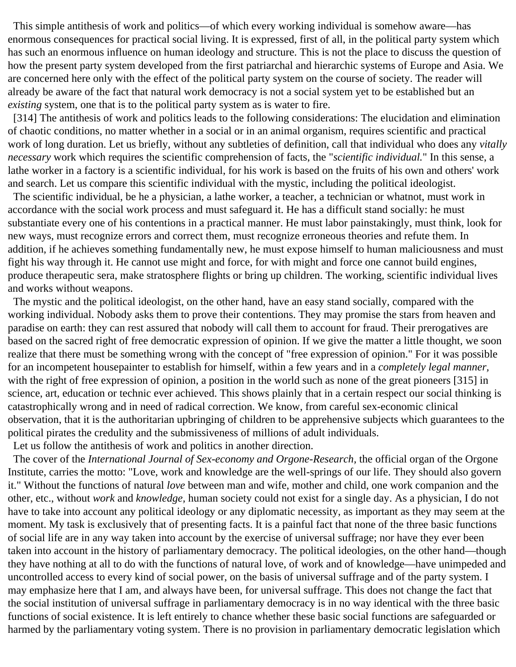This simple antithesis of work and politics—of which every working individual is somehow aware—has enormous consequences for practical social living. It is expressed, first of all, in the political party system which has such an enormous influence on human ideology and structure. This is not the place to discuss the question of how the present party system developed from the first patriarchal and hierarchic systems of Europe and Asia. We are concerned here only with the effect of the political party system on the course of society. The reader will already be aware of the fact that natural work democracy is not a social system yet to be established but an *existing* system, one that is to the political party system as is water to fire.

 [314] The antithesis of work and politics leads to the following considerations: The elucidation and elimination of chaotic conditions, no matter whether in a social or in an animal organism, requires scientific and practical work of long duration. Let us briefly, without any subtleties of definition, call that individual who does any *vitally necessary* work which requires the scientific comprehension of facts, the "*scientific individual.*" In this sense, a lathe worker in a factory is a scientific individual, for his work is based on the fruits of his own and others' work and search. Let us compare this scientific individual with the mystic, including the political ideologist.

 The scientific individual, be he a physician, a lathe worker, a teacher, a technician or whatnot, must work in accordance with the social work process and must safeguard it. He has a difficult stand socially: he must substantiate every one of his contentions in a practical manner. He must labor painstakingly, must think, look for new ways, must recognize errors and correct them, must recognize erroneous theories and refute them. In addition, if he achieves something fundamentally new, he must expose himself to human maliciousness and must fight his way through it. He cannot use might and force, for with might and force one cannot build engines, produce therapeutic sera, make stratosphere flights or bring up children. The working, scientific individual lives and works without weapons.

 The mystic and the political ideologist, on the other hand, have an easy stand socially, compared with the working individual. Nobody asks them to prove their contentions. They may promise the stars from heaven and paradise on earth: they can rest assured that nobody will call them to account for fraud. Their prerogatives are based on the sacred right of free democratic expression of opinion. If we give the matter a little thought, we soon realize that there must be something wrong with the concept of "free expression of opinion." For it was possible for an incompetent housepainter to establish for himself, within a few years and in a *completely legal manner,*  with the right of free expression of opinion, a position in the world such as none of the great pioneers [315] in science, art, education or technic ever achieved. This shows plainly that in a certain respect our social thinking is catastrophically wrong and in need of radical correction. We know, from careful sex-economic clinical observation, that it is the authoritarian upbringing of children to be apprehensive subjects which guarantees to the political pirates the credulity and the submissiveness of millions of adult individuals.

<span id="page-159-0"></span>Let us follow the antithesis of work and politics in another direction.

 The cover of the *International Journal of Sex-economy and Orgone-Research,* the official organ of the Orgone Institute, carries the motto: "Love, work and knowledge are the well-springs of our life. They should also govern it." Without the functions of natural *love* between man and wife, mother and child, one work companion and the other, etc., without *work* and *knowledge,* human society could not exist for a single day. As a physician, I do not have to take into account any political ideology or any diplomatic necessity, as important as they may seem at the moment. My task is exclusively that of presenting facts. It is a painful fact that none of the three basic functions of social life are in any way taken into account by the exercise of universal suffrage; nor have they ever been taken into account in the history of parliamentary democracy. The political ideologies, on the other hand—though they have nothing at all to do with the functions of natural love, of work and of knowledge—have unimpeded and uncontrolled access to every kind of social power, on the basis of universal suffrage and of the party system. I may emphasize here that I am, and always have been, for universal suffrage. This does not change the fact that the social institution of universal suffrage in parliamentary democracy is in no way identical with the three basic functions of social existence. It is left entirely to chance whether these basic social functions are safeguarded or harmed by the parliamentary voting system. There is no provision in parliamentary democratic legislation which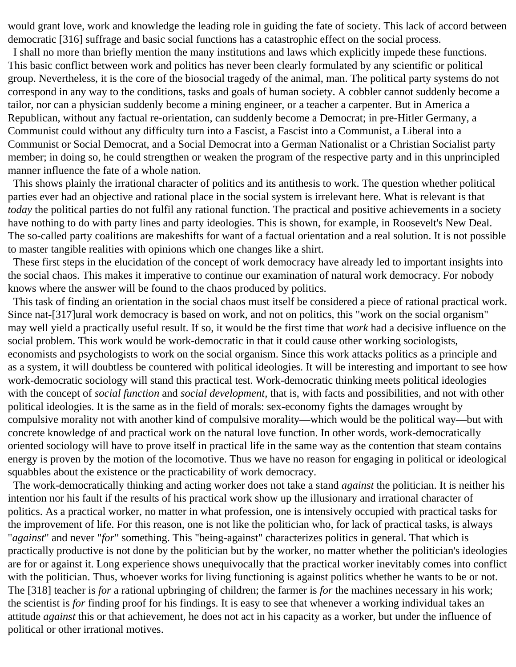would grant love, work and knowledge the leading role in guiding the fate of society. This lack of accord between democratic [316] suffrage and basic social functions has a catastrophic effect on the social process.

<span id="page-160-1"></span> I shall no more than briefly mention the many institutions and laws which explicitly impede these functions. This basic conflict between work and politics has never been clearly formulated by any scientific or political group. Nevertheless, it is the core of the biosocial tragedy of the animal, man. The political party systems do not correspond in any way to the conditions, tasks and goals of human society. A cobbler cannot suddenly become a tailor, nor can a physician suddenly become a mining engineer, or a teacher a carpenter. But in America a Republican, without any factual re-orientation, can suddenly become a Democrat; in pre-Hitler Germany, a Communist could without any difficulty turn into a Fascist, a Fascist into a Communist, a Liberal into a Communist or Social Democrat, and a Social Democrat into a German Nationalist or a Christian Socialist party member; in doing so, he could strengthen or weaken the program of the respective party and in this unprincipled manner influence the fate of a whole nation.

 This shows plainly the irrational character of politics and its antithesis to work. The question whether political parties ever had an objective and rational place in the social system is irrelevant here. What is relevant is that *today* the political parties do not fulfil any rational function. The practical and positive achievements in a society have nothing to do with party lines and party ideologies. This is shown, for example, in Roosevelt's New Deal. The so-called party coalitions are makeshifts for want of a factual orientation and a real solution. It is not possible to master tangible realities with opinions which one changes like a shirt.

 These first steps in the elucidation of the concept of work democracy have already led to important insights into the social chaos. This makes it imperative to continue our examination of natural work democracy. For nobody knows where the answer will be found to the chaos produced by politics.

<span id="page-160-0"></span> This task of finding an orientation in the social chaos must itself be considered a piece of rational practical work. Since nat-[317]ural work democracy is based on work, and not on politics, this "work on the social organism" may well yield a practically useful result. If so, it would be the first time that *work* had a decisive influence on the social problem. This work would be work-democratic in that it could cause other working sociologists, economists and psychologists to work on the social organism. Since this work attacks politics as a principle and as a system, it will doubtless be countered with political ideologies. It will be interesting and important to see how work-democratic sociology will stand this practical test. Work-democratic thinking meets political ideologies with the concept of *social function* and *social development,* that is, with facts and possibilities, and not with other political ideologies. It is the same as in the field of morals: sex-economy fights the damages wrought by compulsive morality not with another kind of compulsive morality—which would be the political way—but with concrete knowledge of and practical work on the natural love function. In other words, work-democratically oriented sociology will have to prove itself in practical life in the same way as the contention that steam contains energy is proven by the motion of the locomotive. Thus we have no reason for engaging in political or ideological squabbles about the existence or the practicability of work democracy.

 The work-democratically thinking and acting worker does not take a stand *against* the politician. It is neither his intention nor his fault if the results of his practical work show up the illusionary and irrational character of politics. As a practical worker, no matter in what profession, one is intensively occupied with practical tasks for the improvement of life. For this reason, one is not like the politician who, for lack of practical tasks, is always "*against*" and never "*for*" something. This "being-against" characterizes politics in general. That which is practically productive is not done by the politician but by the worker, no matter whether the politician's ideologies are for or against it. Long experience shows unequivocally that the practical worker inevitably comes into conflict with the politician. Thus, whoever works for living functioning is against politics whether he wants to be or not. The [318] teacher is *for* a rational upbringing of children; the farmer is *for* the machines necessary in his work; the scientist is *for* finding proof for his findings. It is easy to see that whenever a working individual takes an attitude *against* this or that achievement, he does not act in his capacity as a worker, but under the influence of political or other irrational motives.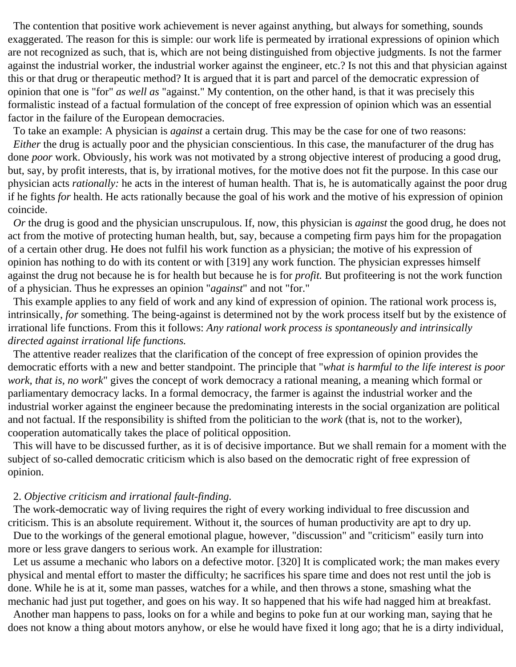The contention that positive work achievement is never against anything, but always for something, sounds exaggerated. The reason for this is simple: our work life is permeated by irrational expressions of opinion which are not recognized as such, that is, which are not being distinguished from objective judgments. Is not the farmer against the industrial worker, the industrial worker against the engineer, etc.? Is not this and that physician against this or that drug or therapeutic method? It is argued that it is part and parcel of the democratic expression of opinion that one is "for" *as well as* "against." My contention, on the other hand, is that it was precisely this formalistic instead of a factual formulation of the concept of free expression of opinion which was an essential factor in the failure of the European democracies.

 To take an example: A physician is *against* a certain drug. This may be the case for one of two reasons: *Either* the drug is actually poor and the physician conscientious. In this case, the manufacturer of the drug has done *poor* work. Obviously, his work was not motivated by a strong objective interest of producing a good drug, but, say, by profit interests, that is, by irrational motives, for the motive does not fit the purpose. In this case our physician acts *rationally:* he acts in the interest of human health. That is, he is automatically against the poor drug if he fights *for* health. He acts rationally because the goal of his work and the motive of his expression of opinion coincide.

 *Or* the drug is good and the physician unscrupulous. If, now, this physician is *against* the good drug, he does not act from the motive of protecting human health, but, say, because a competing firm pays him for the propagation of a certain other drug. He does not fulfil his work function as a physician; the motive of his expression of opinion has nothing to do with its content or with [319] any work function. The physician expresses himself against the drug not because he is for health but because he is for *profit.* But profiteering is not the work function of a physician. Thus he expresses an opinion "*against*" and not "for."

<span id="page-161-0"></span> This example applies to any field of work and any kind of expression of opinion. The rational work process is, intrinsically, *for* something. The being-against is determined not by the work process itself but by the existence of irrational life functions. From this it follows: *Any rational work process is spontaneously and intrinsically directed against irrational life functions.*

 The attentive reader realizes that the clarification of the concept of free expression of opinion provides the democratic efforts with a new and better standpoint. The principle that "*what is harmful to the life interest is poor work, that is, no work*" gives the concept of work democracy a rational meaning, a meaning which formal or parliamentary democracy lacks. In a formal democracy, the farmer is against the industrial worker and the industrial worker against the engineer because the predominating interests in the social organization are political and not factual. If the responsibility is shifted from the politician to the *work* (that is, not to the worker), cooperation automatically takes the place of political opposition.

 This will have to be discussed further, as it is of decisive importance. But we shall remain for a moment with the subject of so-called democratic criticism which is also based on the democratic right of free expression of opinion.

#### 2. *Objective criticism and irrational fault-finding.*

 The work-democratic way of living requires the right of every working individual to free discussion and criticism. This is an absolute requirement. Without it, the sources of human productivity are apt to dry up. Due to the workings of the general emotional plague, however, "discussion" and "criticism" easily turn into more or less grave dangers to serious work. An example for illustration:

Let us assume a mechanic who labors on a defective motor. [320] It is complicated work; the man makes every physical and mental effort to master the difficulty; he sacrifices his spare time and does not rest until the job is done. While he is at it, some man passes, watches for a while, and then throws a stone, smashing what the mechanic had just put together, and goes on his way. It so happened that his wife had nagged him at breakfast.

 Another man happens to pass, looks on for a while and begins to poke fun at our working man, saying that he does not know a thing about motors anyhow, or else he would have fixed it long ago; that he is a dirty individual,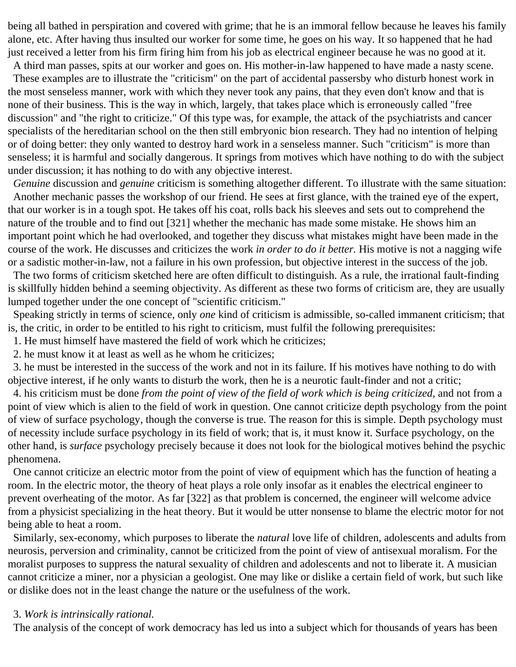being all bathed in perspiration and covered with grime; that he is an immoral fellow because he leaves his family alone, etc. After having thus insulted our worker for some time, he goes on his way. It so happened that he had just received a letter from his firm firing him from his job as electrical engineer because he was no good at it.

 A third man passes, spits at our worker and goes on. His mother-in-law happened to have made a nasty scene. These examples are to illustrate the "criticism" on the part of accidental passersby who disturb honest work in the most senseless manner, work with which they never took any pains, that they even don't know and that is none of their business. This is the way in which, largely, that takes place which is erroneously called "free discussion" and "the right to criticize." Of this type was, for example, the attack of the psychiatrists and cancer specialists of the hereditarian school on the then still embryonic bion research. They had no intention of helping or of doing better: they only wanted to destroy hard work in a senseless manner. Such "criticism" is more than senseless; it is harmful and socially dangerous. It springs from motives which have nothing to do with the subject under discussion; it has nothing to do with any objective interest.

 *Genuine* discussion and *genuine* criticism is something altogether different. To illustrate with the same situation: Another mechanic passes the workshop of our friend. He sees at first glance, with the trained eye of the expert, that our worker is in a tough spot. He takes off his coat, rolls back his sleeves and sets out to comprehend the nature of the trouble and to find out [321] whether the mechanic has made some mistake. He shows him an important point which he had overlooked, and together they discuss what mistakes might have been made in the course of the work. He discusses and criticizes the work *in order to do it better.* His motive is not a nagging wife or a sadistic mother-in-law, not a failure in his own profession, but objective interest in the success of the job.

<span id="page-162-0"></span> The two forms of criticism sketched here are often difficult to distinguish. As a rule, the irrational fault-finding is skillfully hidden behind a seeming objectivity. As different as these two forms of criticism are, they are usually lumped together under the one concept of "scientific criticism."

 Speaking strictly in terms of science, only *one* kind of criticism is admissible, so-called immanent criticism; that is, the critic, in order to be entitled to his right to criticism, must fulfil the following prerequisites:

1. He must himself have mastered the field of work which he criticizes;

2. he must know it at least as well as he whom he criticizes;

 3. he must be interested in the success of the work and not in its failure. If his motives have nothing to do with objective interest, if he only wants to disturb the work, then he is a neurotic fault-finder and not a critic;

 4. his criticism must be done *from the point of view of the field of work which is being criticized,* and not from a point of view which is alien to the field of work in question. One cannot criticize depth psychology from the point of view of surface psychology, though the converse is true. The reason for this is simple. Depth psychology must of necessity include surface psychology in its field of work; that is, it must know it. Surface psychology, on the other hand, is *surface* psychology precisely because it does not look for the biological motives behind the psychic phenomena.

 One cannot criticize an electric motor from the point of view of equipment which has the function of heating a room. In the electric motor, the theory of heat plays a role only insofar as it enables the electrical engineer to prevent overheating of the motor. As far [322] as that problem is concerned, the engineer will welcome advice from a physicist specializing in the heat theory. But it would be utter nonsense to blame the electric motor for not being able to heat a room.

<span id="page-162-1"></span> Similarly, sex-economy, which purposes to liberate the *natural* love life of children, adolescents and adults from neurosis, perversion and criminality, cannot be criticized from the point of view of antisexual moralism. For the moralist purposes to suppress the natural sexuality of children and adolescents and not to liberate it. A musician cannot criticize a miner, nor a physician a geologist. One may like or dislike a certain field of work, but such like or dislike does not in the least change the nature or the usefulness of the work.

#### 3. *Work is intrinsically rational.*

The analysis of the concept of work democracy has led us into a subject which for thousands of years has been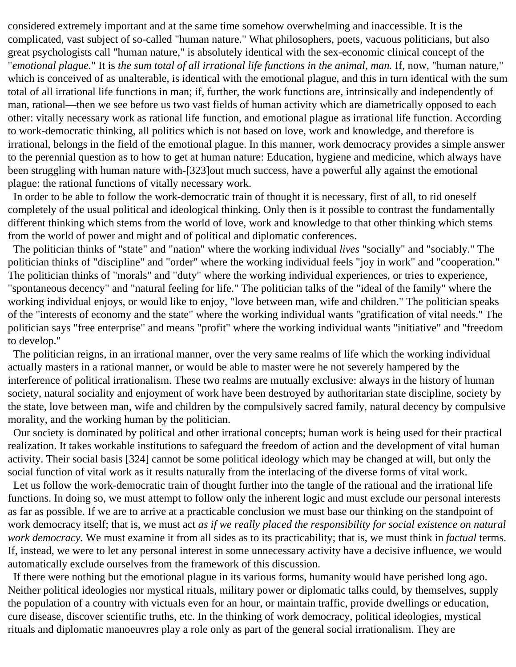considered extremely important and at the same time somehow overwhelming and inaccessible. It is the complicated, vast subject of so-called "human nature." What philosophers, poets, vacuous politicians, but also great psychologists call "human nature," is absolutely identical with the sex-economic clinical concept of the "*emotional plague.*" It is *the sum total of all irrational life functions in the animal, man.* If, now, "human nature," which is conceived of as unalterable, is identical with the emotional plague, and this in turn identical with the sum total of all irrational life functions in man; if, further, the work functions are, intrinsically and independently of man, rational—then we see before us two vast fields of human activity which are diametrically opposed to each other: vitally necessary work as rational life function, and emotional plague as irrational life function. According to work-democratic thinking, all politics which is not based on love, work and knowledge, and therefore is irrational, belongs in the field of the emotional plague. In this manner, work democracy provides a simple answer to the perennial question as to how to get at human nature: Education, hygiene and medicine, which always have been struggling with human nature with-[323]out much success, have a powerful ally against the emotional plague: the rational functions of vitally necessary work.

<span id="page-163-1"></span> In order to be able to follow the work-democratic train of thought it is necessary, first of all, to rid oneself completely of the usual political and ideological thinking. Only then is it possible to contrast the fundamentally different thinking which stems from the world of love, work and knowledge to that other thinking which stems from the world of power and might and of political and diplomatic conferences.

 The politician thinks of "state" and "nation" where the working individual *lives* "socially" and "sociably." The politician thinks of "discipline" and "order" where the working individual feels "joy in work" and "cooperation." The politician thinks of "morals" and "duty" where the working individual experiences, or tries to experience, "spontaneous decency" and "natural feeling for life." The politician talks of the "ideal of the family" where the working individual enjoys, or would like to enjoy, "love between man, wife and children." The politician speaks of the "interests of economy and the state" where the working individual wants "gratification of vital needs." The politician says "free enterprise" and means "profit" where the working individual wants "initiative" and "freedom to develop."

 The politician reigns, in an irrational manner, over the very same realms of life which the working individual actually masters in a rational manner, or would be able to master were he not severely hampered by the interference of political irrationalism. These two realms are mutually exclusive: always in the history of human society, natural sociality and enjoyment of work have been destroyed by authoritarian state discipline, society by the state, love between man, wife and children by the compulsively sacred family, natural decency by compulsive morality, and the working human by the politician.

 Our society is dominated by political and other irrational concepts; human work is being used for their practical realization. It takes workable institutions to safeguard the freedom of action and the development of vital human activity. Their social basis [324] cannot be some political ideology which may be changed at will, but only the social function of vital work as it results naturally from the interlacing of the diverse forms of vital work.

<span id="page-163-0"></span> Let us follow the work-democratic train of thought further into the tangle of the rational and the irrational life functions. In doing so, we must attempt to follow only the inherent logic and must exclude our personal interests as far as possible. If we are to arrive at a practicable conclusion we must base our thinking on the standpoint of work democracy itself; that is, we must act *as if we really placed the responsibility for social existence on natural work democracy.* We must examine it from all sides as to its practicability; that is, we must think in *factual* terms. If, instead, we were to let any personal interest in some unnecessary activity have a decisive influence, we would automatically exclude ourselves from the framework of this discussion.

 If there were nothing but the emotional plague in its various forms, humanity would have perished long ago. Neither political ideologies nor mystical rituals, military power or diplomatic talks could, by themselves, supply the population of a country with victuals even for an hour, or maintain traffic, provide dwellings or education, cure disease, discover scientific truths, etc. In the thinking of work democracy, political ideologies, mystical rituals and diplomatic manoeuvres play a role only as part of the general social irrationalism. They are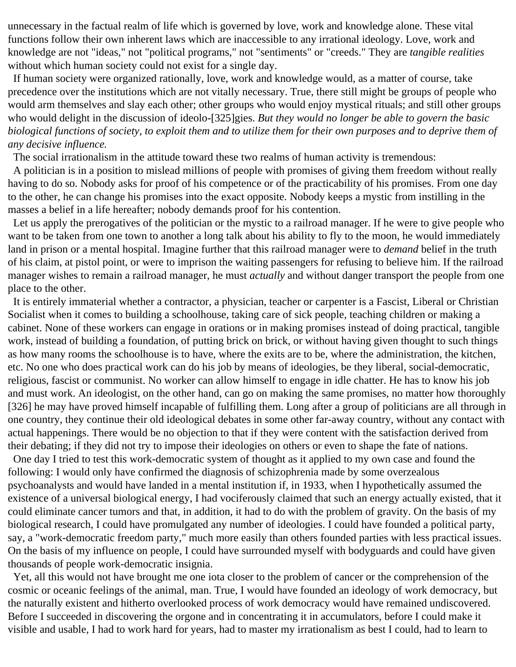unnecessary in the factual realm of life which is governed by love, work and knowledge alone. These vital functions follow their own inherent laws which are inaccessible to any irrational ideology. Love, work and knowledge are not "ideas," not "political programs," not "sentiments" or "creeds." They are *tangible realities*  without which human society could not exist for a single day.

 If human society were organized rationally, love, work and knowledge would, as a matter of course, take precedence over the institutions which are not vitally necessary. True, there still might be groups of people who would arm themselves and slay each other; other groups who would enjoy mystical rituals; and still other groups who would delight in the discussion of ideolo-[325]gies. *But they would no longer be able to govern the basic biological functions of society, to exploit them and to utilize them for their own purposes and to deprive them of any decisive influence.*

<span id="page-164-0"></span>The social irrationalism in the attitude toward these two realms of human activity is tremendous:

 A politician is in a position to mislead millions of people with promises of giving them freedom without really having to do so. Nobody asks for proof of his competence or of the practicability of his promises. From one day to the other, he can change his promises into the exact opposite. Nobody keeps a mystic from instilling in the masses a belief in a life hereafter; nobody demands proof for his contention.

Let us apply the prerogatives of the politician or the mystic to a railroad manager. If he were to give people who want to be taken from one town to another a long talk about his ability to fly to the moon, he would immediately land in prison or a mental hospital. Imagine further that this railroad manager were to *demand* belief in the truth of his claim, at pistol point, or were to imprison the waiting passengers for refusing to believe him. If the railroad manager wishes to remain a railroad manager, he must *actually* and without danger transport the people from one place to the other.

 It is entirely immaterial whether a contractor, a physician, teacher or carpenter is a Fascist, Liberal or Christian Socialist when it comes to building a schoolhouse, taking care of sick people, teaching children or making a cabinet. None of these workers can engage in orations or in making promises instead of doing practical, tangible work, instead of building a foundation, of putting brick on brick, or without having given thought to such things as how many rooms the schoolhouse is to have, where the exits are to be, where the administration, the kitchen, etc. No one who does practical work can do his job by means of ideologies, be they liberal, social-democratic, religious, fascist or communist. No worker can allow himself to engage in idle chatter. He has to know his job and must work. An ideologist, on the other hand, can go on making the same promises, no matter how thoroughly [326] he may have proved himself incapable of fulfilling them. Long after a group of politicians are all through in one country, they continue their old ideological debates in some other far-away country, without any contact with actual happenings. There would be no objection to that if they were content with the satisfaction derived from their debating; if they did not try to impose their ideologies on others or even to shape the fate of nations.

 One day I tried to test this work-democratic system of thought as it applied to my own case and found the following: I would only have confirmed the diagnosis of schizophrenia made by some overzealous psychoanalysts and would have landed in a mental institution if, in 1933, when I hypothetically assumed the existence of a universal biological energy, I had vociferously claimed that such an energy actually existed, that it could eliminate cancer tumors and that, in addition, it had to do with the problem of gravity. On the basis of my biological research, I could have promulgated any number of ideologies. I could have founded a political party, say, a "work-democratic freedom party," much more easily than others founded parties with less practical issues. On the basis of my influence on people, I could have surrounded myself with bodyguards and could have given thousands of people work-democratic insignia.

 Yet, all this would not have brought me one iota closer to the problem of cancer or the comprehension of the cosmic or oceanic feelings of the animal, man. True, I would have founded an ideology of work democracy, but the naturally existent and hitherto overlooked process of work democracy would have remained undiscovered. Before I succeeded in discovering the orgone and in concentrating it in accumulators, before I could make it visible and usable, I had to work hard for years, had to master my irrationalism as best I could, had to learn to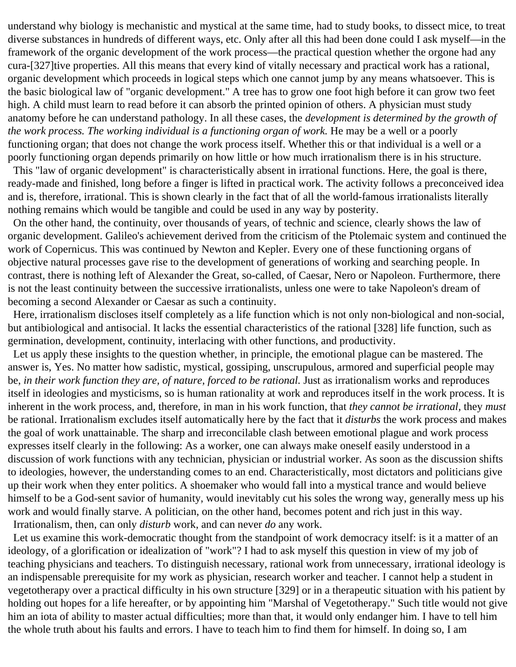<span id="page-165-0"></span>understand why biology is mechanistic and mystical at the same time, had to study books, to dissect mice, to treat diverse substances in hundreds of different ways, etc. Only after all this had been done could I ask myself—in the framework of the organic development of the work process—the practical question whether the orgone had any cura-[327]tive properties. All this means that every kind of vitally necessary and practical work has a rational, organic development which proceeds in logical steps which one cannot jump by any means whatsoever. This is the basic biological law of "organic development." A tree has to grow one foot high before it can grow two feet high. A child must learn to read before it can absorb the printed opinion of others. A physician must study anatomy before he can understand pathology. In all these cases, the *development is determined by the growth of the work process. The working individual is a functioning organ of work.* He may be a well or a poorly functioning organ; that does not change the work process itself. Whether this or that individual is a well or a poorly functioning organ depends primarily on how little or how much irrationalism there is in his structure.

 This "law of organic development" is characteristically absent in irrational functions. Here, the goal is there, ready-made and finished, long before a finger is lifted in practical work. The activity follows a preconceived idea and is, therefore, irrational. This is shown clearly in the fact that of all the world-famous irrationalists literally nothing remains which would be tangible and could be used in any way by posterity.

 On the other hand, the continuity, over thousands of years, of technic and science, clearly shows the law of organic development. Galileo's achievement derived from the criticism of the Ptolemaic system and continued the work of Copernicus. This was continued by Newton and Kepler. Every one of these functioning organs of objective natural processes gave rise to the development of generations of working and searching people. In contrast, there is nothing left of Alexander the Great, so-called, of Caesar, Nero or Napoleon. Furthermore, there is not the least continuity between the successive irrationalists, unless one were to take Napoleon's dream of becoming a second Alexander or Caesar as such a continuity.

 Here, irrationalism discloses itself completely as a life function which is not only non-biological and non-social, but antibiological and antisocial. It lacks the essential characteristics of the rational [328] life function, such as germination, development, continuity, interlacing with other functions, and productivity.

<span id="page-165-1"></span> Let us apply these insights to the question whether, in principle, the emotional plague can be mastered. The answer is, Yes. No matter how sadistic, mystical, gossiping, unscrupulous, armored and superficial people may be, *in their work function they are, of nature, forced to be rational*. Just as irrationalism works and reproduces itself in ideologies and mysticisms, so is human rationality at work and reproduces itself in the work process. It is inherent in the work process, and, therefore, in man in his work function, that *they cannot be irrational,* they *must*  be rational. Irrationalism excludes itself automatically here by the fact that it *disturbs* the work process and makes the goal of work unattainable. The sharp and irreconcilable clash between emotional plague and work process expresses itself clearly in the following: As a worker, one can always make oneself easily understood in a discussion of work functions with any technician, physician or industrial worker. As soon as the discussion shifts to ideologies, however, the understanding comes to an end. Characteristically, most dictators and politicians give up their work when they enter politics. A shoemaker who would fall into a mystical trance and would believe himself to be a God-sent savior of humanity, would inevitably cut his soles the wrong way, generally mess up his work and would finally starve. A politician, on the other hand, becomes potent and rich just in this way. Irrationalism, then, can only *disturb* work, and can never *do* any work.

<span id="page-165-2"></span> Let us examine this work-democratic thought from the standpoint of work democracy itself: is it a matter of an ideology, of a glorification or idealization of "work"? I had to ask myself this question in view of my job of teaching physicians and teachers. To distinguish necessary, rational work from unnecessary, irrational ideology is an indispensable prerequisite for my work as physician, research worker and teacher. I cannot help a student in vegetotherapy over a practical difficulty in his own structure [329] or in a therapeutic situation with his patient by holding out hopes for a life hereafter, or by appointing him "Marshal of Vegetotherapy." Such title would not give him an iota of ability to master actual difficulties; more than that, it would only endanger him. I have to tell him the whole truth about his faults and errors. I have to teach him to find them for himself. In doing so, I am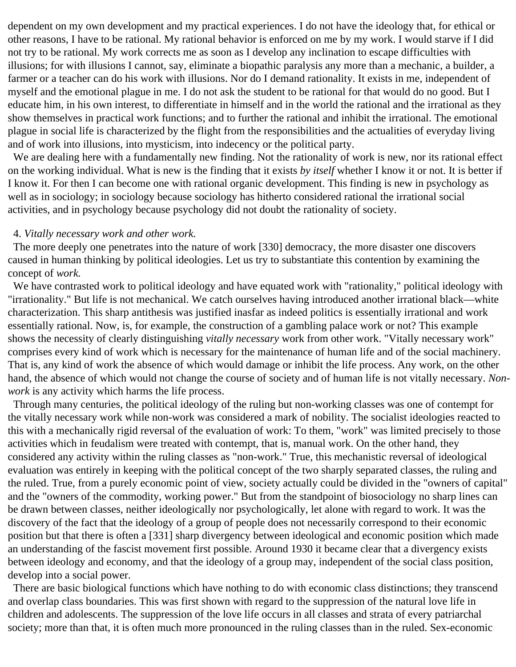dependent on my own development and my practical experiences. I do not have the ideology that, for ethical or other reasons, I have to be rational. My rational behavior is enforced on me by my work. I would starve if I did not try to be rational. My work corrects me as soon as I develop any inclination to escape difficulties with illusions; for with illusions I cannot, say, eliminate a biopathic paralysis any more than a mechanic, a builder, a farmer or a teacher can do his work with illusions. Nor do I demand rationality. It exists in me, independent of myself and the emotional plague in me. I do not ask the student to be rational for that would do no good. But I educate him, in his own interest, to differentiate in himself and in the world the rational and the irrational as they show themselves in practical work functions; and to further the rational and inhibit the irrational. The emotional plague in social life is characterized by the flight from the responsibilities and the actualities of everyday living and of work into illusions, into mysticism, into indecency or the political party.

We are dealing here with a fundamentally new finding. Not the rationality of work is new, nor its rational effect on the working individual. What is new is the finding that it exists *by itself* whether I know it or not. It is better if I know it. For then I can become one with rational organic development. This finding is new in psychology as well as in sociology; in sociology because sociology has hitherto considered rational the irrational social activities, and in psychology because psychology did not doubt the rationality of society.

#### 4. *Vitally necessary work and other work.*

 The more deeply one penetrates into the nature of work [330] democracy, the more disaster one discovers caused in human thinking by political ideologies. Let us try to substantiate this contention by examining the concept of *work.*

 We have contrasted work to political ideology and have equated work with "rationality," political ideology with "irrationality." But life is not mechanical. We catch ourselves having introduced another irrational black—white characterization. This sharp antithesis was justified inasfar as indeed politics is essentially irrational and work essentially rational. Now, is, for example, the construction of a gambling palace work or not? This example shows the necessity of clearly distinguishing *vitally necessary* work from other work. "Vitally necessary work" comprises every kind of work which is necessary for the maintenance of human life and of the social machinery. That is, any kind of work the absence of which would damage or inhibit the life process. Any work, on the other hand, the absence of which would not change the course of society and of human life is not vitally necessary. *Nonwork* is any activity which harms the life process.

 Through many centuries, the political ideology of the ruling but non-working classes was one of contempt for the vitally necessary work while non-work was considered a mark of nobility. The socialist ideologies reacted to this with a mechanically rigid reversal of the evaluation of work: To them, "work" was limited precisely to those activities which in feudalism were treated with contempt, that is, manual work. On the other hand, they considered any activity within the ruling classes as "non-work." True, this mechanistic reversal of ideological evaluation was entirely in keeping with the political concept of the two sharply separated classes, the ruling and the ruled. True, from a purely economic point of view, society actually could be divided in the "owners of capital" and the "owners of the commodity, working power." But from the standpoint of biosociology no sharp lines can be drawn between classes, neither ideologically nor psychologically, let alone with regard to work. It was the discovery of the fact that the ideology of a group of people does not necessarily correspond to their economic position but that there is often a [331] sharp divergency between ideological and economic position which made an understanding of the fascist movement first possible. Around 1930 it became clear that a divergency exists between ideology and economy, and that the ideology of a group may, independent of the social class position, develop into a social power.

<span id="page-166-0"></span> There are basic biological functions which have nothing to do with economic class distinctions; they transcend and overlap class boundaries. This was first shown with regard to the suppression of the natural love life in children and adolescents. The suppression of the love life occurs in all classes and strata of every patriarchal society; more than that, it is often much more pronounced in the ruling classes than in the ruled. Sex-economic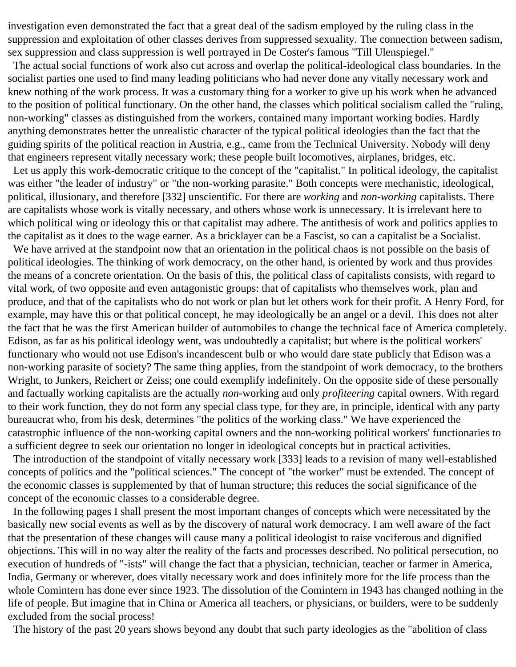investigation even demonstrated the fact that a great deal of the sadism employed by the ruling class in the suppression and exploitation of other classes derives from suppressed sexuality. The connection between sadism, sex suppression and class suppression is well portrayed in De Coster's famous "Till Ulenspiegel."

 The actual social functions of work also cut across and overlap the political-ideological class boundaries. In the socialist parties one used to find many leading politicians who had never done any vitally necessary work and knew nothing of the work process. It was a customary thing for a worker to give up his work when he advanced to the position of political functionary. On the other hand, the classes which political socialism called the "ruling, non-working" classes as distinguished from the workers, contained many important working bodies. Hardly anything demonstrates better the unrealistic character of the typical political ideologies than the fact that the guiding spirits of the political reaction in Austria, e.g., came from the Technical University. Nobody will deny that engineers represent vitally necessary work; these people built locomotives, airplanes, bridges, etc.

 Let us apply this work-democratic critique to the concept of the "capitalist." In political ideology, the capitalist was either "the leader of industry" or "the non-working parasite." Both concepts were mechanistic, ideological, political, illusionary, and therefore [332] unscientific. For there are *working* and *non-working* capitalists. There are capitalists whose work is vitally necessary, and others whose work is unnecessary. It is irrelevant here to which political wing or ideology this or that capitalist may adhere. The antithesis of work and politics applies to the capitalist as it does to the wage earner. As a bricklayer can be a Fascist, so can a capitalist be a Socialist.

We have arrived at the standpoint now that an orientation in the political chaos is not possible on the basis of political ideologies. The thinking of work democracy, on the other hand, is oriented by work and thus provides the means of a concrete orientation. On the basis of this, the political class of capitalists consists, with regard to vital work, of two opposite and even antagonistic groups: that of capitalists who themselves work, plan and produce, and that of the capitalists who do not work or plan but let others work for their profit. A Henry Ford, for example, may have this or that political concept, he may ideologically be an angel or a devil. This does not alter the fact that he was the first American builder of automobiles to change the technical face of America completely. Edison, as far as his political ideology went, was undoubtedly a capitalist; but where is the political workers' functionary who would not use Edison's incandescent bulb or who would dare state publicly that Edison was a non-working parasite of society? The same thing applies, from the standpoint of work democracy, to the brothers Wright, to Junkers, Reichert or Zeiss; one could exemplify indefinitely. On the opposite side of these personally and factually working capitalists are the actually *non*-working and only *profiteering* capital owners. With regard to their work function, they do not form any special class type, for they are, in principle, identical with any party bureaucrat who, from his desk, determines "the politics of the working class." We have experienced the catastrophic influence of the non-working capital owners and the non-working political workers' functionaries to a sufficient degree to seek our orientation no longer in ideological concepts but in practical activities.

<span id="page-167-0"></span> The introduction of the standpoint of vitally necessary work [333] leads to a revision of many well-established concepts of politics and the "political sciences." The concept of "the worker" must be extended. The concept of the economic classes is supplemented by that of human structure; this reduces the social significance of the concept of the economic classes to a considerable degree.

 In the following pages I shall present the most important changes of concepts which were necessitated by the basically new social events as well as by the discovery of natural work democracy. I am well aware of the fact that the presentation of these changes will cause many a political ideologist to raise vociferous and dignified objections. This will in no way alter the reality of the facts and processes described. No political persecution, no execution of hundreds of "-ists" will change the fact that a physician, technician, teacher or farmer in America, India, Germany or wherever, does vitally necessary work and does infinitely more for the life process than the whole Comintern has done ever since 1923. The dissolution of the Comintern in 1943 has changed nothing in the life of people. But imagine that in China or America all teachers, or physicians, or builders, were to be suddenly excluded from the social process!

The history of the past 20 years shows beyond any doubt that such party ideologies as the "abolition of class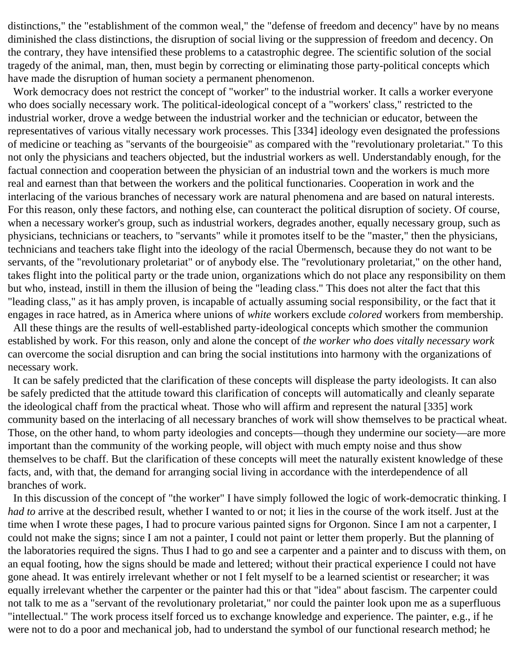distinctions," the "establishment of the common weal," the "defense of freedom and decency" have by no means diminished the class distinctions, the disruption of social living or the suppression of freedom and decency. On the contrary, they have intensified these problems to a catastrophic degree. The scientific solution of the social tragedy of the animal, man, then, must begin by correcting or eliminating those party-political concepts which have made the disruption of human society a permanent phenomenon.

 Work democracy does not restrict the concept of "worker" to the industrial worker. It calls a worker everyone who does socially necessary work. The political-ideological concept of a "workers' class," restricted to the industrial worker, drove a wedge between the industrial worker and the technician or educator, between the representatives of various vitally necessary work processes. This [334] ideology even designated the professions of medicine or teaching as "servants of the bourgeoisie" as compared with the "revolutionary proletariat." To this not only the physicians and teachers objected, but the industrial workers as well. Understandably enough, for the factual connection and cooperation between the physician of an industrial town and the workers is much more real and earnest than that between the workers and the political functionaries. Cooperation in work and the interlacing of the various branches of necessary work are natural phenomena and are based on natural interests. For this reason, only these factors, and nothing else, can counteract the political disruption of society. Of course, when a necessary worker's group, such as industrial workers, degrades another, equally necessary group, such as physicians, technicians or teachers, to "servants" while it promotes itself to be the "master," then the physicians, technicians and teachers take flight into the ideology of the racial Übermensch, because they do not want to be servants, of the "revolutionary proletariat" or of anybody else. The "revolutionary proletariat," on the other hand, takes flight into the political party or the trade union, organizations which do not place any responsibility on them but who, instead, instill in them the illusion of being the "leading class." This does not alter the fact that this "leading class," as it has amply proven, is incapable of actually assuming social responsibility, or the fact that it engages in race hatred, as in America where unions of *white* workers exclude *colored* workers from membership.

 All these things are the results of well-established party-ideological concepts which smother the communion established by work. For this reason, only and alone the concept of *the worker who does vitally necessary work*  can overcome the social disruption and can bring the social institutions into harmony with the organizations of necessary work.

 It can be safely predicted that the clarification of these concepts will displease the party ideologists. It can also be safely predicted that the attitude toward this clarification of concepts will automatically and cleanly separate the ideological chaff from the practical wheat. Those who will affirm and represent the natural [335] work community based on the interlacing of all necessary branches of work will show themselves to be practical wheat. Those, on the other hand, to whom party ideologies and concepts—though they undermine our society—are more important than the community of the working people, will object with much empty noise and thus show themselves to be chaff. But the clarification of these concepts will meet the naturally existent knowledge of these facts, and, with that, the demand for arranging social living in accordance with the interdependence of all branches of work.

 In this discussion of the concept of "the worker" I have simply followed the logic of work-democratic thinking. I *had to* arrive at the described result, whether I wanted to or not; it lies in the course of the work itself. Just at the time when I wrote these pages, I had to procure various painted signs for Orgonon. Since I am not a carpenter, I could not make the signs; since I am not a painter, I could not paint or letter them properly. But the planning of the laboratories required the signs. Thus I had to go and see a carpenter and a painter and to discuss with them, on an equal footing, how the signs should be made and lettered; without their practical experience I could not have gone ahead. It was entirely irrelevant whether or not I felt myself to be a learned scientist or researcher; it was equally irrelevant whether the carpenter or the painter had this or that "idea" about fascism. The carpenter could not talk to me as a "servant of the revolutionary proletariat," nor could the painter look upon me as a superfluous "intellectual." The work process itself forced us to exchange knowledge and experience. The painter, e.g., if he were not to do a poor and mechanical job, had to understand the symbol of our functional research method; he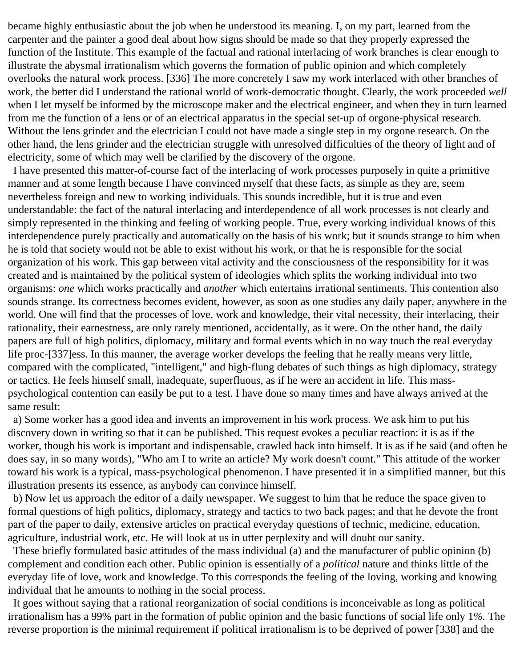became highly enthusiastic about the job when he understood its meaning. I, on my part, learned from the carpenter and the painter a good deal about how signs should be made so that they properly expressed the function of the Institute. This example of the factual and rational interlacing of work branches is clear enough to illustrate the abysmal irrationalism which governs the formation of public opinion and which completely overlooks the natural work process. [336] The more concretely I saw my work interlaced with other branches of work, the better did I understand the rational world of work-democratic thought. Clearly, the work proceeded *well*  when I let myself be informed by the microscope maker and the electrical engineer, and when they in turn learned from me the function of a lens or of an electrical apparatus in the special set-up of orgone-physical research. Without the lens grinder and the electrician I could not have made a single step in my orgone research. On the other hand, the lens grinder and the electrician struggle with unresolved difficulties of the theory of light and of electricity, some of which may well be clarified by the discovery of the orgone.

 I have presented this matter-of-course fact of the interlacing of work processes purposely in quite a primitive manner and at some length because I have convinced myself that these facts, as simple as they are, seem nevertheless foreign and new to working individuals. This sounds incredible, but it is true and even understandable: the fact of the natural interlacing and interdependence of all work processes is not clearly and simply represented in the thinking and feeling of working people. True, every working individual knows of this interdependence purely practically and automatically on the basis of his work; but it sounds strange to him when he is told that society would not be able to exist without his work, or that he is responsible for the social organization of his work. This gap between vital activity and the consciousness of the responsibility for it was created and is maintained by the political system of ideologies which splits the working individual into two organisms: *one* which works practically and *another* which entertains irrational sentiments. This contention also sounds strange. Its correctness becomes evident, however, as soon as one studies any daily paper, anywhere in the world. One will find that the processes of love, work and knowledge, their vital necessity, their interlacing, their rationality, their earnestness, are only rarely mentioned, accidentally, as it were. On the other hand, the daily papers are full of high politics, diplomacy, military and formal events which in no way touch the real everyday life proc-[337]ess. In this manner, the average worker develops the feeling that he really means very little, compared with the complicated, "intelligent," and high-flung debates of such things as high diplomacy, strategy or tactics. He feels himself small, inadequate, superfluous, as if he were an accident in life. This masspsychological contention can easily be put to a test. I have done so many times and have always arrived at the same result:

<span id="page-169-0"></span> a) Some worker has a good idea and invents an improvement in his work process. We ask him to put his discovery down in writing so that it can be published. This request evokes a peculiar reaction: it is as if the worker, though his work is important and indispensable, crawled back into himself. It is as if he said (and often he does say, in so many words), "Who am I to write an article? My work doesn't count." This attitude of the worker toward his work is a typical, mass-psychological phenomenon. I have presented it in a simplified manner, but this illustration presents its essence, as anybody can convince himself.

 b) Now let us approach the editor of a daily newspaper. We suggest to him that he reduce the space given to formal questions of high politics, diplomacy, strategy and tactics to two back pages; and that he devote the front part of the paper to daily, extensive articles on practical everyday questions of technic, medicine, education, agriculture, industrial work, etc. He will look at us in utter perplexity and will doubt our sanity.

 These briefly formulated basic attitudes of the mass individual (a) and the manufacturer of public opinion (b) complement and condition each other. Public opinion is essentially of a *political* nature and thinks little of the everyday life of love, work and knowledge. To this corresponds the feeling of the loving, working and knowing individual that he amounts to nothing in the social process.

 It goes without saying that a rational reorganization of social conditions is inconceivable as long as political irrationalism has a 99% part in the formation of public opinion and the basic functions of social life only 1*%.* The reverse proportion is the minimal requirement if political irrationalism is to be deprived of power [338] and the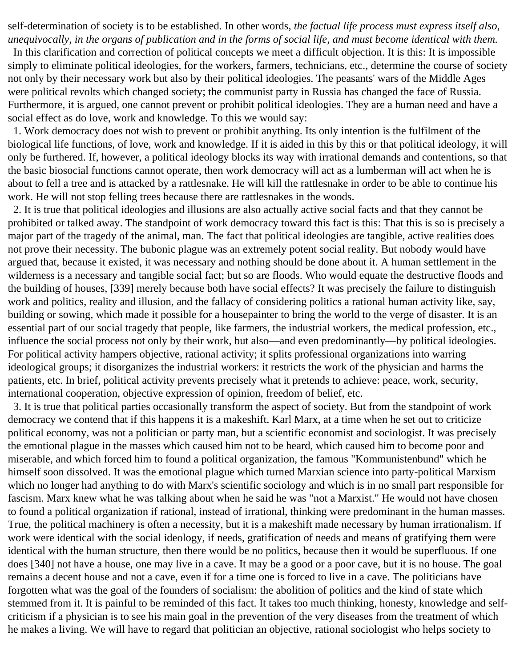self-determination of society is to be established. In other words, *the factual life process must express itself also, unequivocally, in the organs of publication and in the forms of social life, and must become identical with them.*

 In this clarification and correction of political concepts we meet a difficult objection. It is this: It is impossible simply to eliminate political ideologies, for the workers, farmers, technicians, etc., determine the course of society not only by their necessary work but also by their political ideologies. The peasants' wars of the Middle Ages were political revolts which changed society; the communist party in Russia has changed the face of Russia. Furthermore, it is argued, one cannot prevent or prohibit political ideologies. They are a human need and have a social effect as do love, work and knowledge. To this we would say:

 1. Work democracy does not wish to prevent or prohibit anything. Its only intention is the fulfilment of the biological life functions, of love, work and knowledge. If it is aided in this by this or that political ideology, it will only be furthered. If, however, a political ideology blocks its way with irrational demands and contentions, so that the basic biosocial functions cannot operate, then work democracy will act as a lumberman will act when he is about to fell a tree and is attacked by a rattlesnake. He will kill the rattlesnake in order to be able to continue his work. He will not stop felling trees because there are rattlesnakes in the woods.

<span id="page-170-1"></span> 2. It is true that political ideologies and illusions are also actually active social facts and that they cannot be prohibited or talked away. The standpoint of work democracy toward this fact is this: That this is so is precisely a major part of the tragedy of the animal, man. The fact that political ideologies are tangible, active realities does not prove their necessity. The bubonic plague was an extremely potent social reality. But nobody would have argued that, because it existed, it was necessary and nothing should be done about it. A human settlement in the wilderness is a necessary and tangible social fact; but so are floods. Who would equate the destructive floods and the building of houses, [339] merely because both have social effects? It was precisely the failure to distinguish work and politics, reality and illusion, and the fallacy of considering politics a rational human activity like, say, building or sowing, which made it possible for a housepainter to bring the world to the verge of disaster. It is an essential part of our social tragedy that people, like farmers, the industrial workers, the medical profession, etc., influence the social process not only by their work, but also—and even predominantly—by political ideologies. For political activity hampers objective, rational activity; it splits professional organizations into warring ideological groups; it disorganizes the industrial workers: it restricts the work of the physician and harms the patients, etc. In brief, political activity prevents precisely what it pretends to achieve: peace, work, security, international cooperation, objective expression of opinion, freedom of belief, etc.

<span id="page-170-0"></span> 3. It is true that political parties occasionally transform the aspect of society. But from the standpoint of work democracy we contend that if this happens it is a makeshift. Karl Marx, at a time when he set out to criticize political economy, was not a politician or party man, but a scientific economist and sociologist. It was precisely the emotional plague in the masses which caused him not to be heard, which caused him to become poor and miserable, and which forced him to found a political organization, the famous "Kommunistenbund" which he himself soon dissolved. It was the emotional plague which turned Marxian science into party-political Marxism which no longer had anything to do with Marx's scientific sociology and which is in no small part responsible for fascism. Marx knew what he was talking about when he said he was "not a Marxist." He would not have chosen to found a political organization if rational, instead of irrational, thinking were predominant in the human masses. True, the political machinery is often a necessity, but it is a makeshift made necessary by human irrationalism. If work were identical with the social ideology, if needs, gratification of needs and means of gratifying them were identical with the human structure, then there would be no politics, because then it would be superfluous. If one does [340] not have a house, one may live in a cave. It may be a good or a poor cave, but it is no house. The goal remains a decent house and not a cave, even if for a time one is forced to live in a cave. The politicians have forgotten what was the goal of the founders of socialism: the abolition of politics and the kind of state which stemmed from it. It is painful to be reminded of this fact. It takes too much thinking, honesty, knowledge and selfcriticism if a physician is to see his main goal in the prevention of the very diseases from the treatment of which he makes a living. We will have to regard that politician an objective, rational sociologist who helps society to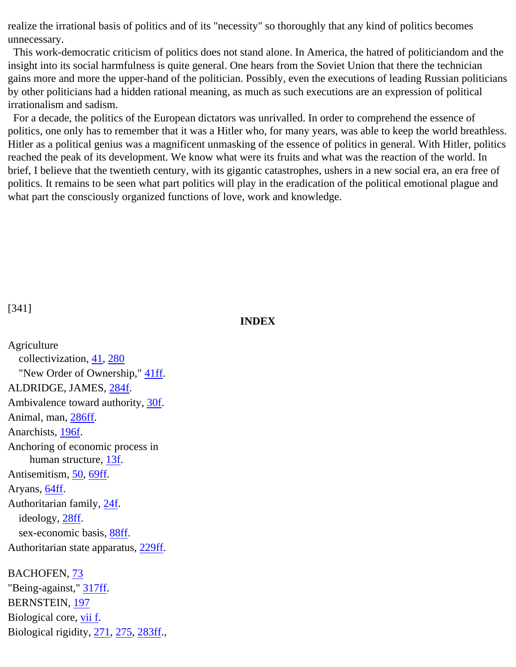realize the irrational basis of politics and of its "necessity" so thoroughly that any kind of politics becomes unnecessary.

 This work-democratic criticism of politics does not stand alone. In America, the hatred of politiciandom and the insight into its social harmfulness is quite general. One hears from the Soviet Union that there the technician gains more and more the upper-hand of the politician. Possibly, even the executions of leading Russian politicians by other politicians had a hidden rational meaning, as much as such executions are an expression of political irrationalism and sadism.

 For a decade, the politics of the European dictators was unrivalled. In order to comprehend the essence of politics, one only has to remember that it was a Hitler who, for many years, was able to keep the world breathless. Hitler as a political genius was a magnificent unmasking of the essence of politics in general. With Hitler, politics reached the peak of its development. We know what were its fruits and what was the reaction of the world. In brief, I believe that the twentieth century, with its gigantic catastrophes, ushers in a new social era, an era free of politics. It remains to be seen what part politics will play in the eradication of the political emotional plague and what part the consciously organized functions of love, work and knowledge.

## [341]

### **INDEX**

Agriculture collectivization, [41,](#page-31-0) [280](#page-143-0) "New Order of Ownership," [41ff](#page-31-0). ALDRIDGE, JAMES, [284f.](#page-145-0) Ambivalence toward authority, [30f.](#page-26-0) Animal, man, [286ff.](#page-146-0) Anarchists, [196f](#page-104-0). Anchoring of economic process in human structure, [13f](#page-18-0). Antisemitism, [50,](#page-35-0) [69ff.](#page-44-0) Aryans, [64ff.](#page-42-0) Authoritarian family, [24f](#page-24-0). ideology, [28ff.](#page-25-0) sex-economic basis, [88ff.](#page-54-0) Authoritarian state apparatus, [229ff.](#page-119-0) BACHOFEN, [73](#page-46-0)

"Being-against," [317ff.](#page-160-0) BERNSTEIN, [197](#page-105-0) Biological core, [vii f.](#page-4-0) Biological rigidity, [271,](#page-139-0) [275,](#page-141-0) [283ff](#page-144-0).,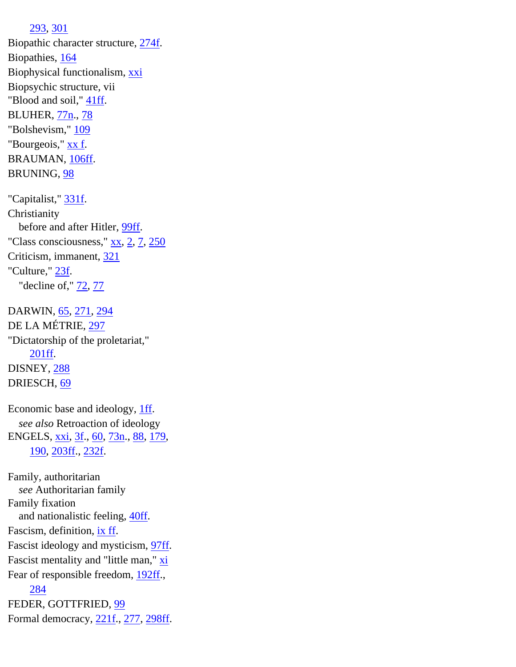[293,](#page-149-0) [301](#page-152-0)

Biopathic character structure, [274f.](#page-140-0) Biopathies, [164](#page-89-0) Biophysical functionalism, [xxi](#page-11-0) Biopsychic structure, vii "Blood and soil," [41ff.](#page-31-0) BLUHER, [77n](#page-48-0)., [78](#page-49-0) "Bolshevism," [109](#page-64-0) "Bourgeois," [xx f](#page-10-0). BRAUMAN, [106ff](#page-63-0). BRUNING, [98](#page-59-0)

"Capitalist," [331f.](#page-166-0) Christianity before and after Hitler, [99ff](#page-59-1). "Class consciousness," [xx](#page-10-0), [2](#page-13-0), [7](#page-15-0), [250](#page-129-0) Criticism, immanent, [321](#page-162-0) "Culture," [23f.](#page-23-0) "decline of," [72,](#page-46-1) [77](#page-48-0)

DARWIN, [65](#page-43-0), [271](#page-139-0), [294](#page-149-1) DE LA MÉTRIE, [297](#page-151-0) "Dictatorship of the proletariat," [201ff](#page-106-0). DISNEY, [288](#page-146-1) DRIESCH, [69](#page-44-0)

Economic base and ideology, [1ff.](#page-12-0) *see also* Retroaction of ideology ENGELS, [xxi](#page-11-0), [3f](#page-13-1)., [60](#page-40-0), [73n](#page-46-0)., [88,](#page-54-0) [179,](#page-96-0) [190,](#page-101-0) [203ff](#page-107-0)., [232f.](#page-120-0)

Family, authoritarian *see* Authoritarian family Family fixation and nationalistic feeling, [40ff](#page-31-1). Fascism, definition, [ix ff](#page-5-0). Fascist ideology and mysticism, [97ff.](#page-58-0) Fascist mentality and "little man,"  $\overline{xi}$ Fear of responsible freedom, [192ff.](#page-102-0), [284](#page-145-0) FEDER, GOTTFRIED, [99](#page-59-1) Formal democracy, [221f](#page-115-0)., [277](#page-142-0), [298ff](#page-151-1).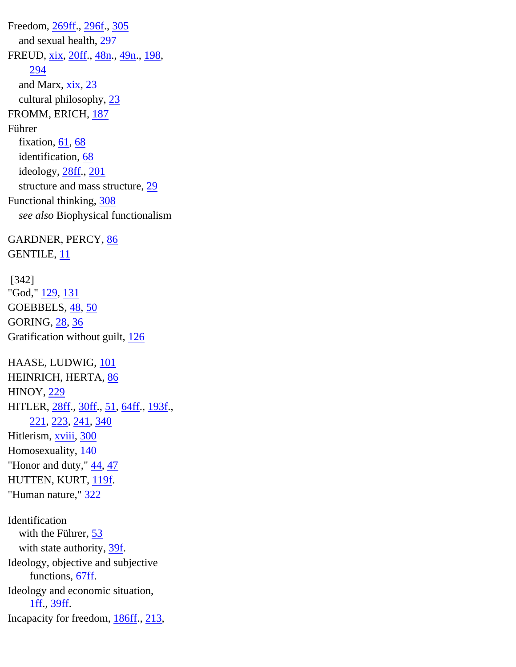Freedom, [269ff](#page-138-0)., [296f.](#page-150-0), [305](#page-154-0) and sexual health, [297](#page-151-0) FREUD, [xix,](#page-10-1) [20ff](#page-22-0)., [48n](#page-35-1)., [49n](#page-35-2)., [198,](#page-105-1) [294](#page-149-1) and Marx,  $xix$ ,  $23$ cultural philosophy, [23](#page-23-0) FROMM, ERICH, [187](#page-100-0) Führer fixation, [61](#page-41-0), [68](#page-44-1) identification, [68](#page-44-1) ideology, [28ff.](#page-25-0), [201](#page-106-0) structure and mass structure, [29](#page-26-1) Functional thinking, [308](#page-156-0) *see also* Biophysical functionalism GARDNER, PERCY, [86](#page-52-0) GENTILE, [11](#page-17-0) [342] "God," [129](#page-73-0), [131](#page-75-0) GOEBBELS, [48,](#page-35-1) [50](#page-35-0) GORING, [28](#page-25-0), [36](#page-29-0) Gratification without guilt,  $126$ 

HAASE, LUDWIG, [101](#page-60-0) HEINRICH, HERTA, [86](#page-52-0) HINOY, [229](#page-119-0) HITLER, [28ff.](#page-25-0), [30ff.](#page-26-0), [51,](#page-36-0) [64ff.](#page-42-0), [193f](#page-103-0)., [221,](#page-115-0) [223,](#page-116-0) [241,](#page-125-0) [340](#page-170-0) Hitlerism, [xviii,](#page-9-0) [300](#page-152-1) Homosexuality, [140](#page-78-0) "Honor and duty,"  $\frac{44}{7}$ HUTTEN, KURT, [119f](#page-69-0). "Human nature," [322](#page-162-1) Identification with the Führer, [53](#page-37-0) with state authority, [39f](#page-30-0). Ideology, objective and subjective functions, [67ff.](#page-43-1) Ideology and economic situation, [1ff](#page-12-0)., [39ff.](#page-30-0) Incapacity for freedom, [186ff.](#page-99-0), [213](#page-112-0),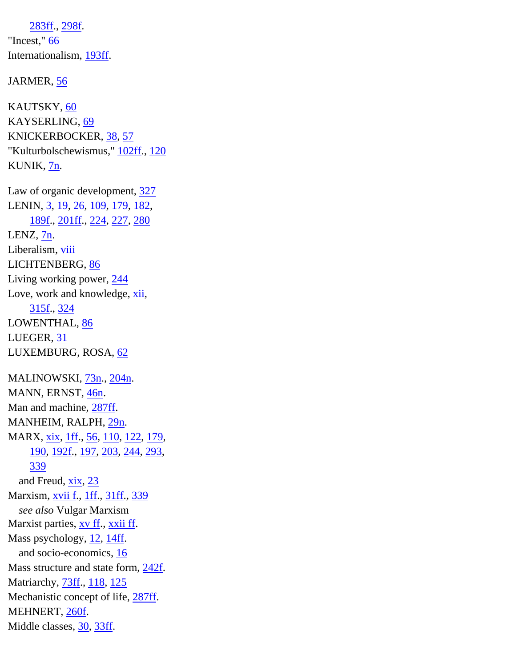[283ff](#page-144-0)., [298f.](#page-151-1) "Incest," [66](#page-43-2) Internationalism, [193ff.](#page-103-0)

### JARMER, [56](#page-38-0)

KAUTSKY, [60](#page-40-0)

KAYSERLING, [69](#page-44-0) KNICKERBOCKER, [38](#page-30-1), [57](#page-39-0) "Kulturbolschewismus," [102ff.](#page-61-0), [120](#page-69-1) KUNIK, [7n.](#page-15-0) Law of organic development, [327](#page-165-0) LENIN, [3](#page-13-1), [19,](#page-21-0) [26](#page-24-1), [109](#page-64-0), [179](#page-96-0), [182](#page-98-0), [189f](#page-101-1)., [201ff.](#page-106-0), [224](#page-117-0), [227](#page-118-0), [280](#page-143-0) LENZ, [7n.](#page-15-0) Liberalism, [viii](#page-5-1) LICHTENBERG, [86](#page-52-0) Living working power, [244](#page-126-0) Love, work and knowledge, [xii,](#page-6-1) [315f](#page-159-0)., [324](#page-163-0) LOWENTHAL, [86](#page-52-0) LUEGER, [31](#page-27-0) LUXEMBURG, ROSA, [62](#page-41-1) MALINOWSKI, [73n](#page-46-0)., [204n](#page-108-0). MANN, ERNST, [46n.](#page-34-1) Man and machine, [287ff.](#page-146-2) MANHEIM, RALPH, [29n.](#page-26-1) MARX, [xix](#page-10-1), [1ff.](#page-12-0), [56,](#page-38-0) [110,](#page-65-0) [122,](#page-70-0) [179,](#page-96-0) [190,](#page-101-0) [192f.](#page-102-0), [197](#page-105-0), [203](#page-107-0), [244](#page-126-0), [293](#page-149-0), [339](#page-170-1) and Freud, [xix,](#page-10-1) [23](#page-23-0) Marxism, [xvii f](#page-9-1)., [1ff](#page-12-0)., [31ff.](#page-27-0), [339](#page-170-1) *see also* Vulgar Marxism Marxist parties, [xv ff.](#page-8-0), [xxii ff.](#page-11-1) Mass psychology, [12](#page-18-1), [14ff](#page-19-0). and socio-economics, [16](#page-20-0) Mass structure and state form, [242f](#page-125-1). Matriarchy, [73ff](#page-46-0)., [118](#page-68-0), [125](#page-72-1) Mechanistic concept of life, [287ff.](#page-146-2) MEHNERT, [260f](#page-133-0). Middle classes, [30,](#page-26-0) [33ff.](#page-27-1)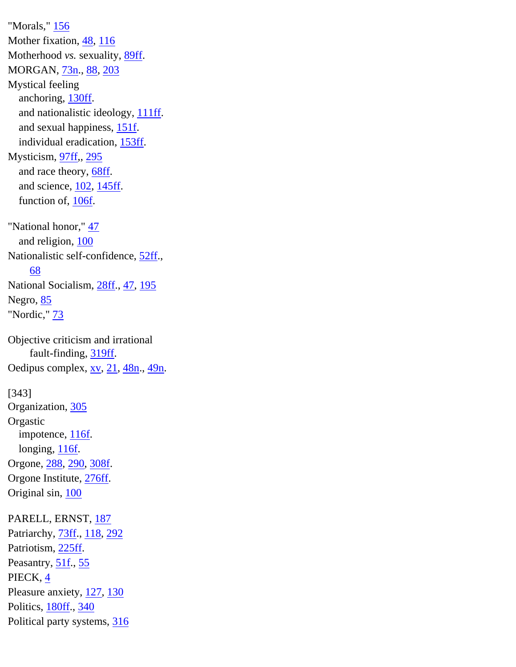"Morals," [156](#page-86-0) Mother fixation,  $\frac{48}{116}$ Motherhood *vs.* sexuality, [89ff](#page-54-1). MORGAN, [73n.](#page-46-0), [88,](#page-54-0) [203](#page-107-0) Mystical feeling anchoring, [130ff.](#page-74-0) and nationalistic ideology, [111ff](#page-65-1). and sexual happiness, [151f](#page-83-0). individual eradication, [153ff](#page-84-0). Mysticism, [97ff](#page-58-0),, [295](#page-150-1) and race theory, [68ff](#page-44-1). and science, [102](#page-61-0), [145ff](#page-81-0). function of, [106f.](#page-63-0) "National honor," [47](#page-34-0) and religion, [100](#page-60-1) Nationalistic self-confidence, [52ff](#page-36-1)., [68](#page-44-1) National Socialism, [28ff.](#page-25-0), [47](#page-34-0), [195](#page-104-1) Negro, [85](#page-52-1) "Nordic," [73](#page-46-0) Objective criticism and irrational fault-finding, [319ff](#page-161-0). Oedipus complex,  $\underline{xy}$ ,  $\underline{21}$ ,  $\underline{48n}$  $\underline{48n}$  $\underline{48n}$ .,  $\underline{49n}$ . [343] Organization, [305](#page-154-0) Orgastic impotence, [116f.](#page-67-0) longing,  $116f$ . Orgone, [288](#page-146-1), [290](#page-147-0), [308f](#page-156-0). Orgone Institute, [276ff.](#page-141-1) Original sin, [100](#page-60-1) PARELL, ERNST, [187](#page-100-0) Patriarchy, [73ff.](#page-46-0), [118,](#page-68-0) [292](#page-148-0) Patriotism, [225ff](#page-117-1). Peasantry, [51f.](#page-36-0), [55](#page-38-1) PIECK, [4](#page-13-2) Pleasure anxiety, [127,](#page-73-1) [130](#page-74-0) Politics, [180ff.](#page-97-0), [340](#page-170-0) Political party systems, [316](#page-160-1)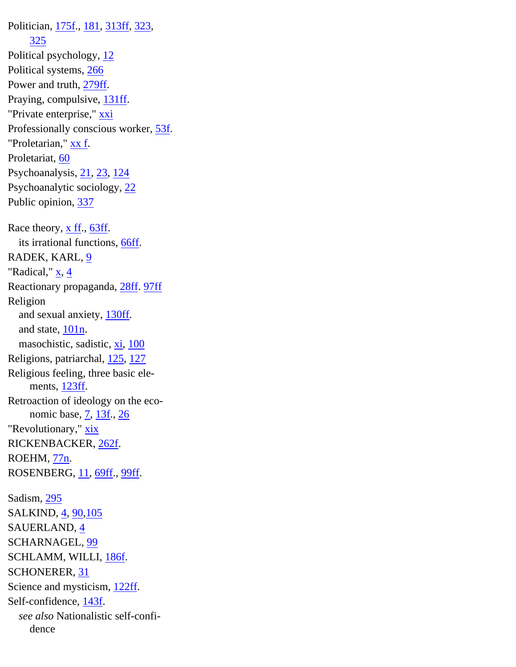Politician, [175f](#page-94-0)., [181,](#page-97-1) [313ff](#page-158-0), [323](#page-163-1), [325](#page-164-0) Political psychology, [12](#page-18-1) Political systems, [266](#page-136-0) Power and truth, [279ff.](#page-142-1) Praying, compulsive, [131ff.](#page-75-0) "Private enterprise," [xxi](#page-11-0) Professionally conscious worker, [53f.](#page-37-0) "Proletarian," [xx f.](#page-10-0) Proletariat, [60](#page-40-0) Psychoanalysis, [21](#page-22-1), [23,](#page-23-0) [124](#page-71-0) Psychoanalytic sociology, [22](#page-23-1) Public opinion, [337](#page-169-0) Race theory, [x ff.](#page-5-2), [63ff.](#page-42-1) its irrational functions, [66ff](#page-43-2). RADEK, KARL, [9](#page-16-0) "Radical," [x,](#page-5-2) [4](#page-13-2) Reactionary propaganda, [28ff.](#page-25-0) [97ff](#page-58-0) Religion and sexual anxiety, [130ff](#page-74-0). and state, [101n](#page-60-0). masochistic, sadistic, [xi,](#page-6-0) [100](#page-60-1) Religions, patriarchal, [125](#page-72-1), [127](#page-73-1) Religious feeling, three basic ele ments, [123ff.](#page-71-1) Retroaction of ideology on the eco- nomic base, [7,](#page-15-0) [13f.](#page-18-0), [26](#page-24-1) "Revolutionary," [xix](#page-10-1) RICKENBACKER, [262f.](#page-134-0) ROEHM, [77n](#page-48-0). ROSENBERG, [11,](#page-17-0) [69ff](#page-44-0)., [99ff](#page-59-1). Sadism, [295](#page-150-1) SALKIND,  $\frac{4}{90,105}$  $\frac{4}{90,105}$  $\frac{4}{90,105}$  $\frac{4}{90,105}$  $\frac{4}{90,105}$  $\frac{4}{90,105}$ SAUERLAND, [4](#page-13-2) SCHARNAGEL, [99](#page-59-1) SCHLAMM, WILLI, [186f](#page-99-0). SCHONERER, [31](#page-27-0) Science and mysticism, [122ff.](#page-70-0) Self-confidence, [143f.](#page-80-0) *see also* Nationalistic self-confi dence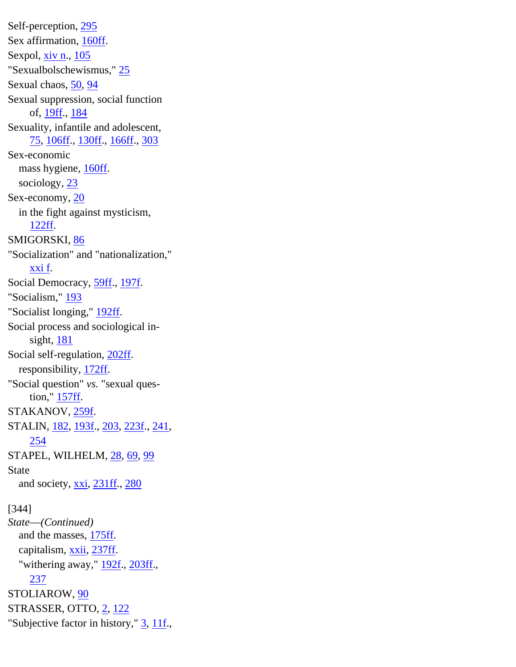Self-perception, [295](#page-150-1) Sex affirmation, [160ff](#page-88-0). Sexpol, [xiv n](#page-7-0)., [105](#page-62-0) "Sexualbolschewismus," [25](#page-24-2) Sexual chaos, [50,](#page-35-0) [94](#page-57-0) Sexual suppression, social function of, [19ff](#page-21-0)., [184](#page-98-1) Sexuality, infantile and adolescent, [75](#page-47-0), [106ff.](#page-63-0), [130ff.](#page-74-0), [166ff.](#page-90-0), [303](#page-153-0) Sex-economic mass hygiene, [160ff](#page-88-0). sociology, [23](#page-23-0) Sex-economy, [20](#page-22-0) in the fight against mysticism, [122ff](#page-70-0). SMIGORSKI, [86](#page-52-0) "Socialization" and "nationalization," [xxi f](#page-11-0). Social Democracy, [59ff.](#page-40-1), [197f](#page-105-0). "Socialism," [193](#page-103-0) "Socialist longing," [192ff](#page-102-0). Social process and sociological in sight, [181](#page-97-1) Social self-regulation, [202ff](#page-107-1). responsibility, [172ff.](#page-93-0) "Social question" *vs.* "sexual ques tion," [157ff](#page-86-1). STAKANOV, [259f.](#page-133-1) STALIN, [182](#page-98-0), [193f.](#page-103-0), [203,](#page-107-0) [223f](#page-116-0)., [241](#page-125-0), [254](#page-131-0) STAPEL, WILHELM, [28](#page-25-0), [69,](#page-44-0) [99](#page-59-1) State and society, [xxi](#page-11-0), [231ff.](#page-120-1), [280](#page-143-0) [344] *State*—*(Continued)* and the masses, [175ff.](#page-94-0) capitalism, [xxii](#page-11-1), [237ff.](#page-123-0) "withering away," [192f.](#page-102-0), [203ff](#page-107-0)., [237](#page-123-0) STOLIAROW, [90](#page-55-0) STRASSER, OTTO, [2,](#page-13-0) [122](#page-70-0) "Subjective factor in history,"  $\frac{3}{2}$ ,  $\frac{11f}{2}$ .